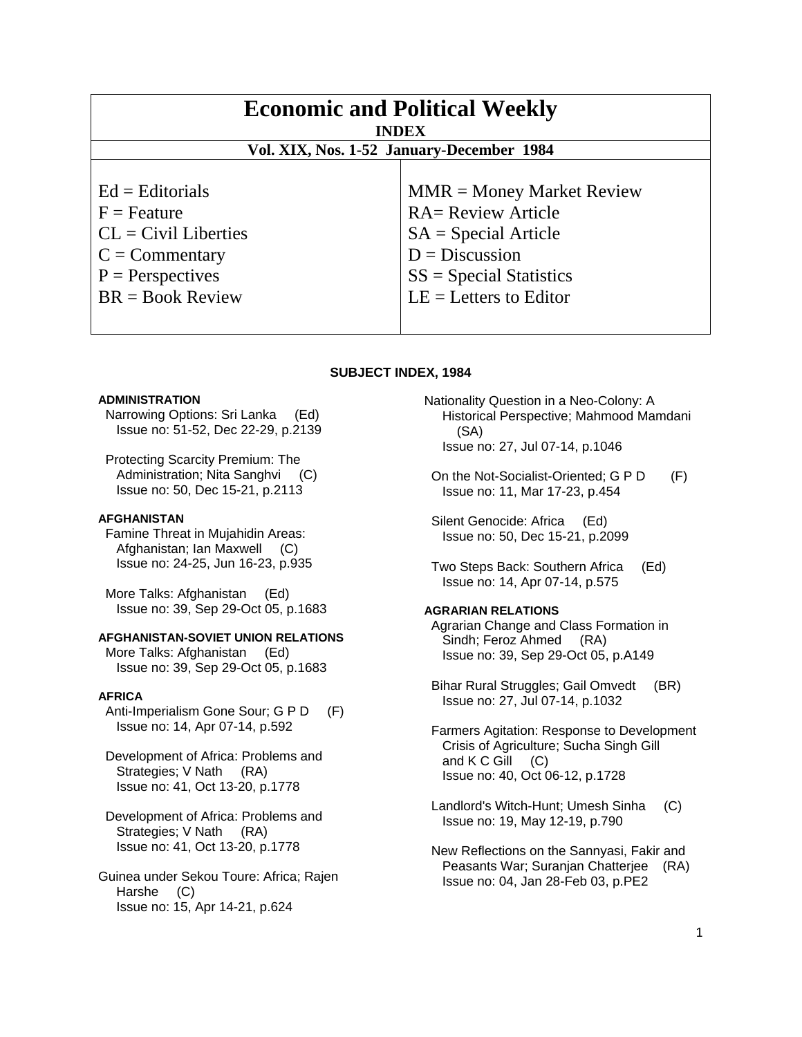| <b>Economic and Political Weekly</b><br><b>INDEX</b><br>Vol. XIX, Nos. 1-52 January-December 1984 |                             |
|---------------------------------------------------------------------------------------------------|-----------------------------|
| $Ed =$ Editorials                                                                                 | $MMR = Money Market Review$ |
| $F =$ Feature                                                                                     | <b>RA= Review Article</b>   |
| $CL = Civil\:$                                                                                    | $SA = Special Article$      |
| $C = \text{Commentary}$                                                                           | $D = Discussion$            |
| $P =$ Perspectives                                                                                | $SS = Special Statistics$   |
| $BR = Book Review$                                                                                | $LE = Letters to Editor$    |

#### **SUBJECT INDEX, 1984**

#### **ADMINISTRATION**

 Narrowing Options: Sri Lanka (Ed) Issue no: 51-52, Dec 22-29, p.2139

 Protecting Scarcity Premium: The Administration; Nita Sanghvi (C) Issue no: 50, Dec 15-21, p.2113

#### **AFGHANISTAN**

 Famine Threat in Mujahidin Areas: Afghanistan; Ian Maxwell (C) Issue no: 24-25, Jun 16-23, p.935

 More Talks: Afghanistan (Ed) Issue no: 39, Sep 29-Oct 05, p.1683

#### **AFGHANISTAN-SOVIET UNION RELATIONS**

 More Talks: Afghanistan (Ed) Issue no: 39, Sep 29-Oct 05, p.1683

#### **AFRICA**

Anti-Imperialism Gone Sour; G P D (F) Issue no: 14, Apr 07-14, p.592

 Development of Africa: Problems and Strategies; V Nath (RA) Issue no: 41, Oct 13-20, p.1778

 Development of Africa: Problems and Strategies; V Nath (RA) Issue no: 41, Oct 13-20, p.1778

Guinea under Sekou Toure: Africa; Rajen Harshe (C) Issue no: 15, Apr 14-21, p.624

Nationality Question in a Neo-Colony: A Historical Perspective; Mahmood Mamdani (SA) Issue no: 27, Jul 07-14, p.1046

On the Not-Socialist-Oriented; G P D (F) Issue no: 11, Mar 17-23, p.454

 Silent Genocide: Africa (Ed) Issue no: 50, Dec 15-21, p.2099

 Two Steps Back: Southern Africa (Ed) Issue no: 14, Apr 07-14, p.575

### **AGRARIAN RELATIONS**

 Agrarian Change and Class Formation in Sindh; Feroz Ahmed (RA) Issue no: 39, Sep 29-Oct 05, p.A149

 Bihar Rural Struggles; Gail Omvedt (BR) Issue no: 27, Jul 07-14, p.1032

 Farmers Agitation: Response to Development Crisis of Agriculture; Sucha Singh Gill and  $K C$  Gill  $(C)$ Issue no: 40, Oct 06-12, p.1728

 Landlord's Witch-Hunt; Umesh Sinha (C) Issue no: 19, May 12-19, p.790

 New Reflections on the Sannyasi, Fakir and Peasants War; Suranjan Chatterjee (RA) Issue no: 04, Jan 28-Feb 03, p.PE2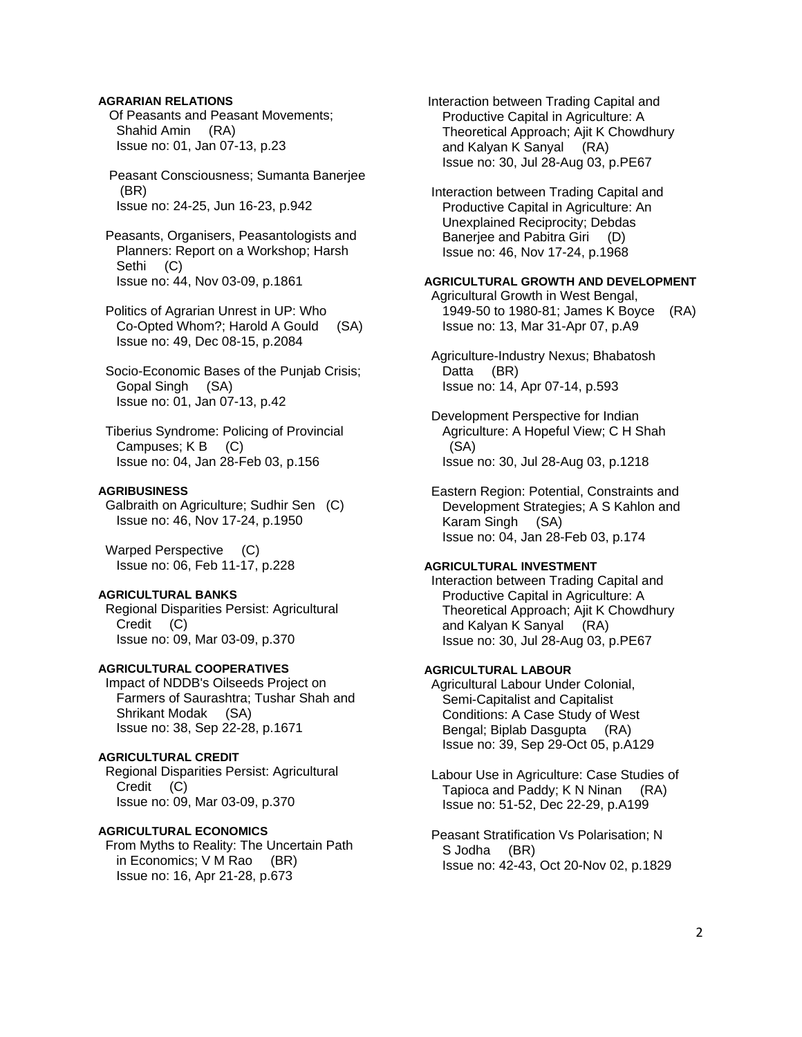### **AGRARIAN RELATIONS**

 Of Peasants and Peasant Movements; Shahid Amin (RA) Issue no: 01, Jan 07-13, p.23

 Peasant Consciousness; Sumanta Banerjee (BR) Issue no: 24-25, Jun 16-23, p.942

 Peasants, Organisers, Peasantologists and Planners: Report on a Workshop; Harsh Sethi (C) Issue no: 44, Nov 03-09, p.1861

 Politics of Agrarian Unrest in UP: Who Co-Opted Whom?; Harold A Gould (SA) Issue no: 49, Dec 08-15, p.2084

 Socio-Economic Bases of the Punjab Crisis; Gopal Singh (SA) Issue no: 01, Jan 07-13, p.42

 Tiberius Syndrome: Policing of Provincial Campuses; K B (C) Issue no: 04, Jan 28-Feb 03, p.156

#### **AGRIBUSINESS**

 Galbraith on Agriculture; Sudhir Sen (C) Issue no: 46, Nov 17-24, p.1950

Warped Perspective (C) Issue no: 06, Feb 11-17, p.228

### **AGRICULTURAL BANKS**

 Regional Disparities Persist: Agricultural Credit (C) Issue no: 09, Mar 03-09, p.370

# **AGRICULTURAL COOPERATIVES**

 Impact of NDDB's Oilseeds Project on Farmers of Saurashtra; Tushar Shah and Shrikant Modak (SA) Issue no: 38, Sep 22-28, p.1671

### **AGRICULTURAL CREDIT**

 Regional Disparities Persist: Agricultural Credit (C) Issue no: 09, Mar 03-09, p.370

# **AGRICULTURAL ECONOMICS**

 From Myths to Reality: The Uncertain Path in Economics; V M Rao (BR) Issue no: 16, Apr 21-28, p.673

 Interaction between Trading Capital and Productive Capital in Agriculture: A Theoretical Approach; Ajit K Chowdhury and Kalyan K Sanyal (RA) Issue no: 30, Jul 28-Aug 03, p.PE67

 Interaction between Trading Capital and Productive Capital in Agriculture: An Unexplained Reciprocity; Debdas Banerjee and Pabitra Giri (D) Issue no: 46, Nov 17-24, p.1968

### **AGRICULTURAL GROWTH AND DEVELOPMENT**

 Agricultural Growth in West Bengal, 1949-50 to 1980-81; James K Boyce (RA) Issue no: 13, Mar 31-Apr 07, p.A9

 Agriculture-Industry Nexus; Bhabatosh Datta (BR) Issue no: 14, Apr 07-14, p.593

 Development Perspective for Indian Agriculture: A Hopeful View; C H Shah (SA) Issue no: 30, Jul 28-Aug 03, p.1218

 Eastern Region: Potential, Constraints and Development Strategies; A S Kahlon and Karam Singh (SA) Issue no: 04, Jan 28-Feb 03, p.174

### **AGRICULTURAL INVESTMENT**

 Interaction between Trading Capital and Productive Capital in Agriculture: A Theoretical Approach; Ajit K Chowdhury and Kalyan K Sanyal (RA) Issue no: 30, Jul 28-Aug 03, p.PE67

#### **AGRICULTURAL LABOUR**

 Agricultural Labour Under Colonial, Semi-Capitalist and Capitalist Conditions: A Case Study of West Bengal; Biplab Dasgupta (RA) Issue no: 39, Sep 29-Oct 05, p.A129

 Labour Use in Agriculture: Case Studies of Tapioca and Paddy; K N Ninan (RA) Issue no: 51-52, Dec 22-29, p.A199

 Peasant Stratification Vs Polarisation; N S Jodha (BR) Issue no: 42-43, Oct 20-Nov 02, p.1829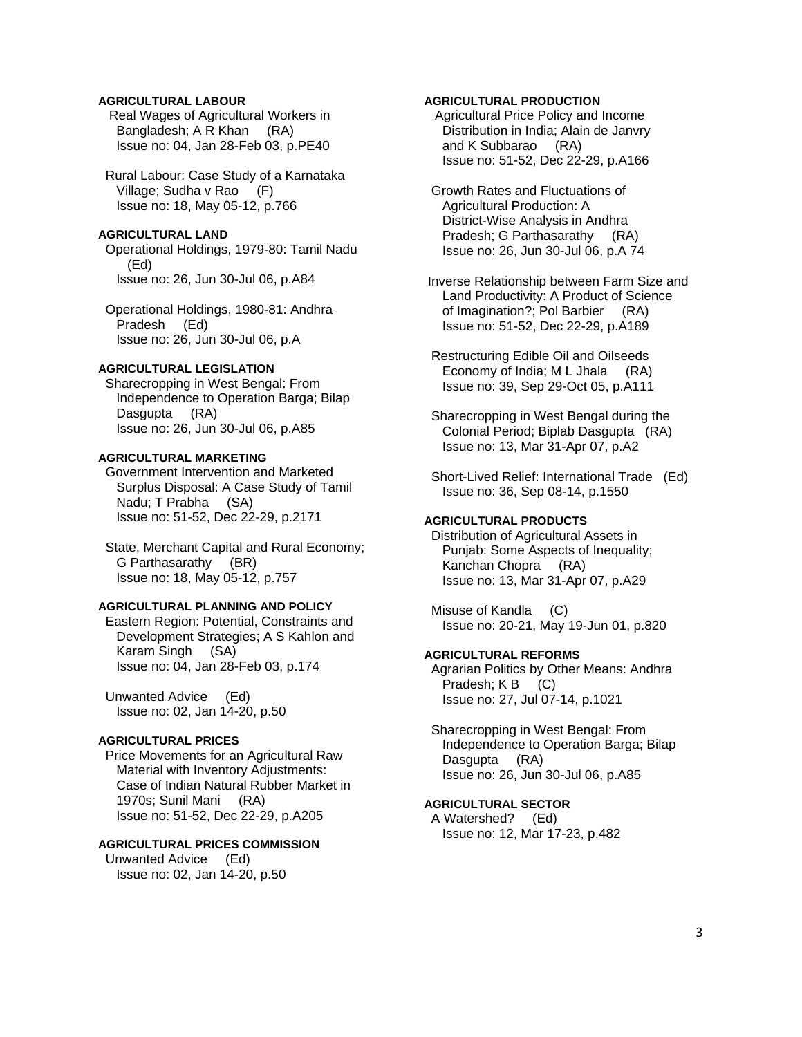# **AGRICULTURAL LABOUR**

 Real Wages of Agricultural Workers in Bangladesh; A R Khan (RA) Issue no: 04, Jan 28-Feb 03, p.PE40

 Rural Labour: Case Study of a Karnataka Village; Sudha v Rao (F) Issue no: 18, May 05-12, p.766

### **AGRICULTURAL LAND**

 Operational Holdings, 1979-80: Tamil Nadu (Ed) Issue no: 26, Jun 30-Jul 06, p.A84

 Operational Holdings, 1980-81: Andhra Pradesh (Ed) Issue no: 26, Jun 30-Jul 06, p.A

# **AGRICULTURAL LEGISLATION**

 Sharecropping in West Bengal: From Independence to Operation Barga; Bilap Dasgupta (RA) Issue no: 26, Jun 30-Jul 06, p.A85

# **AGRICULTURAL MARKETING**

 Government Intervention and Marketed Surplus Disposal: A Case Study of Tamil Nadu; T Prabha (SA) Issue no: 51-52, Dec 22-29, p.2171

 State, Merchant Capital and Rural Economy; G Parthasarathy (BR) Issue no: 18, May 05-12, p.757

#### **AGRICULTURAL PLANNING AND POLICY**

 Eastern Region: Potential, Constraints and Development Strategies; A S Kahlon and Karam Singh (SA) Issue no: 04, Jan 28-Feb 03, p.174

 Unwanted Advice (Ed) Issue no: 02, Jan 14-20, p.50

# **AGRICULTURAL PRICES**

 Price Movements for an Agricultural Raw Material with Inventory Adjustments: Case of Indian Natural Rubber Market in 1970s; Sunil Mani (RA) Issue no: 51-52, Dec 22-29, p.A205

# **AGRICULTURAL PRICES COMMISSION**

 Unwanted Advice (Ed) Issue no: 02, Jan 14-20, p.50

### **AGRICULTURAL PRODUCTION**

 Agricultural Price Policy and Income Distribution in India; Alain de Janvry and K Subbarao (RA) Issue no: 51-52, Dec 22-29, p.A166

 Growth Rates and Fluctuations of Agricultural Production: A District-Wise Analysis in Andhra Pradesh; G Parthasarathy (RA) Issue no: 26, Jun 30-Jul 06, p.A 74

 Inverse Relationship between Farm Size and Land Productivity: A Product of Science of Imagination?; Pol Barbier (RA) Issue no: 51-52, Dec 22-29, p.A189

 Restructuring Edible Oil and Oilseeds Economy of India; M L Jhala (RA) Issue no: 39, Sep 29-Oct 05, p.A111

 Sharecropping in West Bengal during the Colonial Period; Biplab Dasgupta (RA) Issue no: 13, Mar 31-Apr 07, p.A2

 Short-Lived Relief: International Trade (Ed) Issue no: 36, Sep 08-14, p.1550

# **AGRICULTURAL PRODUCTS**

 Distribution of Agricultural Assets in Punjab: Some Aspects of Inequality; Kanchan Chopra (RA) Issue no: 13, Mar 31-Apr 07, p.A29

 Misuse of Kandla (C) Issue no: 20-21, May 19-Jun 01, p.820

### **AGRICULTURAL REFORMS**

 Agrarian Politics by Other Means: Andhra Pradesh; K B (C) Issue no: 27, Jul 07-14, p.1021

 Sharecropping in West Bengal: From Independence to Operation Barga; Bilap Dasgupta (RA) Issue no: 26, Jun 30-Jul 06, p.A85

## **AGRICULTURAL SECTOR**

 A Watershed? (Ed) Issue no: 12, Mar 17-23, p.482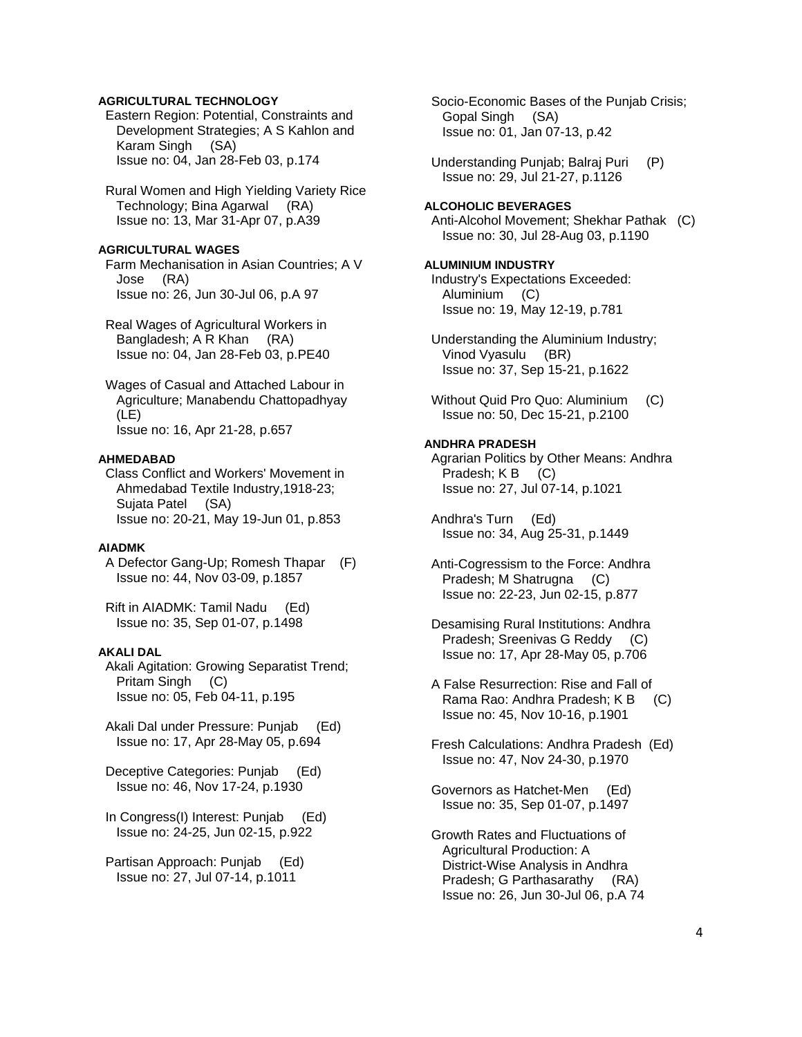## **AGRICULTURAL TECHNOLOGY**

 Eastern Region: Potential, Constraints and Development Strategies; A S Kahlon and Karam Singh (SA) Issue no: 04, Jan 28-Feb 03, p.174

 Rural Women and High Yielding Variety Rice Technology; Bina Agarwal (RA) Issue no: 13, Mar 31-Apr 07, p.A39

# **AGRICULTURAL WAGES**

 Farm Mechanisation in Asian Countries; A V Jose (RA) Issue no: 26, Jun 30-Jul 06, p.A 97

 Real Wages of Agricultural Workers in Bangladesh; A R Khan (RA) Issue no: 04, Jan 28-Feb 03, p.PE40

 Wages of Casual and Attached Labour in Agriculture; Manabendu Chattopadhyay (LE) Issue no: 16, Apr 21-28, p.657

#### **AHMEDABAD**

 Class Conflict and Workers' Movement in Ahmedabad Textile Industry,1918-23; Sujata Patel (SA) Issue no: 20-21, May 19-Jun 01, p.853

# **AIADMK**

 A Defector Gang-Up; Romesh Thapar (F) Issue no: 44, Nov 03-09, p.1857

 Rift in AIADMK: Tamil Nadu (Ed) Issue no: 35, Sep 01-07, p.1498

#### **AKALI DAL**

 Akali Agitation: Growing Separatist Trend; Pritam Singh (C) Issue no: 05, Feb 04-11, p.195

 Akali Dal under Pressure: Punjab (Ed) Issue no: 17, Apr 28-May 05, p.694

 Deceptive Categories: Punjab (Ed) Issue no: 46, Nov 17-24, p.1930

 In Congress(I) Interest: Punjab (Ed) Issue no: 24-25, Jun 02-15, p.922

 Partisan Approach: Punjab (Ed) Issue no: 27, Jul 07-14, p.1011

 Socio-Economic Bases of the Punjab Crisis; Gopal Singh (SA) Issue no: 01, Jan 07-13, p.42

 Understanding Punjab; Balraj Puri (P) Issue no: 29, Jul 21-27, p.1126

### **ALCOHOLIC BEVERAGES**

 Anti-Alcohol Movement; Shekhar Pathak (C) Issue no: 30, Jul 28-Aug 03, p.1190

# **ALUMINIUM INDUSTRY**

 Industry's Expectations Exceeded: Aluminium (C) Issue no: 19, May 12-19, p.781

 Understanding the Aluminium Industry; Vinod Vyasulu (BR) Issue no: 37, Sep 15-21, p.1622

Without Quid Pro Quo: Aluminium (C) Issue no: 50, Dec 15-21, p.2100

#### **ANDHRA PRADESH**

 Agrarian Politics by Other Means: Andhra Pradesh; K B (C) Issue no: 27, Jul 07-14, p.1021

 Andhra's Turn (Ed) Issue no: 34, Aug 25-31, p.1449

 Anti-Cogressism to the Force: Andhra Pradesh; M Shatrugna (C) Issue no: 22-23, Jun 02-15, p.877

 Desamising Rural Institutions: Andhra Pradesh; Sreenivas G Reddy (C) Issue no: 17, Apr 28-May 05, p.706

 A False Resurrection: Rise and Fall of Rama Rao: Andhra Pradesh; K B (C) Issue no: 45, Nov 10-16, p.1901

 Fresh Calculations: Andhra Pradesh (Ed) Issue no: 47, Nov 24-30, p.1970

 Governors as Hatchet-Men (Ed) Issue no: 35, Sep 01-07, p.1497

 Growth Rates and Fluctuations of Agricultural Production: A District-Wise Analysis in Andhra Pradesh; G Parthasarathy (RA) Issue no: 26, Jun 30-Jul 06, p.A 74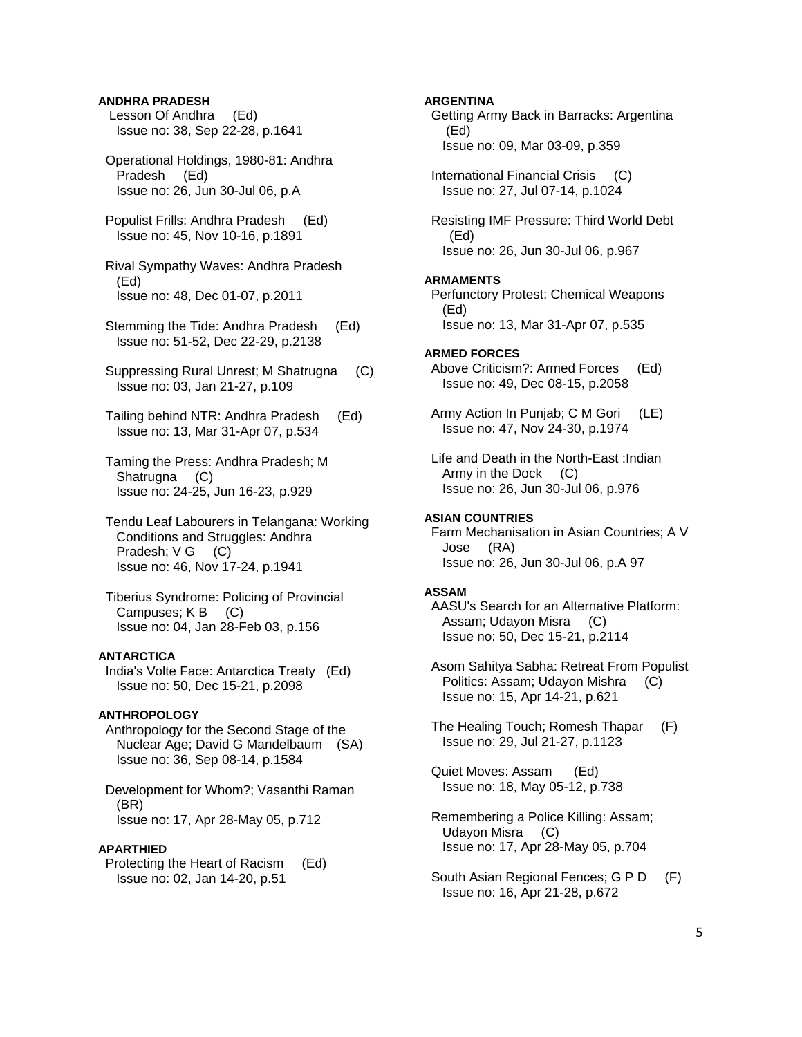### **ANDHRA PRADESH**

- Lesson Of Andhra (Ed) Issue no: 38, Sep 22-28, p.1641
- Operational Holdings, 1980-81: Andhra Pradesh (Ed) Issue no: 26, Jun 30-Jul 06, p.A
- Populist Frills: Andhra Pradesh (Ed) Issue no: 45, Nov 10-16, p.1891

 Rival Sympathy Waves: Andhra Pradesh (Ed) Issue no: 48, Dec 01-07, p.2011

- Stemming the Tide: Andhra Pradesh (Ed) Issue no: 51-52, Dec 22-29, p.2138
- Suppressing Rural Unrest; M Shatrugna (C) Issue no: 03, Jan 21-27, p.109
- Tailing behind NTR: Andhra Pradesh (Ed) Issue no: 13, Mar 31-Apr 07, p.534
- Taming the Press: Andhra Pradesh; M Shatrugna (C) Issue no: 24-25, Jun 16-23, p.929
- Tendu Leaf Labourers in Telangana: Working Conditions and Struggles: Andhra Pradesh; V G (C) Issue no: 46, Nov 17-24, p.1941
- Tiberius Syndrome: Policing of Provincial Campuses; K B (C) Issue no: 04, Jan 28-Feb 03, p.156

#### **ANTARCTICA**

 India's Volte Face: Antarctica Treaty (Ed) Issue no: 50, Dec 15-21, p.2098

#### **ANTHROPOLOGY**

 Anthropology for the Second Stage of the Nuclear Age; David G Mandelbaum (SA) Issue no: 36, Sep 08-14, p.1584

 Development for Whom?; Vasanthi Raman (BR) Issue no: 17, Apr 28-May 05, p.712

#### **APARTHIED**

 Protecting the Heart of Racism (Ed) Issue no: 02, Jan 14-20, p.51

### **ARGENTINA**

 Getting Army Back in Barracks: Argentina (Ed) Issue no: 09, Mar 03-09, p.359

 International Financial Crisis (C) Issue no: 27, Jul 07-14, p.1024

 Resisting IMF Pressure: Third World Debt (Ed) Issue no: 26, Jun 30-Jul 06, p.967

#### **ARMAMENTS**

 Perfunctory Protest: Chemical Weapons (Ed) Issue no: 13, Mar 31-Apr 07, p.535

#### **ARMED FORCES**

 Above Criticism?: Armed Forces (Ed) Issue no: 49, Dec 08-15, p.2058

 Army Action In Punjab; C M Gori (LE) Issue no: 47, Nov 24-30, p.1974

 Life and Death in the North-East :Indian Army in the Dock (C) Issue no: 26, Jun 30-Jul 06, p.976

#### **ASIAN COUNTRIES**

 Farm Mechanisation in Asian Countries; A V Jose (RA) Issue no: 26, Jun 30-Jul 06, p.A 97

#### **ASSAM**

 AASU's Search for an Alternative Platform: Assam; Udayon Misra (C) Issue no: 50, Dec 15-21, p.2114

 Asom Sahitya Sabha: Retreat From Populist Politics: Assam; Udayon Mishra (C) Issue no: 15, Apr 14-21, p.621

 The Healing Touch; Romesh Thapar (F) Issue no: 29, Jul 21-27, p.1123

 Quiet Moves: Assam (Ed) Issue no: 18, May 05-12, p.738

- Remembering a Police Killing: Assam; Udayon Misra (C) Issue no: 17, Apr 28-May 05, p.704
- South Asian Regional Fences; G P D (F) Issue no: 16, Apr 21-28, p.672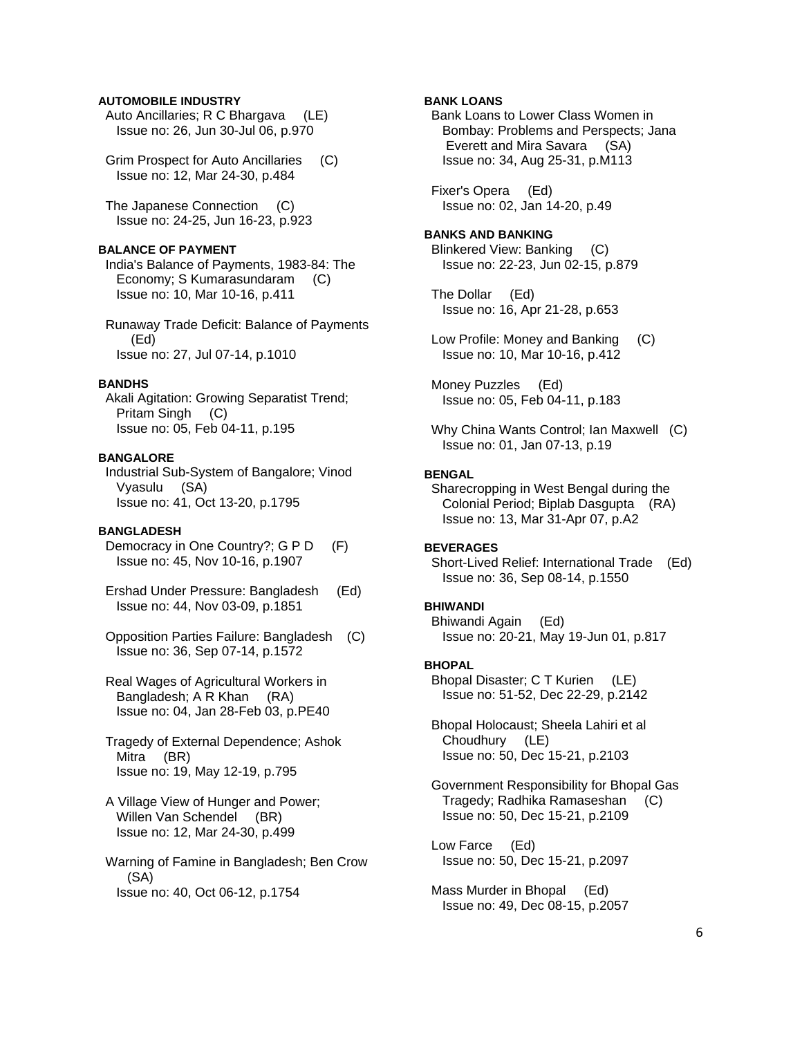### **AUTOMOBILE INDUSTRY**

- Auto Ancillaries; R C Bhargava (LE) Issue no: 26, Jun 30-Jul 06, p.970
- Grim Prospect for Auto Ancillaries (C) Issue no: 12, Mar 24-30, p.484

 The Japanese Connection (C) Issue no: 24-25, Jun 16-23, p.923

#### **BALANCE OF PAYMENT**

 India's Balance of Payments, 1983-84: The Economy; S Kumarasundaram (C) Issue no: 10, Mar 10-16, p.411

 Runaway Trade Deficit: Balance of Payments (Ed) Issue no: 27, Jul 07-14, p.1010

### **BANDHS**

 Akali Agitation: Growing Separatist Trend; Pritam Singh (C) Issue no: 05, Feb 04-11, p.195

#### **BANGALORE**

 Industrial Sub-System of Bangalore; Vinod Vyasulu (SA) Issue no: 41, Oct 13-20, p.1795

### **BANGLADESH**

- Democracy in One Country?; G P D (F) Issue no: 45, Nov 10-16, p.1907
- Ershad Under Pressure: Bangladesh (Ed) Issue no: 44, Nov 03-09, p.1851
- Opposition Parties Failure: Bangladesh (C) Issue no: 36, Sep 07-14, p.1572
- Real Wages of Agricultural Workers in Bangladesh; A R Khan (RA) Issue no: 04, Jan 28-Feb 03, p.PE40
- Tragedy of External Dependence; Ashok Mitra (BR) Issue no: 19, May 12-19, p.795
- A Village View of Hunger and Power; Willen Van Schendel (BR) Issue no: 12, Mar 24-30, p.499
- Warning of Famine in Bangladesh; Ben Crow (SA) Issue no: 40, Oct 06-12, p.1754

### **BANK LOANS**

 Bank Loans to Lower Class Women in Bombay: Problems and Perspects; Jana Everett and Mira Savara (SA) Issue no: 34, Aug 25-31, p.M113

 Fixer's Opera (Ed) Issue no: 02, Jan 14-20, p.49

#### **BANKS AND BANKING**

 Blinkered View: Banking (C) Issue no: 22-23, Jun 02-15, p.879

 The Dollar (Ed) Issue no: 16, Apr 21-28, p.653

 Low Profile: Money and Banking (C) Issue no: 10, Mar 10-16, p.412

 Money Puzzles (Ed) Issue no: 05, Feb 04-11, p.183

 Why China Wants Control; Ian Maxwell (C) Issue no: 01, Jan 07-13, p.19

### **BENGAL**

 Sharecropping in West Bengal during the Colonial Period; Biplab Dasgupta (RA) Issue no: 13, Mar 31-Apr 07, p.A2

# **BEVERAGES**

 Short-Lived Relief: International Trade (Ed) Issue no: 36, Sep 08-14, p.1550

# **BHIWANDI**

 Bhiwandi Again (Ed) Issue no: 20-21, May 19-Jun 01, p.817

#### **BHOPAL**

 Bhopal Disaster; C T Kurien (LE) Issue no: 51-52, Dec 22-29, p.2142

 Bhopal Holocaust; Sheela Lahiri et al Choudhury (LE) Issue no: 50, Dec 15-21, p.2103

 Government Responsibility for Bhopal Gas Tragedy; Radhika Ramaseshan (C) Issue no: 50, Dec 15-21, p.2109

 Low Farce (Ed) Issue no: 50, Dec 15-21, p.2097

 Mass Murder in Bhopal (Ed) Issue no: 49, Dec 08-15, p.2057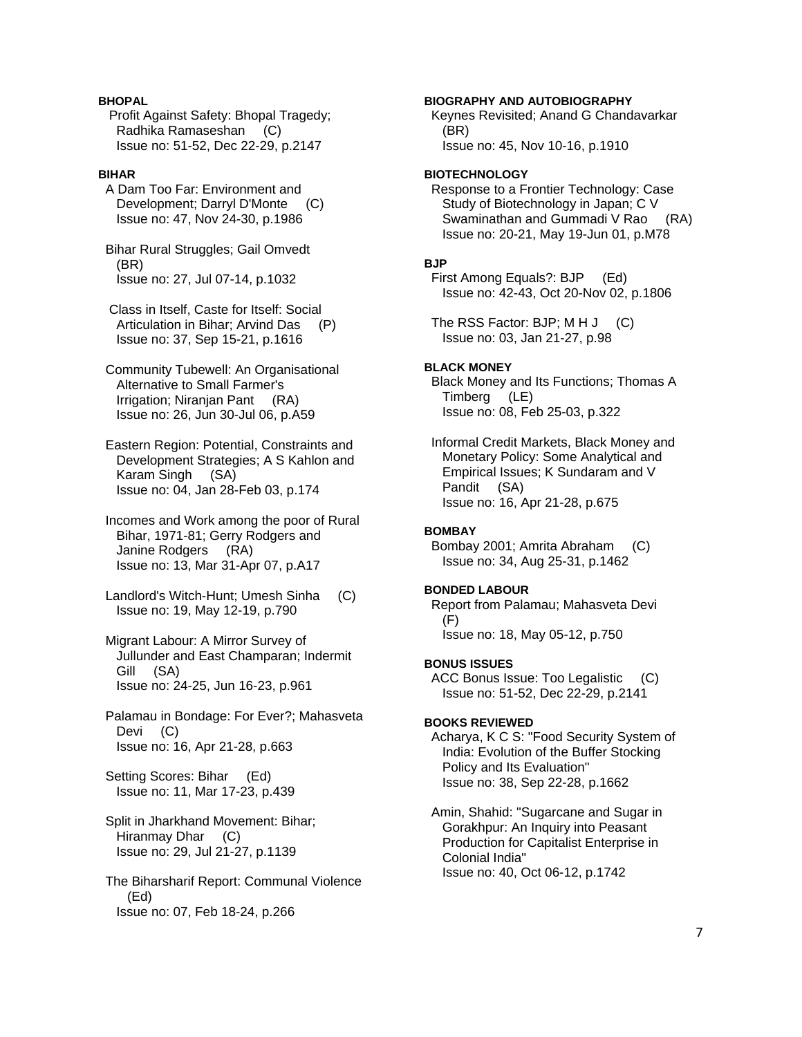# **BHOPAL**

 Profit Against Safety: Bhopal Tragedy; Radhika Ramaseshan (C) Issue no: 51-52, Dec 22-29, p.2147

### **BIHAR**

 A Dam Too Far: Environment and Development; Darryl D'Monte (C) Issue no: 47, Nov 24-30, p.1986

 Bihar Rural Struggles; Gail Omvedt (BR) Issue no: 27, Jul 07-14, p.1032

 Class in Itself, Caste for Itself: Social Articulation in Bihar; Arvind Das (P) Issue no: 37, Sep 15-21, p.1616

 Community Tubewell: An Organisational Alternative to Small Farmer's Irrigation; Niranjan Pant (RA) Issue no: 26, Jun 30-Jul 06, p.A59

 Eastern Region: Potential, Constraints and Development Strategies; A S Kahlon and Karam Singh (SA) Issue no: 04, Jan 28-Feb 03, p.174

 Incomes and Work among the poor of Rural Bihar, 1971-81; Gerry Rodgers and Janine Rodgers (RA) Issue no: 13, Mar 31-Apr 07, p.A17

 Landlord's Witch-Hunt; Umesh Sinha (C) Issue no: 19, May 12-19, p.790

 Migrant Labour: A Mirror Survey of Jullunder and East Champaran; Indermit Gill (SA) Issue no: 24-25, Jun 16-23, p.961

 Palamau in Bondage: For Ever?; Mahasveta Devi (C) Issue no: 16, Apr 21-28, p.663

 Setting Scores: Bihar (Ed) Issue no: 11, Mar 17-23, p.439

 Split in Jharkhand Movement: Bihar; Hiranmay Dhar (C) Issue no: 29, Jul 21-27, p.1139

 The Biharsharif Report: Communal Violence (Ed) Issue no: 07, Feb 18-24, p.266

#### **BIOGRAPHY AND AUTOBIOGRAPHY**

 Keynes Revisited; Anand G Chandavarkar (BR) Issue no: 45, Nov 10-16, p.1910

#### **BIOTECHNOLOGY**

 Response to a Frontier Technology: Case Study of Biotechnology in Japan; C V Swaminathan and Gummadi V Rao (RA) Issue no: 20-21, May 19-Jun 01, p.M78

#### **BJP**

 First Among Equals?: BJP (Ed) Issue no: 42-43, Oct 20-Nov 02, p.1806

The RSS Factor: BJP; M H J (C) Issue no: 03, Jan 21-27, p.98

### **BLACK MONEY**

 Black Money and Its Functions; Thomas A Timberg (LE) Issue no: 08, Feb 25-03, p.322

 Informal Credit Markets, Black Money and Monetary Policy: Some Analytical and Empirical Issues; K Sundaram and V Pandit (SA) Issue no: 16, Apr 21-28, p.675

#### **BOMBAY**

 Bombay 2001; Amrita Abraham (C) Issue no: 34, Aug 25-31, p.1462

#### **BONDED LABOUR**

 Report from Palamau; Mahasveta Devi (F) Issue no: 18, May 05-12, p.750

#### **BONUS ISSUES**

 ACC Bonus Issue: Too Legalistic (C) Issue no: 51-52, Dec 22-29, p.2141

#### **BOOKS REVIEWED**

 Acharya, K C S: "Food Security System of India: Evolution of the Buffer Stocking Policy and Its Evaluation" Issue no: 38, Sep 22-28, p.1662

 Amin, Shahid: "Sugarcane and Sugar in Gorakhpur: An Inquiry into Peasant Production for Capitalist Enterprise in Colonial India" Issue no: 40, Oct 06-12, p.1742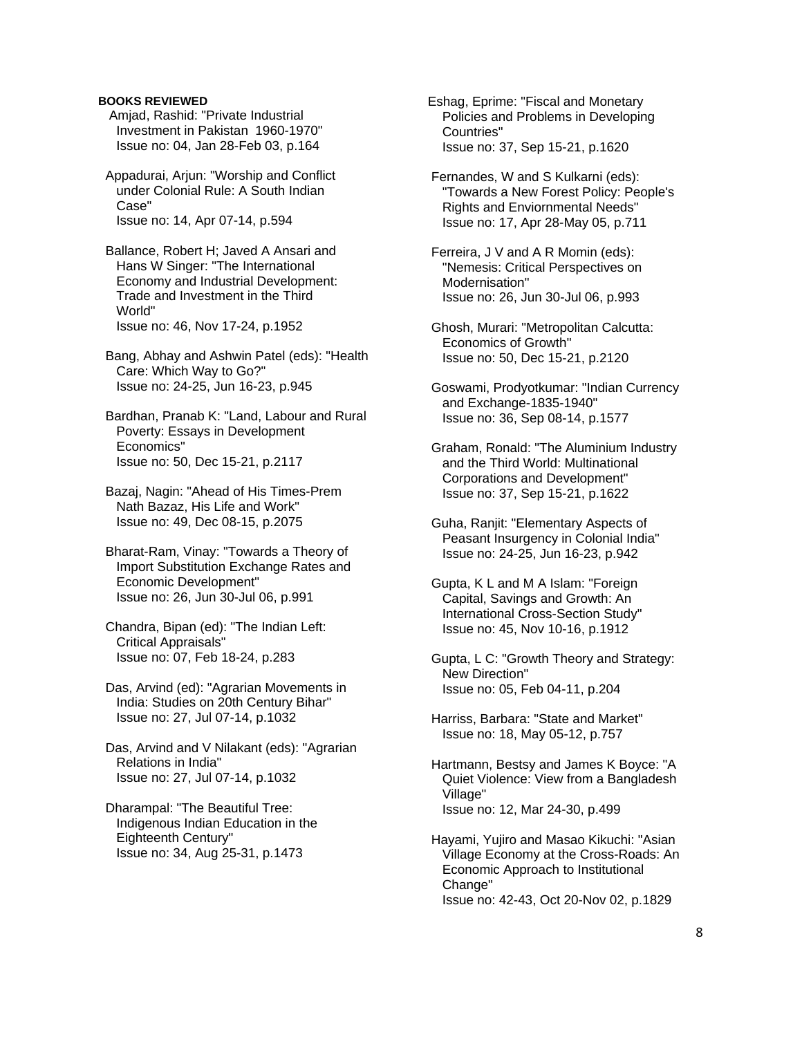## **BOOKS REVIEWED**

 Amjad, Rashid: "Private Industrial Investment in Pakistan 1960-1970" Issue no: 04, Jan 28-Feb 03, p.164

 Appadurai, Arjun: "Worship and Conflict under Colonial Rule: A South Indian Case" Issue no: 14, Apr 07-14, p.594

 Ballance, Robert H; Javed A Ansari and Hans W Singer: "The International Economy and Industrial Development: Trade and Investment in the Third World" Issue no: 46, Nov 17-24, p.1952

 Bang, Abhay and Ashwin Patel (eds): "Health Care: Which Way to Go?" Issue no: 24-25, Jun 16-23, p.945

 Bardhan, Pranab K: "Land, Labour and Rural Poverty: Essays in Development Economics" Issue no: 50, Dec 15-21, p.2117

 Bazaj, Nagin: "Ahead of His Times-Prem Nath Bazaz, His Life and Work" Issue no: 49, Dec 08-15, p.2075

 Bharat-Ram, Vinay: "Towards a Theory of Import Substitution Exchange Rates and Economic Development" Issue no: 26, Jun 30-Jul 06, p.991

 Chandra, Bipan (ed): "The Indian Left: Critical Appraisals" Issue no: 07, Feb 18-24, p.283

 Das, Arvind (ed): "Agrarian Movements in India: Studies on 20th Century Bihar" Issue no: 27, Jul 07-14, p.1032

 Das, Arvind and V Nilakant (eds): "Agrarian Relations in India" Issue no: 27, Jul 07-14, p.1032

 Dharampal: "The Beautiful Tree: Indigenous Indian Education in the Eighteenth Century" Issue no: 34, Aug 25-31, p.1473

 Eshag, Eprime: "Fiscal and Monetary Policies and Problems in Developing Countries" Issue no: 37, Sep 15-21, p.1620

 Fernandes, W and S Kulkarni (eds): "Towards a New Forest Policy: People's Rights and Enviornmental Needs" Issue no: 17, Apr 28-May 05, p.711

 Ferreira, J V and A R Momin (eds): "Nemesis: Critical Perspectives on Modernisation" Issue no: 26, Jun 30-Jul 06, p.993

 Ghosh, Murari: "Metropolitan Calcutta: Economics of Growth" Issue no: 50, Dec 15-21, p.2120

 Goswami, Prodyotkumar: "Indian Currency and Exchange-1835-1940" Issue no: 36, Sep 08-14, p.1577

 Graham, Ronald: "The Aluminium Industry and the Third World: Multinational Corporations and Development" Issue no: 37, Sep 15-21, p.1622

 Guha, Ranjit: "Elementary Aspects of Peasant Insurgency in Colonial India" Issue no: 24-25, Jun 16-23, p.942

 Gupta, K L and M A Islam: "Foreign Capital, Savings and Growth: An International Cross-Section Study" Issue no: 45, Nov 10-16, p.1912

 Gupta, L C: "Growth Theory and Strategy: New Direction" Issue no: 05, Feb 04-11, p.204

 Harriss, Barbara: "State and Market" Issue no: 18, May 05-12, p.757

 Hartmann, Bestsy and James K Boyce: "A Quiet Violence: View from a Bangladesh Village" Issue no: 12, Mar 24-30, p.499

 Hayami, Yujiro and Masao Kikuchi: "Asian Village Economy at the Cross-Roads: An Economic Approach to Institutional Change" Issue no: 42-43, Oct 20-Nov 02, p.1829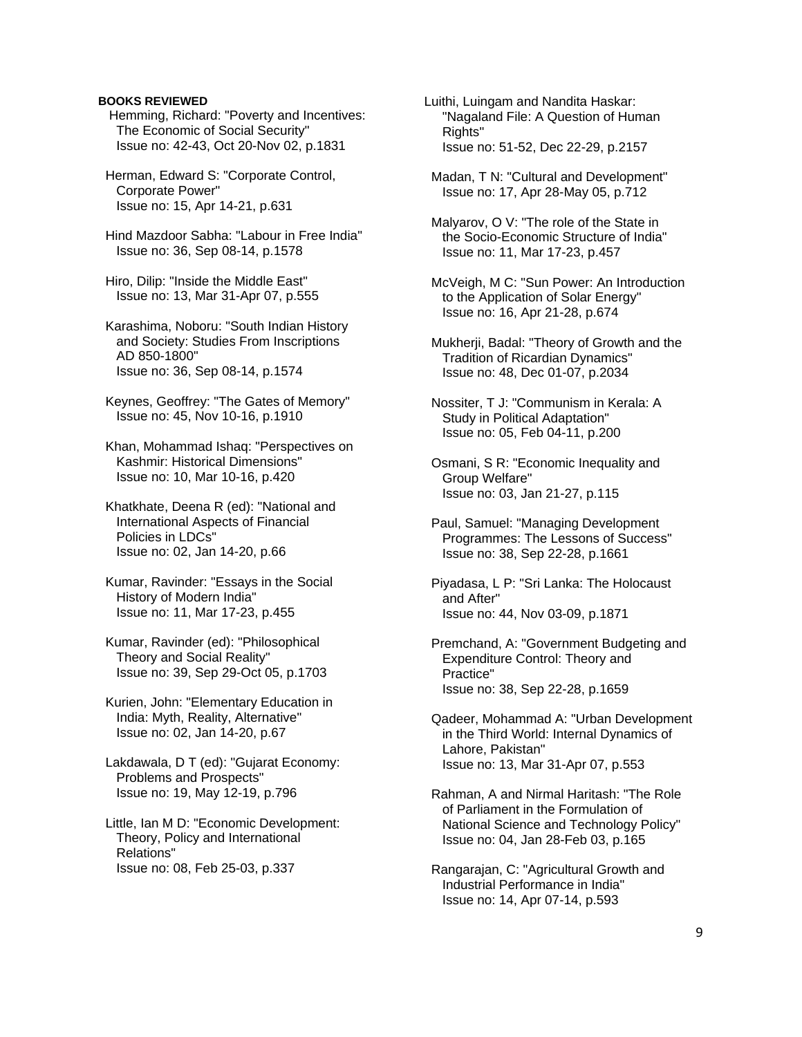### **BOOKS REVIEWED**

 Hemming, Richard: "Poverty and Incentives: The Economic of Social Security" Issue no: 42-43, Oct 20-Nov 02, p.1831

 Herman, Edward S: "Corporate Control, Corporate Power" Issue no: 15, Apr 14-21, p.631

 Hind Mazdoor Sabha: "Labour in Free India" Issue no: 36, Sep 08-14, p.1578

 Hiro, Dilip: "Inside the Middle East" Issue no: 13, Mar 31-Apr 07, p.555

 Karashima, Noboru: "South Indian History and Society: Studies From Inscriptions AD 850-1800" Issue no: 36, Sep 08-14, p.1574

 Keynes, Geoffrey: "The Gates of Memory" Issue no: 45, Nov 10-16, p.1910

 Khan, Mohammad Ishaq: "Perspectives on Kashmir: Historical Dimensions" Issue no: 10, Mar 10-16, p.420

 Khatkhate, Deena R (ed): "National and International Aspects of Financial Policies in LDCs" Issue no: 02, Jan 14-20, p.66

 Kumar, Ravinder: "Essays in the Social History of Modern India" Issue no: 11, Mar 17-23, p.455

 Kumar, Ravinder (ed): "Philosophical Theory and Social Reality" Issue no: 39, Sep 29-Oct 05, p.1703

 Kurien, John: "Elementary Education in India: Myth, Reality, Alternative" Issue no: 02, Jan 14-20, p.67

 Lakdawala, D T (ed): "Gujarat Economy: Problems and Prospects" Issue no: 19, May 12-19, p.796

 Little, Ian M D: "Economic Development: Theory, Policy and International Relations" Issue no: 08, Feb 25-03, p.337

Luithi, Luingam and Nandita Haskar: "Nagaland File: A Question of Human Rights" Issue no: 51-52, Dec 22-29, p.2157

 Madan, T N: "Cultural and Development" Issue no: 17, Apr 28-May 05, p.712

 Malyarov, O V: "The role of the State in the Socio-Economic Structure of India" Issue no: 11, Mar 17-23, p.457

 McVeigh, M C: "Sun Power: An Introduction to the Application of Solar Energy" Issue no: 16, Apr 21-28, p.674

 Mukherji, Badal: "Theory of Growth and the Tradition of Ricardian Dynamics" Issue no: 48, Dec 01-07, p.2034

 Nossiter, T J: "Communism in Kerala: A Study in Political Adaptation" Issue no: 05, Feb 04-11, p.200

 Osmani, S R: "Economic Inequality and Group Welfare" Issue no: 03, Jan 21-27, p.115

 Paul, Samuel: "Managing Development Programmes: The Lessons of Success" Issue no: 38, Sep 22-28, p.1661

 Piyadasa, L P: "Sri Lanka: The Holocaust and After" Issue no: 44, Nov 03-09, p.1871

 Premchand, A: "Government Budgeting and Expenditure Control: Theory and Practice" Issue no: 38, Sep 22-28, p.1659

 Qadeer, Mohammad A: "Urban Development in the Third World: Internal Dynamics of Lahore, Pakistan" Issue no: 13, Mar 31-Apr 07, p.553

 Rahman, A and Nirmal Haritash: "The Role of Parliament in the Formulation of National Science and Technology Policy" Issue no: 04, Jan 28-Feb 03, p.165

 Rangarajan, C: "Agricultural Growth and Industrial Performance in India" Issue no: 14, Apr 07-14, p.593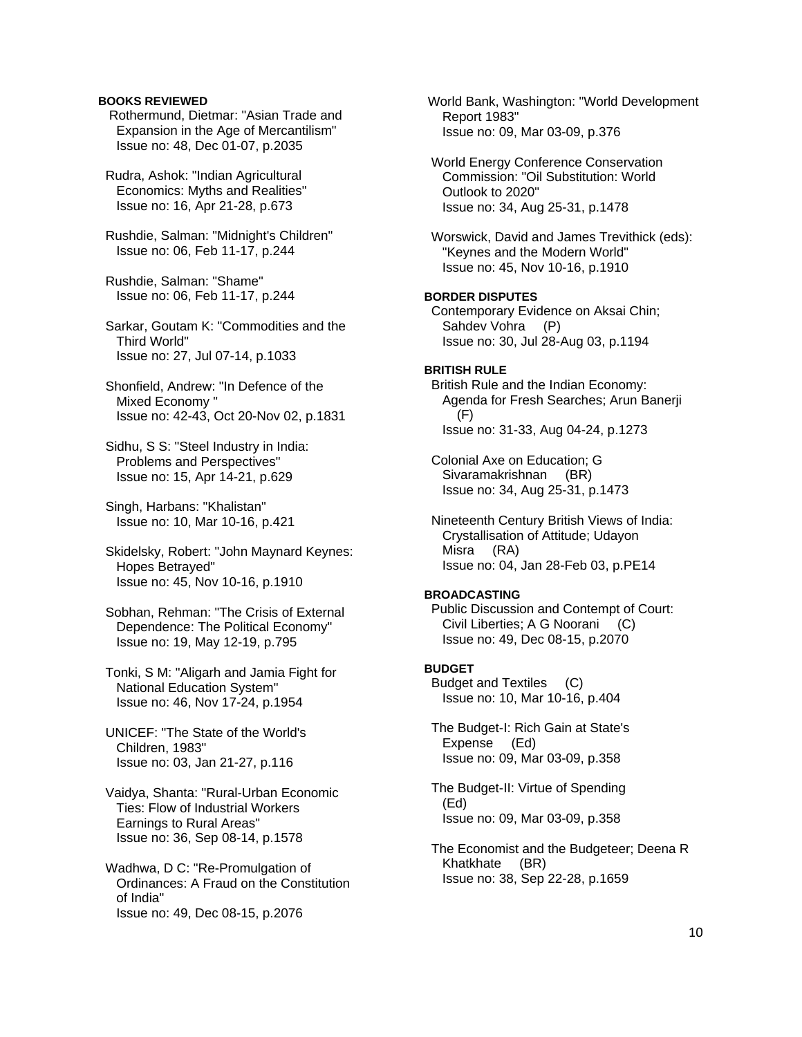### **BOOKS REVIEWED**

 Rothermund, Dietmar: "Asian Trade and Expansion in the Age of Mercantilism" Issue no: 48, Dec 01-07, p.2035

 Rudra, Ashok: "Indian Agricultural Economics: Myths and Realities" Issue no: 16, Apr 21-28, p.673

 Rushdie, Salman: "Midnight's Children" Issue no: 06, Feb 11-17, p.244

 Rushdie, Salman: "Shame" Issue no: 06, Feb 11-17, p.244

 Sarkar, Goutam K: "Commodities and the Third World" Issue no: 27, Jul 07-14, p.1033

 Shonfield, Andrew: "In Defence of the Mixed Economy " Issue no: 42-43, Oct 20-Nov 02, p.1831

 Sidhu, S S: "Steel Industry in India: Problems and Perspectives" Issue no: 15, Apr 14-21, p.629

 Singh, Harbans: "Khalistan" Issue no: 10, Mar 10-16, p.421

 Skidelsky, Robert: "John Maynard Keynes: Hopes Betrayed" Issue no: 45, Nov 10-16, p.1910

 Sobhan, Rehman: "The Crisis of External Dependence: The Political Economy" Issue no: 19, May 12-19, p.795

 Tonki, S M: "Aligarh and Jamia Fight for National Education System" Issue no: 46, Nov 17-24, p.1954

 UNICEF: "The State of the World's Children, 1983" Issue no: 03, Jan 21-27, p.116

 Vaidya, Shanta: "Rural-Urban Economic Ties: Flow of Industrial Workers Earnings to Rural Areas" Issue no: 36, Sep 08-14, p.1578

 Wadhwa, D C: "Re-Promulgation of Ordinances: A Fraud on the Constitution of India" Issue no: 49, Dec 08-15, p.2076

 World Bank, Washington: "World Development Report 1983" Issue no: 09, Mar 03-09, p.376 World Energy Conference Conservation Commission: "Oil Substitution: World Outlook to 2020" Issue no: 34, Aug 25-31, p.1478 Worswick, David and James Trevithick (eds): "Keynes and the Modern World" Issue no: 45, Nov 10-16, p.1910 **BORDER DISPUTES**  Contemporary Evidence on Aksai Chin; Sahdev Vohra (P) Issue no: 30, Jul 28-Aug 03, p.1194 **BRITISH RULE**  British Rule and the Indian Economy: Agenda for Fresh Searches; Arun Banerji (F) Issue no: 31-33, Aug 04-24, p.1273 Colonial Axe on Education; G Sivaramakrishnan (BR) Issue no: 34, Aug 25-31, p.1473 Nineteenth Century British Views of India: Crystallisation of Attitude; Udayon Misra (RA) Issue no: 04, Jan 28-Feb 03, p.PE14 **BROADCASTING**  Public Discussion and Contempt of Court: Civil Liberties; A G Noorani (C) Issue no: 49, Dec 08-15, p.2070 **BUDGET**  Budget and Textiles (C) Issue no: 10, Mar 10-16, p.404 The Budget-I: Rich Gain at State's Expense (Ed) Issue no: 09, Mar 03-09, p.358 The Budget-II: Virtue of Spending (Ed)

Issue no: 09, Mar 03-09, p.358

 The Economist and the Budgeteer; Deena R Khatkhate (BR) Issue no: 38, Sep 22-28, p.1659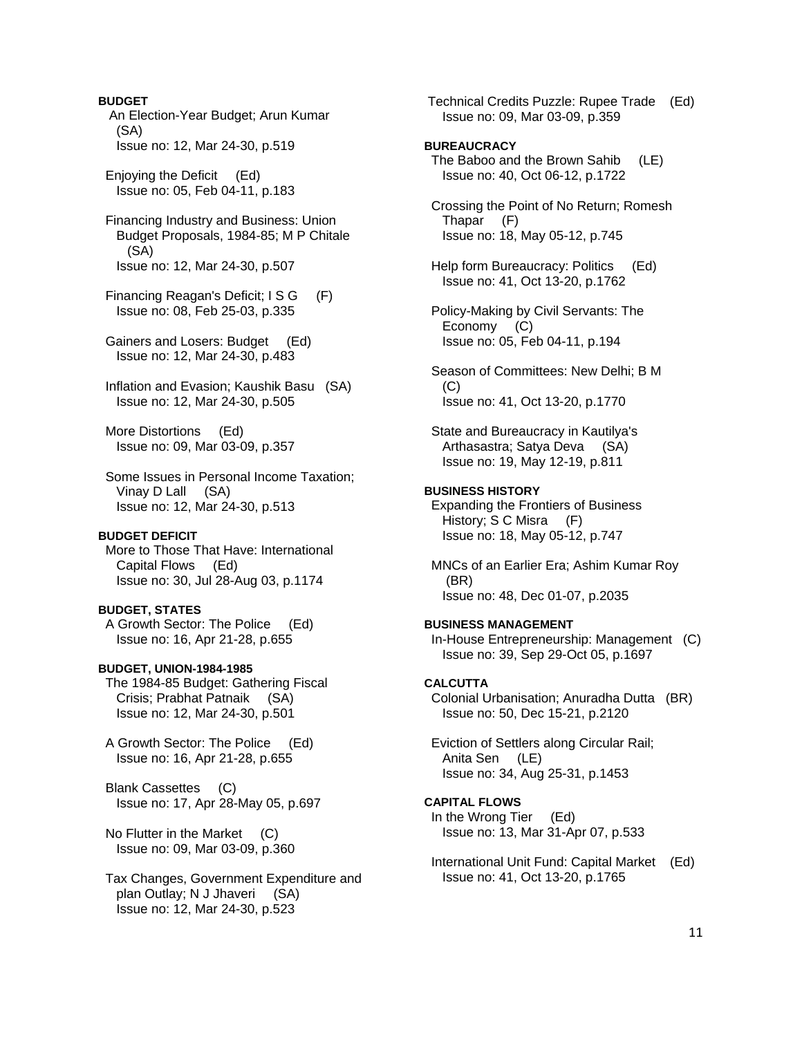**BUDGET**  An Election-Year Budget; Arun Kumar (SA) Issue no: 12, Mar 24-30, p.519

 Enjoying the Deficit (Ed) Issue no: 05, Feb 04-11, p.183

 Financing Industry and Business: Union Budget Proposals, 1984-85; M P Chitale (SA) Issue no: 12, Mar 24-30, p.507

 Financing Reagan's Deficit; I S G (F) Issue no: 08, Feb 25-03, p.335

 Gainers and Losers: Budget (Ed) Issue no: 12, Mar 24-30, p.483

 Inflation and Evasion; Kaushik Basu (SA) Issue no: 12, Mar 24-30, p.505

 More Distortions (Ed) Issue no: 09, Mar 03-09, p.357

 Some Issues in Personal Income Taxation; Vinay D Lall (SA) Issue no: 12, Mar 24-30, p.513

#### **BUDGET DEFICIT**

 More to Those That Have: International Capital Flows (Ed) Issue no: 30, Jul 28-Aug 03, p.1174

#### **BUDGET, STATES**

 A Growth Sector: The Police (Ed) Issue no: 16, Apr 21-28, p.655

### **BUDGET, UNION-1984-1985**

 The 1984-85 Budget: Gathering Fiscal Crisis; Prabhat Patnaik (SA) Issue no: 12, Mar 24-30, p.501

 A Growth Sector: The Police (Ed) Issue no: 16, Apr 21-28, p.655

 Blank Cassettes (C) Issue no: 17, Apr 28-May 05, p.697

No Flutter in the Market (C) Issue no: 09, Mar 03-09, p.360

 Tax Changes, Government Expenditure and plan Outlay; N J Jhaveri (SA) Issue no: 12, Mar 24-30, p.523

 Technical Credits Puzzle: Rupee Trade (Ed) Issue no: 09, Mar 03-09, p.359

#### **BUREAUCRACY**

 The Baboo and the Brown Sahib (LE) Issue no: 40, Oct 06-12, p.1722

 Crossing the Point of No Return; Romesh Thapar (F) Issue no: 18, May 05-12, p.745

 Help form Bureaucracy: Politics (Ed) Issue no: 41, Oct 13-20, p.1762

 Policy-Making by Civil Servants: The Economy (C) Issue no: 05, Feb 04-11, p.194

 Season of Committees: New Delhi; B M (C) Issue no: 41, Oct 13-20, p.1770

 State and Bureaucracy in Kautilya's Arthasastra; Satya Deva (SA) Issue no: 19, May 12-19, p.811

# **BUSINESS HISTORY**

 Expanding the Frontiers of Business History; S C Misra (F) Issue no: 18, May 05-12, p.747

 MNCs of an Earlier Era; Ashim Kumar Roy (BR) Issue no: 48, Dec 01-07, p.2035

### **BUSINESS MANAGEMENT**

 In-House Entrepreneurship: Management (C) Issue no: 39, Sep 29-Oct 05, p.1697

#### **CALCUTTA**

 Colonial Urbanisation; Anuradha Dutta (BR) Issue no: 50, Dec 15-21, p.2120

 Eviction of Settlers along Circular Rail; Anita Sen (LE) Issue no: 34, Aug 25-31, p.1453

# **CAPITAL FLOWS**

 In the Wrong Tier (Ed) Issue no: 13, Mar 31-Apr 07, p.533

 International Unit Fund: Capital Market (Ed) Issue no: 41, Oct 13-20, p.1765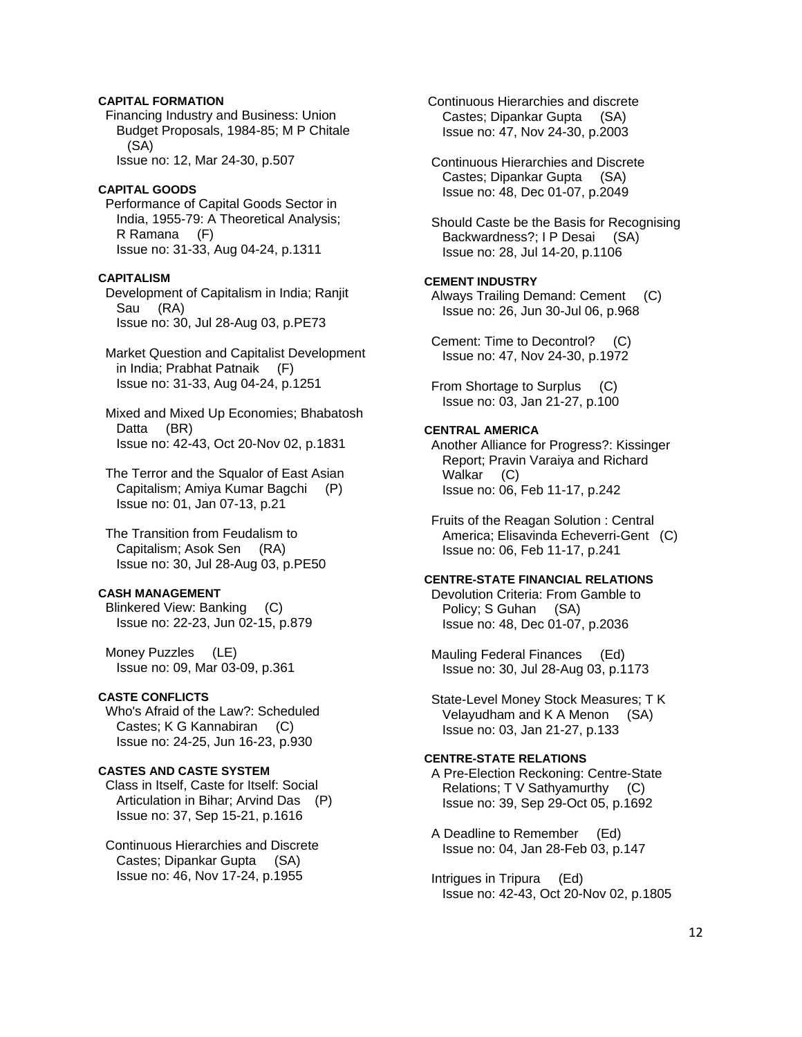# **CAPITAL FORMATION**

 Financing Industry and Business: Union Budget Proposals, 1984-85; M P Chitale (SA) Issue no: 12, Mar 24-30, p.507

#### **CAPITAL GOODS**

 Performance of Capital Goods Sector in India, 1955-79: A Theoretical Analysis; R Ramana (F) Issue no: 31-33, Aug 04-24, p.1311

#### **CAPITALISM**

 Development of Capitalism in India; Ranjit Sau (RA) Issue no: 30, Jul 28-Aug 03, p.PE73

 Market Question and Capitalist Development in India; Prabhat Patnaik (F) Issue no: 31-33, Aug 04-24, p.1251

 Mixed and Mixed Up Economies; Bhabatosh Datta (BR) Issue no: 42-43, Oct 20-Nov 02, p.1831

 The Terror and the Squalor of East Asian Capitalism; Amiya Kumar Bagchi (P) Issue no: 01, Jan 07-13, p.21

 The Transition from Feudalism to Capitalism; Asok Sen (RA) Issue no: 30, Jul 28-Aug 03, p.PE50

# **CASH MANAGEMENT**

 Blinkered View: Banking (C) Issue no: 22-23, Jun 02-15, p.879

 Money Puzzles (LE) Issue no: 09, Mar 03-09, p.361

# **CASTE CONFLICTS**

 Who's Afraid of the Law?: Scheduled Castes; K G Kannabiran (C) Issue no: 24-25, Jun 16-23, p.930

# **CASTES AND CASTE SYSTEM**

 Class in Itself, Caste for Itself: Social Articulation in Bihar; Arvind Das (P) Issue no: 37, Sep 15-21, p.1616

 Continuous Hierarchies and Discrete Castes; Dipankar Gupta (SA) Issue no: 46, Nov 17-24, p.1955

 Continuous Hierarchies and discrete Castes; Dipankar Gupta (SA) Issue no: 47, Nov 24-30, p.2003

 Continuous Hierarchies and Discrete Castes; Dipankar Gupta (SA) Issue no: 48, Dec 01-07, p.2049

 Should Caste be the Basis for Recognising Backwardness?; I P Desai (SA) Issue no: 28, Jul 14-20, p.1106

### **CEMENT INDUSTRY**

 Always Trailing Demand: Cement (C) Issue no: 26, Jun 30-Jul 06, p.968

 Cement: Time to Decontrol? (C) Issue no: 47, Nov 24-30, p.1972

 From Shortage to Surplus (C) Issue no: 03, Jan 21-27, p.100

### **CENTRAL AMERICA**

 Another Alliance for Progress?: Kissinger Report; Pravin Varaiya and Richard Walkar (C) Issue no: 06, Feb 11-17, p.242

 Fruits of the Reagan Solution : Central America; Elisavinda Echeverri-Gent (C) Issue no: 06, Feb 11-17, p.241

### **CENTRE-STATE FINANCIAL RELATIONS**

 Devolution Criteria: From Gamble to Policy; S Guhan (SA) Issue no: 48, Dec 01-07, p.2036

 Mauling Federal Finances (Ed) Issue no: 30, Jul 28-Aug 03, p.1173

 State-Level Money Stock Measures; T K Velayudham and K A Menon (SA) Issue no: 03, Jan 21-27, p.133

# **CENTRE-STATE RELATIONS**

 A Pre-Election Reckoning: Centre-State Relations; T V Sathyamurthy (C) Issue no: 39, Sep 29-Oct 05, p.1692

 A Deadline to Remember (Ed) Issue no: 04, Jan 28-Feb 03, p.147

 Intrigues in Tripura (Ed) Issue no: 42-43, Oct 20-Nov 02, p.1805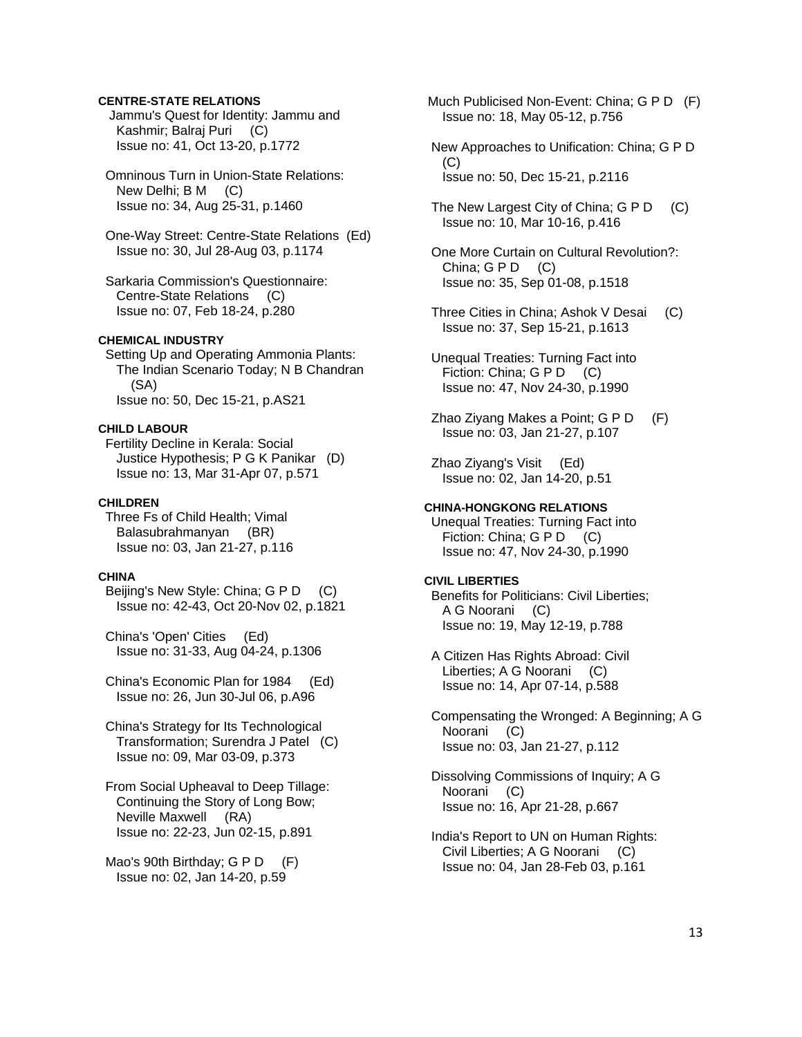# **CENTRE-STATE RELATIONS**

 Jammu's Quest for Identity: Jammu and Kashmir; Balraj Puri (C) Issue no: 41, Oct 13-20, p.1772

 Omninous Turn in Union-State Relations: New Delhi; B M (C) Issue no: 34, Aug 25-31, p.1460

 One-Way Street: Centre-State Relations (Ed) Issue no: 30, Jul 28-Aug 03, p.1174

 Sarkaria Commission's Questionnaire: Centre-State Relations (C) Issue no: 07, Feb 18-24, p.280

# **CHEMICAL INDUSTRY**

 Setting Up and Operating Ammonia Plants: The Indian Scenario Today; N B Chandran (SA) Issue no: 50, Dec 15-21, p.AS21

#### **CHILD LABOUR**

 Fertility Decline in Kerala: Social Justice Hypothesis; P G K Panikar (D) Issue no: 13, Mar 31-Apr 07, p.571

#### **CHILDREN**

 Three Fs of Child Health; Vimal Balasubrahmanyan (BR) Issue no: 03, Jan 21-27, p.116

### **CHINA**

 Beijing's New Style: China; G P D (C) Issue no: 42-43, Oct 20-Nov 02, p.1821

 China's 'Open' Cities (Ed) Issue no: 31-33, Aug 04-24, p.1306

 China's Economic Plan for 1984 (Ed) Issue no: 26, Jun 30-Jul 06, p.A96

 China's Strategy for Its Technological Transformation; Surendra J Patel (C) Issue no: 09, Mar 03-09, p.373

 From Social Upheaval to Deep Tillage: Continuing the Story of Long Bow; Neville Maxwell (RA) Issue no: 22-23, Jun 02-15, p.891

Mao's 90th Birthday; G P D (F) Issue no: 02, Jan 14-20, p.59

 Much Publicised Non-Event: China; G P D (F) Issue no: 18, May 05-12, p.756

- New Approaches to Unification: China; G P D (C) Issue no: 50, Dec 15-21, p.2116
- The New Largest City of China; G P D (C) Issue no: 10, Mar 10-16, p.416
- One More Curtain on Cultural Revolution?: China;  $G \, P \, D \quad (C)$ Issue no: 35, Sep 01-08, p.1518
- Three Cities in China; Ashok V Desai (C) Issue no: 37, Sep 15-21, p.1613
- Unequal Treaties: Turning Fact into Fiction: China; G P D (C) Issue no: 47, Nov 24-30, p.1990
- Zhao Ziyang Makes a Point; G P D (F) Issue no: 03, Jan 21-27, p.107

 Zhao Ziyang's Visit (Ed) Issue no: 02, Jan 14-20, p.51

# **CHINA-HONGKONG RELATIONS**

 Unequal Treaties: Turning Fact into Fiction: China; G P D (C) Issue no: 47, Nov 24-30, p.1990

#### **CIVIL LIBERTIES**

 Benefits for Politicians: Civil Liberties; A G Noorani (C) Issue no: 19, May 12-19, p.788

- A Citizen Has Rights Abroad: Civil Liberties; A G Noorani (C) Issue no: 14, Apr 07-14, p.588
- Compensating the Wronged: A Beginning; A G Noorani (C) Issue no: 03, Jan 21-27, p.112

 Dissolving Commissions of Inquiry; A G Noorani (C) Issue no: 16, Apr 21-28, p.667

 India's Report to UN on Human Rights: Civil Liberties; A G Noorani (C) Issue no: 04, Jan 28-Feb 03, p.161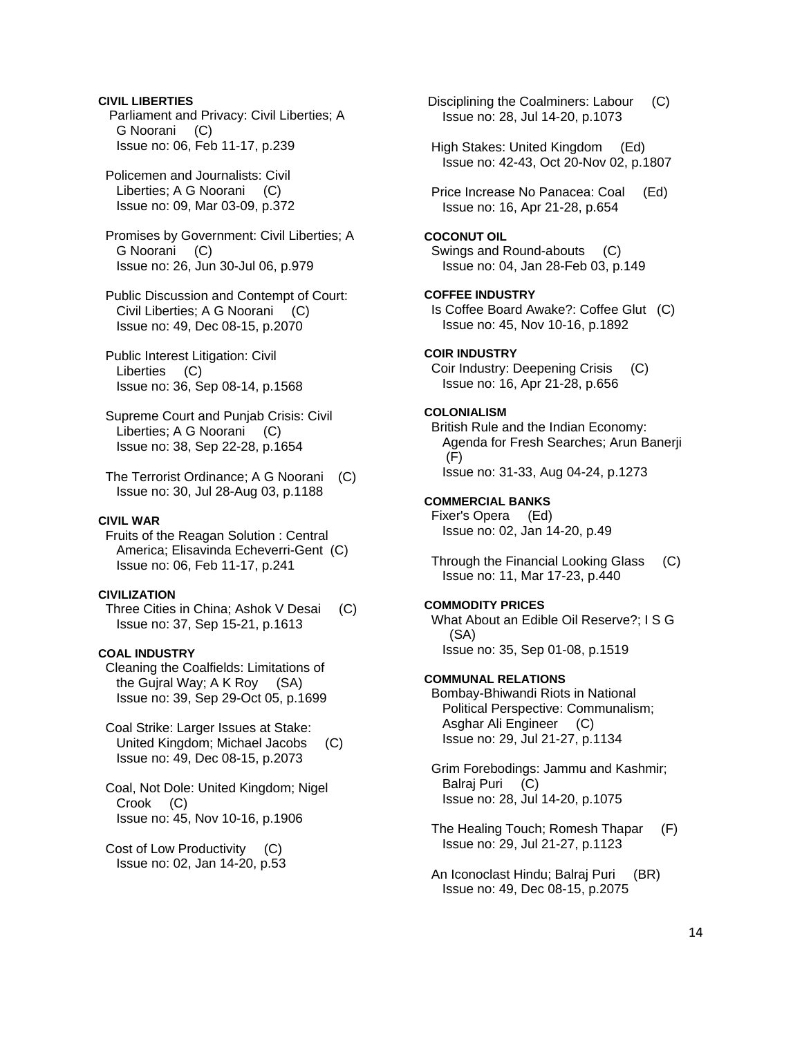### **CIVIL LIBERTIES**

 Parliament and Privacy: Civil Liberties; A G Noorani (C) Issue no: 06, Feb 11-17, p.239

 Policemen and Journalists: Civil Liberties; A G Noorani (C) Issue no: 09, Mar 03-09, p.372

 Promises by Government: Civil Liberties; A G Noorani (C) Issue no: 26, Jun 30-Jul 06, p.979

 Public Discussion and Contempt of Court: Civil Liberties; A G Noorani (C) Issue no: 49, Dec 08-15, p.2070

- Public Interest Litigation: Civil Liberties (C) Issue no: 36, Sep 08-14, p.1568
- Supreme Court and Punjab Crisis: Civil Liberties; A G Noorani (C) Issue no: 38, Sep 22-28, p.1654
- The Terrorist Ordinance; A G Noorani (C) Issue no: 30, Jul 28-Aug 03, p.1188

#### **CIVIL WAR**

 Fruits of the Reagan Solution : Central America; Elisavinda Echeverri-Gent (C) Issue no: 06, Feb 11-17, p.241

### **CIVILIZATION**

 Three Cities in China; Ashok V Desai (C) Issue no: 37, Sep 15-21, p.1613

#### **COAL INDUSTRY**

 Cleaning the Coalfields: Limitations of the Gujral Way; A K Roy (SA) Issue no: 39, Sep 29-Oct 05, p.1699

- Coal Strike: Larger Issues at Stake: United Kingdom; Michael Jacobs (C) Issue no: 49, Dec 08-15, p.2073
- Coal, Not Dole: United Kingdom; Nigel Crook (C) Issue no: 45, Nov 10-16, p.1906
- Cost of Low Productivity (C) Issue no: 02, Jan 14-20, p.53

 Disciplining the Coalminers: Labour (C) Issue no: 28, Jul 14-20, p.1073 High Stakes: United Kingdom (Ed) Issue no: 42-43, Oct 20-Nov 02, p.1807 Price Increase No Panacea: Coal (Ed) Issue no: 16, Apr 21-28, p.654 **COCONUT OIL**  Swings and Round-abouts (C) Issue no: 04, Jan 28-Feb 03, p.149 **COFFEE INDUSTRY**  Is Coffee Board Awake?: Coffee Glut (C) Issue no: 45, Nov 10-16, p.1892 **COIR INDUSTRY**  Coir Industry: Deepening Crisis (C) Issue no: 16, Apr 21-28, p.656 **COLONIALISM**  British Rule and the Indian Economy: Agenda for Fresh Searches; Arun Banerji (F) Issue no: 31-33, Aug 04-24, p.1273 **COMMERCIAL BANKS**  Fixer's Opera (Ed) Issue no: 02, Jan 14-20, p.49 Through the Financial Looking Glass (C) Issue no: 11, Mar 17-23, p.440 **COMMODITY PRICES**  What About an Edible Oil Reserve?; I S G (SA) Issue no: 35, Sep 01-08, p.1519 **COMMUNAL RELATIONS**  Bombay-Bhiwandi Riots in National Political Perspective: Communalism; Asghar Ali Engineer (C) Issue no: 29, Jul 21-27, p.1134 Grim Forebodings: Jammu and Kashmir; Balraj Puri (C) Issue no: 28, Jul 14-20, p.1075 The Healing Touch; Romesh Thapar (F) Issue no: 29, Jul 21-27, p.1123 An Iconoclast Hindu; Balraj Puri (BR) Issue no: 49, Dec 08-15, p.2075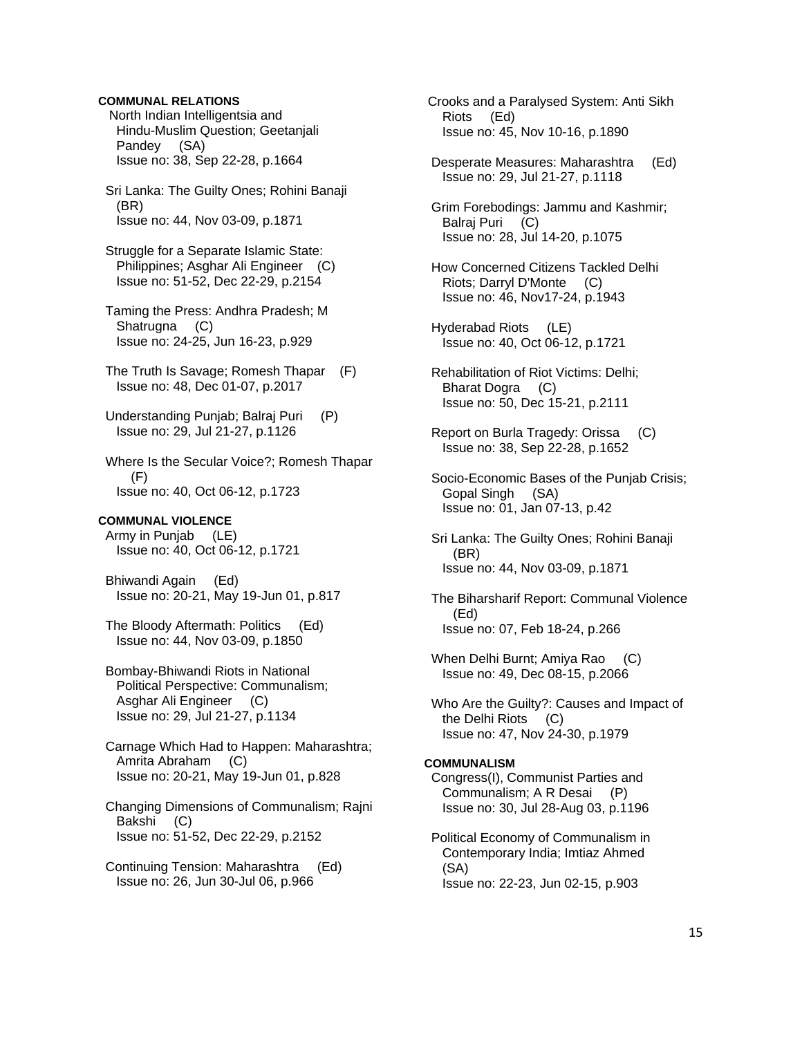# **COMMUNAL RELATIONS**

 North Indian Intelligentsia and Hindu-Muslim Question; Geetanjali Pandey (SA) Issue no: 38, Sep 22-28, p.1664

 Sri Lanka: The Guilty Ones; Rohini Banaji (BR) Issue no: 44, Nov 03-09, p.1871

 Struggle for a Separate Islamic State: Philippines; Asghar Ali Engineer (C) Issue no: 51-52, Dec 22-29, p.2154

 Taming the Press: Andhra Pradesh; M Shatrugna (C) Issue no: 24-25, Jun 16-23, p.929

- The Truth Is Savage; Romesh Thapar (F) Issue no: 48, Dec 01-07, p.2017
- Understanding Punjab; Balraj Puri (P) Issue no: 29, Jul 21-27, p.1126

 Where Is the Secular Voice?; Romesh Thapar (F) Issue no: 40, Oct 06-12, p.1723

### **COMMUNAL VIOLENCE**

 Army in Punjab (LE) Issue no: 40, Oct 06-12, p.1721

 Bhiwandi Again (Ed) Issue no: 20-21, May 19-Jun 01, p.817

 The Bloody Aftermath: Politics (Ed) Issue no: 44, Nov 03-09, p.1850

 Bombay-Bhiwandi Riots in National Political Perspective: Communalism; Asghar Ali Engineer (C) Issue no: 29, Jul 21-27, p.1134

 Carnage Which Had to Happen: Maharashtra; Amrita Abraham (C) Issue no: 20-21, May 19-Jun 01, p.828

 Changing Dimensions of Communalism; Rajni Bakshi (C) Issue no: 51-52, Dec 22-29, p.2152

 Continuing Tension: Maharashtra (Ed) Issue no: 26, Jun 30-Jul 06, p.966

 Crooks and a Paralysed System: Anti Sikh Riots (Ed) Issue no: 45, Nov 10-16, p.1890

 Desperate Measures: Maharashtra (Ed) Issue no: 29, Jul 21-27, p.1118

 Grim Forebodings: Jammu and Kashmir; Balraj Puri (C) Issue no: 28, Jul 14-20, p.1075

- How Concerned Citizens Tackled Delhi Riots; Darryl D'Monte (C) Issue no: 46, Nov17-24, p.1943
- Hyderabad Riots (LE) Issue no: 40, Oct 06-12, p.1721
- Rehabilitation of Riot Victims: Delhi; Bharat Dogra (C) Issue no: 50, Dec 15-21, p.2111
- Report on Burla Tragedy: Orissa (C) Issue no: 38, Sep 22-28, p.1652
- Socio-Economic Bases of the Punjab Crisis; Gopal Singh (SA) Issue no: 01, Jan 07-13, p.42
- Sri Lanka: The Guilty Ones; Rohini Banaji (BR) Issue no: 44, Nov 03-09, p.1871

 The Biharsharif Report: Communal Violence (Ed) Issue no: 07, Feb 18-24, p.266

- When Delhi Burnt; Amiya Rao (C) Issue no: 49, Dec 08-15, p.2066
- Who Are the Guilty?: Causes and Impact of the Delhi Riots (C) Issue no: 47, Nov 24-30, p.1979

#### **COMMUNALISM**

 Congress(I), Communist Parties and Communalism; A R Desai (P) Issue no: 30, Jul 28-Aug 03, p.1196

 Political Economy of Communalism in Contemporary India; Imtiaz Ahmed (SA) Issue no: 22-23, Jun 02-15, p.903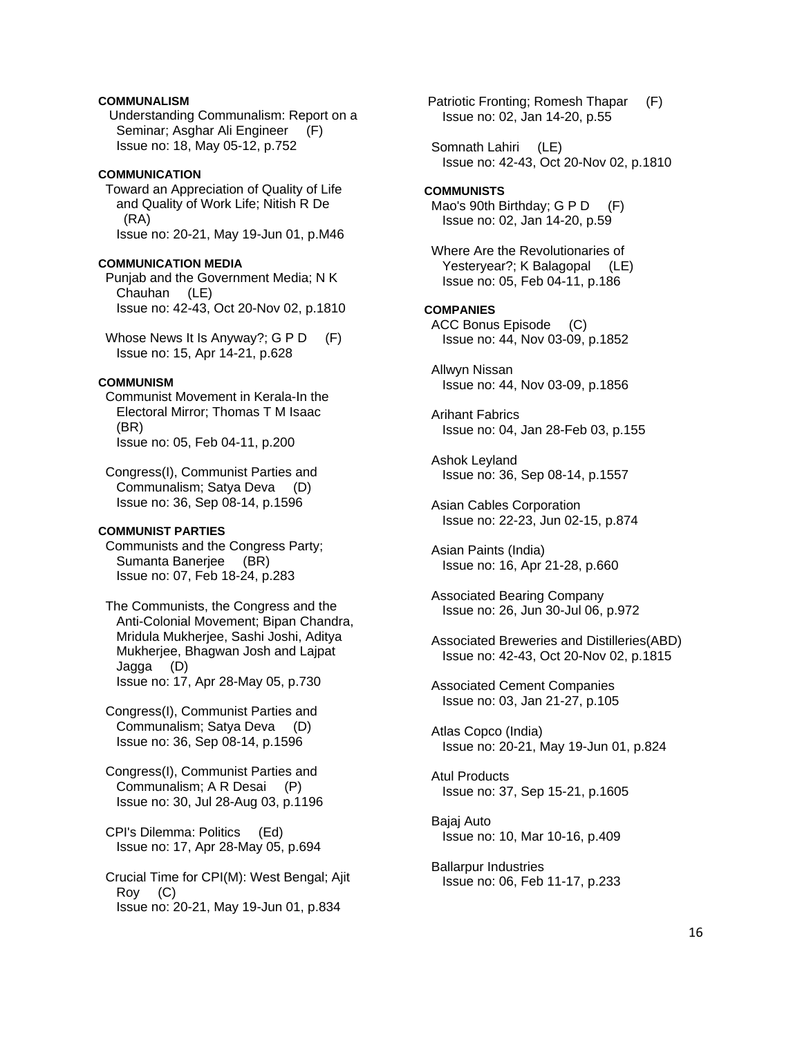# **COMMUNALISM**

 Understanding Communalism: Report on a Seminar; Asghar Ali Engineer (F) Issue no: 18, May 05-12, p.752

### **COMMUNICATION**

 Toward an Appreciation of Quality of Life and Quality of Work Life; Nitish R De (RA) Issue no: 20-21, May 19-Jun 01, p.M46

# **COMMUNICATION MEDIA**

 Punjab and the Government Media; N K Chauhan (LE) Issue no: 42-43, Oct 20-Nov 02, p.1810

Whose News It Is Anyway?; G P D (F) Issue no: 15, Apr 14-21, p.628

# **COMMUNISM**

 Communist Movement in Kerala-In the Electoral Mirror; Thomas T M Isaac (BR) Issue no: 05, Feb 04-11, p.200

 Congress(I), Communist Parties and Communalism; Satya Deva (D) Issue no: 36, Sep 08-14, p.1596

# **COMMUNIST PARTIES**

 Communists and the Congress Party; Sumanta Banerjee (BR) Issue no: 07, Feb 18-24, p.283

 The Communists, the Congress and the Anti-Colonial Movement; Bipan Chandra, Mridula Mukherjee, Sashi Joshi, Aditya Mukherjee, Bhagwan Josh and Lajpat Jagga (D) Issue no: 17, Apr 28-May 05, p.730

 Congress(I), Communist Parties and Communalism; Satya Deva (D) Issue no: 36, Sep 08-14, p.1596

 Congress(I), Communist Parties and Communalism; A R Desai (P) Issue no: 30, Jul 28-Aug 03, p.1196

 CPI's Dilemma: Politics (Ed) Issue no: 17, Apr 28-May 05, p.694

 Crucial Time for CPI(M): West Bengal; Ajit Roy (C) Issue no: 20-21, May 19-Jun 01, p.834

 Patriotic Fronting; Romesh Thapar (F) Issue no: 02, Jan 14-20, p.55

 Somnath Lahiri (LE) Issue no: 42-43, Oct 20-Nov 02, p.1810

#### **COMMUNISTS**

Mao's 90th Birthday; G P D (F) Issue no: 02, Jan 14-20, p.59

 Where Are the Revolutionaries of Yesteryear?; K Balagopal (LE) Issue no: 05, Feb 04-11, p.186

**COMPANIES**  ACC Bonus Episode (C) Issue no: 44, Nov 03-09, p.1852

 Allwyn Nissan Issue no: 44, Nov 03-09, p.1856

 Arihant Fabrics Issue no: 04, Jan 28-Feb 03, p.155

 Ashok Leyland Issue no: 36, Sep 08-14, p.1557

 Asian Cables Corporation Issue no: 22-23, Jun 02-15, p.874

 Asian Paints (India) Issue no: 16, Apr 21-28, p.660

 Associated Bearing Company Issue no: 26, Jun 30-Jul 06, p.972

 Associated Breweries and Distilleries(ABD) Issue no: 42-43, Oct 20-Nov 02, p.1815

 Associated Cement Companies Issue no: 03, Jan 21-27, p.105

 Atlas Copco (India) Issue no: 20-21, May 19-Jun 01, p.824

 Atul Products Issue no: 37, Sep 15-21, p.1605

 Bajaj Auto Issue no: 10, Mar 10-16, p.409

 Ballarpur Industries Issue no: 06, Feb 11-17, p.233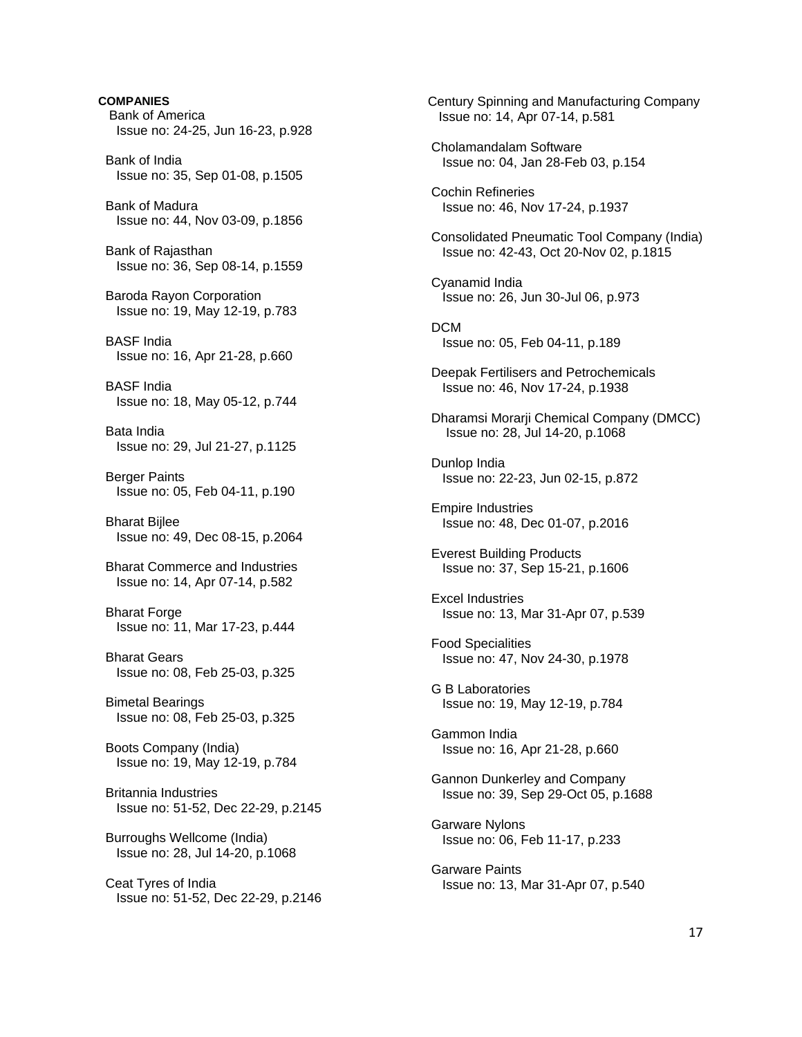**COMPANIES**  Bank of America Issue no: 24-25, Jun 16-23, p.928 Bank of India Issue no: 35, Sep 01-08, p.1505 Bank of Madura Issue no: 44, Nov 03-09, p.1856 Bank of Rajasthan Issue no: 36, Sep 08-14, p.1559 Baroda Rayon Corporation Issue no: 19, May 12-19, p.783 BASF India Issue no: 16, Apr 21-28, p.660 BASF India Issue no: 18, May 05-12, p.744 Bata India Issue no: 29, Jul 21-27, p.1125 Berger Paints Issue no: 05, Feb 04-11, p.190 Bharat Bijlee Issue no: 49, Dec 08-15, p.2064 Bharat Commerce and Industries Issue no: 14, Apr 07-14, p.582 Bharat Forge Issue no: 11, Mar 17-23, p.444 Bharat Gears Issue no: 08, Feb 25-03, p.325 Bimetal Bearings Issue no: 08, Feb 25-03, p.325 Boots Company (India) Issue no: 19, May 12-19, p.784 Britannia Industries Issue no: 51-52, Dec 22-29, p.2145 Burroughs Wellcome (India) Issue no: 28, Jul 14-20, p.1068 Ceat Tyres of India Issue no: 51-52, Dec 22-29, p.2146  Century Spinning and Manufacturing Company Issue no: 14, Apr 07-14, p.581 Cholamandalam Software Issue no: 04, Jan 28-Feb 03, p.154 Cochin Refineries Issue no: 46, Nov 17-24, p.1937 Consolidated Pneumatic Tool Company (India) Issue no: 42-43, Oct 20-Nov 02, p.1815 Cyanamid India Issue no: 26, Jun 30-Jul 06, p.973 DCM Issue no: 05, Feb 04-11, p.189 Deepak Fertilisers and Petrochemicals Issue no: 46, Nov 17-24, p.1938 Dharamsi Morarji Chemical Company (DMCC) Issue no: 28, Jul 14-20, p.1068 Dunlop India Issue no: 22-23, Jun 02-15, p.872 Empire Industries Issue no: 48, Dec 01-07, p.2016 Everest Building Products Issue no: 37, Sep 15-21, p.1606 Excel Industries Issue no: 13, Mar 31-Apr 07, p.539 Food Specialities Issue no: 47, Nov 24-30, p.1978 G B Laboratories Issue no: 19, May 12-19, p.784 Gammon India Issue no: 16, Apr 21-28, p.660 Gannon Dunkerley and Company Issue no: 39, Sep 29-Oct 05, p.1688 Garware Nylons Issue no: 06, Feb 11-17, p.233 Garware Paints Issue no: 13, Mar 31-Apr 07, p.540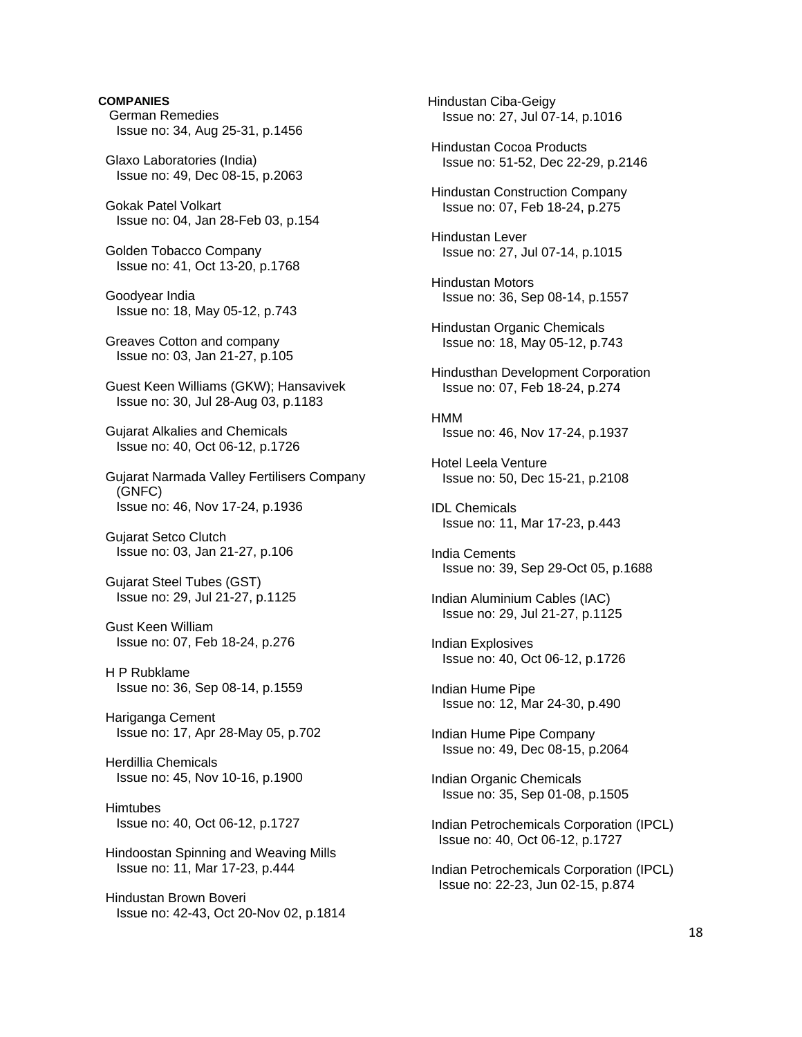# **COMPANIES**  German Remedies Issue no: 34, Aug 25-31, p.1456 Glaxo Laboratories (India) Issue no: 49, Dec 08-15, p.2063 Gokak Patel Volkart Issue no: 04, Jan 28-Feb 03, p.154 Golden Tobacco Company Issue no: 41, Oct 13-20, p.1768 Goodyear India Issue no: 18, May 05-12, p.743 Greaves Cotton and company Issue no: 03, Jan 21-27, p.105 Guest Keen Williams (GKW); Hansavivek Issue no: 30, Jul 28-Aug 03, p.1183 Gujarat Alkalies and Chemicals Issue no: 40, Oct 06-12, p.1726 Gujarat Narmada Valley Fertilisers Company (GNFC) Issue no: 46, Nov 17-24, p.1936 Gujarat Setco Clutch Issue no: 03, Jan 21-27, p.106 Gujarat Steel Tubes (GST) Issue no: 29, Jul 21-27, p.1125 Gust Keen William Issue no: 07, Feb 18-24, p.276 H P Rubklame Issue no: 36, Sep 08-14, p.1559 Hariganga Cement Issue no: 17, Apr 28-May 05, p.702 Herdillia Chemicals Issue no: 45, Nov 10-16, p.1900 **Himtubes**  Issue no: 40, Oct 06-12, p.1727 Hindoostan Spinning and Weaving Mills Issue no: 11, Mar 17-23, p.444 Hindustan Brown Boveri Issue no: 42-43, Oct 20-Nov 02, p.1814

 Hindustan Ciba-Geigy Issue no: 27, Jul 07-14, p.1016 Hindustan Cocoa Products Issue no: 51-52, Dec 22-29, p.2146 Hindustan Construction Company Issue no: 07, Feb 18-24, p.275 Hindustan Lever Issue no: 27, Jul 07-14, p.1015 Hindustan Motors Issue no: 36, Sep 08-14, p.1557 Hindustan Organic Chemicals Issue no: 18, May 05-12, p.743 Hindusthan Development Corporation Issue no: 07, Feb 18-24, p.274 **HMM**  Issue no: 46, Nov 17-24, p.1937 Hotel Leela Venture Issue no: 50, Dec 15-21, p.2108 IDL Chemicals Issue no: 11, Mar 17-23, p.443 India Cements Issue no: 39, Sep 29-Oct 05, p.1688 Indian Aluminium Cables (IAC) Issue no: 29, Jul 21-27, p.1125 Indian Explosives Issue no: 40, Oct 06-12, p.1726 Indian Hume Pipe Issue no: 12, Mar 24-30, p.490 Indian Hume Pipe Company Issue no: 49, Dec 08-15, p.2064 Indian Organic Chemicals Issue no: 35, Sep 01-08, p.1505 Indian Petrochemicals Corporation (IPCL) Issue no: 40, Oct 06-12, p.1727 Indian Petrochemicals Corporation (IPCL) Issue no: 22-23, Jun 02-15, p.874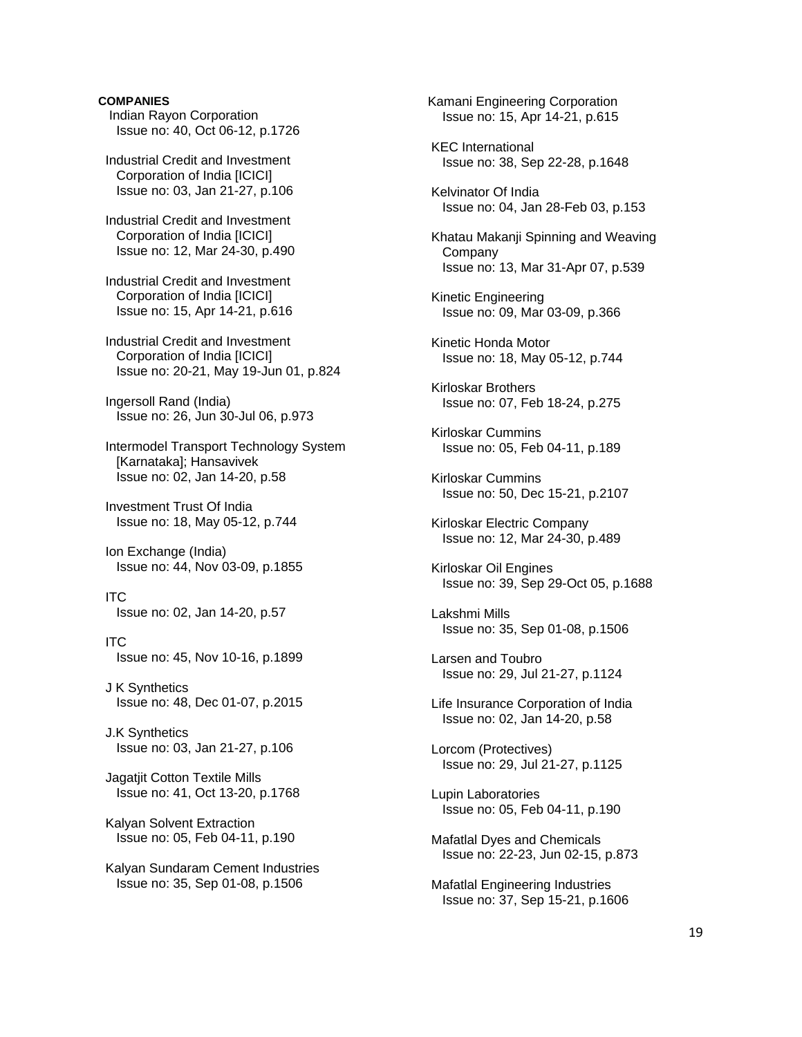# **COMPANIES**

 Indian Rayon Corporation Issue no: 40, Oct 06-12, p.1726

 Industrial Credit and Investment Corporation of India [ICICI] Issue no: 03, Jan 21-27, p.106

 Industrial Credit and Investment Corporation of India [ICICI] Issue no: 12, Mar 24-30, p.490

 Industrial Credit and Investment Corporation of India [ICICI] Issue no: 15, Apr 14-21, p.616

 Industrial Credit and Investment Corporation of India [ICICI] Issue no: 20-21, May 19-Jun 01, p.824

 Ingersoll Rand (India) Issue no: 26, Jun 30-Jul 06, p.973

 Intermodel Transport Technology System [Karnataka]; Hansavivek Issue no: 02, Jan 14-20, p.58

 Investment Trust Of India Issue no: 18, May 05-12, p.744

 Ion Exchange (India) Issue no: 44, Nov 03-09, p.1855

 ITC Issue no: 02, Jan 14-20, p.57

 ITC Issue no: 45, Nov 10-16, p.1899

 J K Synthetics Issue no: 48, Dec 01-07, p.2015

 J.K Synthetics Issue no: 03, Jan 21-27, p.106

 Jagatjit Cotton Textile Mills Issue no: 41, Oct 13-20, p.1768

 Kalyan Solvent Extraction Issue no: 05, Feb 04-11, p.190

 Kalyan Sundaram Cement Industries Issue no: 35, Sep 01-08, p.1506

 Kamani Engineering Corporation Issue no: 15, Apr 14-21, p.615 KEC International Issue no: 38, Sep 22-28, p.1648 Kelvinator Of India Issue no: 04, Jan 28-Feb 03, p.153 Khatau Makanji Spinning and Weaving Company Issue no: 13, Mar 31-Apr 07, p.539 Kinetic Engineering Issue no: 09, Mar 03-09, p.366 Kinetic Honda Motor Issue no: 18, May 05-12, p.744 Kirloskar Brothers Issue no: 07, Feb 18-24, p.275 Kirloskar Cummins Issue no: 05, Feb 04-11, p.189 Kirloskar Cummins Issue no: 50, Dec 15-21, p.2107 Kirloskar Electric Company Issue no: 12, Mar 24-30, p.489 Kirloskar Oil Engines Issue no: 39, Sep 29-Oct 05, p.1688 Lakshmi Mills Issue no: 35, Sep 01-08, p.1506 Larsen and Toubro Issue no: 29, Jul 21-27, p.1124 Life Insurance Corporation of India Issue no: 02, Jan 14-20, p.58 Lorcom (Protectives) Issue no: 29, Jul 21-27, p.1125 Lupin Laboratories Issue no: 05, Feb 04-11, p.190 Mafatlal Dyes and Chemicals Issue no: 22-23, Jun 02-15, p.873 Mafatlal Engineering Industries Issue no: 37, Sep 15-21, p.1606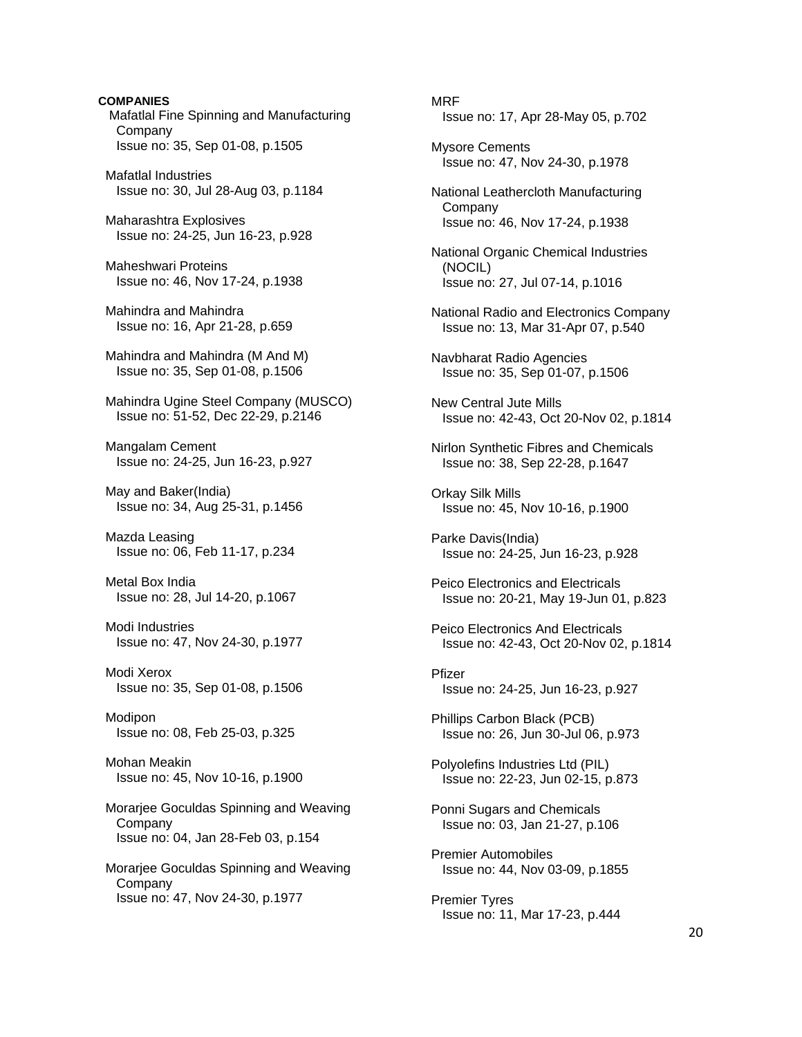**COMPANIES**  Mafatlal Fine Spinning and Manufacturing Company Issue no: 35, Sep 01-08, p.1505

 Mafatlal Industries Issue no: 30, Jul 28-Aug 03, p.1184

 Maharashtra Explosives Issue no: 24-25, Jun 16-23, p.928

 Maheshwari Proteins Issue no: 46, Nov 17-24, p.1938

 Mahindra and Mahindra Issue no: 16, Apr 21-28, p.659

 Mahindra and Mahindra (M And M) Issue no: 35, Sep 01-08, p.1506

 Mahindra Ugine Steel Company (MUSCO) Issue no: 51-52, Dec 22-29, p.2146

 Mangalam Cement Issue no: 24-25, Jun 16-23, p.927

 May and Baker(India) Issue no: 34, Aug 25-31, p.1456

 Mazda Leasing Issue no: 06, Feb 11-17, p.234

 Metal Box India Issue no: 28, Jul 14-20, p.1067

 Modi Industries Issue no: 47, Nov 24-30, p.1977

 Modi Xerox Issue no: 35, Sep 01-08, p.1506

 Modipon Issue no: 08, Feb 25-03, p.325

 Mohan Meakin Issue no: 45, Nov 10-16, p.1900

 Morarjee Goculdas Spinning and Weaving Company Issue no: 04, Jan 28-Feb 03, p.154

 Morarjee Goculdas Spinning and Weaving Company Issue no: 47, Nov 24-30, p.1977

 MRF Issue no: 17, Apr 28-May 05, p.702

 Mysore Cements Issue no: 47, Nov 24-30, p.1978

 National Leathercloth Manufacturing Company Issue no: 46, Nov 17-24, p.1938

 National Organic Chemical Industries (NOCIL) Issue no: 27, Jul 07-14, p.1016

 National Radio and Electronics Company Issue no: 13, Mar 31-Apr 07, p.540

 Navbharat Radio Agencies Issue no: 35, Sep 01-07, p.1506

 New Central Jute Mills Issue no: 42-43, Oct 20-Nov 02, p.1814

 Nirlon Synthetic Fibres and Chemicals Issue no: 38, Sep 22-28, p.1647

 Orkay Silk Mills Issue no: 45, Nov 10-16, p.1900

 Parke Davis(India) Issue no: 24-25, Jun 16-23, p.928

 Peico Electronics and Electricals Issue no: 20-21, May 19-Jun 01, p.823

 Peico Electronics And Electricals Issue no: 42-43, Oct 20-Nov 02, p.1814

 Pfizer Issue no: 24-25, Jun 16-23, p.927

 Phillips Carbon Black (PCB) Issue no: 26, Jun 30-Jul 06, p.973

 Polyolefins Industries Ltd (PIL) Issue no: 22-23, Jun 02-15, p.873

 Ponni Sugars and Chemicals Issue no: 03, Jan 21-27, p.106

 Premier Automobiles Issue no: 44, Nov 03-09, p.1855

 Premier Tyres Issue no: 11, Mar 17-23, p.444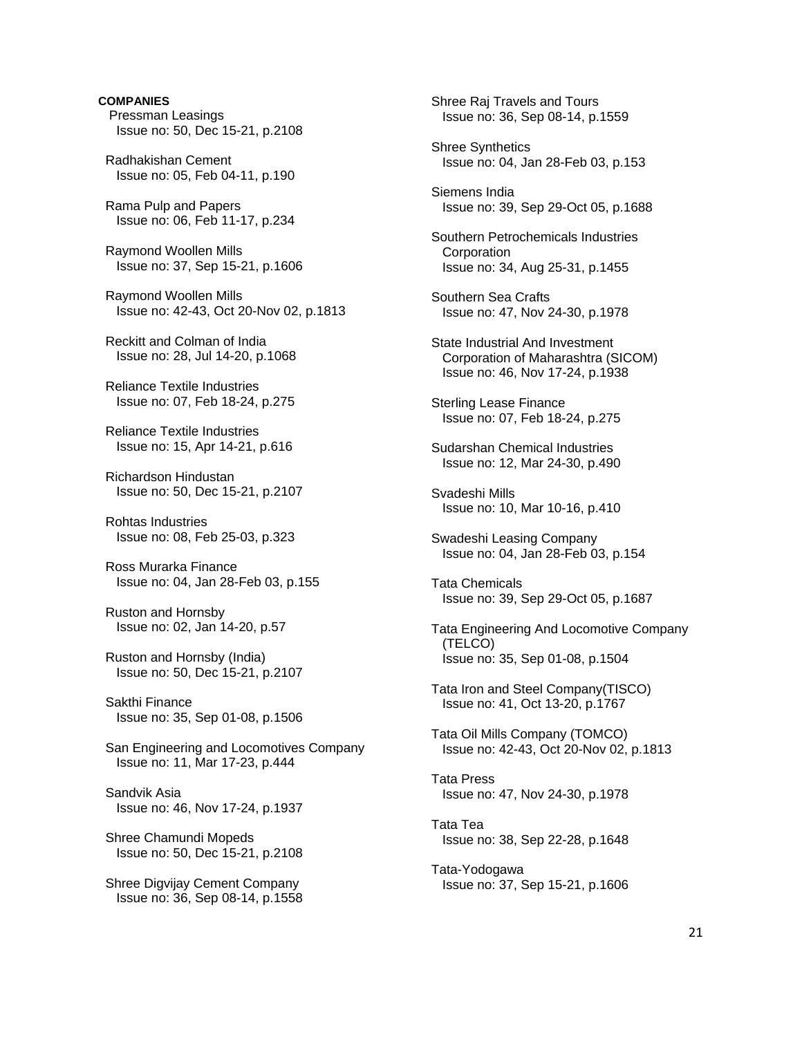**COMPANIES**  Pressman Leasings Issue no: 50, Dec 15-21, p.2108 Radhakishan Cement Issue no: 05, Feb 04-11, p.190 Rama Pulp and Papers Issue no: 06, Feb 11-17, p.234 Raymond Woollen Mills Issue no: 37, Sep 15-21, p.1606 Raymond Woollen Mills Issue no: 42-43, Oct 20-Nov 02, p.1813 Reckitt and Colman of India Issue no: 28, Jul 14-20, p.1068 Reliance Textile Industries Issue no: 07, Feb 18-24, p.275 Reliance Textile Industries Issue no: 15, Apr 14-21, p.616 Richardson Hindustan Issue no: 50, Dec 15-21, p.2107 Rohtas Industries Issue no: 08, Feb 25-03, p.323 Ross Murarka Finance Issue no: 04, Jan 28-Feb 03, p.155 Ruston and Hornsby Issue no: 02, Jan 14-20, p.57 Ruston and Hornsby (India) Issue no: 50, Dec 15-21, p.2107 Sakthi Finance Issue no: 35, Sep 01-08, p.1506 San Engineering and Locomotives Company Issue no: 11, Mar 17-23, p.444 Sandvik Asia Issue no: 46, Nov 17-24, p.1937 Shree Chamundi Mopeds Issue no: 50, Dec 15-21, p.2108 Shree Digvijay Cement Company Issue no: 36, Sep 08-14, p.1558

 Shree Raj Travels and Tours Issue no: 36, Sep 08-14, p.1559 Shree Synthetics Issue no: 04, Jan 28-Feb 03, p.153 Siemens India Issue no: 39, Sep 29-Oct 05, p.1688 Southern Petrochemicals Industries **Corporation**  Issue no: 34, Aug 25-31, p.1455 Southern Sea Crafts Issue no: 47, Nov 24-30, p.1978 State Industrial And Investment Corporation of Maharashtra (SICOM) Issue no: 46, Nov 17-24, p.1938 Sterling Lease Finance Issue no: 07, Feb 18-24, p.275 Sudarshan Chemical Industries Issue no: 12, Mar 24-30, p.490 Svadeshi Mills Issue no: 10, Mar 10-16, p.410 Swadeshi Leasing Company Issue no: 04, Jan 28-Feb 03, p.154 Tata Chemicals Issue no: 39, Sep 29-Oct 05, p.1687 Tata Engineering And Locomotive Company (TELCO) Issue no: 35, Sep 01-08, p.1504 Tata Iron and Steel Company(TISCO) Issue no: 41, Oct 13-20, p.1767 Tata Oil Mills Company (TOMCO) Issue no: 42-43, Oct 20-Nov 02, p.1813 Tata Press Issue no: 47, Nov 24-30, p.1978 Tata Tea Issue no: 38, Sep 22-28, p.1648 Tata-Yodogawa Issue no: 37, Sep 15-21, p.1606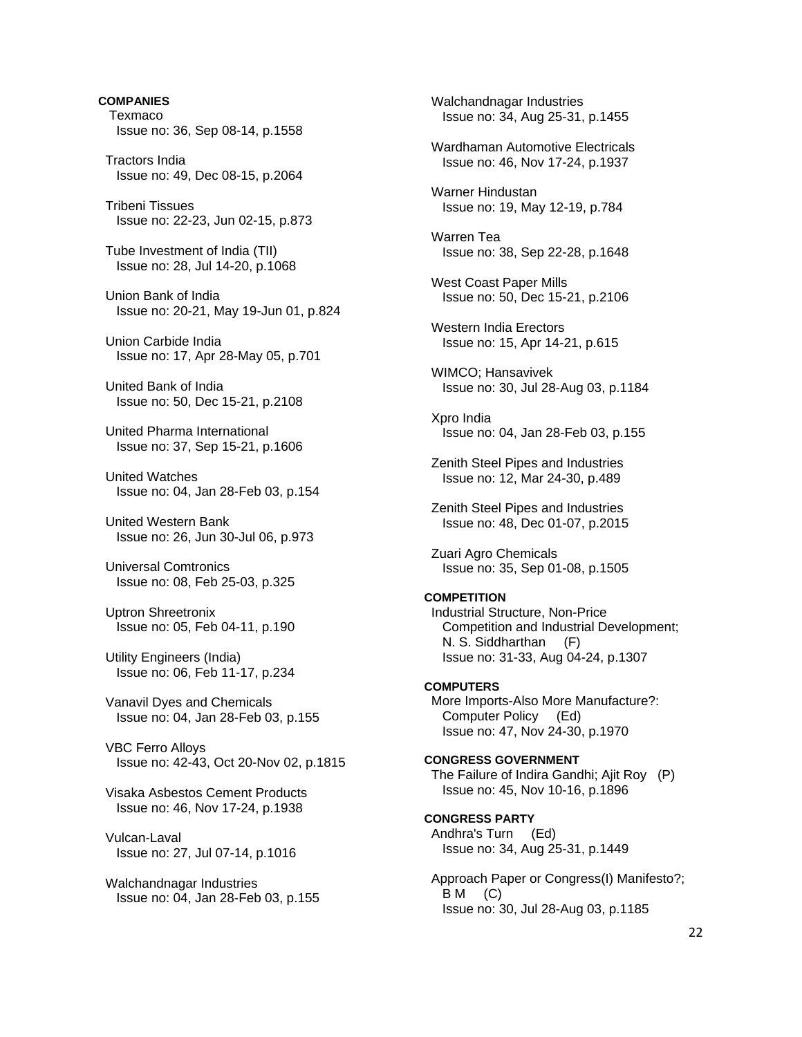**COMPANIES Texmaco**  Issue no: 36, Sep 08-14, p.1558 Tractors India Issue no: 49, Dec 08-15, p.2064 Tribeni Tissues Issue no: 22-23, Jun 02-15, p.873 Tube Investment of India (TII) Issue no: 28, Jul 14-20, p.1068 Union Bank of India Issue no: 20-21, May 19-Jun 01, p.824 Union Carbide India Issue no: 17, Apr 28-May 05, p.701 United Bank of India Issue no: 50, Dec 15-21, p.2108 United Pharma International Issue no: 37, Sep 15-21, p.1606 United Watches Issue no: 04, Jan 28-Feb 03, p.154 United Western Bank Issue no: 26, Jun 30-Jul 06, p.973 Universal Comtronics Issue no: 08, Feb 25-03, p.325 Uptron Shreetronix Issue no: 05, Feb 04-11, p.190 Utility Engineers (India) Issue no: 06, Feb 11-17, p.234 Vanavil Dyes and Chemicals Issue no: 04, Jan 28-Feb 03, p.155 VBC Ferro Alloys Issue no: 42-43, Oct 20-Nov 02, p.1815 Visaka Asbestos Cement Products Issue no: 46, Nov 17-24, p.1938 Vulcan-Laval Issue no: 27, Jul 07-14, p.1016 Walchandnagar Industries

Issue no: 04, Jan 28-Feb 03, p.155

 Walchandnagar Industries Issue no: 34, Aug 25-31, p.1455 Wardhaman Automotive Electricals Issue no: 46, Nov 17-24, p.1937 Warner Hindustan Issue no: 19, May 12-19, p.784 Warren Tea Issue no: 38, Sep 22-28, p.1648 West Coast Paper Mills Issue no: 50, Dec 15-21, p.2106 Western India Erectors Issue no: 15, Apr 14-21, p.615 WIMCO; Hansavivek Issue no: 30, Jul 28-Aug 03, p.1184 Xpro India Issue no: 04, Jan 28-Feb 03, p.155 Zenith Steel Pipes and Industries Issue no: 12, Mar 24-30, p.489 Zenith Steel Pipes and Industries Issue no: 48, Dec 01-07, p.2015 Zuari Agro Chemicals Issue no: 35, Sep 01-08, p.1505 **COMPETITION**  Industrial Structure, Non-Price Competition and Industrial Development; N. S. Siddharthan (F) Issue no: 31-33, Aug 04-24, p.1307 **COMPUTERS**  More Imports-Also More Manufacture?: Computer Policy (Ed) Issue no: 47, Nov 24-30, p.1970 **CONGRESS GOVERNMENT**  The Failure of Indira Gandhi; Ajit Roy (P) Issue no: 45, Nov 10-16, p.1896 **CONGRESS PARTY**  Andhra's Turn (Ed) Issue no: 34, Aug 25-31, p.1449 Approach Paper or Congress(I) Manifesto?; B M (C) Issue no: 30, Jul 28-Aug 03, p.1185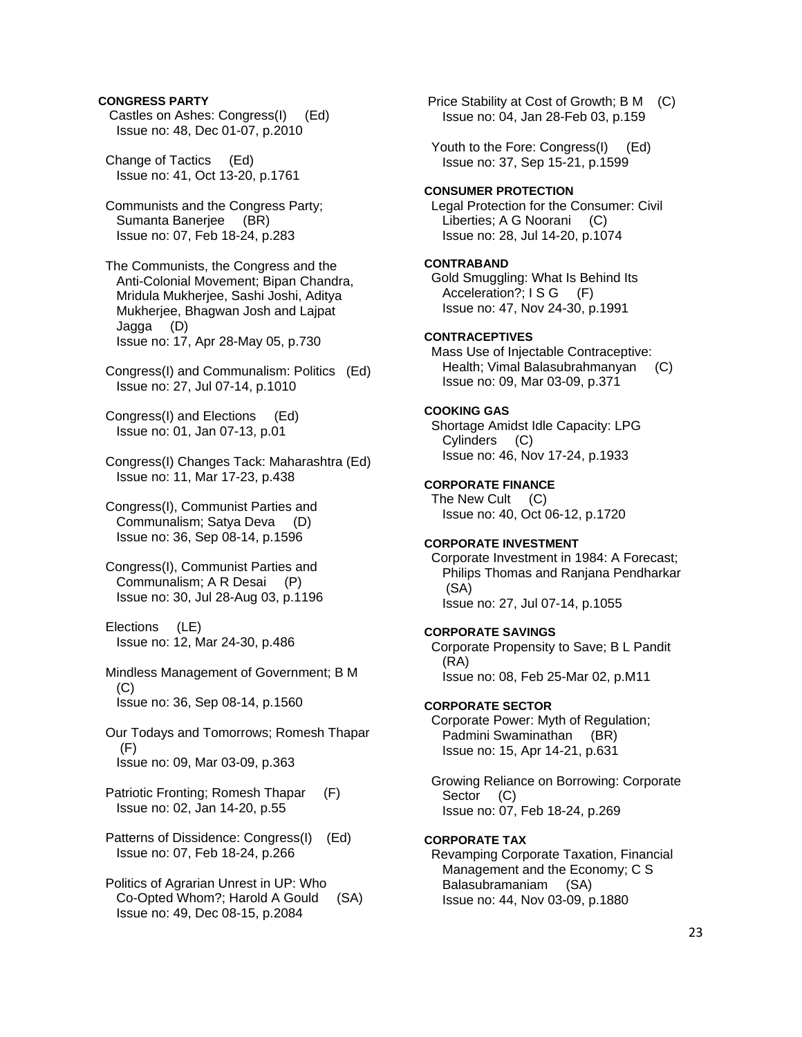### **CONGRESS PARTY**

- Castles on Ashes: Congress(I) (Ed) Issue no: 48, Dec 01-07, p.2010
- Change of Tactics (Ed) Issue no: 41, Oct 13-20, p.1761
- Communists and the Congress Party; Sumanta Banerjee (BR) Issue no: 07, Feb 18-24, p.283
- The Communists, the Congress and the Anti-Colonial Movement; Bipan Chandra, Mridula Mukherjee, Sashi Joshi, Aditya Mukherjee, Bhagwan Josh and Lajpat Jagga (D) Issue no: 17, Apr 28-May 05, p.730
- Congress(I) and Communalism: Politics (Ed) Issue no: 27, Jul 07-14, p.1010
- Congress(I) and Elections (Ed) Issue no: 01, Jan 07-13, p.01
- Congress(I) Changes Tack: Maharashtra (Ed) Issue no: 11, Mar 17-23, p.438
- Congress(I), Communist Parties and Communalism; Satya Deva (D) Issue no: 36, Sep 08-14, p.1596
- Congress(I), Communist Parties and Communalism; A R Desai (P) Issue no: 30, Jul 28-Aug 03, p.1196

 Elections (LE) Issue no: 12, Mar 24-30, p.486

- Mindless Management of Government; B M (C) Issue no: 36, Sep 08-14, p.1560
- Our Todays and Tomorrows; Romesh Thapar (F) Issue no: 09, Mar 03-09, p.363
- Patriotic Fronting; Romesh Thapar (F) Issue no: 02, Jan 14-20, p.55
- Patterns of Dissidence: Congress(I) (Ed) Issue no: 07, Feb 18-24, p.266
- Politics of Agrarian Unrest in UP: Who Co-Opted Whom?; Harold A Gould (SA) Issue no: 49, Dec 08-15, p.2084

 Price Stability at Cost of Growth; B M (C) Issue no: 04, Jan 28-Feb 03, p.159

Youth to the Fore: Congress(I) (Ed) Issue no: 37, Sep 15-21, p.1599

### **CONSUMER PROTECTION**

 Legal Protection for the Consumer: Civil Liberties; A G Noorani (C) Issue no: 28, Jul 14-20, p.1074

# **CONTRABAND**

 Gold Smuggling: What Is Behind Its Acceleration?; I S G (F) Issue no: 47, Nov 24-30, p.1991

### **CONTRACEPTIVES**

 Mass Use of Injectable Contraceptive: Health; Vimal Balasubrahmanyan (C) Issue no: 09, Mar 03-09, p.371

### **COOKING GAS**

 Shortage Amidst Idle Capacity: LPG Cylinders (C) Issue no: 46, Nov 17-24, p.1933

# **CORPORATE FINANCE**

The New Cult (C) Issue no: 40, Oct 06-12, p.1720

# **CORPORATE INVESTMENT**

 Corporate Investment in 1984: A Forecast; Philips Thomas and Ranjana Pendharkar (SA) Issue no: 27, Jul 07-14, p.1055

#### **CORPORATE SAVINGS**

 Corporate Propensity to Save; B L Pandit (RA) Issue no: 08, Feb 25-Mar 02, p.M11

#### **CORPORATE SECTOR**

 Corporate Power: Myth of Regulation; Padmini Swaminathan (BR) Issue no: 15, Apr 14-21, p.631

 Growing Reliance on Borrowing: Corporate Sector Issue no: 07, Feb 18-24, p.269

#### **CORPORATE TAX**

 Revamping Corporate Taxation, Financial Management and the Economy; C S Balasubramaniam (SA) Issue no: 44, Nov 03-09, p.1880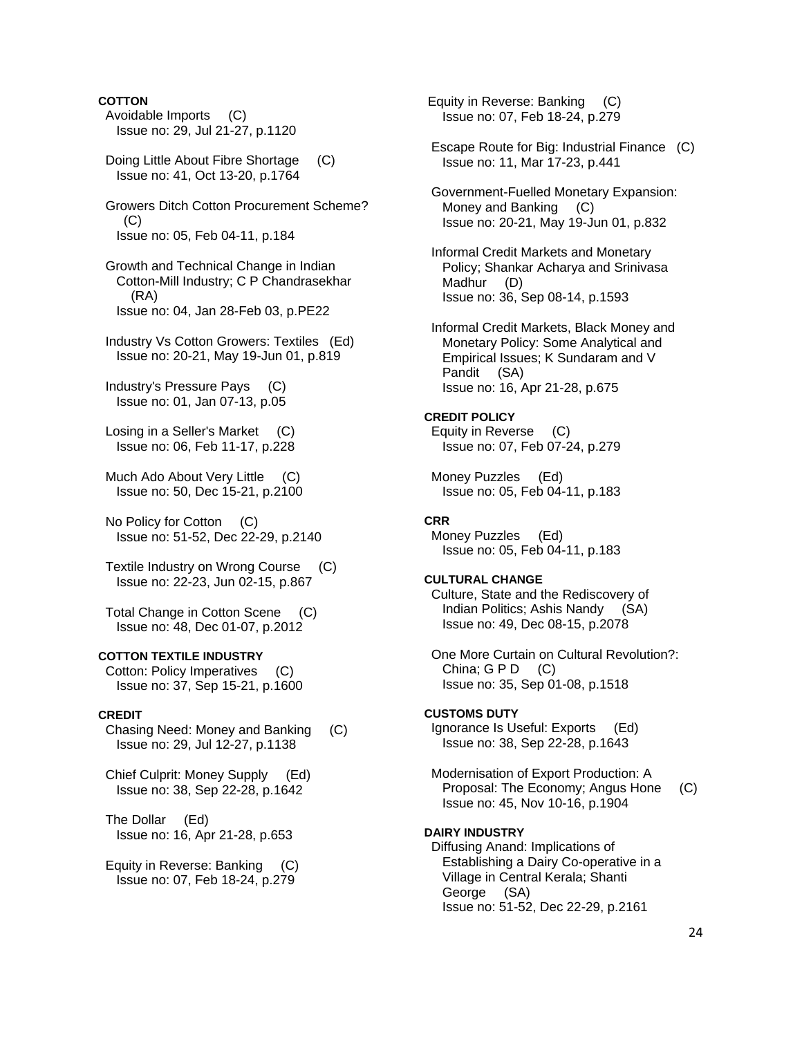# **COTTON**

- Avoidable Imports (C) Issue no: 29, Jul 21-27, p.1120
- Doing Little About Fibre Shortage (C) Issue no: 41, Oct 13-20, p.1764
- Growers Ditch Cotton Procurement Scheme?  $(C)$ Issue no: 05, Feb 04-11, p.184
- Growth and Technical Change in Indian Cotton-Mill Industry; C P Chandrasekhar (RA) Issue no: 04, Jan 28-Feb 03, p.PE22
- Industry Vs Cotton Growers: Textiles (Ed) Issue no: 20-21, May 19-Jun 01, p.819
- Industry's Pressure Pays (C) Issue no: 01, Jan 07-13, p.05
- Losing in a Seller's Market (C) Issue no: 06, Feb 11-17, p.228
- Much Ado About Very Little (C) Issue no: 50, Dec 15-21, p.2100
- No Policy for Cotton (C) Issue no: 51-52, Dec 22-29, p.2140
- Textile Industry on Wrong Course (C) Issue no: 22-23, Jun 02-15, p.867
- Total Change in Cotton Scene (C) Issue no: 48, Dec 01-07, p.2012

#### **COTTON TEXTILE INDUSTRY**

 Cotton: Policy Imperatives (C) Issue no: 37, Sep 15-21, p.1600

#### **CREDIT**

- Chasing Need: Money and Banking (C) Issue no: 29, Jul 12-27, p.1138
- Chief Culprit: Money Supply (Ed) Issue no: 38, Sep 22-28, p.1642
- The Dollar (Ed) Issue no: 16, Apr 21-28, p.653
- Equity in Reverse: Banking (C) Issue no: 07, Feb 18-24, p.279

 Equity in Reverse: Banking (C) Issue no: 07, Feb 18-24, p.279

- Escape Route for Big: Industrial Finance (C) Issue no: 11, Mar 17-23, p.441
- Government-Fuelled Monetary Expansion: Money and Banking (C) Issue no: 20-21, May 19-Jun 01, p.832
- Informal Credit Markets and Monetary Policy; Shankar Acharya and Srinivasa Madhur (D) Issue no: 36, Sep 08-14, p.1593
- Informal Credit Markets, Black Money and Monetary Policy: Some Analytical and Empirical Issues; K Sundaram and V Pandit (SA) Issue no: 16, Apr 21-28, p.675

# **CREDIT POLICY**

- Equity in Reverse (C) Issue no: 07, Feb 07-24, p.279
- Money Puzzles (Ed) Issue no: 05, Feb 04-11, p.183

#### **CRR**

 Money Puzzles (Ed) Issue no: 05, Feb 04-11, p.183

#### **CULTURAL CHANGE**

- Culture, State and the Rediscovery of Indian Politics; Ashis Nandy (SA) Issue no: 49, Dec 08-15, p.2078
- One More Curtain on Cultural Revolution?: China;  $G \, P \, D \quad (C)$ Issue no: 35, Sep 01-08, p.1518

#### **CUSTOMS DUTY**

- Ignorance Is Useful: Exports (Ed) Issue no: 38, Sep 22-28, p.1643
- Modernisation of Export Production: A Proposal: The Economy; Angus Hone (C) Issue no: 45, Nov 10-16, p.1904

#### **DAIRY INDUSTRY**

 Diffusing Anand: Implications of Establishing a Dairy Co-operative in a Village in Central Kerala; Shanti George (SA) Issue no: 51-52, Dec 22-29, p.2161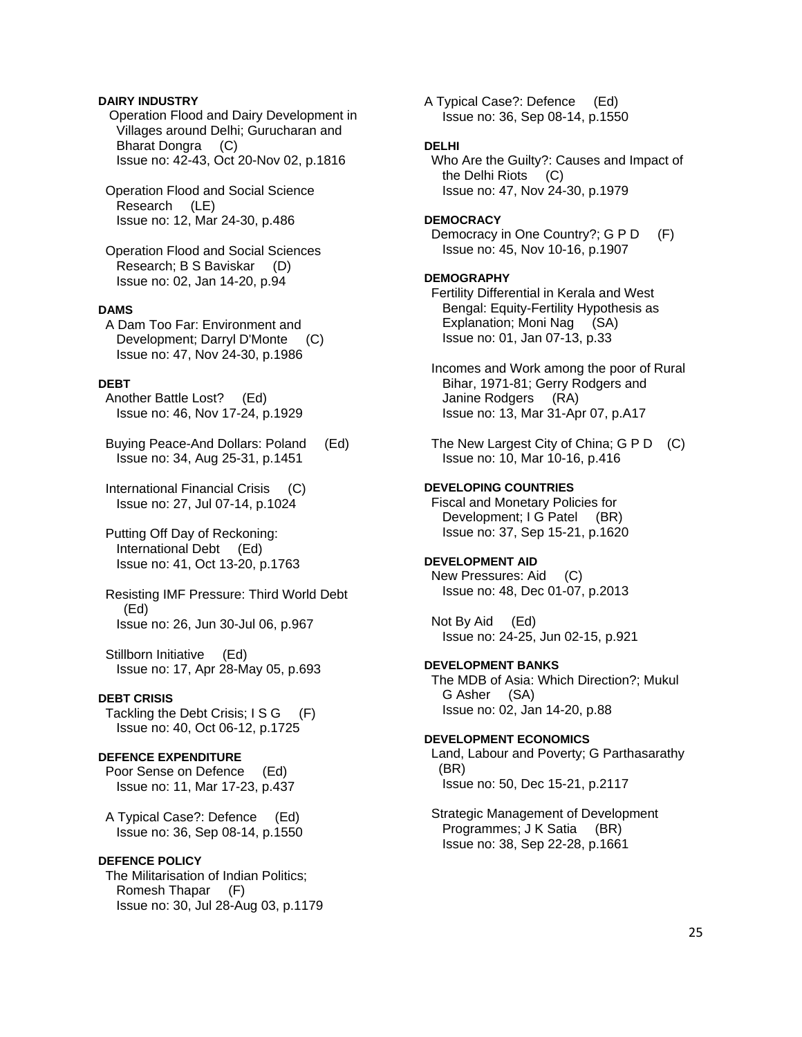### **DAIRY INDUSTRY**

 Operation Flood and Dairy Development in Villages around Delhi; Gurucharan and Bharat Dongra (C) Issue no: 42-43, Oct 20-Nov 02, p.1816

 Operation Flood and Social Science Research (LE) Issue no: 12, Mar 24-30, p.486

 Operation Flood and Social Sciences Research; B S Baviskar (D) Issue no: 02, Jan 14-20, p.94

### **DAMS**

 A Dam Too Far: Environment and Development; Darryl D'Monte (C) Issue no: 47, Nov 24-30, p.1986

# **DEBT**

 Another Battle Lost? (Ed) Issue no: 46, Nov 17-24, p.1929

 Buying Peace-And Dollars: Poland (Ed) Issue no: 34, Aug 25-31, p.1451

 International Financial Crisis (C) Issue no: 27, Jul 07-14, p.1024

 Putting Off Day of Reckoning: International Debt (Ed) Issue no: 41, Oct 13-20, p.1763

 Resisting IMF Pressure: Third World Debt (Ed) Issue no: 26, Jun 30-Jul 06, p.967

 Stillborn Initiative (Ed) Issue no: 17, Apr 28-May 05, p.693

# **DEBT CRISIS**

Tackling the Debt Crisis; I S G (F) Issue no: 40, Oct 06-12, p.1725

#### **DEFENCE EXPENDITURE**

 Poor Sense on Defence (Ed) Issue no: 11, Mar 17-23, p.437

 A Typical Case?: Defence (Ed) Issue no: 36, Sep 08-14, p.1550

#### **DEFENCE POLICY**

 The Militarisation of Indian Politics; Romesh Thapar (F) Issue no: 30, Jul 28-Aug 03, p.1179 A Typical Case?: Defence (Ed) Issue no: 36, Sep 08-14, p.1550

### **DELHI**

 Who Are the Guilty?: Causes and Impact of the Delhi Riots (C) Issue no: 47, Nov 24-30, p.1979

#### **DEMOCRACY**

Democracy in One Country?; G P D (F) Issue no: 45, Nov 10-16, p.1907

#### **DEMOGRAPHY**

 Fertility Differential in Kerala and West Bengal: Equity-Fertility Hypothesis as Explanation; Moni Nag (SA) Issue no: 01, Jan 07-13, p.33

- Incomes and Work among the poor of Rural Bihar, 1971-81; Gerry Rodgers and Janine Rodgers (RA) Issue no: 13, Mar 31-Apr 07, p.A17
- The New Largest City of China; G P D (C) Issue no: 10, Mar 10-16, p.416

### **DEVELOPING COUNTRIES**

 Fiscal and Monetary Policies for Development; I G Patel (BR) Issue no: 37, Sep 15-21, p.1620

## **DEVELOPMENT AID**

 New Pressures: Aid (C) Issue no: 48, Dec 01-07, p.2013

 Not By Aid (Ed) Issue no: 24-25, Jun 02-15, p.921

### **DEVELOPMENT BANKS**

 The MDB of Asia: Which Direction?; Mukul G Asher (SA) Issue no: 02, Jan 14-20, p.88

#### **DEVELOPMENT ECONOMICS**

 Land, Labour and Poverty; G Parthasarathy (BR) Issue no: 50, Dec 15-21, p.2117

 Strategic Management of Development Programmes; J K Satia (BR) Issue no: 38, Sep 22-28, p.1661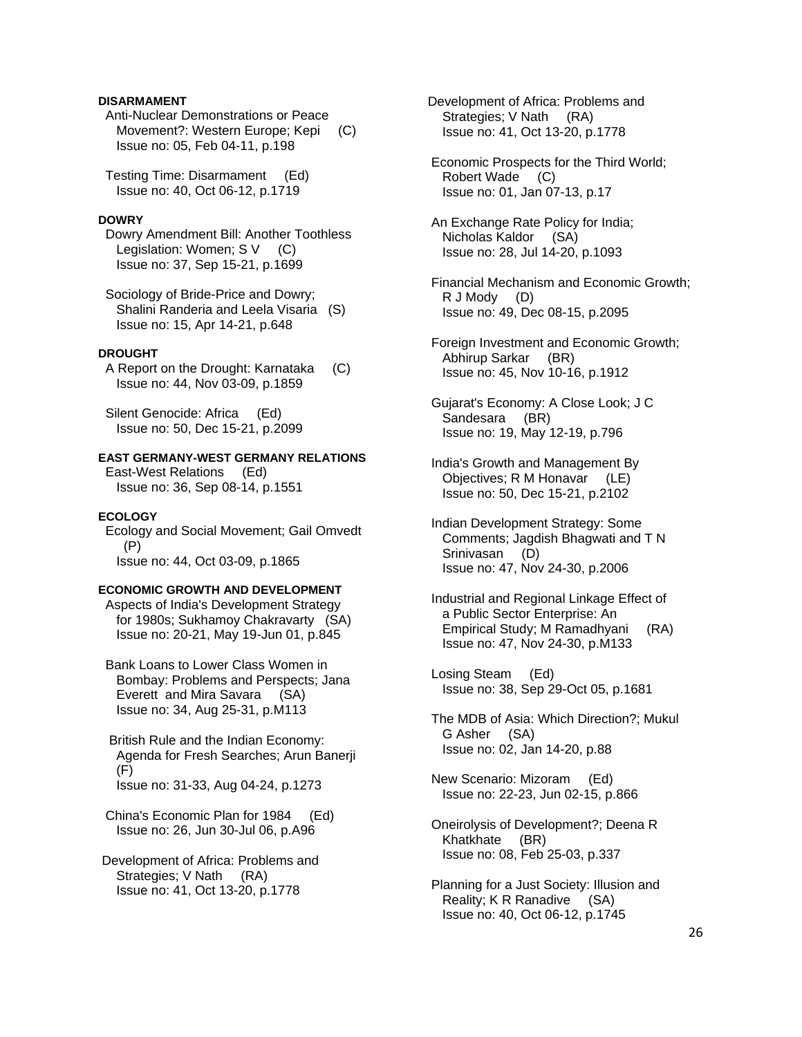# **DISARMAMENT**

 Anti-Nuclear Demonstrations or Peace Movement?: Western Europe; Kepi (C) Issue no: 05, Feb 04-11, p.198

 Testing Time: Disarmament (Ed) Issue no: 40, Oct 06-12, p.1719

#### **DOWRY**

 Dowry Amendment Bill: Another Toothless Legislation: Women; S V (C) Issue no: 37, Sep 15-21, p.1699

 Sociology of Bride-Price and Dowry; Shalini Randeria and Leela Visaria (S) Issue no: 15, Apr 14-21, p.648

### **DROUGHT**

 A Report on the Drought: Karnataka (C) Issue no: 44, Nov 03-09, p.1859

 Silent Genocide: Africa (Ed) Issue no: 50, Dec 15-21, p.2099

# **EAST GERMANY-WEST GERMANY RELATIONS**

 East-West Relations (Ed) Issue no: 36, Sep 08-14, p.1551

### **ECOLOGY**

 Ecology and Social Movement; Gail Omvedt (P) Issue no: 44, Oct 03-09, p.1865

# **ECONOMIC GROWTH AND DEVELOPMENT**

 Aspects of India's Development Strategy for 1980s; Sukhamoy Chakravarty (SA) Issue no: 20-21, May 19-Jun 01, p.845

 Bank Loans to Lower Class Women in Bombay: Problems and Perspects; Jana Everett and Mira Savara (SA) Issue no: 34, Aug 25-31, p.M113

 British Rule and the Indian Economy: Agenda for Fresh Searches; Arun Banerji (F) Issue no: 31-33, Aug 04-24, p.1273

 China's Economic Plan for 1984 (Ed) Issue no: 26, Jun 30-Jul 06, p.A96

 Development of Africa: Problems and Strategies; V Nath (RA) Issue no: 41, Oct 13-20, p.1778

 Development of Africa: Problems and Strategies; V Nath (RA) Issue no: 41, Oct 13-20, p.1778

 Economic Prospects for the Third World; Robert Wade (C) Issue no: 01, Jan 07-13, p.17

 An Exchange Rate Policy for India; Nicholas Kaldor (SA) Issue no: 28, Jul 14-20, p.1093

 Financial Mechanism and Economic Growth; R J Mody (D) Issue no: 49, Dec 08-15, p.2095

 Foreign Investment and Economic Growth; Abhirup Sarkar (BR) Issue no: 45, Nov 10-16, p.1912

 Gujarat's Economy: A Close Look; J C Sandesara (BR) Issue no: 19, May 12-19, p.796

- India's Growth and Management By Objectives; R M Honavar (LE) Issue no: 50, Dec 15-21, p.2102
- Indian Development Strategy: Some Comments; Jagdish Bhagwati and T N Srinivasan (D) Issue no: 47, Nov 24-30, p.2006

 Industrial and Regional Linkage Effect of a Public Sector Enterprise: An Empirical Study; M Ramadhyani (RA) Issue no: 47, Nov 24-30, p.M133

 Losing Steam (Ed) Issue no: 38, Sep 29-Oct 05, p.1681

 The MDB of Asia: Which Direction?; Mukul G Asher (SA) Issue no: 02, Jan 14-20, p.88

 New Scenario: Mizoram (Ed) Issue no: 22-23, Jun 02-15, p.866

 Oneirolysis of Development?; Deena R Khatkhate (BR) Issue no: 08, Feb 25-03, p.337

 Planning for a Just Society: Illusion and Reality; K R Ranadive (SA) Issue no: 40, Oct 06-12, p.1745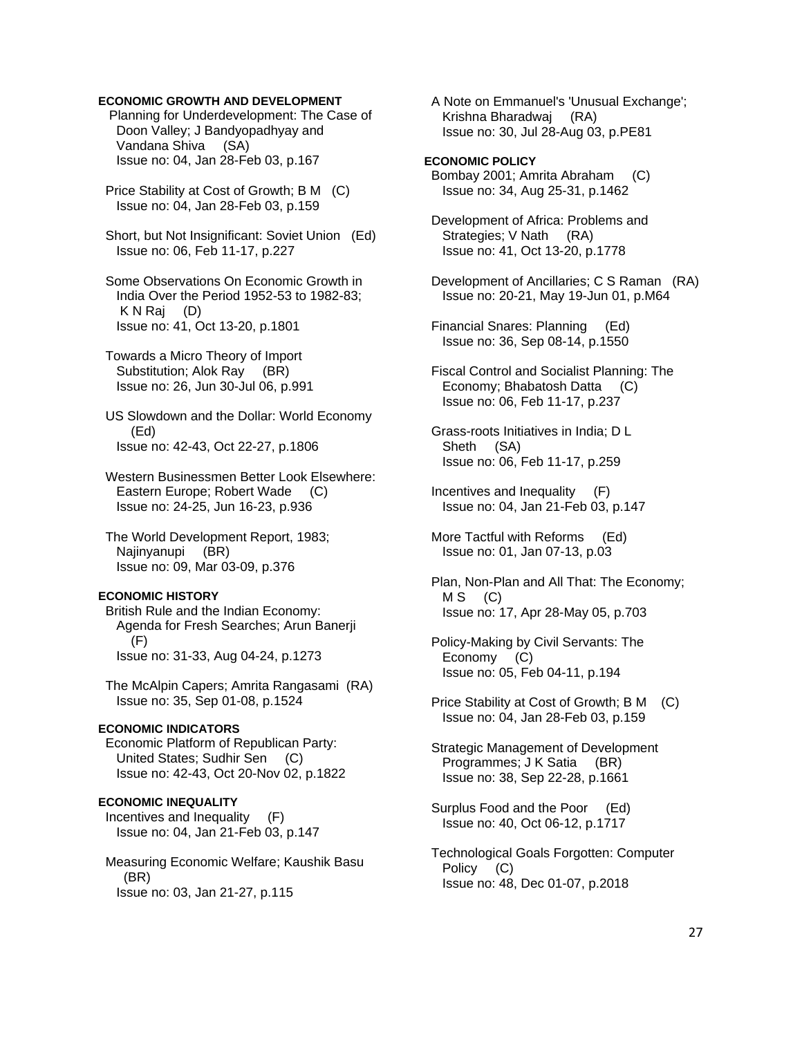### **ECONOMIC GROWTH AND DEVELOPMENT**

 Planning for Underdevelopment: The Case of Doon Valley; J Bandyopadhyay and Vandana Shiva (SA) Issue no: 04, Jan 28-Feb 03, p.167

 Price Stability at Cost of Growth; B M (C) Issue no: 04, Jan 28-Feb 03, p.159

 Short, but Not Insignificant: Soviet Union (Ed) Issue no: 06, Feb 11-17, p.227

 Some Observations On Economic Growth in India Over the Period 1952-53 to 1982-83; K N Raj (D) Issue no: 41, Oct 13-20, p.1801

 Towards a Micro Theory of Import Substitution; Alok Ray (BR) Issue no: 26, Jun 30-Jul 06, p.991

 US Slowdown and the Dollar: World Economy (Ed) Issue no: 42-43, Oct 22-27, p.1806

 Western Businessmen Better Look Elsewhere: Eastern Europe; Robert Wade (C) Issue no: 24-25, Jun 16-23, p.936

 The World Development Report, 1983; Najinyanupi (BR) Issue no: 09, Mar 03-09, p.376

#### **ECONOMIC HISTORY**

 British Rule and the Indian Economy: Agenda for Fresh Searches; Arun Banerji (F) Issue no: 31-33, Aug 04-24, p.1273

 The McAlpin Capers; Amrita Rangasami (RA) Issue no: 35, Sep 01-08, p.1524

# **ECONOMIC INDICATORS**

 Economic Platform of Republican Party: United States; Sudhir Sen (C) Issue no: 42-43, Oct 20-Nov 02, p.1822

### **ECONOMIC INEQUALITY**

 Incentives and Inequality (F) Issue no: 04, Jan 21-Feb 03, p.147

 Measuring Economic Welfare; Kaushik Basu (BR) Issue no: 03, Jan 21-27, p.115

 A Note on Emmanuel's 'Unusual Exchange'; Krishna Bharadwaj (RA) Issue no: 30, Jul 28-Aug 03, p.PE81

### **ECONOMIC POLICY**

 Bombay 2001; Amrita Abraham (C) Issue no: 34, Aug 25-31, p.1462

 Development of Africa: Problems and Strategies; V Nath (RA) Issue no: 41, Oct 13-20, p.1778

 Development of Ancillaries; C S Raman (RA) Issue no: 20-21, May 19-Jun 01, p.M64

 Financial Snares: Planning (Ed) Issue no: 36, Sep 08-14, p.1550

 Fiscal Control and Socialist Planning: The Economy; Bhabatosh Datta (C) Issue no: 06, Feb 11-17, p.237

 Grass-roots Initiatives in India; D L Sheth (SA) Issue no: 06, Feb 11-17, p.259

 Incentives and Inequality (F) Issue no: 04, Jan 21-Feb 03, p.147

 More Tactful with Reforms (Ed) Issue no: 01, Jan 07-13, p.03

 Plan, Non-Plan and All That: The Economy;  $MS$  (C) Issue no: 17, Apr 28-May 05, p.703

 Policy-Making by Civil Servants: The Economy (C) Issue no: 05, Feb 04-11, p.194

 Price Stability at Cost of Growth; B M (C) Issue no: 04, Jan 28-Feb 03, p.159

 Strategic Management of Development Programmes; J K Satia (BR) Issue no: 38, Sep 22-28, p.1661

 Surplus Food and the Poor (Ed) Issue no: 40, Oct 06-12, p.1717

 Technological Goals Forgotten: Computer Policy (C) Issue no: 48, Dec 01-07, p.2018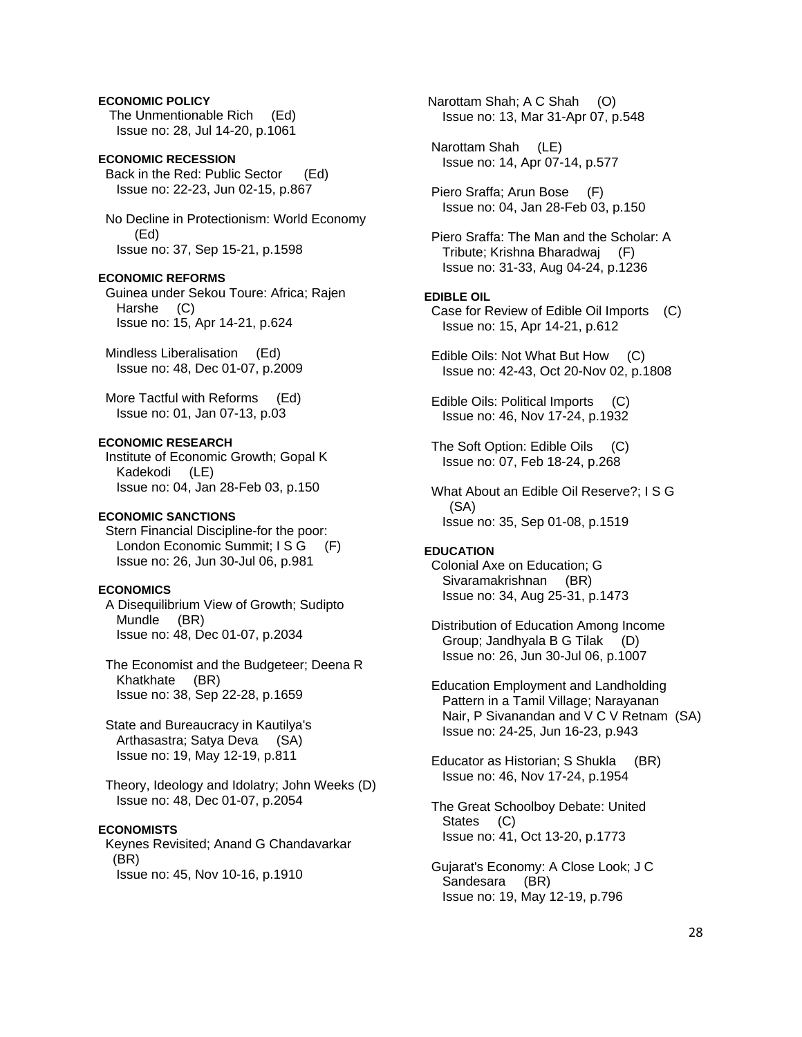# **ECONOMIC POLICY**

 The Unmentionable Rich (Ed) Issue no: 28, Jul 14-20, p.1061

# **ECONOMIC RECESSION**

 Back in the Red: Public Sector (Ed) Issue no: 22-23, Jun 02-15, p.867

 No Decline in Protectionism: World Economy (Ed) Issue no: 37, Sep 15-21, p.1598

#### **ECONOMIC REFORMS**

 Guinea under Sekou Toure: Africa; Rajen Harshe (C) Issue no: 15, Apr 14-21, p.624

 Mindless Liberalisation (Ed) Issue no: 48, Dec 01-07, p.2009

 More Tactful with Reforms (Ed) Issue no: 01, Jan 07-13, p.03

### **ECONOMIC RESEARCH**

 Institute of Economic Growth; Gopal K Kadekodi (LE) Issue no: 04, Jan 28-Feb 03, p.150

### **ECONOMIC SANCTIONS**

 Stern Financial Discipline-for the poor: London Economic Summit; I S G (F) Issue no: 26, Jun 30-Jul 06, p.981

# **ECONOMICS**

 A Disequilibrium View of Growth; Sudipto Mundle (BR) Issue no: 48, Dec 01-07, p.2034

 The Economist and the Budgeteer; Deena R Khatkhate (BR) Issue no: 38, Sep 22-28, p.1659

 State and Bureaucracy in Kautilya's Arthasastra; Satya Deva (SA) Issue no: 19, May 12-19, p.811

 Theory, Ideology and Idolatry; John Weeks (D) Issue no: 48, Dec 01-07, p.2054

#### **ECONOMISTS**

 Keynes Revisited; Anand G Chandavarkar (BR) Issue no: 45, Nov 10-16, p.1910

 Narottam Shah; A C Shah (O) Issue no: 13, Mar 31-Apr 07, p.548

 Narottam Shah (LE) Issue no: 14, Apr 07-14, p.577

 Piero Sraffa; Arun Bose (F) Issue no: 04, Jan 28-Feb 03, p.150

 Piero Sraffa: The Man and the Scholar: A Tribute; Krishna Bharadwaj (F) Issue no: 31-33, Aug 04-24, p.1236

### **EDIBLE OIL**

 Case for Review of Edible Oil Imports (C) Issue no: 15, Apr 14-21, p.612

 Edible Oils: Not What But How (C) Issue no: 42-43, Oct 20-Nov 02, p.1808

 Edible Oils: Political Imports (C) Issue no: 46, Nov 17-24, p.1932

The Soft Option: Edible Oils (C) Issue no: 07, Feb 18-24, p.268

 What About an Edible Oil Reserve?; I S G (SA) Issue no: 35, Sep 01-08, p.1519

### **EDUCATION**

 Colonial Axe on Education; G Sivaramakrishnan (BR) Issue no: 34, Aug 25-31, p.1473

 Distribution of Education Among Income Group; Jandhyala B G Tilak (D) Issue no: 26, Jun 30-Jul 06, p.1007

 Education Employment and Landholding Pattern in a Tamil Village; Narayanan Nair, P Sivanandan and V C V Retnam (SA) Issue no: 24-25, Jun 16-23, p.943

 Educator as Historian; S Shukla (BR) Issue no: 46, Nov 17-24, p.1954

 The Great Schoolboy Debate: United States (C) Issue no: 41, Oct 13-20, p.1773

 Gujarat's Economy: A Close Look; J C Sandesara (BR) Issue no: 19, May 12-19, p.796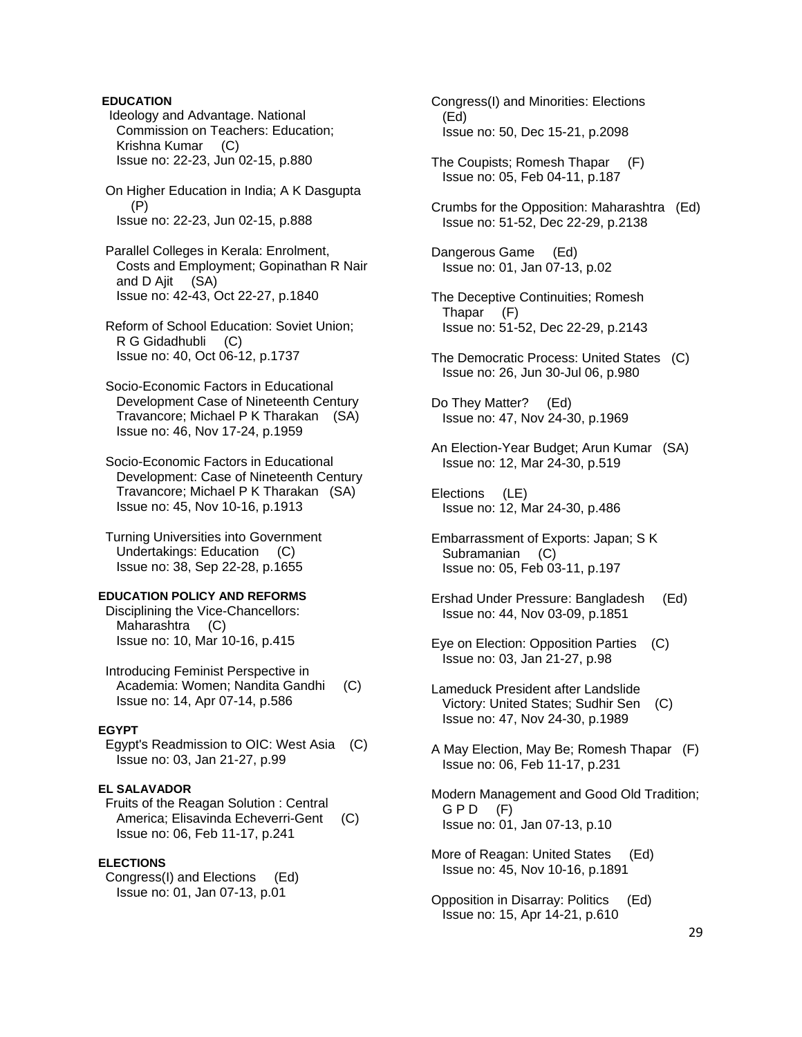# **EDUCATION**

 Ideology and Advantage. National Commission on Teachers: Education; Krishna Kumar (C) Issue no: 22-23, Jun 02-15, p.880

 On Higher Education in India; A K Dasgupta (P) Issue no: 22-23, Jun 02-15, p.888

 Parallel Colleges in Kerala: Enrolment, Costs and Employment; Gopinathan R Nair and D Ajit (SA) Issue no: 42-43, Oct 22-27, p.1840

 Reform of School Education: Soviet Union; R G Gidadhubli (C) Issue no: 40, Oct 06-12, p.1737

 Socio-Economic Factors in Educational Development Case of Nineteenth Century Travancore; Michael P K Tharakan (SA) Issue no: 46, Nov 17-24, p.1959

 Socio-Economic Factors in Educational Development: Case of Nineteenth Century Travancore; Michael P K Tharakan (SA) Issue no: 45, Nov 10-16, p.1913

 Turning Universities into Government Undertakings: Education (C) Issue no: 38, Sep 22-28, p.1655

### **EDUCATION POLICY AND REFORMS**

 Disciplining the Vice-Chancellors: Maharashtra (C) Issue no: 10, Mar 10-16, p.415

 Introducing Feminist Perspective in Academia: Women; Nandita Gandhi (C) Issue no: 14, Apr 07-14, p.586

# **EGYPT**

 Egypt's Readmission to OIC: West Asia (C) Issue no: 03, Jan 21-27, p.99

#### **EL SALAVADOR**

 Fruits of the Reagan Solution : Central America; Elisavinda Echeverri-Gent (C) Issue no: 06, Feb 11-17, p.241

### **ELECTIONS**

 Congress(I) and Elections (Ed) Issue no: 01, Jan 07-13, p.01

 Congress(I) and Minorities: Elections (Ed) Issue no: 50, Dec 15-21, p.2098

- The Coupists; Romesh Thapar (F) Issue no: 05, Feb 04-11, p.187
- Crumbs for the Opposition: Maharashtra (Ed) Issue no: 51-52, Dec 22-29, p.2138

 Dangerous Game (Ed) Issue no: 01, Jan 07-13, p.02

- The Deceptive Continuities; Romesh Thapar (F) Issue no: 51-52, Dec 22-29, p.2143
- The Democratic Process: United States (C) Issue no: 26, Jun 30-Jul 06, p.980

 Do They Matter? (Ed) Issue no: 47, Nov 24-30, p.1969

 An Election-Year Budget; Arun Kumar (SA) Issue no: 12, Mar 24-30, p.519

 Elections (LE) Issue no: 12, Mar 24-30, p.486

- Embarrassment of Exports: Japan; S K Subramanian (C) Issue no: 05, Feb 03-11, p.197
- Ershad Under Pressure: Bangladesh (Ed) Issue no: 44, Nov 03-09, p.1851
- Eye on Election: Opposition Parties (C) Issue no: 03, Jan 21-27, p.98
- Lameduck President after Landslide Victory: United States; Sudhir Sen (C) Issue no: 47, Nov 24-30, p.1989
- A May Election, May Be; Romesh Thapar (F) Issue no: 06, Feb 11-17, p.231
- Modern Management and Good Old Tradition;  $G$  P D  $(F)$ Issue no: 01, Jan 07-13, p.10
- More of Reagan: United States (Ed) Issue no: 45, Nov 10-16, p.1891
- Opposition in Disarray: Politics (Ed) Issue no: 15, Apr 14-21, p.610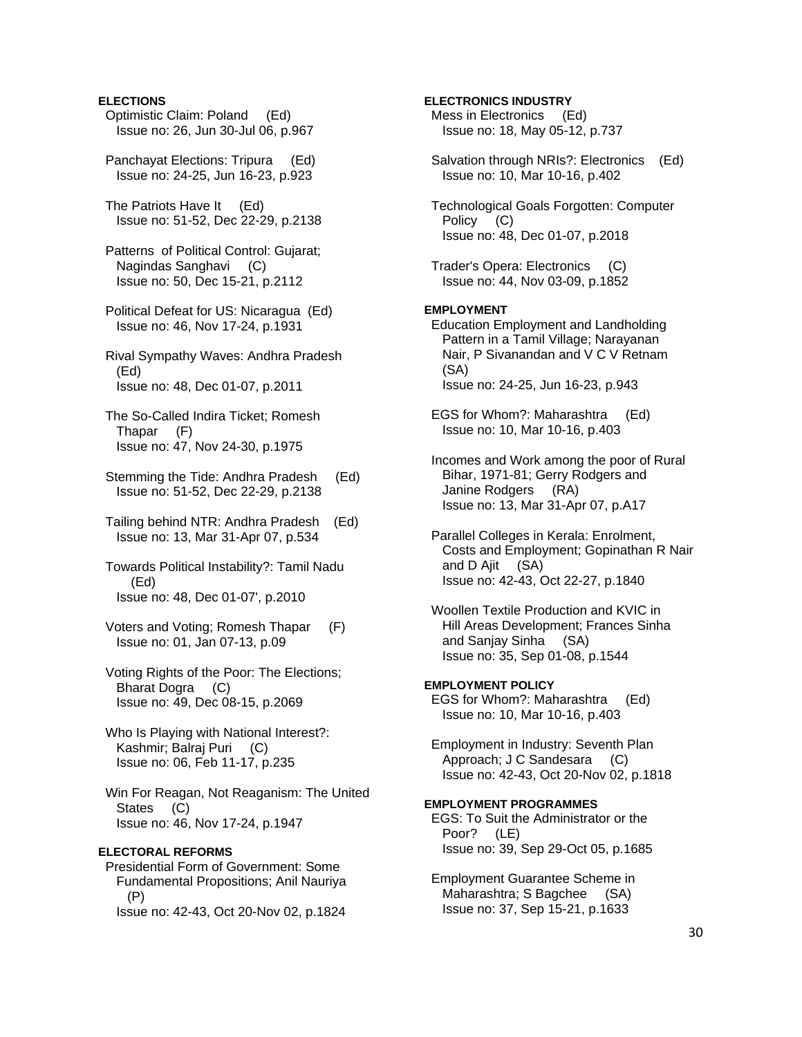## **ELECTIONS**

- Optimistic Claim: Poland (Ed) Issue no: 26, Jun 30-Jul 06, p.967
- Panchayat Elections: Tripura (Ed) Issue no: 24-25, Jun 16-23, p.923
- The Patriots Have It (Ed) Issue no: 51-52, Dec 22-29, p.2138
- Patterns of Political Control: Gujarat; Nagindas Sanghavi (C) Issue no: 50, Dec 15-21, p.2112
- Political Defeat for US: Nicaragua (Ed) Issue no: 46, Nov 17-24, p.1931
- Rival Sympathy Waves: Andhra Pradesh (Ed) Issue no: 48, Dec 01-07, p.2011
- The So-Called Indira Ticket; Romesh Thapar (F) Issue no: 47, Nov 24-30, p.1975
- Stemming the Tide: Andhra Pradesh (Ed) Issue no: 51-52, Dec 22-29, p.2138
- Tailing behind NTR: Andhra Pradesh (Ed) Issue no: 13, Mar 31-Apr 07, p.534
- Towards Political Instability?: Tamil Nadu (Ed) Issue no: 48, Dec 01-07', p.2010
- Voters and Voting; Romesh Thapar (F) Issue no: 01, Jan 07-13, p.09
- Voting Rights of the Poor: The Elections; Bharat Dogra (C) Issue no: 49, Dec 08-15, p.2069
- Who Is Playing with National Interest?: Kashmir; Balraj Puri (C) Issue no: 06, Feb 11-17, p.235
- Win For Reagan, Not Reaganism: The United States (C) Issue no: 46, Nov 17-24, p.1947

# **ELECTORAL REFORMS**

 Presidential Form of Government: Some Fundamental Propositions; Anil Nauriya (P) Issue no: 42-43, Oct 20-Nov 02, p.1824

# Issue no: 18, May 05-12, p.737 Salvation through NRIs?: Electronics (Ed) Issue no: 10, Mar 10-16, p.402 Technological Goals Forgotten: Computer Policy (C) Issue no: 48, Dec 01-07, p.2018

 Trader's Opera: Electronics (C) Issue no: 44, Nov 03-09, p.1852

**ELECTRONICS INDUSTRY**  Mess in Electronics (Ed)

# **EMPLOYMENT**

 Education Employment and Landholding Pattern in a Tamil Village; Narayanan Nair, P Sivanandan and V C V Retnam (SA) Issue no: 24-25, Jun 16-23, p.943

- EGS for Whom?: Maharashtra (Ed) Issue no: 10, Mar 10-16, p.403
- Incomes and Work among the poor of Rural Bihar, 1971-81; Gerry Rodgers and Janine Rodgers (RA) Issue no: 13, Mar 31-Apr 07, p.A17
- Parallel Colleges in Kerala: Enrolment, Costs and Employment; Gopinathan R Nair and D Ajit (SA) Issue no: 42-43, Oct 22-27, p.1840
- Woollen Textile Production and KVIC in Hill Areas Development; Frances Sinha and Sanjay Sinha (SA) Issue no: 35, Sep 01-08, p.1544
- **EMPLOYMENT POLICY**  EGS for Whom?: Maharashtra (Ed) Issue no: 10, Mar 10-16, p.403
- Employment in Industry: Seventh Plan Approach; J C Sandesara (C) Issue no: 42-43, Oct 20-Nov 02, p.1818

# **EMPLOYMENT PROGRAMMES**

- EGS: To Suit the Administrator or the Poor? (LE) Issue no: 39, Sep 29-Oct 05, p.1685
- Employment Guarantee Scheme in Maharashtra; S Bagchee (SA) Issue no: 37, Sep 15-21, p.1633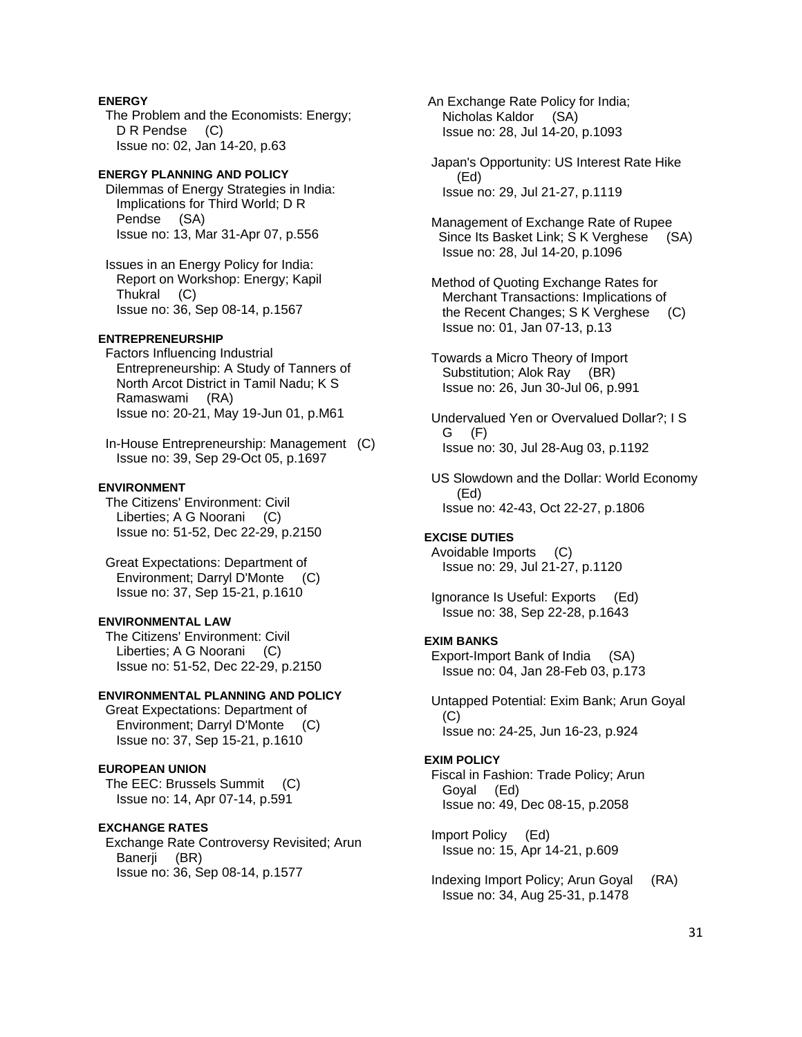# **ENERGY**

 The Problem and the Economists: Energy; D R Pendse (C) Issue no: 02, Jan 14-20, p.63

# **ENERGY PLANNING AND POLICY**

 Dilemmas of Energy Strategies in India: Implications for Third World; D R Pendse (SA) Issue no: 13, Mar 31-Apr 07, p.556

 Issues in an Energy Policy for India: Report on Workshop: Energy; Kapil Thukral (C) Issue no: 36, Sep 08-14, p.1567

# **ENTREPRENEURSHIP**

 Factors Influencing Industrial Entrepreneurship: A Study of Tanners of North Arcot District in Tamil Nadu; K S Ramaswami (RA) Issue no: 20-21, May 19-Jun 01, p.M61

 In-House Entrepreneurship: Management (C) Issue no: 39, Sep 29-Oct 05, p.1697

#### **ENVIRONMENT**

 The Citizens' Environment: Civil Liberties; A G Noorani (C) Issue no: 51-52, Dec 22-29, p.2150

 Great Expectations: Department of Environment; Darryl D'Monte (C) Issue no: 37, Sep 15-21, p.1610

### **ENVIRONMENTAL LAW**

 The Citizens' Environment: Civil Liberties; A G Noorani (C) Issue no: 51-52, Dec 22-29, p.2150

# **ENVIRONMENTAL PLANNING AND POLICY**

 Great Expectations: Department of Environment; Darryl D'Monte (C) Issue no: 37, Sep 15-21, p.1610

# **EUROPEAN UNION**

 The EEC: Brussels Summit (C) Issue no: 14, Apr 07-14, p.591

#### **EXCHANGE RATES**

 Exchange Rate Controversy Revisited; Arun Banerji (BR) Issue no: 36, Sep 08-14, p.1577

 An Exchange Rate Policy for India; Nicholas Kaldor (SA) Issue no: 28, Jul 14-20, p.1093

 Japan's Opportunity: US Interest Rate Hike (Ed) Issue no: 29, Jul 21-27, p.1119

 Management of Exchange Rate of Rupee Since Its Basket Link; S K Verghese (SA) Issue no: 28, Jul 14-20, p.1096

 Method of Quoting Exchange Rates for Merchant Transactions: Implications of the Recent Changes; S K Verghese (C) Issue no: 01, Jan 07-13, p.13

 Towards a Micro Theory of Import Substitution; Alok Ray (BR) Issue no: 26, Jun 30-Jul 06, p.991

 Undervalued Yen or Overvalued Dollar?; I S G (F) Issue no: 30, Jul 28-Aug 03, p.1192

 US Slowdown and the Dollar: World Economy (Ed) Issue no: 42-43, Oct 22-27, p.1806

#### **EXCISE DUTIES**

 Avoidable Imports (C) Issue no: 29, Jul 21-27, p.1120

 Ignorance Is Useful: Exports (Ed) Issue no: 38, Sep 22-28, p.1643

### **EXIM BANKS**

 Export-Import Bank of India (SA) Issue no: 04, Jan 28-Feb 03, p.173

 Untapped Potential: Exim Bank; Arun Goyal (C) Issue no: 24-25, Jun 16-23, p.924

#### **EXIM POLICY**

 Fiscal in Fashion: Trade Policy; Arun Goyal (Ed) Issue no: 49, Dec 08-15, p.2058

 Import Policy (Ed) Issue no: 15, Apr 14-21, p.609

 Indexing Import Policy; Arun Goyal (RA) Issue no: 34, Aug 25-31, p.1478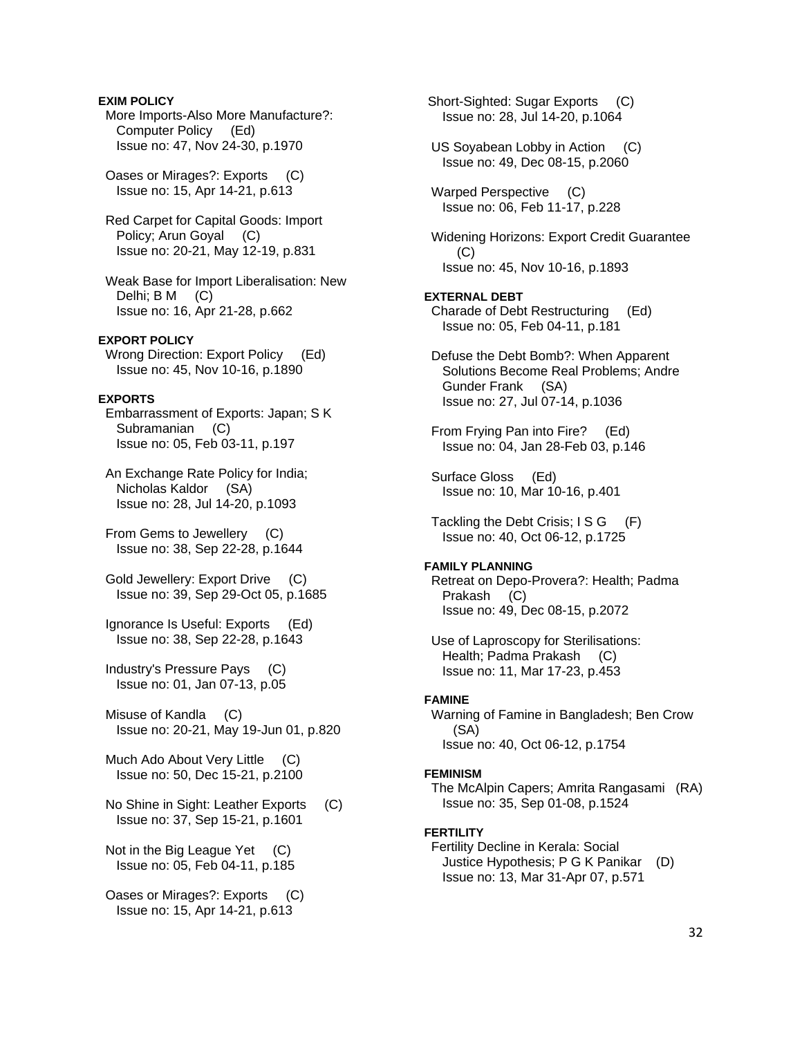## **EXIM POLICY**

 More Imports-Also More Manufacture?: Computer Policy (Ed) Issue no: 47, Nov 24-30, p.1970

 Oases or Mirages?: Exports (C) Issue no: 15, Apr 14-21, p.613

 Red Carpet for Capital Goods: Import Policy; Arun Goyal (C) Issue no: 20-21, May 12-19, p.831

 Weak Base for Import Liberalisation: New Delhi; B M (C) Issue no: 16, Apr 21-28, p.662

### **EXPORT POLICY**

Wrong Direction: Export Policy (Ed) Issue no: 45, Nov 10-16, p.1890

# **EXPORTS**

 Embarrassment of Exports: Japan; S K Subramanian (C) Issue no: 05, Feb 03-11, p.197

 An Exchange Rate Policy for India; Nicholas Kaldor (SA) Issue no: 28, Jul 14-20, p.1093

 From Gems to Jewellery (C) Issue no: 38, Sep 22-28, p.1644

 Gold Jewellery: Export Drive (C) Issue no: 39, Sep 29-Oct 05, p.1685

 Ignorance Is Useful: Exports (Ed) Issue no: 38, Sep 22-28, p.1643

 Industry's Pressure Pays (C) Issue no: 01, Jan 07-13, p.05

 Misuse of Kandla (C) Issue no: 20-21, May 19-Jun 01, p.820

Much Ado About Very Little (C) Issue no: 50, Dec 15-21, p.2100

 No Shine in Sight: Leather Exports (C) Issue no: 37, Sep 15-21, p.1601

Not in the Big League Yet (C) Issue no: 05, Feb 04-11, p.185

 Oases or Mirages?: Exports (C) Issue no: 15, Apr 14-21, p.613

 Short-Sighted: Sugar Exports (C) Issue no: 28, Jul 14-20, p.1064 US Soyabean Lobby in Action (C) Issue no: 49, Dec 08-15, p.2060 Warped Perspective (C) Issue no: 06, Feb 11-17, p.228 Widening Horizons: Export Credit Guarantee (C) Issue no: 45, Nov 10-16, p.1893 **EXTERNAL DEBT**  Charade of Debt Restructuring (Ed) Issue no: 05, Feb 04-11, p.181 Defuse the Debt Bomb?: When Apparent Solutions Become Real Problems; Andre Gunder Frank (SA) Issue no: 27, Jul 07-14, p.1036 From Frying Pan into Fire? (Ed) Issue no: 04, Jan 28-Feb 03, p.146 Surface Gloss (Ed) Issue no: 10, Mar 10-16, p.401 Tackling the Debt Crisis: I S G (F) Issue no: 40, Oct 06-12, p.1725 **FAMILY PLANNING**  Retreat on Depo-Provera?: Health; Padma Prakash (C) Issue no: 49, Dec 08-15, p.2072 Use of Laproscopy for Sterilisations: Health; Padma Prakash (C) Issue no: 11, Mar 17-23, p.453 **FAMINE**  Warning of Famine in Bangladesh; Ben Crow (SA) Issue no: 40, Oct 06-12, p.1754 **FEMINISM**  The McAlpin Capers; Amrita Rangasami (RA) Issue no: 35, Sep 01-08, p.1524 **FERTILITY**  Fertility Decline in Kerala: Social

 Justice Hypothesis; P G K Panikar (D) Issue no: 13, Mar 31-Apr 07, p.571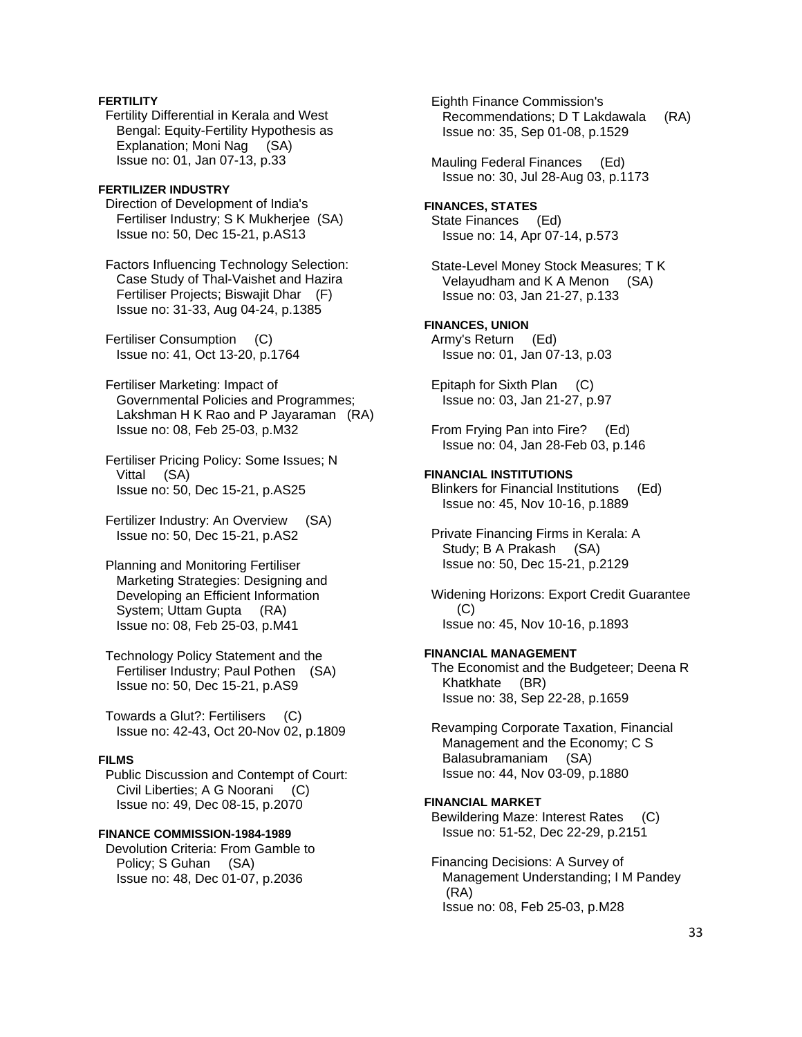# **FERTILITY**

 Fertility Differential in Kerala and West Bengal: Equity-Fertility Hypothesis as Explanation; Moni Nag (SA) Issue no: 01, Jan 07-13, p.33

#### **FERTILIZER INDUSTRY**

 Direction of Development of India's Fertiliser Industry; S K Mukherjee (SA) Issue no: 50, Dec 15-21, p.AS13

 Factors Influencing Technology Selection: Case Study of Thal-Vaishet and Hazira Fertiliser Projects; Biswajit Dhar (F) Issue no: 31-33, Aug 04-24, p.1385

 Fertiliser Consumption (C) Issue no: 41, Oct 13-20, p.1764

 Fertiliser Marketing: Impact of Governmental Policies and Programmes; Lakshman H K Rao and P Jayaraman (RA) Issue no: 08, Feb 25-03, p.M32

 Fertiliser Pricing Policy: Some Issues; N Vittal (SA) Issue no: 50, Dec 15-21, p.AS25

 Fertilizer Industry: An Overview (SA) Issue no: 50, Dec 15-21, p.AS2

 Planning and Monitoring Fertiliser Marketing Strategies: Designing and Developing an Efficient Information System; Uttam Gupta (RA) Issue no: 08, Feb 25-03, p.M41

 Technology Policy Statement and the Fertiliser Industry; Paul Pothen (SA) Issue no: 50, Dec 15-21, p.AS9

 Towards a Glut?: Fertilisers (C) Issue no: 42-43, Oct 20-Nov 02, p.1809

#### **FILMS**

 Public Discussion and Contempt of Court: Civil Liberties; A G Noorani (C) Issue no: 49, Dec 08-15, p.2070

### **FINANCE COMMISSION-1984-1989**

 Devolution Criteria: From Gamble to Policy; S Guhan (SA) Issue no: 48, Dec 01-07, p.2036

 Eighth Finance Commission's Recommendations; D T Lakdawala (RA) Issue no: 35, Sep 01-08, p.1529

 Mauling Federal Finances (Ed) Issue no: 30, Jul 28-Aug 03, p.1173

**FINANCES, STATES**  State Finances (Ed) Issue no: 14, Apr 07-14, p.573

 State-Level Money Stock Measures; T K Velayudham and K A Menon (SA) Issue no: 03, Jan 21-27, p.133

# **FINANCES, UNION**

 Army's Return (Ed) Issue no: 01, Jan 07-13, p.03

 Epitaph for Sixth Plan (C) Issue no: 03, Jan 21-27, p.97

 From Frying Pan into Fire? (Ed) Issue no: 04, Jan 28-Feb 03, p.146

#### **FINANCIAL INSTITUTIONS**

 Blinkers for Financial Institutions (Ed) Issue no: 45, Nov 10-16, p.1889

 Private Financing Firms in Kerala: A Study; B A Prakash (SA) Issue no: 50, Dec 15-21, p.2129

 Widening Horizons: Export Credit Guarantee (C) Issue no: 45, Nov 10-16, p.1893

#### **FINANCIAL MANAGEMENT**

 The Economist and the Budgeteer; Deena R Khatkhate (BR) Issue no: 38, Sep 22-28, p.1659

 Revamping Corporate Taxation, Financial Management and the Economy; C S Balasubramaniam (SA) Issue no: 44, Nov 03-09, p.1880

#### **FINANCIAL MARKET**

 Bewildering Maze: Interest Rates (C) Issue no: 51-52, Dec 22-29, p.2151

 Financing Decisions: A Survey of Management Understanding; I M Pandey (RA) Issue no: 08, Feb 25-03, p.M28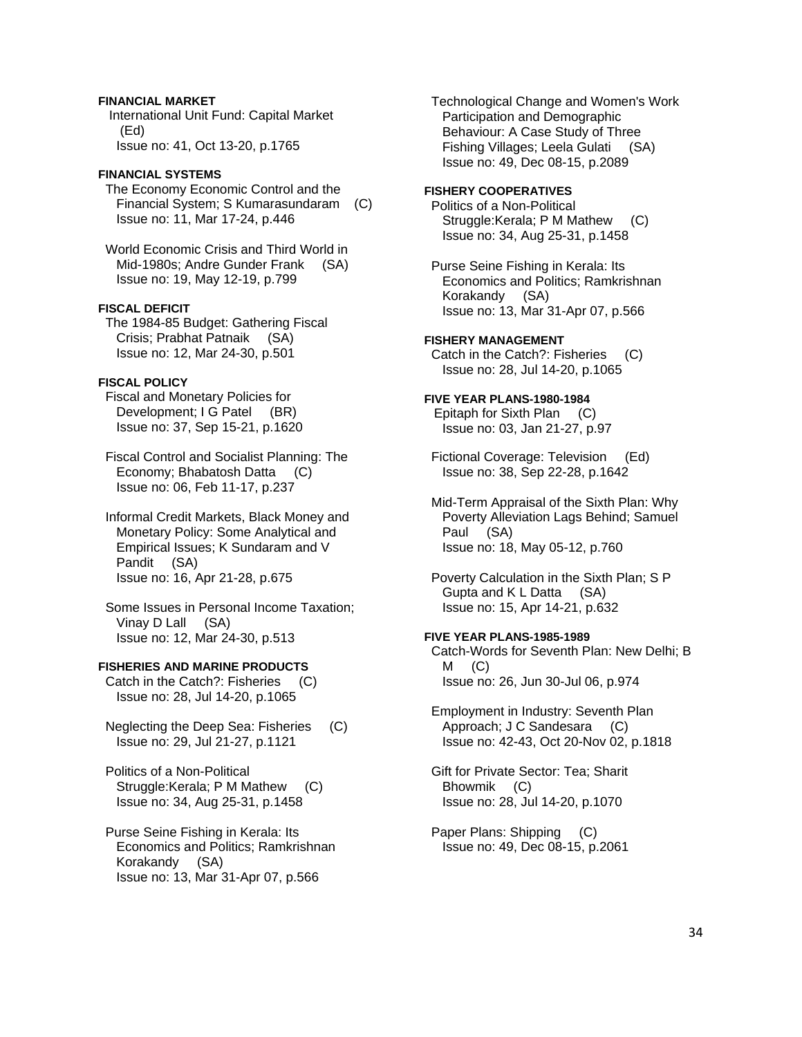# **FINANCIAL MARKET**

 International Unit Fund: Capital Market (Ed) Issue no: 41, Oct 13-20, p.1765

# **FINANCIAL SYSTEMS**

 The Economy Economic Control and the Financial System; S Kumarasundaram (C) Issue no: 11, Mar 17-24, p.446

 World Economic Crisis and Third World in Mid-1980s; Andre Gunder Frank (SA) Issue no: 19, May 12-19, p.799

## **FISCAL DEFICIT**

 The 1984-85 Budget: Gathering Fiscal Crisis; Prabhat Patnaik (SA) Issue no: 12, Mar 24-30, p.501

# **FISCAL POLICY**

- Fiscal and Monetary Policies for Development; I G Patel (BR) Issue no: 37, Sep 15-21, p.1620
- Fiscal Control and Socialist Planning: The Economy; Bhabatosh Datta (C) Issue no: 06, Feb 11-17, p.237
- Informal Credit Markets, Black Money and Monetary Policy: Some Analytical and Empirical Issues; K Sundaram and V Pandit (SA) Issue no: 16, Apr 21-28, p.675
- Some Issues in Personal Income Taxation; Vinay D Lall (SA) Issue no: 12, Mar 24-30, p.513

#### **FISHERIES AND MARINE PRODUCTS**

- Catch in the Catch?: Fisheries (C) Issue no: 28, Jul 14-20, p.1065
- Neglecting the Deep Sea: Fisheries (C) Issue no: 29, Jul 21-27, p.1121
- Politics of a Non-Political Struggle:Kerala; P M Mathew (C) Issue no: 34, Aug 25-31, p.1458
- Purse Seine Fishing in Kerala: Its Economics and Politics; Ramkrishnan Korakandy (SA) Issue no: 13, Mar 31-Apr 07, p.566

 Technological Change and Women's Work Participation and Demographic Behaviour: A Case Study of Three Fishing Villages; Leela Gulati (SA) Issue no: 49, Dec 08-15, p.2089

# **FISHERY COOPERATIVES**

 Politics of a Non-Political Struggle:Kerala; P M Mathew (C) Issue no: 34, Aug 25-31, p.1458

 Purse Seine Fishing in Kerala: Its Economics and Politics; Ramkrishnan Korakandy (SA) Issue no: 13, Mar 31-Apr 07, p.566

#### **FISHERY MANAGEMENT**

 Catch in the Catch?: Fisheries (C) Issue no: 28, Jul 14-20, p.1065

#### **FIVE YEAR PLANS-1980-1984** Epitaph for Sixth Plan (C)

Issue no: 03, Jan 21-27, p.97

- Fictional Coverage: Television (Ed) Issue no: 38, Sep 22-28, p.1642
- Mid-Term Appraisal of the Sixth Plan: Why Poverty Alleviation Lags Behind; Samuel Paul (SA) Issue no: 18, May 05-12, p.760

 Poverty Calculation in the Sixth Plan; S P Gupta and K L Datta (SA) Issue no: 15, Apr 14-21, p.632

# **FIVE YEAR PLANS-1985-1989**

 Catch-Words for Seventh Plan: New Delhi; B  $M$  (C) Issue no: 26, Jun 30-Jul 06, p.974

 Employment in Industry: Seventh Plan Approach; J C Sandesara (C) Issue no: 42-43, Oct 20-Nov 02, p.1818

 Gift for Private Sector: Tea; Sharit Bhowmik (C) Issue no: 28, Jul 14-20, p.1070

 Paper Plans: Shipping (C) Issue no: 49, Dec 08-15, p.2061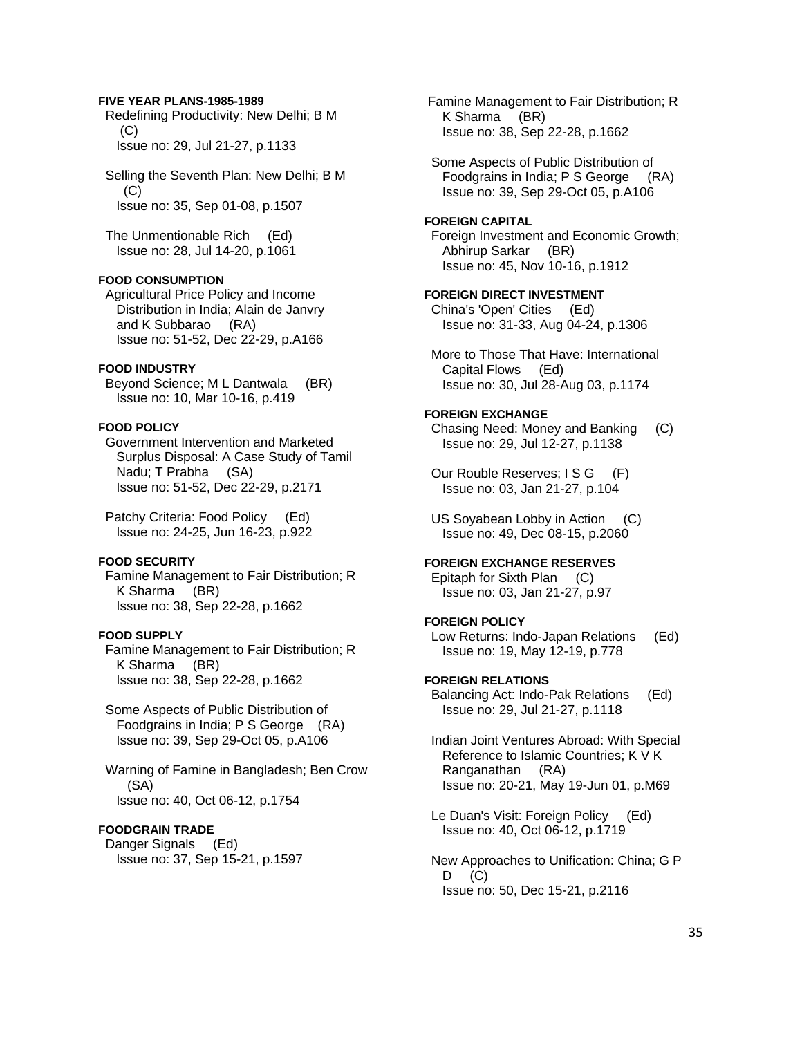### **FIVE YEAR PLANS-1985-1989**

 Redefining Productivity: New Delhi; B M  $(C)$ Issue no: 29, Jul 21-27, p.1133

 Selling the Seventh Plan: New Delhi; B M  $(C)$ Issue no: 35, Sep 01-08, p.1507

 The Unmentionable Rich (Ed) Issue no: 28, Jul 14-20, p.1061

### **FOOD CONSUMPTION**

 Agricultural Price Policy and Income Distribution in India; Alain de Janvry and K Subbarao (RA) Issue no: 51-52, Dec 22-29, p.A166

### **FOOD INDUSTRY**

 Beyond Science; M L Dantwala (BR) Issue no: 10, Mar 10-16, p.419

# **FOOD POLICY**

 Government Intervention and Marketed Surplus Disposal: A Case Study of Tamil Nadu; T Prabha (SA) Issue no: 51-52, Dec 22-29, p.2171

 Patchy Criteria: Food Policy (Ed) Issue no: 24-25, Jun 16-23, p.922

### **FOOD SECURITY**

 Famine Management to Fair Distribution; R K Sharma (BR) Issue no: 38, Sep 22-28, p.1662

# **FOOD SUPPLY**

 Famine Management to Fair Distribution; R K Sharma (BR) Issue no: 38, Sep 22-28, p.1662

 Some Aspects of Public Distribution of Foodgrains in India; P S George (RA) Issue no: 39, Sep 29-Oct 05, p.A106

 Warning of Famine in Bangladesh; Ben Crow (SA) Issue no: 40, Oct 06-12, p.1754

### **FOODGRAIN TRADE**

 Danger Signals (Ed) Issue no: 37, Sep 15-21, p.1597  Famine Management to Fair Distribution; R K Sharma (BR) Issue no: 38, Sep 22-28, p.1662

 Some Aspects of Public Distribution of Foodgrains in India; P S George (RA) Issue no: 39, Sep 29-Oct 05, p.A106

#### **FOREIGN CAPITAL**

 Foreign Investment and Economic Growth; Abhirup Sarkar (BR) Issue no: 45, Nov 10-16, p.1912

#### **FOREIGN DIRECT INVESTMENT**

 China's 'Open' Cities (Ed) Issue no: 31-33, Aug 04-24, p.1306

 More to Those That Have: International Capital Flows (Ed) Issue no: 30, Jul 28-Aug 03, p.1174

### **FOREIGN EXCHANGE**

 Chasing Need: Money and Banking (C) Issue no: 29, Jul 12-27, p.1138

Our Rouble Reserves; I S G (F) Issue no: 03, Jan 21-27, p.104

 US Soyabean Lobby in Action (C) Issue no: 49, Dec 08-15, p.2060

# **FOREIGN EXCHANGE RESERVES**

 Epitaph for Sixth Plan (C) Issue no: 03, Jan 21-27, p.97

#### **FOREIGN POLICY**

 Low Returns: Indo-Japan Relations (Ed) Issue no: 19, May 12-19, p.778

#### **FOREIGN RELATIONS**

 Balancing Act: Indo-Pak Relations (Ed) Issue no: 29, Jul 21-27, p.1118

 Indian Joint Ventures Abroad: With Special Reference to Islamic Countries; K V K Ranganathan (RA) Issue no: 20-21, May 19-Jun 01, p.M69

 Le Duan's Visit: Foreign Policy (Ed) Issue no: 40, Oct 06-12, p.1719

 New Approaches to Unification: China; G P  $D$   $(C)$ Issue no: 50, Dec 15-21, p.2116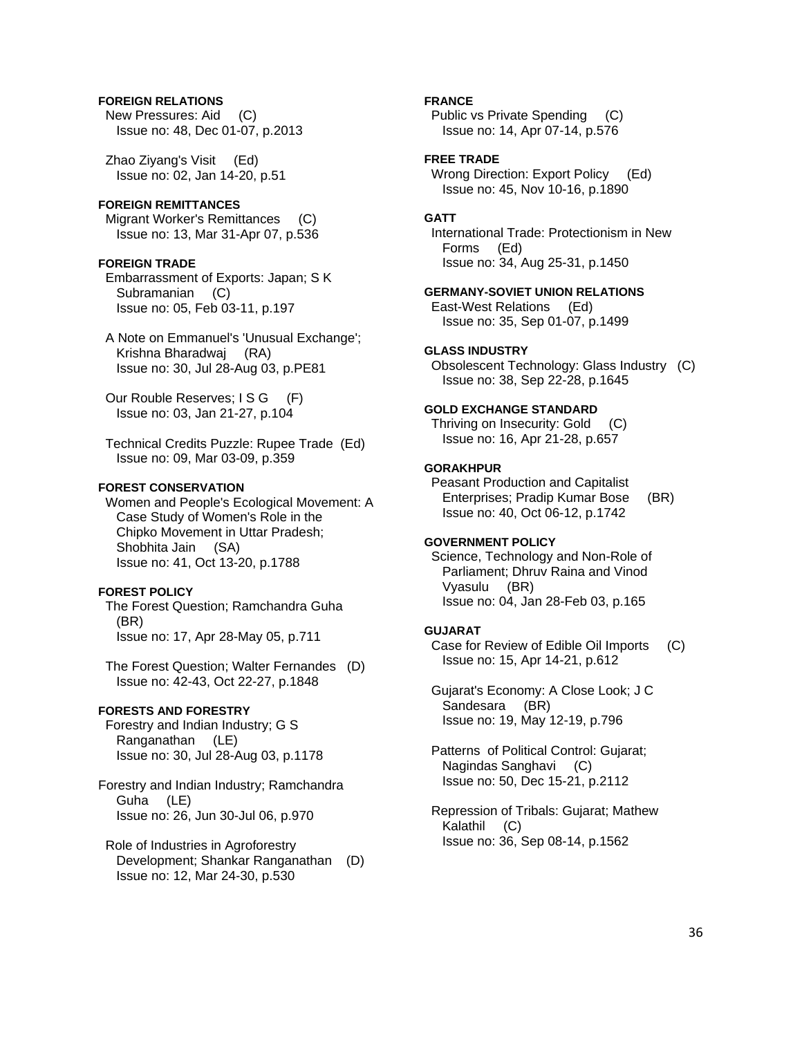# **FOREIGN RELATIONS**

 New Pressures: Aid (C) Issue no: 48, Dec 01-07, p.2013

 Zhao Ziyang's Visit (Ed) Issue no: 02, Jan 14-20, p.51

# **FOREIGN REMITTANCES**

 Migrant Worker's Remittances (C) Issue no: 13, Mar 31-Apr 07, p.536

#### **FOREIGN TRADE**

 Embarrassment of Exports: Japan; S K Subramanian (C) Issue no: 05, Feb 03-11, p.197

 A Note on Emmanuel's 'Unusual Exchange'; Krishna Bharadwaj (RA) Issue no: 30, Jul 28-Aug 03, p.PE81

Our Rouble Reserves; I S G (F) Issue no: 03, Jan 21-27, p.104

 Technical Credits Puzzle: Rupee Trade (Ed) Issue no: 09, Mar 03-09, p.359

### **FOREST CONSERVATION**

 Women and People's Ecological Movement: A Case Study of Women's Role in the Chipko Movement in Uttar Pradesh; Shobhita Jain (SA) Issue no: 41, Oct 13-20, p.1788

# **FOREST POLICY**

 The Forest Question; Ramchandra Guha (BR) Issue no: 17, Apr 28-May 05, p.711

 The Forest Question; Walter Fernandes (D) Issue no: 42-43, Oct 22-27, p.1848

#### **FORESTS AND FORESTRY**

 Forestry and Indian Industry; G S Ranganathan (LE) Issue no: 30, Jul 28-Aug 03, p.1178

Forestry and Indian Industry; Ramchandra Guha (LE) Issue no: 26, Jun 30-Jul 06, p.970

 Role of Industries in Agroforestry Development; Shankar Ranganathan (D) Issue no: 12, Mar 24-30, p.530

### **FRANCE**

 Public vs Private Spending (C) Issue no: 14, Apr 07-14, p.576

# **FREE TRADE**

Wrong Direction: Export Policy (Ed) Issue no: 45, Nov 10-16, p.1890

### **GATT**

 International Trade: Protectionism in New Forms (Ed) Issue no: 34, Aug 25-31, p.1450

### **GERMANY-SOVIET UNION RELATIONS**

 East-West Relations (Ed) Issue no: 35, Sep 01-07, p.1499

#### **GLASS INDUSTRY**

 Obsolescent Technology: Glass Industry (C) Issue no: 38, Sep 22-28, p.1645

#### **GOLD EXCHANGE STANDARD**

Thriving on Insecurity: Gold (C) Issue no: 16, Apr 21-28, p.657

# **GORAKHPUR**

 Peasant Production and Capitalist Enterprises; Pradip Kumar Bose (BR) Issue no: 40, Oct 06-12, p.1742

#### **GOVERNMENT POLICY**

 Science, Technology and Non-Role of Parliament; Dhruv Raina and Vinod Vyasulu (BR) Issue no: 04, Jan 28-Feb 03, p.165

#### **GUJARAT**

 Case for Review of Edible Oil Imports (C) Issue no: 15, Apr 14-21, p.612

 Gujarat's Economy: A Close Look; J C Sandesara (BR) Issue no: 19, May 12-19, p.796

 Patterns of Political Control: Gujarat; Nagindas Sanghavi (C) Issue no: 50, Dec 15-21, p.2112

 Repression of Tribals: Gujarat; Mathew Kalathil (C) Issue no: 36, Sep 08-14, p.1562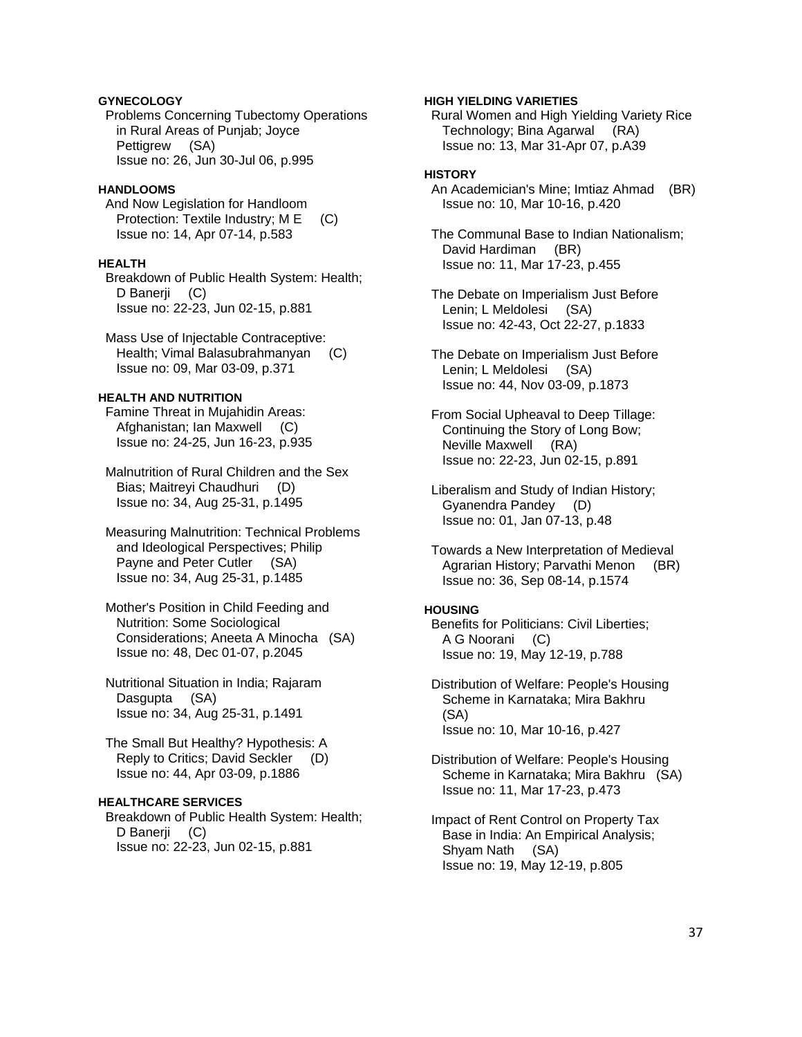# **GYNECOLOGY**

 Problems Concerning Tubectomy Operations in Rural Areas of Punjab; Joyce Pettigrew (SA) Issue no: 26, Jun 30-Jul 06, p.995

### **HANDLOOMS**

 And Now Legislation for Handloom Protection: Textile Industry; M E (C) Issue no: 14, Apr 07-14, p.583

# **HEALTH**

 Breakdown of Public Health System: Health; D Banerji (C) Issue no: 22-23, Jun 02-15, p.881

 Mass Use of Injectable Contraceptive: Health; Vimal Balasubrahmanyan (C) Issue no: 09, Mar 03-09, p.371

# **HEALTH AND NUTRITION**

 Famine Threat in Mujahidin Areas: Afghanistan; Ian Maxwell (C) Issue no: 24-25, Jun 16-23, p.935

 Malnutrition of Rural Children and the Sex Bias; Maitreyi Chaudhuri (D) Issue no: 34, Aug 25-31, p.1495

 Measuring Malnutrition: Technical Problems and Ideological Perspectives; Philip Payne and Peter Cutler (SA) Issue no: 34, Aug 25-31, p.1485

 Mother's Position in Child Feeding and Nutrition: Some Sociological Considerations; Aneeta A Minocha (SA) Issue no: 48, Dec 01-07, p.2045

 Nutritional Situation in India; Rajaram Dasgupta (SA) Issue no: 34, Aug 25-31, p.1491

 The Small But Healthy? Hypothesis: A Reply to Critics; David Seckler (D) Issue no: 44, Apr 03-09, p.1886

# **HEALTHCARE SERVICES**

 Breakdown of Public Health System: Health; D Banerji (C) Issue no: 22-23, Jun 02-15, p.881

## **HIGH YIELDING VARIETIES**

 Rural Women and High Yielding Variety Rice Technology; Bina Agarwal (RA) Issue no: 13, Mar 31-Apr 07, p.A39

# **HISTORY**

 An Academician's Mine; Imtiaz Ahmad (BR) Issue no: 10, Mar 10-16, p.420

 The Communal Base to Indian Nationalism; David Hardiman (BR) Issue no: 11, Mar 17-23, p.455

 The Debate on Imperialism Just Before Lenin; L Meldolesi (SA) Issue no: 42-43, Oct 22-27, p.1833

 The Debate on Imperialism Just Before Lenin; L Meldolesi (SA) Issue no: 44, Nov 03-09, p.1873

 From Social Upheaval to Deep Tillage: Continuing the Story of Long Bow; Neville Maxwell (RA) Issue no: 22-23, Jun 02-15, p.891

 Liberalism and Study of Indian History; Gyanendra Pandey (D) Issue no: 01, Jan 07-13, p.48

 Towards a New Interpretation of Medieval Agrarian History; Parvathi Menon (BR) Issue no: 36, Sep 08-14, p.1574

# **HOUSING**

 Benefits for Politicians: Civil Liberties; A G Noorani (C) Issue no: 19, May 12-19, p.788

 Distribution of Welfare: People's Housing Scheme in Karnataka; Mira Bakhru (SA) Issue no: 10, Mar 10-16, p.427

 Distribution of Welfare: People's Housing Scheme in Karnataka; Mira Bakhru (SA) Issue no: 11, Mar 17-23, p.473

 Impact of Rent Control on Property Tax Base in India: An Empirical Analysis; Shyam Nath (SA) Issue no: 19, May 12-19, p.805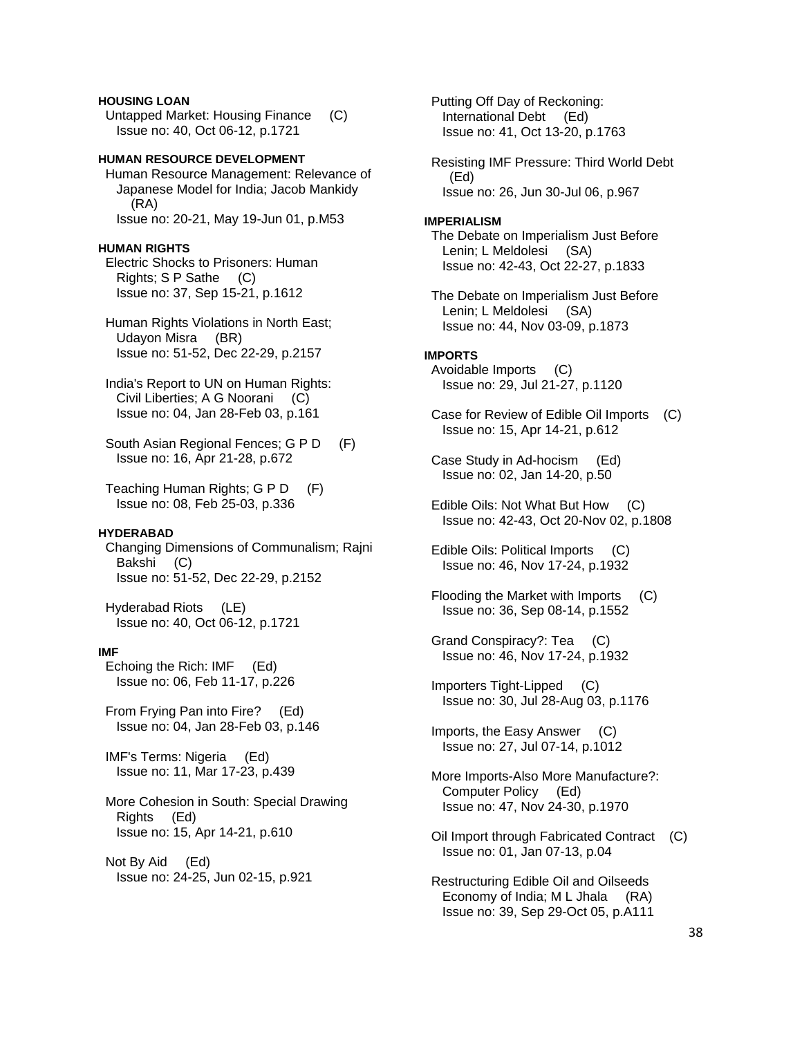# **HOUSING LOAN**

 Untapped Market: Housing Finance (C) Issue no: 40, Oct 06-12, p.1721

# **HUMAN RESOURCE DEVELOPMENT**

 Human Resource Management: Relevance of Japanese Model for India; Jacob Mankidy (RA) Issue no: 20-21, May 19-Jun 01, p.M53

### **HUMAN RIGHTS**

 Electric Shocks to Prisoners: Human Rights; S P Sathe (C) Issue no: 37, Sep 15-21, p.1612

 Human Rights Violations in North East; Udayon Misra (BR) Issue no: 51-52, Dec 22-29, p.2157

 India's Report to UN on Human Rights: Civil Liberties; A G Noorani (C) Issue no: 04, Jan 28-Feb 03, p.161

 South Asian Regional Fences; G P D (F) Issue no: 16, Apr 21-28, p.672

 Teaching Human Rights; G P D (F) Issue no: 08, Feb 25-03, p.336

### **HYDERABAD**

 Changing Dimensions of Communalism; Rajni Bakshi (C) Issue no: 51-52, Dec 22-29, p.2152

 Hyderabad Riots (LE) Issue no: 40, Oct 06-12, p.1721

#### **IMF**

 Echoing the Rich: IMF (Ed) Issue no: 06, Feb 11-17, p.226

 From Frying Pan into Fire? (Ed) Issue no: 04, Jan 28-Feb 03, p.146

 IMF's Terms: Nigeria (Ed) Issue no: 11, Mar 17-23, p.439

 More Cohesion in South: Special Drawing Rights (Ed) Issue no: 15, Apr 14-21, p.610

 Not By Aid (Ed) Issue no: 24-25, Jun 02-15, p.921

 Putting Off Day of Reckoning: International Debt (Ed) Issue no: 41, Oct 13-20, p.1763 Resisting IMF Pressure: Third World Debt (Ed) Issue no: 26, Jun 30-Jul 06, p.967 **IMPERIALISM**  The Debate on Imperialism Just Before Lenin; L Meldolesi (SA) Issue no: 42-43, Oct 22-27, p.1833 The Debate on Imperialism Just Before Lenin; L Meldolesi (SA) Issue no: 44, Nov 03-09, p.1873 **IMPORTS**  Avoidable Imports (C) Issue no: 29, Jul 21-27, p.1120 Case for Review of Edible Oil Imports (C) Issue no: 15, Apr 14-21, p.612 Case Study in Ad-hocism (Ed) Issue no: 02, Jan 14-20, p.50 Edible Oils: Not What But How (C) Issue no: 42-43, Oct 20-Nov 02, p.1808 Edible Oils: Political Imports (C) Issue no: 46, Nov 17-24, p.1932 Flooding the Market with Imports (C) Issue no: 36, Sep 08-14, p.1552 Grand Conspiracy?: Tea (C) Issue no: 46, Nov 17-24, p.1932 Importers Tight-Lipped (C) Issue no: 30, Jul 28-Aug 03, p.1176 Imports, the Easy Answer (C) Issue no: 27, Jul 07-14, p.1012 More Imports-Also More Manufacture?: Computer Policy (Ed) Issue no: 47, Nov 24-30, p.1970 Oil Import through Fabricated Contract (C) Issue no: 01, Jan 07-13, p.04 Restructuring Edible Oil and Oilseeds

 Economy of India; M L Jhala (RA) Issue no: 39, Sep 29-Oct 05, p.A111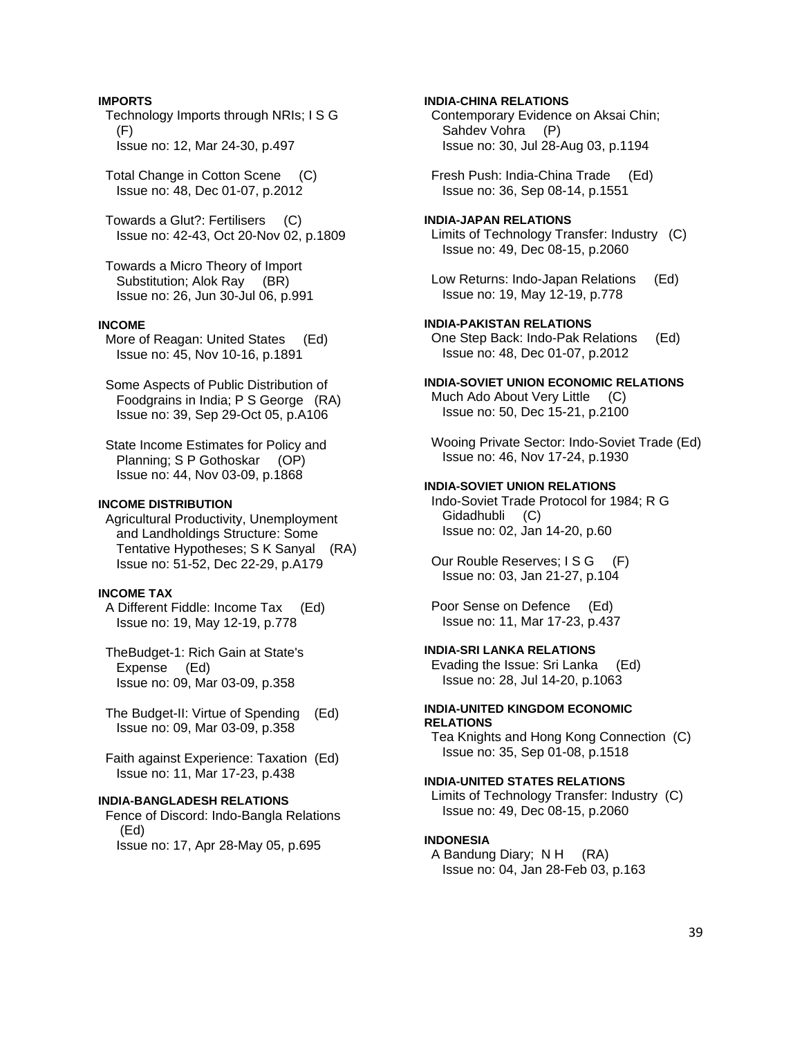### **IMPORTS**

 Technology Imports through NRIs; I S G (F) Issue no: 12, Mar 24-30, p.497

 Total Change in Cotton Scene (C) Issue no: 48, Dec 01-07, p.2012

 Towards a Glut?: Fertilisers (C) Issue no: 42-43, Oct 20-Nov 02, p.1809

 Towards a Micro Theory of Import Substitution; Alok Ray (BR) Issue no: 26, Jun 30-Jul 06, p.991

# **INCOME**

 More of Reagan: United States (Ed) Issue no: 45, Nov 10-16, p.1891

 Some Aspects of Public Distribution of Foodgrains in India; P S George (RA) Issue no: 39, Sep 29-Oct 05, p.A106

 State Income Estimates for Policy and Planning; S P Gothoskar (OP) Issue no: 44, Nov 03-09, p.1868

### **INCOME DISTRIBUTION**

 Agricultural Productivity, Unemployment and Landholdings Structure: Some Tentative Hypotheses; S K Sanyal (RA) Issue no: 51-52, Dec 22-29, p.A179

# **INCOME TAX**

 A Different Fiddle: Income Tax (Ed) Issue no: 19, May 12-19, p.778

- TheBudget-1: Rich Gain at State's Expense (Ed) Issue no: 09, Mar 03-09, p.358
- The Budget-II: Virtue of Spending (Ed) Issue no: 09, Mar 03-09, p.358
- Faith against Experience: Taxation (Ed) Issue no: 11, Mar 17-23, p.438

## **INDIA-BANGLADESH RELATIONS**

 Fence of Discord: Indo-Bangla Relations (Ed) Issue no: 17, Apr 28-May 05, p.695

**INDIA-CHINA RELATIONS**  Contemporary Evidence on Aksai Chin; Sahdev Vohra (P) Issue no: 30, Jul 28-Aug 03, p.1194

 Fresh Push: India-China Trade (Ed) Issue no: 36, Sep 08-14, p.1551

# **INDIA-JAPAN RELATIONS**

 Limits of Technology Transfer: Industry (C) Issue no: 49, Dec 08-15, p.2060

 Low Returns: Indo-Japan Relations (Ed) Issue no: 19, May 12-19, p.778

**INDIA-PAKISTAN RELATIONS**  One Step Back: Indo-Pak Relations (Ed) Issue no: 48, Dec 01-07, p.2012

**INDIA-SOVIET UNION ECONOMIC RELATIONS**  Much Ado About Very Little (C) Issue no: 50, Dec 15-21, p.2100

 Wooing Private Sector: Indo-Soviet Trade (Ed) Issue no: 46, Nov 17-24, p.1930

#### **INDIA-SOVIET UNION RELATIONS**

 Indo-Soviet Trade Protocol for 1984; R G Gidadhubli (C) Issue no: 02, Jan 14-20, p.60

Our Rouble Reserves; I S G (F) Issue no: 03, Jan 21-27, p.104

 Poor Sense on Defence (Ed) Issue no: 11, Mar 17-23, p.437

### **INDIA-SRI LANKA RELATIONS**

 Evading the Issue: Sri Lanka (Ed) Issue no: 28, Jul 14-20, p.1063

### **INDIA-UNITED KINGDOM ECONOMIC RELATIONS**

 Tea Knights and Hong Kong Connection (C) Issue no: 35, Sep 01-08, p.1518

### **INDIA-UNITED STATES RELATIONS**

 Limits of Technology Transfer: Industry (C) Issue no: 49, Dec 08-15, p.2060

### **INDONESIA**

 A Bandung Diary; N H (RA) Issue no: 04, Jan 28-Feb 03, p.163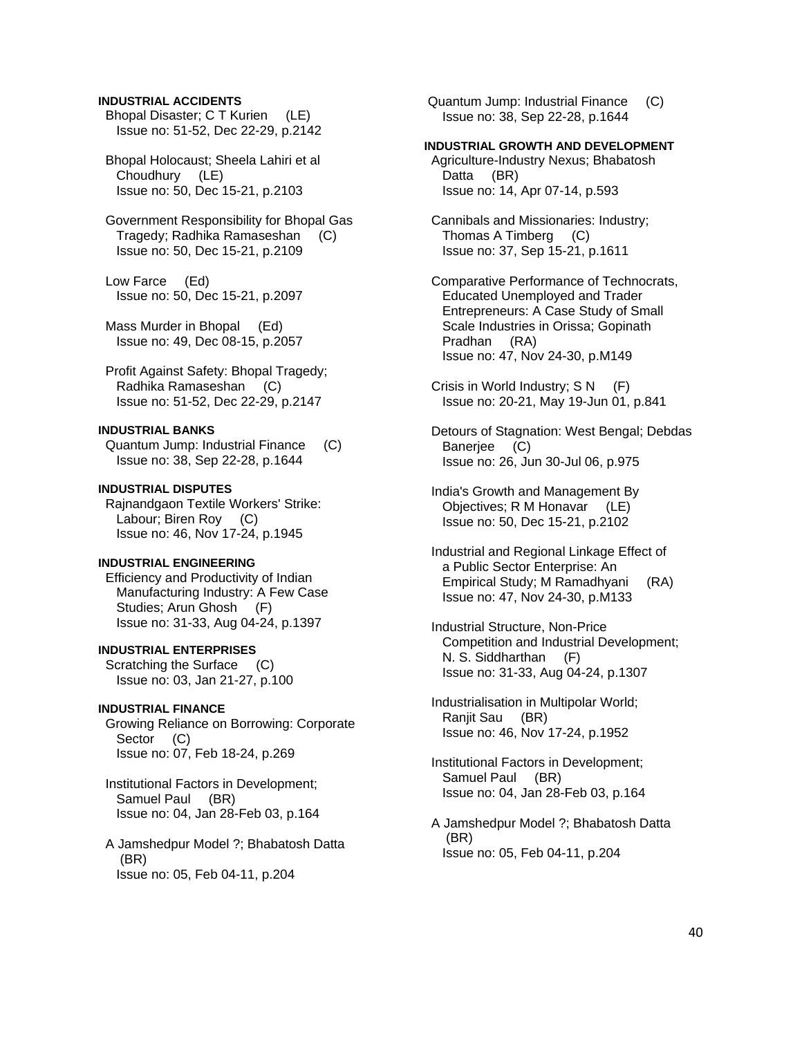## **INDUSTRIAL ACCIDENTS**

 Bhopal Disaster; C T Kurien (LE) Issue no: 51-52, Dec 22-29, p.2142

 Bhopal Holocaust; Sheela Lahiri et al Choudhury (LE) Issue no: 50, Dec 15-21, p.2103

 Government Responsibility for Bhopal Gas Tragedy; Radhika Ramaseshan (C) Issue no: 50, Dec 15-21, p.2109

 Low Farce (Ed) Issue no: 50, Dec 15-21, p.2097

 Mass Murder in Bhopal (Ed) Issue no: 49, Dec 08-15, p.2057

 Profit Against Safety: Bhopal Tragedy; Radhika Ramaseshan (C) Issue no: 51-52, Dec 22-29, p.2147

# **INDUSTRIAL BANKS**

 Quantum Jump: Industrial Finance (C) Issue no: 38, Sep 22-28, p.1644

# **INDUSTRIAL DISPUTES**

 Rajnandgaon Textile Workers' Strike: Labour; Biren Roy (C) Issue no: 46, Nov 17-24, p.1945

# **INDUSTRIAL ENGINEERING**

 Efficiency and Productivity of Indian Manufacturing Industry: A Few Case Studies; Arun Ghosh (F) Issue no: 31-33, Aug 04-24, p.1397

# **INDUSTRIAL ENTERPRISES**

 Scratching the Surface (C) Issue no: 03, Jan 21-27, p.100

### **INDUSTRIAL FINANCE**

 Growing Reliance on Borrowing: Corporate Sector (C) Issue no: 07, Feb 18-24, p.269

 Institutional Factors in Development; Samuel Paul (BR) Issue no: 04, Jan 28-Feb 03, p.164

 A Jamshedpur Model ?; Bhabatosh Datta (BR) Issue no: 05, Feb 04-11, p.204

 Quantum Jump: Industrial Finance (C) Issue no: 38, Sep 22-28, p.1644

### **INDUSTRIAL GROWTH AND DEVELOPMENT**

 Agriculture-Industry Nexus; Bhabatosh Datta (BR) Issue no: 14, Apr 07-14, p.593

 Cannibals and Missionaries: Industry; Thomas A Timberg (C) Issue no: 37, Sep 15-21, p.1611

 Comparative Performance of Technocrats, Educated Unemployed and Trader Entrepreneurs: A Case Study of Small Scale Industries in Orissa; Gopinath Pradhan (RA) Issue no: 47, Nov 24-30, p.M149

 Crisis in World Industry; S N (F) Issue no: 20-21, May 19-Jun 01, p.841

 Detours of Stagnation: West Bengal; Debdas Banerjee (C) Issue no: 26, Jun 30-Jul 06, p.975

 India's Growth and Management By Objectives; R M Honavar (LE) Issue no: 50, Dec 15-21, p.2102

 Industrial and Regional Linkage Effect of a Public Sector Enterprise: An Empirical Study; M Ramadhyani (RA) Issue no: 47, Nov 24-30, p.M133

 Industrial Structure, Non-Price Competition and Industrial Development; N. S. Siddharthan (F) Issue no: 31-33, Aug 04-24, p.1307

 Industrialisation in Multipolar World; Ranjit Sau (BR) Issue no: 46, Nov 17-24, p.1952

 Institutional Factors in Development; Samuel Paul (BR) Issue no: 04, Jan 28-Feb 03, p.164

 A Jamshedpur Model ?; Bhabatosh Datta (BR) Issue no: 05, Feb 04-11, p.204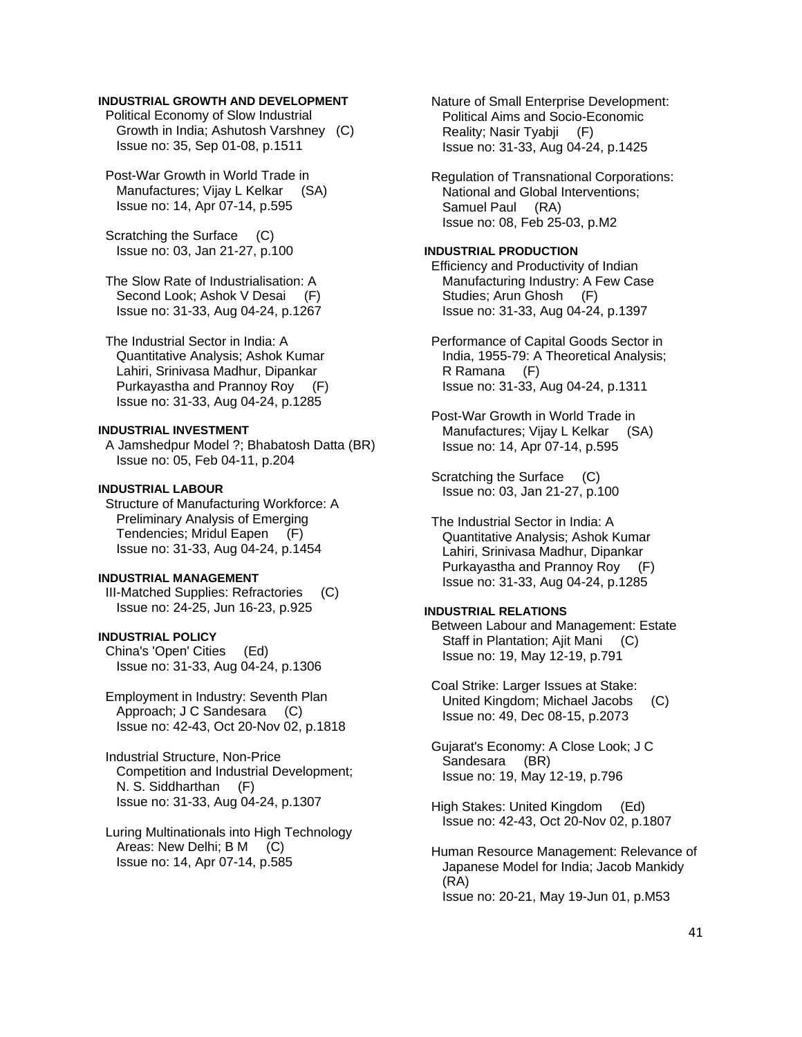# **INDUSTRIAL GROWTH AND DEVELOPMENT**

 Political Economy of Slow Industrial Growth in India; Ashutosh Varshney (C) Issue no: 35, Sep 01-08, p.1511

 Post-War Growth in World Trade in Manufactures: Vijay L Kelkar (SA) Issue no: 14, Apr 07-14, p.595

 Scratching the Surface (C) Issue no: 03, Jan 21-27, p.100

 The Slow Rate of Industrialisation: A Second Look; Ashok V Desai (F) Issue no: 31-33, Aug 04-24, p.1267

 The Industrial Sector in India: A Quantitative Analysis; Ashok Kumar Lahiri, Srinivasa Madhur, Dipankar Purkayastha and Prannoy Roy (F) Issue no: 31-33, Aug 04-24, p.1285

# **INDUSTRIAL INVESTMENT**

 A Jamshedpur Model ?; Bhabatosh Datta (BR) Issue no: 05, Feb 04-11, p.204

# **INDUSTRIAL LABOUR**

 Structure of Manufacturing Workforce: A Preliminary Analysis of Emerging Tendencies; Mridul Eapen (F) Issue no: 31-33, Aug 04-24, p.1454

# **INDUSTRIAL MANAGEMENT**

 III-Matched Supplies: Refractories (C) Issue no: 24-25, Jun 16-23, p.925

## **INDUSTRIAL POLICY**

 China's 'Open' Cities (Ed) Issue no: 31-33, Aug 04-24, p.1306

 Employment in Industry: Seventh Plan Approach; J C Sandesara (C) Issue no: 42-43, Oct 20-Nov 02, p.1818

 Industrial Structure, Non-Price Competition and Industrial Development; N. S. Siddharthan (F) Issue no: 31-33, Aug 04-24, p.1307

 Luring Multinationals into High Technology Areas: New Delhi; B M (C) Issue no: 14, Apr 07-14, p.585

 Nature of Small Enterprise Development: Political Aims and Socio-Economic Reality; Nasir Tyabji (F) Issue no: 31-33, Aug 04-24, p.1425

 Regulation of Transnational Corporations: National and Global Interventions; Samuel Paul (RA) Issue no: 08, Feb 25-03, p.M2

# **INDUSTRIAL PRODUCTION**

 Efficiency and Productivity of Indian Manufacturing Industry: A Few Case Studies; Arun Ghosh (F) Issue no: 31-33, Aug 04-24, p.1397

 Performance of Capital Goods Sector in India, 1955-79: A Theoretical Analysis; R Ramana (F) Issue no: 31-33, Aug 04-24, p.1311

 Post-War Growth in World Trade in Manufactures; Vijay L Kelkar (SA) Issue no: 14, Apr 07-14, p.595

 Scratching the Surface (C) Issue no: 03, Jan 21-27, p.100

 The Industrial Sector in India: A Quantitative Analysis; Ashok Kumar Lahiri, Srinivasa Madhur, Dipankar Purkayastha and Prannoy Roy (F) Issue no: 31-33, Aug 04-24, p.1285

# **INDUSTRIAL RELATIONS**

 Between Labour and Management: Estate Staff in Plantation; Ajit Mani (C) Issue no: 19, May 12-19, p.791

 Coal Strike: Larger Issues at Stake: United Kingdom; Michael Jacobs (C) Issue no: 49, Dec 08-15, p.2073

 Gujarat's Economy: A Close Look; J C Sandesara (BR) Issue no: 19, May 12-19, p.796

 High Stakes: United Kingdom (Ed) Issue no: 42-43, Oct 20-Nov 02, p.1807

 Human Resource Management: Relevance of Japanese Model for India; Jacob Mankidy (RA) Issue no: 20-21, May 19-Jun 01, p.M53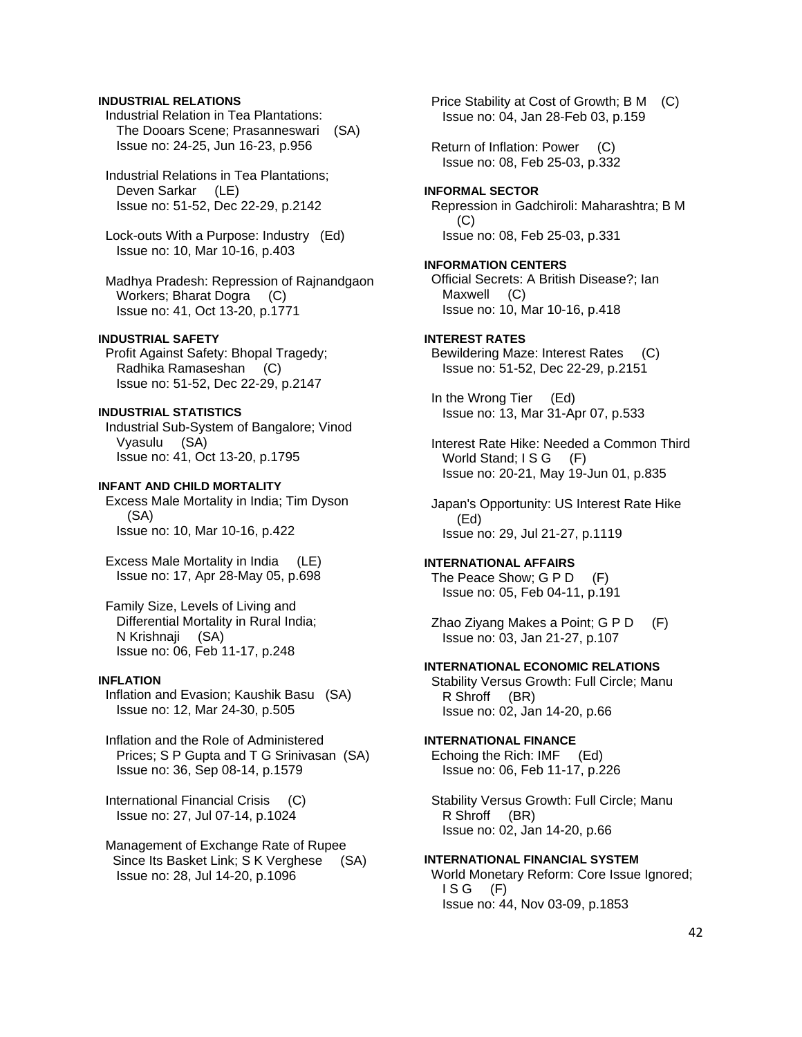# **INDUSTRIAL RELATIONS**

 Industrial Relation in Tea Plantations: The Dooars Scene; Prasanneswari (SA) Issue no: 24-25, Jun 16-23, p.956

 Industrial Relations in Tea Plantations; Deven Sarkar (LE) Issue no: 51-52, Dec 22-29, p.2142

 Lock-outs With a Purpose: Industry (Ed) Issue no: 10, Mar 10-16, p.403

 Madhya Pradesh: Repression of Rajnandgaon Workers; Bharat Dogra (C) Issue no: 41, Oct 13-20, p.1771

### **INDUSTRIAL SAFETY**

 Profit Against Safety: Bhopal Tragedy; Radhika Ramaseshan (C) Issue no: 51-52, Dec 22-29, p.2147

# **INDUSTRIAL STATISTICS**

 Industrial Sub-System of Bangalore; Vinod Vyasulu (SA) Issue no: 41, Oct 13-20, p.1795

### **INFANT AND CHILD MORTALITY**

 Excess Male Mortality in India; Tim Dyson (SA) Issue no: 10, Mar 10-16, p.422

 Excess Male Mortality in India (LE) Issue no: 17, Apr 28-May 05, p.698

 Family Size, Levels of Living and Differential Mortality in Rural India; N Krishnaji (SA) Issue no: 06, Feb 11-17, p.248

### **INFLATION**

 Inflation and Evasion; Kaushik Basu (SA) Issue no: 12, Mar 24-30, p.505

 Inflation and the Role of Administered Prices; S P Gupta and T G Srinivasan (SA) Issue no: 36, Sep 08-14, p.1579

 International Financial Crisis (C) Issue no: 27, Jul 07-14, p.1024

 Management of Exchange Rate of Rupee Since Its Basket Link; S K Verghese (SA) Issue no: 28, Jul 14-20, p.1096

 Price Stability at Cost of Growth; B M (C) Issue no: 04, Jan 28-Feb 03, p.159

 Return of Inflation: Power (C) Issue no: 08, Feb 25-03, p.332

**INFORMAL SECTOR**  Repression in Gadchiroli: Maharashtra; B M (C) Issue no: 08, Feb 25-03, p.331

**INFORMATION CENTERS**  Official Secrets: A British Disease?; Ian Maxwell (C) Issue no: 10, Mar 10-16, p.418

#### **INTEREST RATES**

 Bewildering Maze: Interest Rates (C) Issue no: 51-52, Dec 22-29, p.2151

 In the Wrong Tier (Ed) Issue no: 13, Mar 31-Apr 07, p.533

 Interest Rate Hike: Needed a Common Third World Stand; I S G (F) Issue no: 20-21, May 19-Jun 01, p.835

 Japan's Opportunity: US Interest Rate Hike (Ed) Issue no: 29, Jul 21-27, p.1119

# **INTERNATIONAL AFFAIRS**

The Peace Show: G P D (F) Issue no: 05, Feb 04-11, p.191

 Zhao Ziyang Makes a Point; G P D (F) Issue no: 03, Jan 21-27, p.107

#### **INTERNATIONAL ECONOMIC RELATIONS**

 Stability Versus Growth: Full Circle; Manu R Shroff (BR) Issue no: 02, Jan 14-20, p.66

# **INTERNATIONAL FINANCE**

 Echoing the Rich: IMF (Ed) Issue no: 06, Feb 11-17, p.226

 Stability Versus Growth: Full Circle; Manu R Shroff (BR) Issue no: 02, Jan 14-20, p.66

# **INTERNATIONAL FINANCIAL SYSTEM**

 World Monetary Reform: Core Issue Ignored;  $ISG$   $(F)$ Issue no: 44, Nov 03-09, p.1853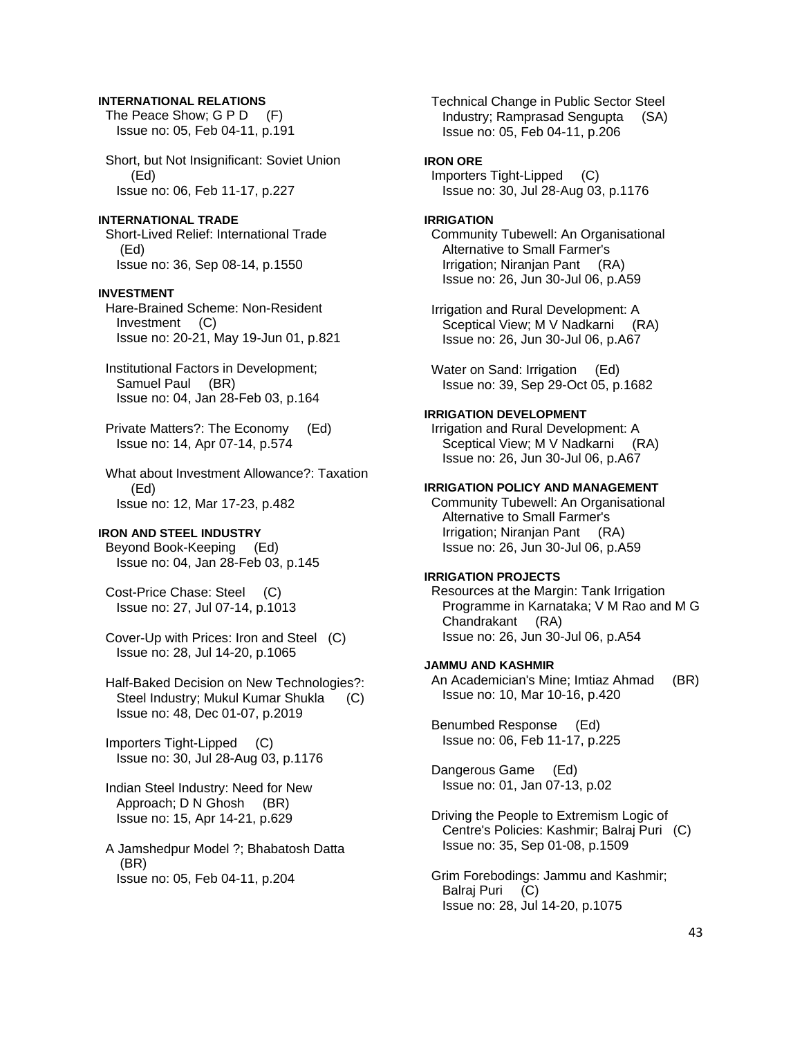### **INTERNATIONAL RELATIONS**

The Peace Show; G P D (F) Issue no: 05, Feb 04-11, p.191

 Short, but Not Insignificant: Soviet Union (Ed) Issue no: 06, Feb 11-17, p.227

# **INTERNATIONAL TRADE**

 Short-Lived Relief: International Trade (Ed) Issue no: 36, Sep 08-14, p.1550

#### **INVESTMENT**

 Hare-Brained Scheme: Non-Resident Investment (C) Issue no: 20-21, May 19-Jun 01, p.821

 Institutional Factors in Development; Samuel Paul (BR) Issue no: 04, Jan 28-Feb 03, p.164

 Private Matters?: The Economy (Ed) Issue no: 14, Apr 07-14, p.574

 What about Investment Allowance?: Taxation (Ed) Issue no: 12, Mar 17-23, p.482

### **IRON AND STEEL INDUSTRY**

 Beyond Book-Keeping (Ed) Issue no: 04, Jan 28-Feb 03, p.145

 Cost-Price Chase: Steel (C) Issue no: 27, Jul 07-14, p.1013

 Cover-Up with Prices: Iron and Steel (C) Issue no: 28, Jul 14-20, p.1065

 Half-Baked Decision on New Technologies?: Steel Industry; Mukul Kumar Shukla (C) Issue no: 48, Dec 01-07, p.2019

 Importers Tight-Lipped (C) Issue no: 30, Jul 28-Aug 03, p.1176

 Indian Steel Industry: Need for New Approach; D N Ghosh (BR) Issue no: 15, Apr 14-21, p.629

 A Jamshedpur Model ?; Bhabatosh Datta (BR) Issue no: 05, Feb 04-11, p.204

 Technical Change in Public Sector Steel Industry; Ramprasad Sengupta (SA) Issue no: 05, Feb 04-11, p.206

### **IRON ORE**

 Importers Tight-Lipped (C) Issue no: 30, Jul 28-Aug 03, p.1176

#### **IRRIGATION**

 Community Tubewell: An Organisational Alternative to Small Farmer's Irrigation; Niranjan Pant (RA) Issue no: 26, Jun 30-Jul 06, p.A59

 Irrigation and Rural Development: A Sceptical View; M V Nadkarni (RA) Issue no: 26, Jun 30-Jul 06, p.A67

Water on Sand: Irrigation (Ed) Issue no: 39, Sep 29-Oct 05, p.1682

### **IRRIGATION DEVELOPMENT**

 Irrigation and Rural Development: A Sceptical View; M V Nadkarni (RA) Issue no: 26, Jun 30-Jul 06, p.A67

### **IRRIGATION POLICY AND MANAGEMENT**

 Community Tubewell: An Organisational Alternative to Small Farmer's Irrigation; Niranjan Pant (RA) Issue no: 26, Jun 30-Jul 06, p.A59

# **IRRIGATION PROJECTS**

 Resources at the Margin: Tank Irrigation Programme in Karnataka; V M Rao and M G Chandrakant (RA) Issue no: 26, Jun 30-Jul 06, p.A54

### **JAMMU AND KASHMIR**

 An Academician's Mine; Imtiaz Ahmad (BR) Issue no: 10, Mar 10-16, p.420

 Benumbed Response (Ed) Issue no: 06, Feb 11-17, p.225

 Dangerous Game (Ed) Issue no: 01, Jan 07-13, p.02

 Driving the People to Extremism Logic of Centre's Policies: Kashmir; Balraj Puri (C) Issue no: 35, Sep 01-08, p.1509

 Grim Forebodings: Jammu and Kashmir; Balraj Puri (C) Issue no: 28, Jul 14-20, p.1075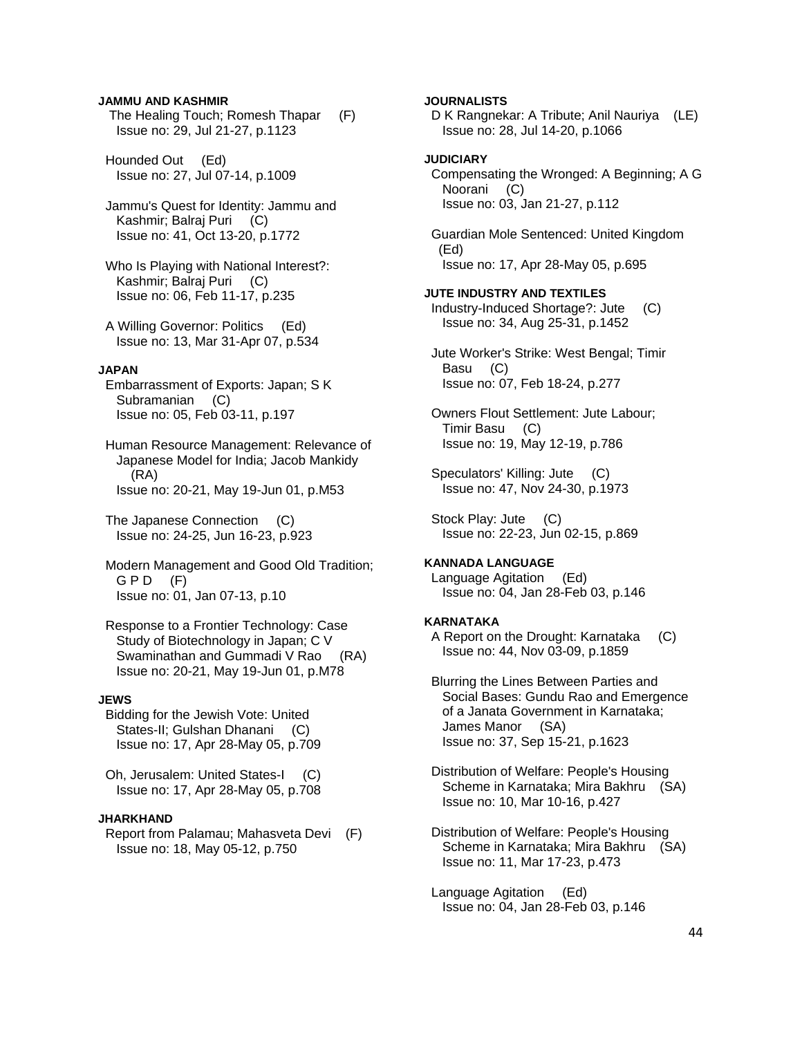### **JAMMU AND KASHMIR**

 The Healing Touch; Romesh Thapar (F) Issue no: 29, Jul 21-27, p.1123

 Hounded Out (Ed) Issue no: 27, Jul 07-14, p.1009

 Jammu's Quest for Identity: Jammu and Kashmir; Balraj Puri (C) Issue no: 41, Oct 13-20, p.1772

 Who Is Playing with National Interest?: Kashmir; Balraj Puri (C) Issue no: 06, Feb 11-17, p.235

 A Willing Governor: Politics (Ed) Issue no: 13, Mar 31-Apr 07, p.534

### **JAPAN**

 Embarrassment of Exports: Japan; S K Subramanian (C) Issue no: 05, Feb 03-11, p.197

 Human Resource Management: Relevance of Japanese Model for India; Jacob Mankidy (RA) Issue no: 20-21, May 19-Jun 01, p.M53

 The Japanese Connection (C) Issue no: 24-25, Jun 16-23, p.923

 Modern Management and Good Old Tradition;  $G$  P D  $(F)$ Issue no: 01, Jan 07-13, p.10

 Response to a Frontier Technology: Case Study of Biotechnology in Japan; C V Swaminathan and Gummadi V Rao (RA) Issue no: 20-21, May 19-Jun 01, p.M78

### **JEWS**

 Bidding for the Jewish Vote: United States-II; Gulshan Dhanani (C) Issue no: 17, Apr 28-May 05, p.709

 Oh, Jerusalem: United States-I (C) Issue no: 17, Apr 28-May 05, p.708

#### **JHARKHAND**

 Report from Palamau; Mahasveta Devi (F) Issue no: 18, May 05-12, p.750

## **JOURNALISTS**

 D K Rangnekar: A Tribute; Anil Nauriya (LE) Issue no: 28, Jul 14-20, p.1066

## **JUDICIARY**

 Compensating the Wronged: A Beginning; A G Noorani (C) Issue no: 03, Jan 21-27, p.112

 Guardian Mole Sentenced: United Kingdom (Ed) Issue no: 17, Apr 28-May 05, p.695

#### **JUTE INDUSTRY AND TEXTILES**

 Industry-Induced Shortage?: Jute (C) Issue no: 34, Aug 25-31, p.1452

 Jute Worker's Strike: West Bengal; Timir Basu (C) Issue no: 07, Feb 18-24, p.277

 Owners Flout Settlement: Jute Labour; Timir Basu (C) Issue no: 19, May 12-19, p.786

 Speculators' Killing: Jute (C) Issue no: 47, Nov 24-30, p.1973

 Stock Play: Jute (C) Issue no: 22-23, Jun 02-15, p.869

### **KANNADA LANGUAGE**

 Language Agitation (Ed) Issue no: 04, Jan 28-Feb 03, p.146

#### **KARNATAKA**

 A Report on the Drought: Karnataka (C) Issue no: 44, Nov 03-09, p.1859

 Blurring the Lines Between Parties and Social Bases: Gundu Rao and Emergence of a Janata Government in Karnataka; James Manor (SA) Issue no: 37, Sep 15-21, p.1623

 Distribution of Welfare: People's Housing Scheme in Karnataka; Mira Bakhru (SA) Issue no: 10, Mar 10-16, p.427

 Distribution of Welfare: People's Housing Scheme in Karnataka; Mira Bakhru (SA) Issue no: 11, Mar 17-23, p.473

 Language Agitation (Ed) Issue no: 04, Jan 28-Feb 03, p.146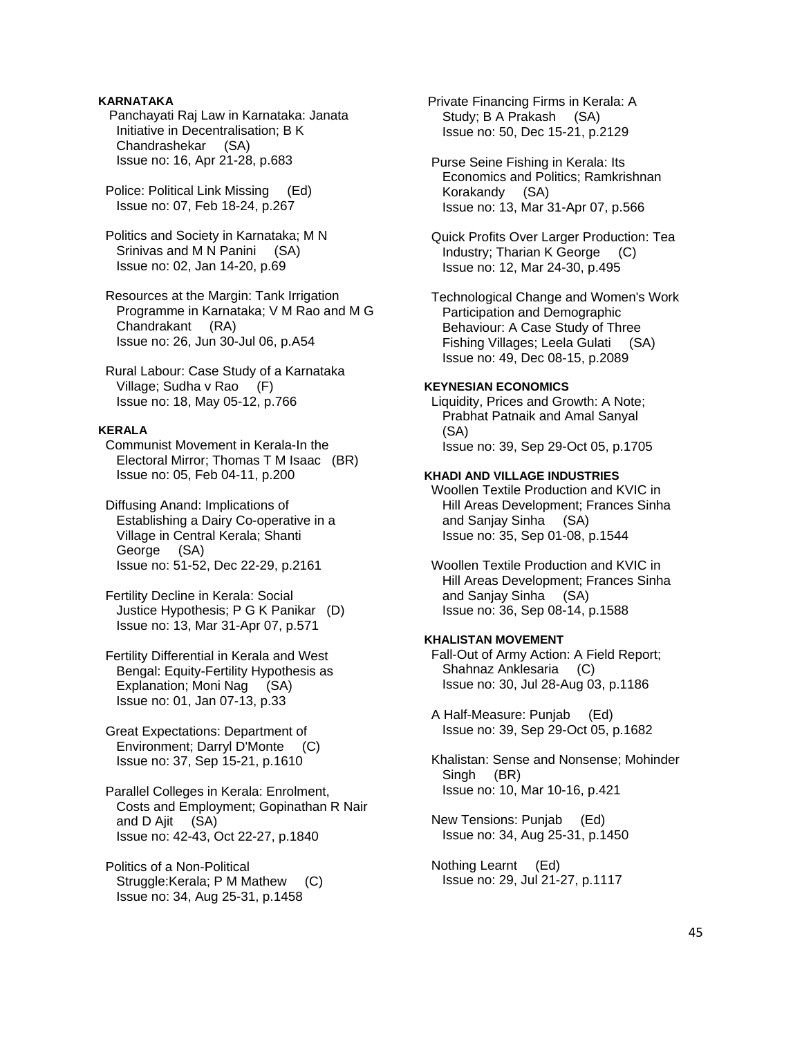# **KARNATAKA**

 Panchayati Raj Law in Karnataka: Janata Initiative in Decentralisation; B K Chandrashekar (SA) Issue no: 16, Apr 21-28, p.683

 Police: Political Link Missing (Ed) Issue no: 07, Feb 18-24, p.267

 Politics and Society in Karnataka; M N Srinivas and M N Panini (SA) Issue no: 02, Jan 14-20, p.69

 Resources at the Margin: Tank Irrigation Programme in Karnataka; V M Rao and M G Chandrakant (RA) Issue no: 26, Jun 30-Jul 06, p.A54

 Rural Labour: Case Study of a Karnataka Village; Sudha v Rao (F) Issue no: 18, May 05-12, p.766

# **KERALA**

 Communist Movement in Kerala-In the Electoral Mirror; Thomas T M Isaac (BR) Issue no: 05, Feb 04-11, p.200

 Diffusing Anand: Implications of Establishing a Dairy Co-operative in a Village in Central Kerala; Shanti George (SA) Issue no: 51-52, Dec 22-29, p.2161

 Fertility Decline in Kerala: Social Justice Hypothesis; P G K Panikar (D) Issue no: 13, Mar 31-Apr 07, p.571

 Fertility Differential in Kerala and West Bengal: Equity-Fertility Hypothesis as Explanation; Moni Nag (SA) Issue no: 01, Jan 07-13, p.33

 Great Expectations: Department of Environment; Darryl D'Monte (C) Issue no: 37, Sep 15-21, p.1610

 Parallel Colleges in Kerala: Enrolment, Costs and Employment; Gopinathan R Nair and D Ajit (SA) Issue no: 42-43, Oct 22-27, p.1840

 Politics of a Non-Political Struggle:Kerala; P M Mathew (C) Issue no: 34, Aug 25-31, p.1458

 Private Financing Firms in Kerala: A Study; B A Prakash (SA) Issue no: 50, Dec 15-21, p.2129

 Purse Seine Fishing in Kerala: Its Economics and Politics; Ramkrishnan Korakandy (SA) Issue no: 13, Mar 31-Apr 07, p.566

 Quick Profits Over Larger Production: Tea Industry; Tharian K George (C) Issue no: 12, Mar 24-30, p.495

 Technological Change and Women's Work Participation and Demographic Behaviour: A Case Study of Three Fishing Villages; Leela Gulati (SA) Issue no: 49, Dec 08-15, p.2089

#### **KEYNESIAN ECONOMICS**

 Liquidity, Prices and Growth: A Note; Prabhat Patnaik and Amal Sanyal (SA) Issue no: 39, Sep 29-Oct 05, p.1705

### **KHADI AND VILLAGE INDUSTRIES**

 Woollen Textile Production and KVIC in Hill Areas Development; Frances Sinha and Sanjay Sinha (SA) Issue no: 35, Sep 01-08, p.1544

 Woollen Textile Production and KVIC in Hill Areas Development; Frances Sinha and Sanjay Sinha (SA) Issue no: 36, Sep 08-14, p.1588

# **KHALISTAN MOVEMENT**

 Fall-Out of Army Action: A Field Report; Shahnaz Anklesaria (C) Issue no: 30, Jul 28-Aug 03, p.1186

 A Half-Measure: Punjab (Ed) Issue no: 39, Sep 29-Oct 05, p.1682

 Khalistan: Sense and Nonsense; Mohinder Singh (BR) Issue no: 10, Mar 10-16, p.421

 New Tensions: Punjab (Ed) Issue no: 34, Aug 25-31, p.1450

 Nothing Learnt (Ed) Issue no: 29, Jul 21-27, p.1117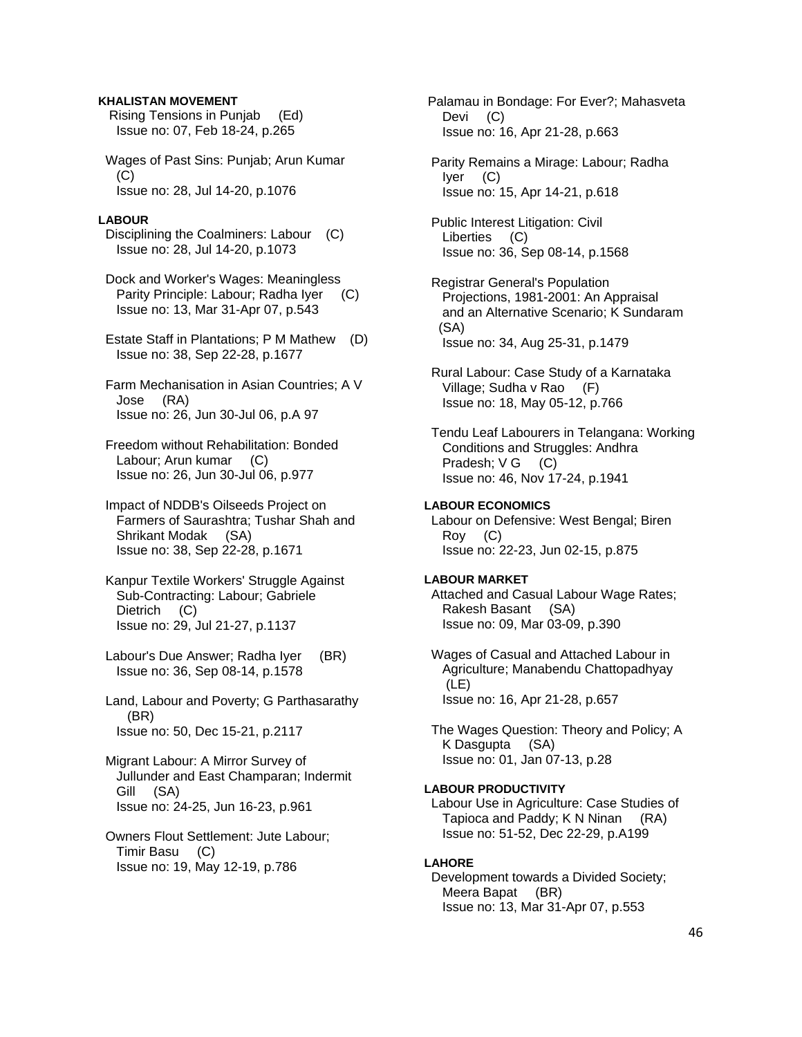### **KHALISTAN MOVEMENT**

 Rising Tensions in Punjab (Ed) Issue no: 07, Feb 18-24, p.265

 Wages of Past Sins: Punjab; Arun Kumar (C) Issue no: 28, Jul 14-20, p.1076

### **LABOUR**

 Disciplining the Coalminers: Labour (C) Issue no: 28, Jul 14-20, p.1073

 Dock and Worker's Wages: Meaningless Parity Principle: Labour; Radha Iyer (C) Issue no: 13, Mar 31-Apr 07, p.543

 Estate Staff in Plantations; P M Mathew (D) Issue no: 38, Sep 22-28, p.1677

 Farm Mechanisation in Asian Countries; A V Jose (RA) Issue no: 26, Jun 30-Jul 06, p.A 97

 Freedom without Rehabilitation: Bonded Labour: Arun kumar (C) Issue no: 26, Jun 30-Jul 06, p.977

 Impact of NDDB's Oilseeds Project on Farmers of Saurashtra; Tushar Shah and Shrikant Modak (SA) Issue no: 38, Sep 22-28, p.1671

 Kanpur Textile Workers' Struggle Against Sub-Contracting: Labour; Gabriele Dietrich (C) Issue no: 29, Jul 21-27, p.1137

 Labour's Due Answer; Radha Iyer (BR) Issue no: 36, Sep 08-14, p.1578

 Land, Labour and Poverty; G Parthasarathy (BR) Issue no: 50, Dec 15-21, p.2117

 Migrant Labour: A Mirror Survey of Jullunder and East Champaran; Indermit Gill (SA) Issue no: 24-25, Jun 16-23, p.961

 Owners Flout Settlement: Jute Labour; Timir Basu (C) Issue no: 19, May 12-19, p.786

 Palamau in Bondage: For Ever?; Mahasveta Devi (C) Issue no: 16, Apr 21-28, p.663

 Parity Remains a Mirage: Labour; Radha Iyer (C) Issue no: 15, Apr 14-21, p.618

 Public Interest Litigation: Civil Liberties (C) Issue no: 36, Sep 08-14, p.1568

 Registrar General's Population Projections, 1981-2001: An Appraisal and an Alternative Scenario; K Sundaram (SA) Issue no: 34, Aug 25-31, p.1479

 Rural Labour: Case Study of a Karnataka Village; Sudha v Rao (F) Issue no: 18, May 05-12, p.766

 Tendu Leaf Labourers in Telangana: Working Conditions and Struggles: Andhra Pradesh; V G (C) Issue no: 46, Nov 17-24, p.1941

# **LABOUR ECONOMICS**

 Labour on Defensive: West Bengal; Biren Roy (C) Issue no: 22-23, Jun 02-15, p.875

#### **LABOUR MARKET**

 Attached and Casual Labour Wage Rates; Rakesh Basant (SA) Issue no: 09, Mar 03-09, p.390

 Wages of Casual and Attached Labour in Agriculture; Manabendu Chattopadhyay (LE) Issue no: 16, Apr 21-28, p.657

 The Wages Question: Theory and Policy; A K Dasgupta (SA) Issue no: 01, Jan 07-13, p.28

# **LABOUR PRODUCTIVITY**

 Labour Use in Agriculture: Case Studies of Tapioca and Paddy; K N Ninan (RA) Issue no: 51-52, Dec 22-29, p.A199

### **LAHORE**

 Development towards a Divided Society; Meera Bapat (BR) Issue no: 13, Mar 31-Apr 07, p.553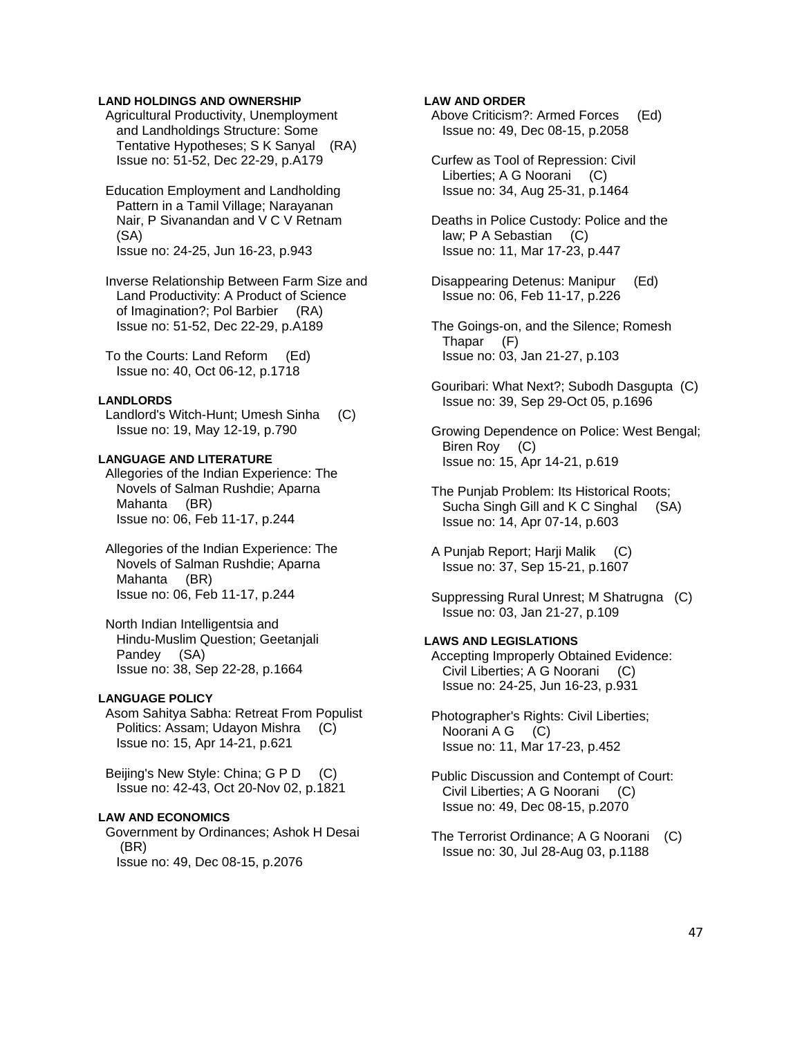### **LAND HOLDINGS AND OWNERSHIP**

 Agricultural Productivity, Unemployment and Landholdings Structure: Some Tentative Hypotheses; S K Sanyal (RA) Issue no: 51-52, Dec 22-29, p.A179

 Education Employment and Landholding Pattern in a Tamil Village; Narayanan Nair, P Sivanandan and V C V Retnam (SA) Issue no: 24-25, Jun 16-23, p.943

 Inverse Relationship Between Farm Size and Land Productivity: A Product of Science of Imagination?; Pol Barbier (RA) Issue no: 51-52, Dec 22-29, p.A189

 To the Courts: Land Reform (Ed) Issue no: 40, Oct 06-12, p.1718

#### **LANDLORDS**

 Landlord's Witch-Hunt; Umesh Sinha (C) Issue no: 19, May 12-19, p.790

## **LANGUAGE AND LITERATURE**

 Allegories of the Indian Experience: The Novels of Salman Rushdie; Aparna Mahanta (BR) Issue no: 06, Feb 11-17, p.244

- Allegories of the Indian Experience: The Novels of Salman Rushdie; Aparna Mahanta (BR) Issue no: 06, Feb 11-17, p.244
- North Indian Intelligentsia and Hindu-Muslim Question; Geetanjali Pandey (SA) Issue no: 38, Sep 22-28, p.1664

# **LANGUAGE POLICY**

 Asom Sahitya Sabha: Retreat From Populist Politics: Assam; Udayon Mishra (C) Issue no: 15, Apr 14-21, p.621

 Beijing's New Style: China; G P D (C) Issue no: 42-43, Oct 20-Nov 02, p.1821

#### **LAW AND ECONOMICS**

 Government by Ordinances; Ashok H Desai (BR) Issue no: 49, Dec 08-15, p.2076

# **LAW AND ORDER**

 Above Criticism?: Armed Forces (Ed) Issue no: 49, Dec 08-15, p.2058

 Curfew as Tool of Repression: Civil Liberties; A G Noorani (C) Issue no: 34, Aug 25-31, p.1464

 Deaths in Police Custody: Police and the law; P A Sebastian (C) Issue no: 11, Mar 17-23, p.447

 Disappearing Detenus: Manipur (Ed) Issue no: 06, Feb 11-17, p.226

 The Goings-on, and the Silence; Romesh Thapar (F) Issue no: 03, Jan 21-27, p.103

 Gouribari: What Next?; Subodh Dasgupta (C) Issue no: 39, Sep 29-Oct 05, p.1696

 Growing Dependence on Police: West Bengal; Biren Roy (C) Issue no: 15, Apr 14-21, p.619

 The Punjab Problem: Its Historical Roots; Sucha Singh Gill and K C Singhal (SA) Issue no: 14, Apr 07-14, p.603

 A Punjab Report; Harji Malik (C) Issue no: 37, Sep 15-21, p.1607

 Suppressing Rural Unrest; M Shatrugna (C) Issue no: 03, Jan 21-27, p.109

# **LAWS AND LEGISLATIONS**

 Accepting Improperly Obtained Evidence: Civil Liberties; A G Noorani (C) Issue no: 24-25, Jun 16-23, p.931

 Photographer's Rights: Civil Liberties; Noorani A G (C) Issue no: 11, Mar 17-23, p.452

 Public Discussion and Contempt of Court: Civil Liberties; A G Noorani (C) Issue no: 49, Dec 08-15, p.2070

 The Terrorist Ordinance; A G Noorani (C) Issue no: 30, Jul 28-Aug 03, p.1188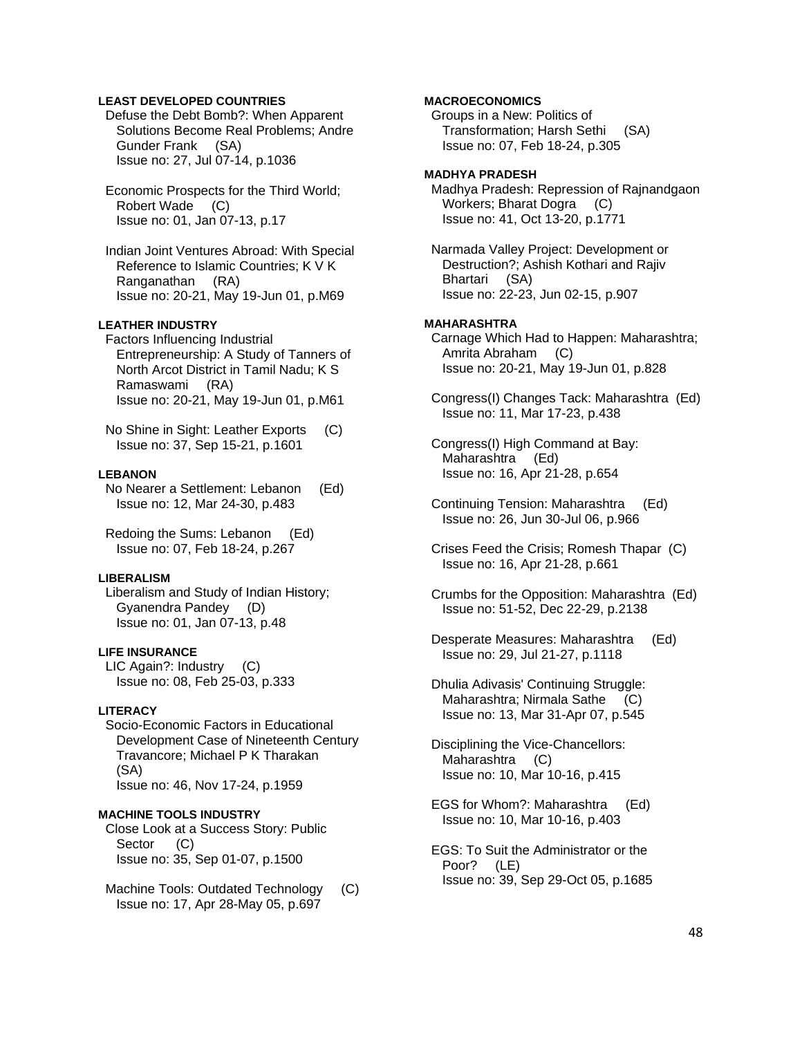## **LEAST DEVELOPED COUNTRIES**

 Defuse the Debt Bomb?: When Apparent Solutions Become Real Problems; Andre Gunder Frank (SA) Issue no: 27, Jul 07-14, p.1036

 Economic Prospects for the Third World; Robert Wade (C) Issue no: 01, Jan 07-13, p.17

 Indian Joint Ventures Abroad: With Special Reference to Islamic Countries; K V K Ranganathan (RA) Issue no: 20-21, May 19-Jun 01, p.M69

# **LEATHER INDUSTRY**

 Factors Influencing Industrial Entrepreneurship: A Study of Tanners of North Arcot District in Tamil Nadu; K S Ramaswami (RA) Issue no: 20-21, May 19-Jun 01, p.M61

 No Shine in Sight: Leather Exports (C) Issue no: 37, Sep 15-21, p.1601

# **LEBANON**

 No Nearer a Settlement: Lebanon (Ed) Issue no: 12, Mar 24-30, p.483

 Redoing the Sums: Lebanon (Ed) Issue no: 07, Feb 18-24, p.267

### **LIBERALISM**

 Liberalism and Study of Indian History; Gyanendra Pandey (D) Issue no: 01, Jan 07-13, p.48

# **LIFE INSURANCE**

 LIC Again?: Industry (C) Issue no: 08, Feb 25-03, p.333

### **LITERACY**

 Socio-Economic Factors in Educational Development Case of Nineteenth Century Travancore; Michael P K Tharakan (SA) Issue no: 46, Nov 17-24, p.1959

# **MACHINE TOOLS INDUSTRY**

 Close Look at a Success Story: Public Sector (C) Issue no: 35, Sep 01-07, p.1500

Machine Tools: Outdated Technology (C) Issue no: 17, Apr 28-May 05, p.697

# **MACROECONOMICS**

 Groups in a New: Politics of Transformation; Harsh Sethi (SA) Issue no: 07, Feb 18-24, p.305

### **MADHYA PRADESH**

 Madhya Pradesh: Repression of Rajnandgaon Workers; Bharat Dogra (C) Issue no: 41, Oct 13-20, p.1771

 Narmada Valley Project: Development or Destruction?; Ashish Kothari and Rajiv Bhartari (SA) Issue no: 22-23, Jun 02-15, p.907

#### **MAHARASHTRA**

 Carnage Which Had to Happen: Maharashtra; Amrita Abraham (C) Issue no: 20-21, May 19-Jun 01, p.828

 Congress(I) Changes Tack: Maharashtra (Ed) Issue no: 11, Mar 17-23, p.438

 Congress(I) High Command at Bay: Maharashtra (Ed) Issue no: 16, Apr 21-28, p.654

 Continuing Tension: Maharashtra (Ed) Issue no: 26, Jun 30-Jul 06, p.966

 Crises Feed the Crisis; Romesh Thapar (C) Issue no: 16, Apr 21-28, p.661

 Crumbs for the Opposition: Maharashtra (Ed) Issue no: 51-52, Dec 22-29, p.2138

 Desperate Measures: Maharashtra (Ed) Issue no: 29, Jul 21-27, p.1118

 Dhulia Adivasis' Continuing Struggle: Maharashtra; Nirmala Sathe (C) Issue no: 13, Mar 31-Apr 07, p.545

 Disciplining the Vice-Chancellors: Maharashtra (C) Issue no: 10, Mar 10-16, p.415

 EGS for Whom?: Maharashtra (Ed) Issue no: 10, Mar 10-16, p.403

 EGS: To Suit the Administrator or the Poor? (LE) Issue no: 39, Sep 29-Oct 05, p.1685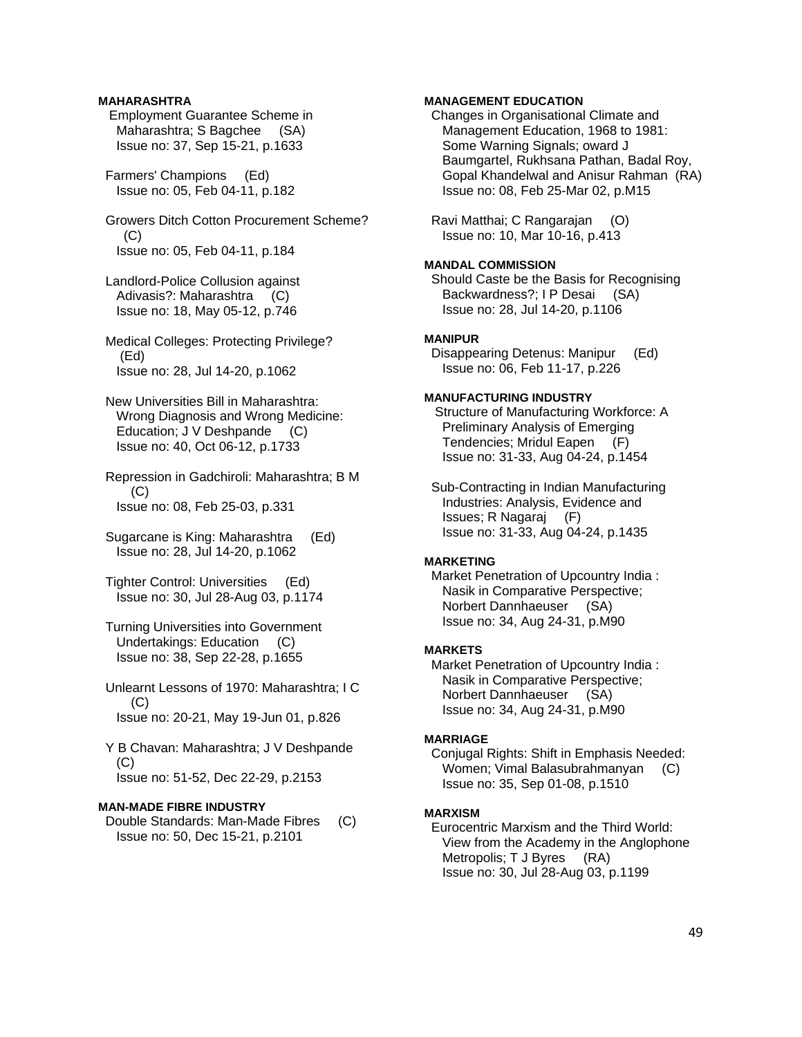# **MAHARASHTRA**

 Employment Guarantee Scheme in Maharashtra; S Bagchee (SA) Issue no: 37, Sep 15-21, p.1633

 Farmers' Champions (Ed) Issue no: 05, Feb 04-11, p.182

# Growers Ditch Cotton Procurement Scheme?  $(C)$ Issue no: 05, Feb 04-11, p.184

 Landlord-Police Collusion against Adivasis?: Maharashtra (C) Issue no: 18, May 05-12, p.746

 Medical Colleges: Protecting Privilege? (Ed) Issue no: 28, Jul 14-20, p.1062

 New Universities Bill in Maharashtra: Wrong Diagnosis and Wrong Medicine: Education; J V Deshpande (C) Issue no: 40, Oct 06-12, p.1733

 Repression in Gadchiroli: Maharashtra; B M  $(C)$ Issue no: 08, Feb 25-03, p.331

 Sugarcane is King: Maharashtra (Ed) Issue no: 28, Jul 14-20, p.1062

 Tighter Control: Universities (Ed) Issue no: 30, Jul 28-Aug 03, p.1174

 Turning Universities into Government Undertakings: Education (C) Issue no: 38, Sep 22-28, p.1655

 Unlearnt Lessons of 1970: Maharashtra; I C (C) Issue no: 20-21, May 19-Jun 01, p.826

 Y B Chavan: Maharashtra; J V Deshpande (C) Issue no: 51-52, Dec 22-29, p.2153

# **MAN-MADE FIBRE INDUSTRY**

 Double Standards: Man-Made Fibres (C) Issue no: 50, Dec 15-21, p.2101

# **MANAGEMENT EDUCATION**

 Changes in Organisational Climate and Management Education, 1968 to 1981: Some Warning Signals; oward J Baumgartel, Rukhsana Pathan, Badal Roy, Gopal Khandelwal and Anisur Rahman (RA) Issue no: 08, Feb 25-Mar 02, p.M15

 Ravi Matthai; C Rangarajan (O) Issue no: 10, Mar 10-16, p.413

# **MANDAL COMMISSION**

 Should Caste be the Basis for Recognising Backwardness?; I P Desai (SA) Issue no: 28, Jul 14-20, p.1106

# **MANIPUR**

 Disappearing Detenus: Manipur (Ed) Issue no: 06, Feb 11-17, p.226

# **MANUFACTURING INDUSTRY**

 Structure of Manufacturing Workforce: A Preliminary Analysis of Emerging Tendencies; Mridul Eapen (F) Issue no: 31-33, Aug 04-24, p.1454

 Sub-Contracting in Indian Manufacturing Industries: Analysis, Evidence and Issues; R Nagaraj (F) Issue no: 31-33, Aug 04-24, p.1435

# **MARKETING**

 Market Penetration of Upcountry India : Nasik in Comparative Perspective; Norbert Dannhaeuser (SA) Issue no: 34, Aug 24-31, p.M90

# **MARKETS**

 Market Penetration of Upcountry India : Nasik in Comparative Perspective; Norbert Dannhaeuser (SA) Issue no: 34, Aug 24-31, p.M90

# **MARRIAGE**

 Conjugal Rights: Shift in Emphasis Needed: Women; Vimal Balasubrahmanyan (C) Issue no: 35, Sep 01-08, p.1510

# **MARXISM**

 Eurocentric Marxism and the Third World: View from the Academy in the Anglophone Metropolis; T J Byres (RA) Issue no: 30, Jul 28-Aug 03, p.1199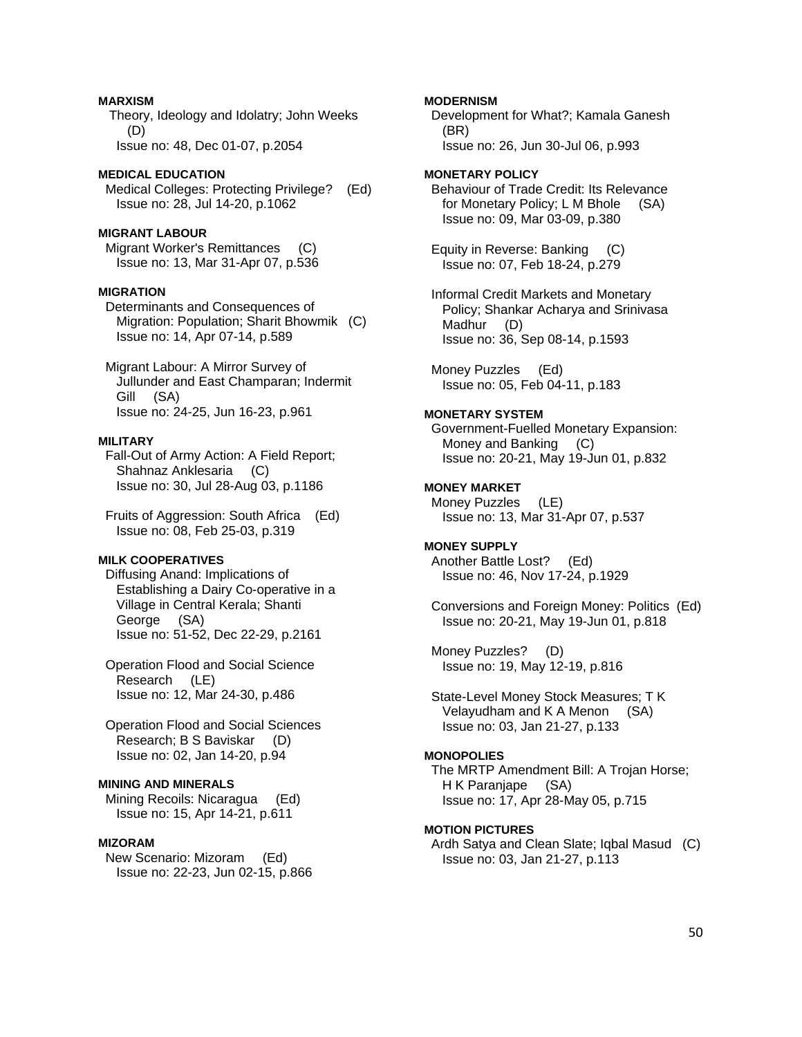# **MARXISM**

 Theory, Ideology and Idolatry; John Weeks (D) Issue no: 48, Dec 01-07, p.2054

# **MEDICAL EDUCATION**  Medical Colleges: Protecting Privilege? (Ed) Issue no: 28, Jul 14-20, p.1062

# **MIGRANT LABOUR**

 Migrant Worker's Remittances (C) Issue no: 13, Mar 31-Apr 07, p.536

# **MIGRATION**

 Determinants and Consequences of Migration: Population; Sharit Bhowmik (C) Issue no: 14, Apr 07-14, p.589

 Migrant Labour: A Mirror Survey of Jullunder and East Champaran; Indermit Gill (SA) Issue no: 24-25, Jun 16-23, p.961

# **MILITARY**

 Fall-Out of Army Action: A Field Report; Shahnaz Anklesaria (C) Issue no: 30, Jul 28-Aug 03, p.1186

 Fruits of Aggression: South Africa (Ed) Issue no: 08, Feb 25-03, p.319

# **MILK COOPERATIVES**

 Diffusing Anand: Implications of Establishing a Dairy Co-operative in a Village in Central Kerala; Shanti George (SA) Issue no: 51-52, Dec 22-29, p.2161

 Operation Flood and Social Science Research (LE) Issue no: 12, Mar 24-30, p.486

 Operation Flood and Social Sciences Research; B S Baviskar (D) Issue no: 02, Jan 14-20, p.94

# **MINING AND MINERALS**

 Mining Recoils: Nicaragua (Ed) Issue no: 15, Apr 14-21, p.611

# **MIZORAM**

 New Scenario: Mizoram (Ed) Issue no: 22-23, Jun 02-15, p.866 **MODERNISM** 

 Development for What?; Kamala Ganesh (BR) Issue no: 26, Jun 30-Jul 06, p.993

**MONETARY POLICY**  Behaviour of Trade Credit: Its Relevance for Monetary Policy; L M Bhole (SA) Issue no: 09, Mar 03-09, p.380

 Equity in Reverse: Banking (C) Issue no: 07, Feb 18-24, p.279

 Informal Credit Markets and Monetary Policy; Shankar Acharya and Srinivasa Madhur (D) Issue no: 36, Sep 08-14, p.1593

 Money Puzzles (Ed) Issue no: 05, Feb 04-11, p.183

# **MONETARY SYSTEM**

 Government-Fuelled Monetary Expansion: Money and Banking (C) Issue no: 20-21, May 19-Jun 01, p.832

# **MONEY MARKET**

 Money Puzzles (LE) Issue no: 13, Mar 31-Apr 07, p.537

### **MONEY SUPPLY**

 Another Battle Lost? (Ed) Issue no: 46, Nov 17-24, p.1929

 Conversions and Foreign Money: Politics (Ed) Issue no: 20-21, May 19-Jun 01, p.818

 Money Puzzles? (D) Issue no: 19, May 12-19, p.816

 State-Level Money Stock Measures; T K Velayudham and K A Menon (SA) Issue no: 03, Jan 21-27, p.133

# **MONOPOLIES**

 The MRTP Amendment Bill: A Trojan Horse; H K Paranjape (SA) Issue no: 17, Apr 28-May 05, p.715

# **MOTION PICTURES**

 Ardh Satya and Clean Slate; Iqbal Masud (C) Issue no: 03, Jan 21-27, p.113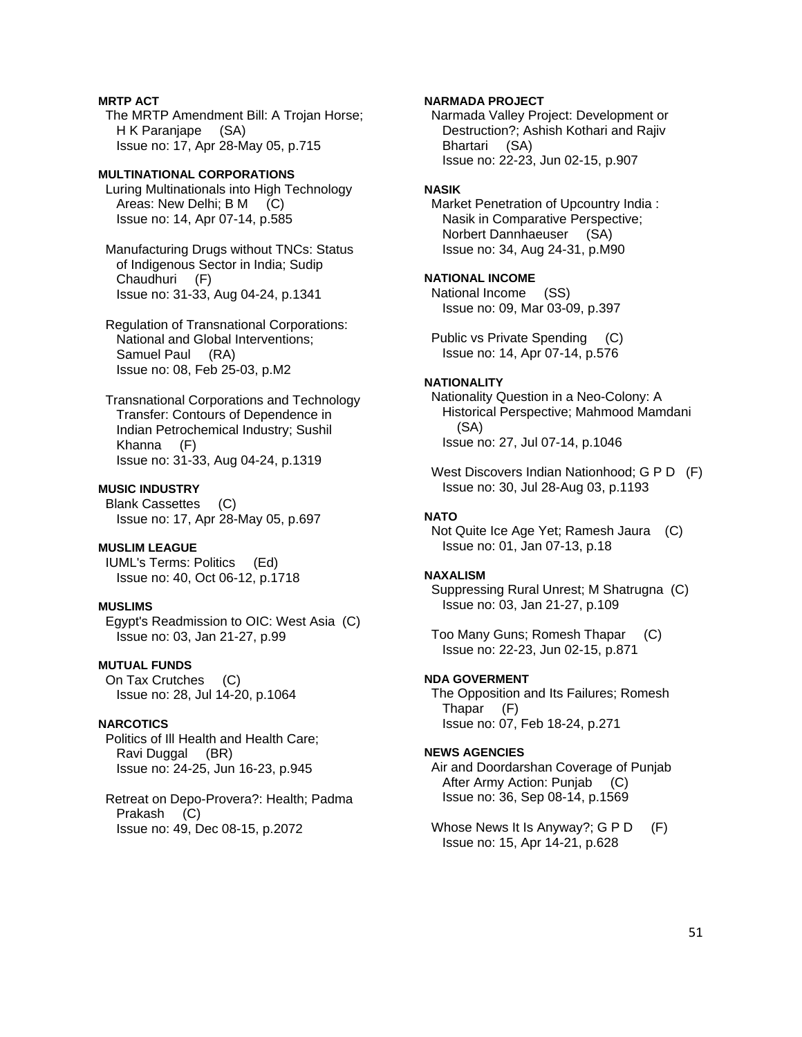# **MRTP ACT**

 The MRTP Amendment Bill: A Trojan Horse; H K Paranjape (SA) Issue no: 17, Apr 28-May 05, p.715

# **MULTINATIONAL CORPORATIONS**

 Luring Multinationals into High Technology Areas: New Delhi; B M (C) Issue no: 14, Apr 07-14, p.585

 Manufacturing Drugs without TNCs: Status of Indigenous Sector in India; Sudip Chaudhuri (F) Issue no: 31-33, Aug 04-24, p.1341

 Regulation of Transnational Corporations: National and Global Interventions; Samuel Paul (RA) Issue no: 08, Feb 25-03, p.M2

 Transnational Corporations and Technology Transfer: Contours of Dependence in Indian Petrochemical Industry; Sushil Khanna (F) Issue no: 31-33, Aug 04-24, p.1319

# **MUSIC INDUSTRY**

 Blank Cassettes (C) Issue no: 17, Apr 28-May 05, p.697

# **MUSLIM LEAGUE**

 IUML's Terms: Politics (Ed) Issue no: 40, Oct 06-12, p.1718

#### **MUSLIMS**

 Egypt's Readmission to OIC: West Asia (C) Issue no: 03, Jan 21-27, p.99

# **MUTUAL FUNDS**

 On Tax Crutches (C) Issue no: 28, Jul 14-20, p.1064

# **NARCOTICS**

 Politics of Ill Health and Health Care; Ravi Duggal (BR) Issue no: 24-25, Jun 16-23, p.945

 Retreat on Depo-Provera?: Health; Padma Prakash (C) Issue no: 49, Dec 08-15, p.2072

## **NARMADA PROJECT**

 Narmada Valley Project: Development or Destruction?; Ashish Kothari and Rajiv Bhartari (SA) Issue no: 22-23, Jun 02-15, p.907

#### **NASIK**

 Market Penetration of Upcountry India : Nasik in Comparative Perspective; Norbert Dannhaeuser (SA) Issue no: 34, Aug 24-31, p.M90

#### **NATIONAL INCOME**

 National Income (SS) Issue no: 09, Mar 03-09, p.397

 Public vs Private Spending (C) Issue no: 14, Apr 07-14, p.576

### **NATIONALITY**

 Nationality Question in a Neo-Colony: A Historical Perspective; Mahmood Mamdani (SA) Issue no: 27, Jul 07-14, p.1046

West Discovers Indian Nationhood; G P D (F) Issue no: 30, Jul 28-Aug 03, p.1193

### **NATO**

 Not Quite Ice Age Yet; Ramesh Jaura (C) Issue no: 01, Jan 07-13, p.18

#### **NAXALISM**

 Suppressing Rural Unrest; M Shatrugna (C) Issue no: 03, Jan 21-27, p.109

 Too Many Guns; Romesh Thapar (C) Issue no: 22-23, Jun 02-15, p.871

# **NDA GOVERMENT**

 The Opposition and Its Failures; Romesh Thapar (F) Issue no: 07, Feb 18-24, p.271

### **NEWS AGENCIES**

 Air and Doordarshan Coverage of Punjab After Army Action: Punjab (C) Issue no: 36, Sep 08-14, p.1569

Whose News It Is Anyway?; G P D (F) Issue no: 15, Apr 14-21, p.628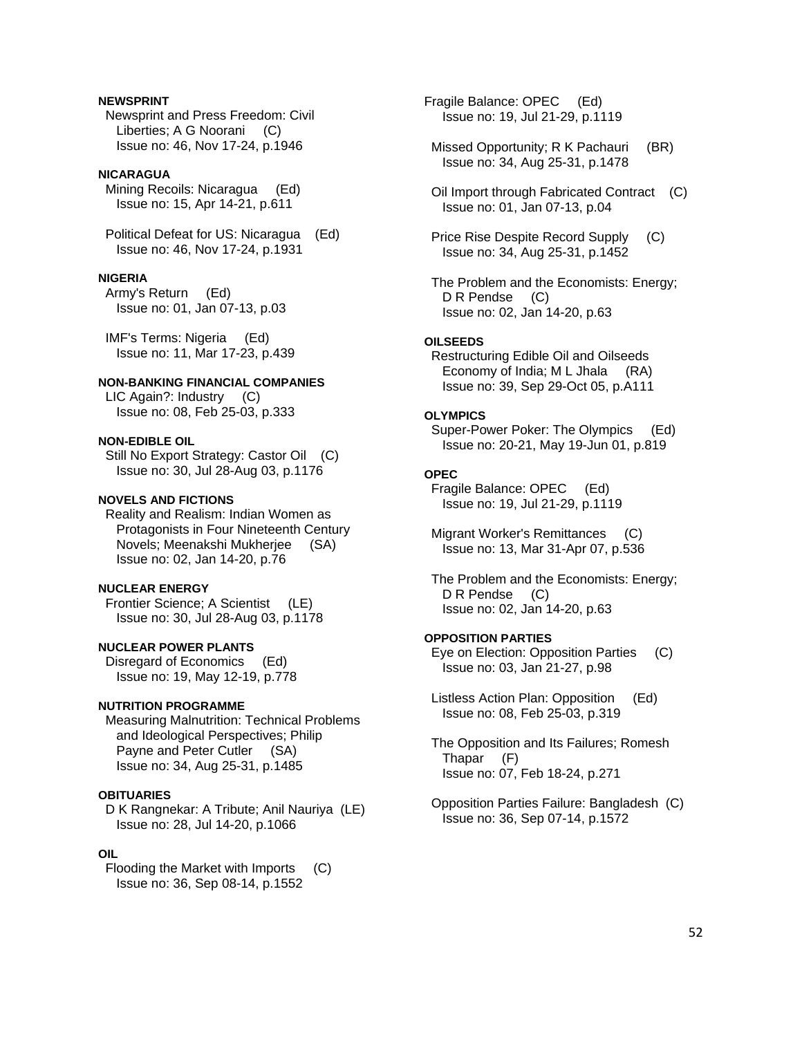# **NEWSPRINT**

 Newsprint and Press Freedom: Civil Liberties; A G Noorani (C) Issue no: 46, Nov 17-24, p.1946

### **NICARAGUA**

 Mining Recoils: Nicaragua (Ed) Issue no: 15, Apr 14-21, p.611

 Political Defeat for US: Nicaragua (Ed) Issue no: 46, Nov 17-24, p.1931

#### **NIGERIA**

 Army's Return (Ed) Issue no: 01, Jan 07-13, p.03

 IMF's Terms: Nigeria (Ed) Issue no: 11, Mar 17-23, p.439

# **NON-BANKING FINANCIAL COMPANIES**

 LIC Again?: Industry (C) Issue no: 08, Feb 25-03, p.333

### **NON-EDIBLE OIL**

 Still No Export Strategy: Castor Oil (C) Issue no: 30, Jul 28-Aug 03, p.1176

# **NOVELS AND FICTIONS**

 Reality and Realism: Indian Women as Protagonists in Four Nineteenth Century Novels; Meenakshi Mukherjee (SA) Issue no: 02, Jan 14-20, p.76

#### **NUCLEAR ENERGY**

 Frontier Science; A Scientist (LE) Issue no: 30, Jul 28-Aug 03, p.1178

# **NUCLEAR POWER PLANTS**

 Disregard of Economics (Ed) Issue no: 19, May 12-19, p.778

# **NUTRITION PROGRAMME**

 Measuring Malnutrition: Technical Problems and Ideological Perspectives; Philip Payne and Peter Cutler (SA) Issue no: 34, Aug 25-31, p.1485

### **OBITUARIES**

 D K Rangnekar: A Tribute; Anil Nauriya (LE) Issue no: 28, Jul 14-20, p.1066

#### **OIL**

 Flooding the Market with Imports (C) Issue no: 36, Sep 08-14, p.1552

Fragile Balance: OPEC (Ed) Issue no: 19, Jul 21-29, p.1119

Missed Opportunity; R K Pachauri (BR) Issue no: 34, Aug 25-31, p.1478

 Oil Import through Fabricated Contract (C) Issue no: 01, Jan 07-13, p.04

 Price Rise Despite Record Supply (C) Issue no: 34, Aug 25-31, p.1452

 The Problem and the Economists: Energy; D R Pendse (C) Issue no: 02, Jan 14-20, p.63

#### **OILSEEDS**

 Restructuring Edible Oil and Oilseeds Economy of India; M L Jhala (RA) Issue no: 39, Sep 29-Oct 05, p.A111

### **OLYMPICS**

 Super-Power Poker: The Olympics (Ed) Issue no: 20-21, May 19-Jun 01, p.819

# **OPEC**

 Fragile Balance: OPEC (Ed) Issue no: 19, Jul 21-29, p.1119

 Migrant Worker's Remittances (C) Issue no: 13, Mar 31-Apr 07, p.536

 The Problem and the Economists: Energy; D R Pendse (C) Issue no: 02, Jan 14-20, p.63

## **OPPOSITION PARTIES**

 Eye on Election: Opposition Parties (C) Issue no: 03, Jan 21-27, p.98

 Listless Action Plan: Opposition (Ed) Issue no: 08, Feb 25-03, p.319

 The Opposition and Its Failures; Romesh Thapar (F) Issue no: 07, Feb 18-24, p.271

 Opposition Parties Failure: Bangladesh (C) Issue no: 36, Sep 07-14, p.1572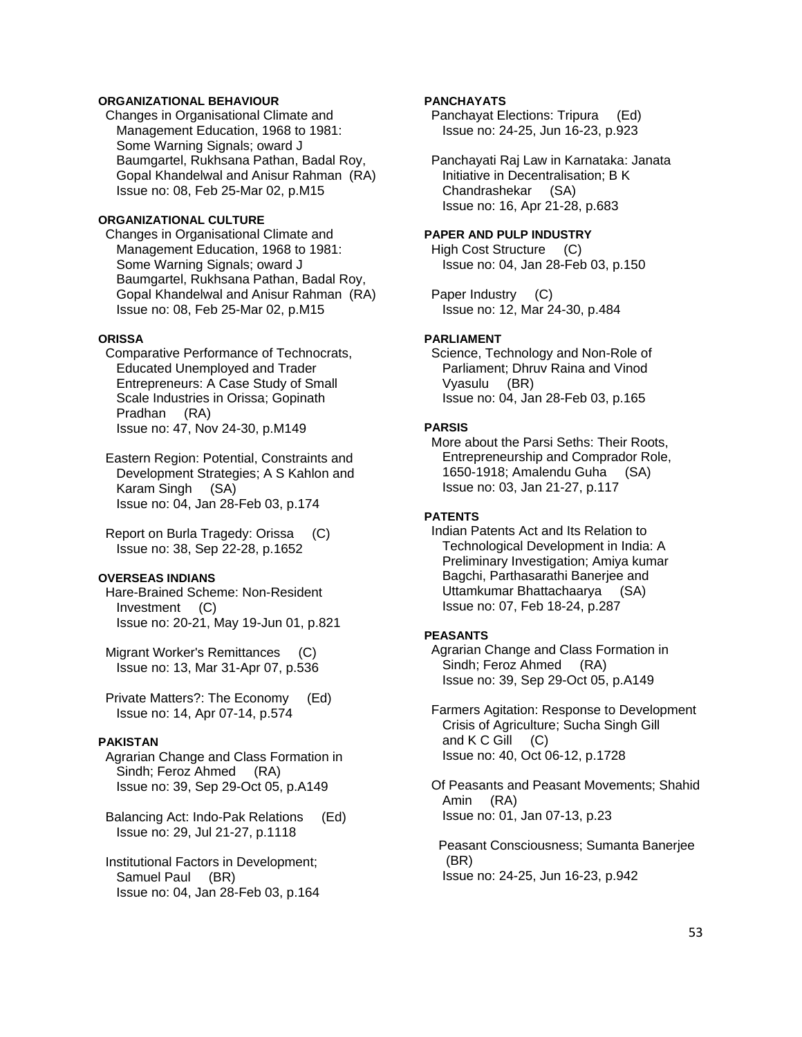# **ORGANIZATIONAL BEHAVIOUR**

 Changes in Organisational Climate and Management Education, 1968 to 1981: Some Warning Signals; oward J Baumgartel, Rukhsana Pathan, Badal Roy, Gopal Khandelwal and Anisur Rahman (RA) Issue no: 08, Feb 25-Mar 02, p.M15

# **ORGANIZATIONAL CULTURE**

 Changes in Organisational Climate and Management Education, 1968 to 1981: Some Warning Signals; oward J Baumgartel, Rukhsana Pathan, Badal Roy, Gopal Khandelwal and Anisur Rahman (RA) Issue no: 08, Feb 25-Mar 02, p.M15

# **ORISSA**

- Comparative Performance of Technocrats, Educated Unemployed and Trader Entrepreneurs: A Case Study of Small Scale Industries in Orissa; Gopinath Pradhan (RA) Issue no: 47, Nov 24-30, p.M149
- Eastern Region: Potential, Constraints and Development Strategies; A S Kahlon and Karam Singh (SA) Issue no: 04, Jan 28-Feb 03, p.174
- Report on Burla Tragedy: Orissa (C) Issue no: 38, Sep 22-28, p.1652

# **OVERSEAS INDIANS**

- Hare-Brained Scheme: Non-Resident Investment (C) Issue no: 20-21, May 19-Jun 01, p.821
- Migrant Worker's Remittances (C) Issue no: 13, Mar 31-Apr 07, p.536
- Private Matters?: The Economy (Ed) Issue no: 14, Apr 07-14, p.574

### **PAKISTAN**

- Agrarian Change and Class Formation in Sindh; Feroz Ahmed (RA) Issue no: 39, Sep 29-Oct 05, p.A149
- Balancing Act: Indo-Pak Relations (Ed) Issue no: 29, Jul 21-27, p.1118
- Institutional Factors in Development; Samuel Paul (BR) Issue no: 04, Jan 28-Feb 03, p.164

# **PANCHAYATS**

 Panchayat Elections: Tripura (Ed) Issue no: 24-25, Jun 16-23, p.923

 Panchayati Raj Law in Karnataka: Janata Initiative in Decentralisation; B K Chandrashekar (SA) Issue no: 16, Apr 21-28, p.683

#### **PAPER AND PULP INDUSTRY**

 High Cost Structure (C) Issue no: 04, Jan 28-Feb 03, p.150

 Paper Industry (C) Issue no: 12, Mar 24-30, p.484

#### **PARLIAMENT**

 Science, Technology and Non-Role of Parliament; Dhruv Raina and Vinod Vyasulu (BR) Issue no: 04, Jan 28-Feb 03, p.165

### **PARSIS**

 More about the Parsi Seths: Their Roots, Entrepreneurship and Comprador Role, 1650-1918; Amalendu Guha (SA) Issue no: 03, Jan 21-27, p.117

#### **PATENTS**

 Indian Patents Act and Its Relation to Technological Development in India: A Preliminary Investigation; Amiya kumar Bagchi, Parthasarathi Banerjee and Uttamkumar Bhattachaarya (SA) Issue no: 07, Feb 18-24, p.287

### **PEASANTS**

 Agrarian Change and Class Formation in Sindh; Feroz Ahmed (RA) Issue no: 39, Sep 29-Oct 05, p.A149

 Farmers Agitation: Response to Development Crisis of Agriculture; Sucha Singh Gill and  $K \, C \, G$ ill  $(C)$ Issue no: 40, Oct 06-12, p.1728

 Of Peasants and Peasant Movements; Shahid Amin (RA) Issue no: 01, Jan 07-13, p.23

 Peasant Consciousness; Sumanta Banerjee (BR) Issue no: 24-25, Jun 16-23, p.942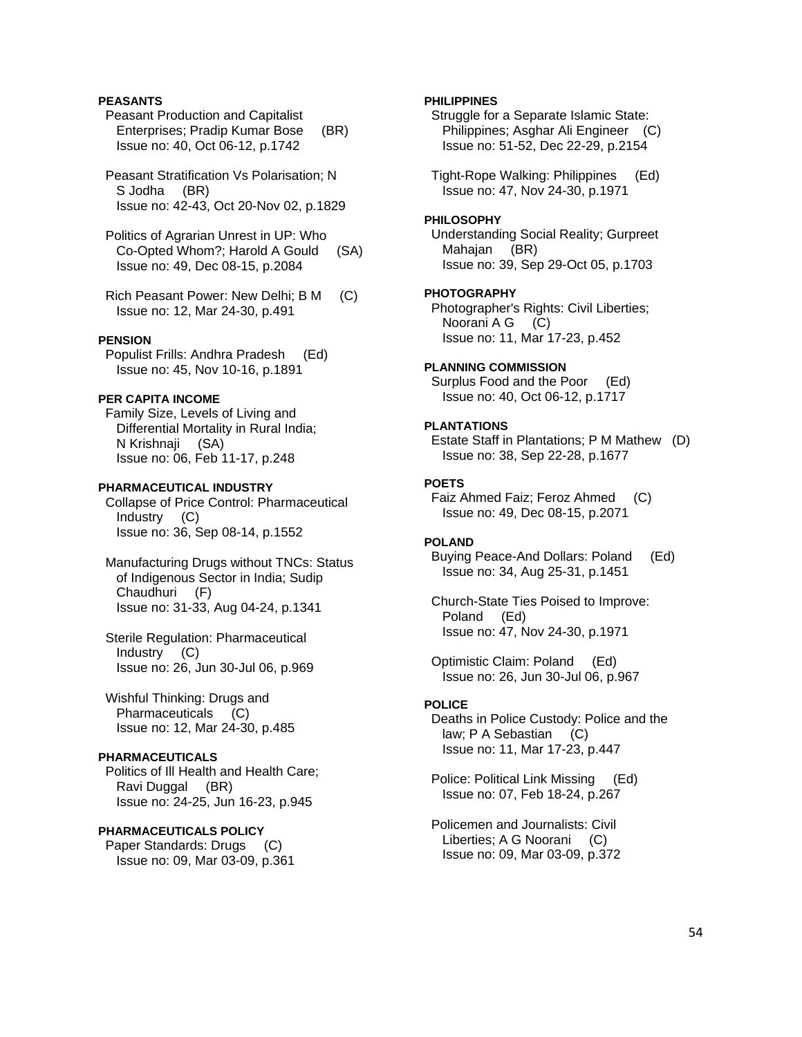# **PEASANTS**

 Peasant Production and Capitalist Enterprises; Pradip Kumar Bose (BR) Issue no: 40, Oct 06-12, p.1742

 Peasant Stratification Vs Polarisation; N S Jodha (BR) Issue no: 42-43, Oct 20-Nov 02, p.1829

 Politics of Agrarian Unrest in UP: Who Co-Opted Whom?; Harold A Gould (SA) Issue no: 49, Dec 08-15, p.2084

 Rich Peasant Power: New Delhi; B M (C) Issue no: 12, Mar 24-30, p.491

# **PENSION**

 Populist Frills: Andhra Pradesh (Ed) Issue no: 45, Nov 10-16, p.1891

# **PER CAPITA INCOME**

 Family Size, Levels of Living and Differential Mortality in Rural India; N Krishnaji (SA) Issue no: 06, Feb 11-17, p.248

#### **PHARMACEUTICAL INDUSTRY**

 Collapse of Price Control: Pharmaceutical Industry (C) Issue no: 36, Sep 08-14, p.1552

 Manufacturing Drugs without TNCs: Status of Indigenous Sector in India; Sudip Chaudhuri (F) Issue no: 31-33, Aug 04-24, p.1341

 Sterile Regulation: Pharmaceutical Industry (C) Issue no: 26, Jun 30-Jul 06, p.969

 Wishful Thinking: Drugs and Pharmaceuticals (C) Issue no: 12, Mar 24-30, p.485

### **PHARMACEUTICALS**

 Politics of Ill Health and Health Care; Ravi Duggal (BR) Issue no: 24-25, Jun 16-23, p.945

## **PHARMACEUTICALS POLICY**

 Paper Standards: Drugs (C) Issue no: 09, Mar 03-09, p.361

### **PHILIPPINES**

 Struggle for a Separate Islamic State: Philippines; Asghar Ali Engineer (C) Issue no: 51-52, Dec 22-29, p.2154

 Tight-Rope Walking: Philippines (Ed) Issue no: 47, Nov 24-30, p.1971

### **PHILOSOPHY**

 Understanding Social Reality; Gurpreet Mahajan (BR) Issue no: 39, Sep 29-Oct 05, p.1703

#### **PHOTOGRAPHY**

 Photographer's Rights: Civil Liberties; Noorani A G (C) Issue no: 11, Mar 17-23, p.452

### **PLANNING COMMISSION**

 Surplus Food and the Poor (Ed) Issue no: 40, Oct 06-12, p.1717

# **PLANTATIONS**

 Estate Staff in Plantations; P M Mathew (D) Issue no: 38, Sep 22-28, p.1677

# **POETS**

 Faiz Ahmed Faiz; Feroz Ahmed (C) Issue no: 49, Dec 08-15, p.2071

## **POLAND**

 Buying Peace-And Dollars: Poland (Ed) Issue no: 34, Aug 25-31, p.1451

 Church-State Ties Poised to Improve: Poland (Ed) Issue no: 47, Nov 24-30, p.1971

 Optimistic Claim: Poland (Ed) Issue no: 26, Jun 30-Jul 06, p.967

# **POLICE**

 Deaths in Police Custody: Police and the law; P A Sebastian (C) Issue no: 11, Mar 17-23, p.447

 Police: Political Link Missing (Ed) Issue no: 07, Feb 18-24, p.267

 Policemen and Journalists: Civil Liberties; A G Noorani (C) Issue no: 09, Mar 03-09, p.372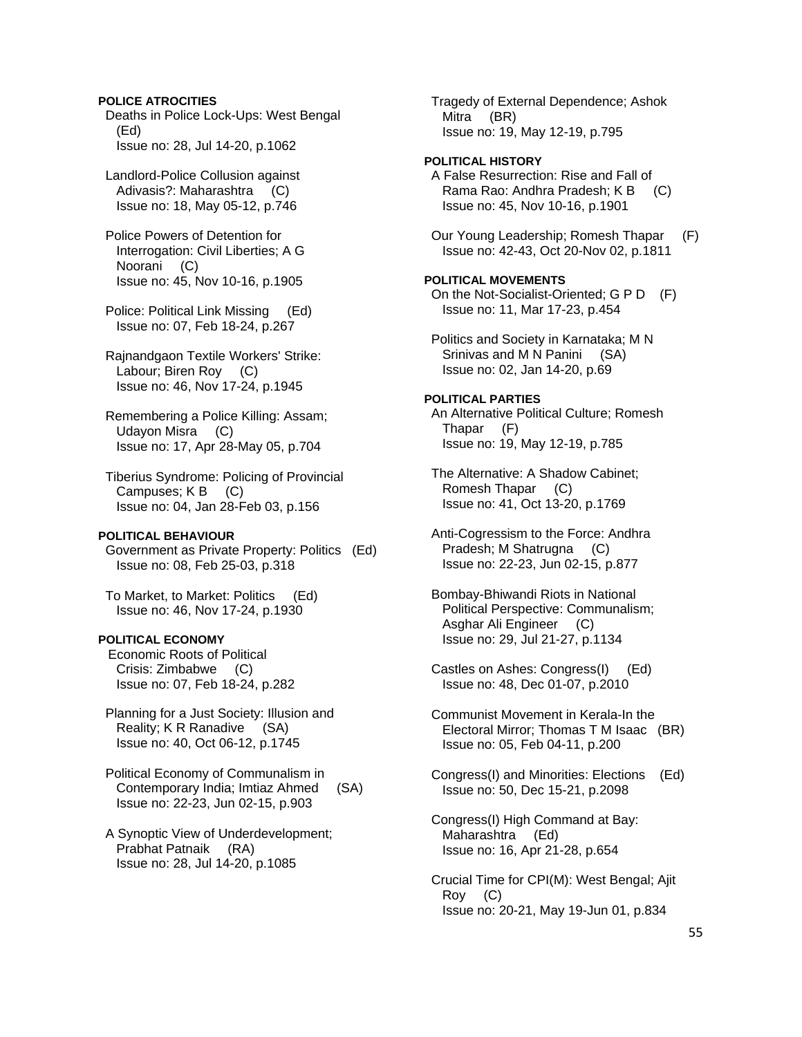## **POLICE ATROCITIES**

 Deaths in Police Lock-Ups: West Bengal (Ed) Issue no: 28, Jul 14-20, p.1062

 Landlord-Police Collusion against Adivasis?: Maharashtra (C) Issue no: 18, May 05-12, p.746

 Police Powers of Detention for Interrogation: Civil Liberties; A G Noorani (C) Issue no: 45, Nov 10-16, p.1905

 Police: Political Link Missing (Ed) Issue no: 07, Feb 18-24, p.267

 Rajnandgaon Textile Workers' Strike: Labour; Biren Roy (C) Issue no: 46, Nov 17-24, p.1945

 Remembering a Police Killing: Assam; Udayon Misra (C) Issue no: 17, Apr 28-May 05, p.704

 Tiberius Syndrome: Policing of Provincial Campuses; K B (C) Issue no: 04, Jan 28-Feb 03, p.156

### **POLITICAL BEHAVIOUR**

 Government as Private Property: Politics (Ed) Issue no: 08, Feb 25-03, p.318

 To Market, to Market: Politics (Ed) Issue no: 46, Nov 17-24, p.1930

# **POLITICAL ECONOMY**

Economic Roots of Political Crisis: Zimbabwe (C) Issue no: 07, Feb 18-24, p.282

 Planning for a Just Society: Illusion and Reality; K R Ranadive (SA) Issue no: 40, Oct 06-12, p.1745

 Political Economy of Communalism in Contemporary India; Imtiaz Ahmed (SA) Issue no: 22-23, Jun 02-15, p.903

 A Synoptic View of Underdevelopment; Prabhat Patnaik (RA) Issue no: 28, Jul 14-20, p.1085

 Tragedy of External Dependence; Ashok Mitra (BR) Issue no: 19, May 12-19, p.795

# **POLITICAL HISTORY**

 A False Resurrection: Rise and Fall of Rama Rao: Andhra Pradesh; K B (C) Issue no: 45, Nov 10-16, p.1901

 Our Young Leadership; Romesh Thapar (F) Issue no: 42-43, Oct 20-Nov 02, p.1811

#### **POLITICAL MOVEMENTS**

 On the Not-Socialist-Oriented; G P D (F) Issue no: 11, Mar 17-23, p.454

 Politics and Society in Karnataka; M N Srinivas and M N Panini (SA) Issue no: 02, Jan 14-20, p.69

### **POLITICAL PARTIES**

 An Alternative Political Culture; Romesh Thapar (F) Issue no: 19, May 12-19, p.785

 The Alternative: A Shadow Cabinet; Romesh Thapar (C) Issue no: 41, Oct 13-20, p.1769

 Anti-Cogressism to the Force: Andhra Pradesh; M Shatrugna (C) Issue no: 22-23, Jun 02-15, p.877

 Bombay-Bhiwandi Riots in National Political Perspective: Communalism; Asghar Ali Engineer (C) Issue no: 29, Jul 21-27, p.1134

 Castles on Ashes: Congress(I) (Ed) Issue no: 48, Dec 01-07, p.2010

 Communist Movement in Kerala-In the Electoral Mirror; Thomas T M Isaac (BR) Issue no: 05, Feb 04-11, p.200

 Congress(I) and Minorities: Elections (Ed) Issue no: 50, Dec 15-21, p.2098

 Congress(I) High Command at Bay: Maharashtra (Ed) Issue no: 16, Apr 21-28, p.654

 Crucial Time for CPI(M): West Bengal; Ajit Roy (C) Issue no: 20-21, May 19-Jun 01, p.834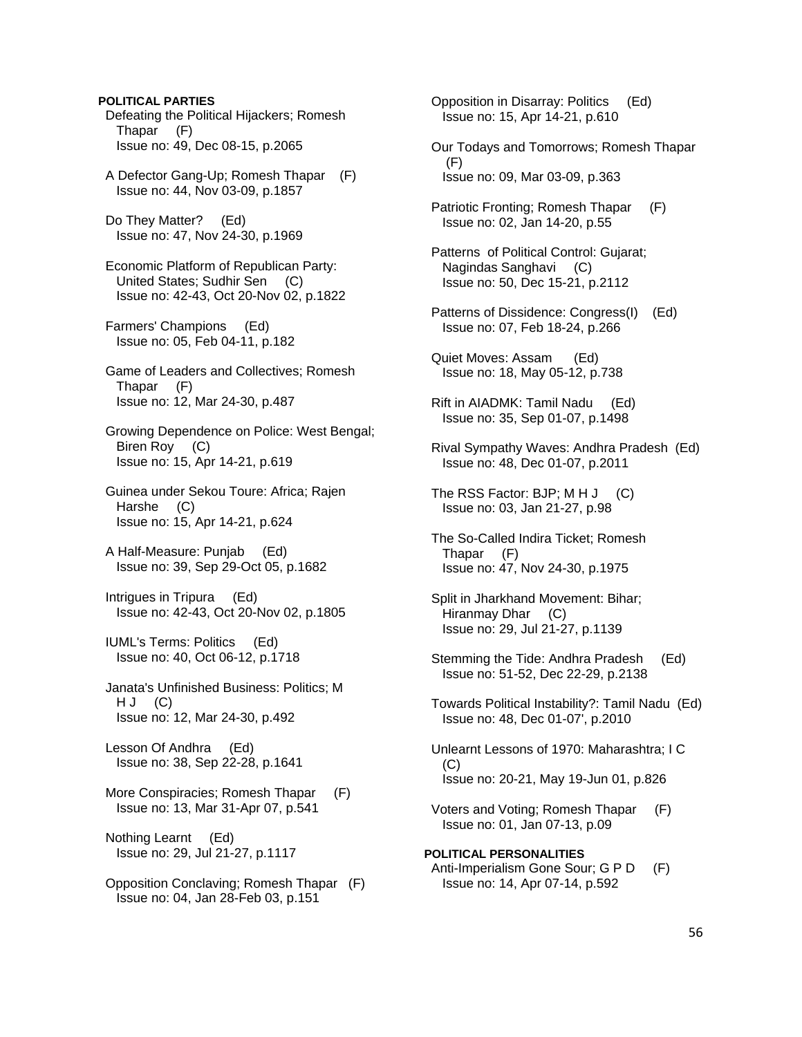Defeating the Political Hijackers; Romesh Thapar (F) Issue no: 49, Dec 08-15, p.2065 A Defector Gang-Up; Romesh Thapar (F) Issue no: 44, Nov 03-09, p.1857 Do They Matter? (Ed) Issue no: 47, Nov 24-30, p.1969 Economic Platform of Republican Party: United States; Sudhir Sen (C) Issue no: 42-43, Oct 20-Nov 02, p.1822 Farmers' Champions (Ed) Issue no: 05, Feb 04-11, p.182 Game of Leaders and Collectives; Romesh Thapar (F) Issue no: 12, Mar 24-30, p.487 Growing Dependence on Police: West Bengal; Biren Roy (C) Issue no: 15, Apr 14-21, p.619 Guinea under Sekou Toure: Africa; Rajen Harshe (C) Issue no: 15, Apr 14-21, p.624 A Half-Measure: Punjab (Ed) Issue no: 39, Sep 29-Oct 05, p.1682 Intrigues in Tripura (Ed) Issue no: 42-43, Oct 20-Nov 02, p.1805 IUML's Terms: Politics (Ed) Issue no: 40, Oct 06-12, p.1718 Janata's Unfinished Business: Politics; M  $H J (C)$  Issue no: 12, Mar 24-30, p.492 Lesson Of Andhra (Ed) Issue no: 38, Sep 22-28, p.1641 More Conspiracies; Romesh Thapar (F) Issue no: 13, Mar 31-Apr 07, p.541 Nothing Learnt (Ed) Issue no: 29, Jul 21-27, p.1117

**POLITICAL PARTIES** 

 Opposition Conclaving; Romesh Thapar (F) Issue no: 04, Jan 28-Feb 03, p.151

 Opposition in Disarray: Politics (Ed) Issue no: 15, Apr 14-21, p.610 Our Todays and Tomorrows; Romesh Thapar (F)

Issue no: 09, Mar 03-09, p.363

 Patriotic Fronting; Romesh Thapar (F) Issue no: 02, Jan 14-20, p.55

 Patterns of Political Control: Gujarat; Nagindas Sanghavi (C) Issue no: 50, Dec 15-21, p.2112

 Patterns of Dissidence: Congress(I) (Ed) Issue no: 07, Feb 18-24, p.266

 Quiet Moves: Assam (Ed) Issue no: 18, May 05-12, p.738

 Rift in AIADMK: Tamil Nadu (Ed) Issue no: 35, Sep 01-07, p.1498

- Rival Sympathy Waves: Andhra Pradesh (Ed) Issue no: 48, Dec 01-07, p.2011
- The RSS Factor: BJP; M H J (C) Issue no: 03, Jan 21-27, p.98
- The So-Called Indira Ticket; Romesh Thapar (F) Issue no: 47, Nov 24-30, p.1975
- Split in Jharkhand Movement: Bihar; Hiranmay Dhar (C) Issue no: 29, Jul 21-27, p.1139
- Stemming the Tide: Andhra Pradesh (Ed) Issue no: 51-52, Dec 22-29, p.2138
- Towards Political Instability?: Tamil Nadu (Ed) Issue no: 48, Dec 01-07', p.2010
- Unlearnt Lessons of 1970: Maharashtra; I C (C) Issue no: 20-21, May 19-Jun 01, p.826
- Voters and Voting; Romesh Thapar (F) Issue no: 01, Jan 07-13, p.09

**POLITICAL PERSONALITIES**  Anti-Imperialism Gone Sour; G P D (F) Issue no: 14, Apr 07-14, p.592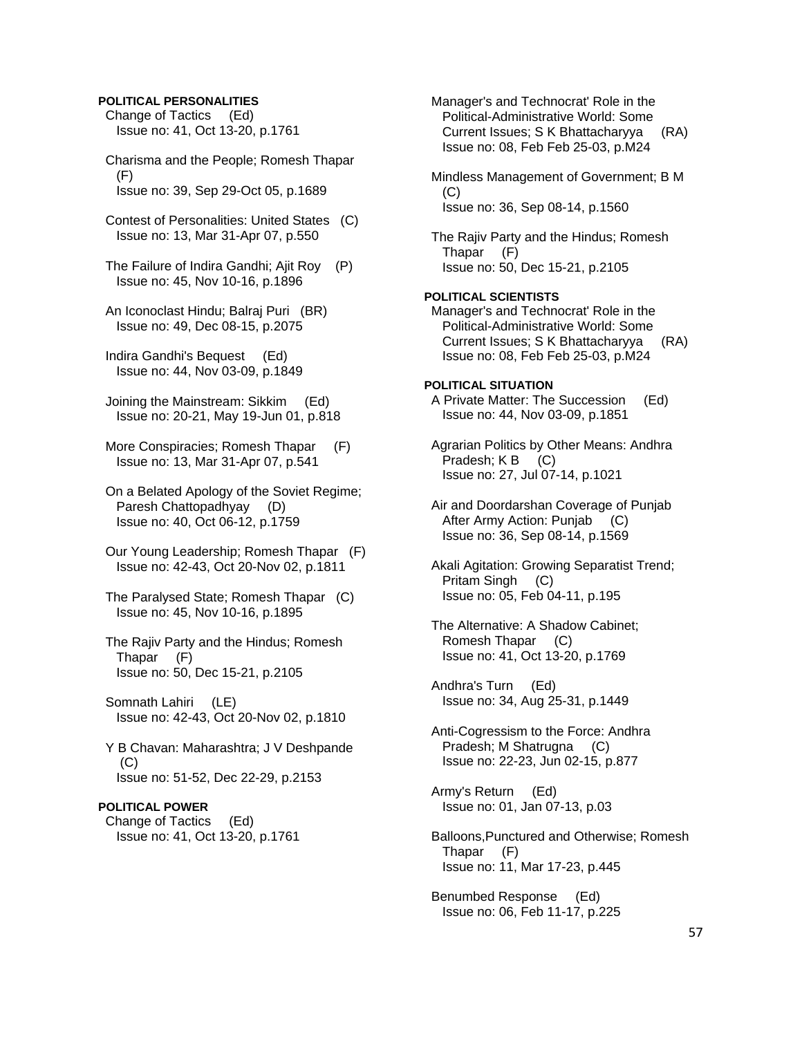### **POLITICAL PERSONALITIES**

 Change of Tactics (Ed) Issue no: 41, Oct 13-20, p.1761

 Charisma and the People; Romesh Thapar (F) Issue no: 39, Sep 29-Oct 05, p.1689

 Contest of Personalities: United States (C) Issue no: 13, Mar 31-Apr 07, p.550

 The Failure of Indira Gandhi; Ajit Roy (P) Issue no: 45, Nov 10-16, p.1896

 An Iconoclast Hindu; Balraj Puri (BR) Issue no: 49, Dec 08-15, p.2075

 Indira Gandhi's Bequest (Ed) Issue no: 44, Nov 03-09, p.1849

 Joining the Mainstream: Sikkim (Ed) Issue no: 20-21, May 19-Jun 01, p.818

 More Conspiracies; Romesh Thapar (F) Issue no: 13, Mar 31-Apr 07, p.541

 On a Belated Apology of the Soviet Regime; Paresh Chattopadhyay (D) Issue no: 40, Oct 06-12, p.1759

- Our Young Leadership; Romesh Thapar (F) Issue no: 42-43, Oct 20-Nov 02, p.1811
- The Paralysed State; Romesh Thapar (C) Issue no: 45, Nov 10-16, p.1895
- The Rajiv Party and the Hindus; Romesh Thapar (F) Issue no: 50, Dec 15-21, p.2105

 Somnath Lahiri (LE) Issue no: 42-43, Oct 20-Nov 02, p.1810

 Y B Chavan: Maharashtra; J V Deshpande (C) Issue no: 51-52, Dec 22-29, p.2153

# **POLITICAL POWER**

 Change of Tactics (Ed) Issue no: 41, Oct 13-20, p.1761

 Political-Administrative World: Some Current Issues; S K Bhattacharyya (RA) Issue no: 08, Feb Feb 25-03, p.M24 Mindless Management of Government; B M (C) Issue no: 36, Sep 08-14, p.1560 The Rajiv Party and the Hindus; Romesh Thapar (F) Issue no: 50, Dec 15-21, p.2105 **POLITICAL SCIENTISTS**  Manager's and Technocrat' Role in the Political-Administrative World: Some Current Issues; S K Bhattacharyya (RA) Issue no: 08, Feb Feb 25-03, p.M24 **POLITICAL SITUATION**  A Private Matter: The Succession (Ed) Issue no: 44, Nov 03-09, p.1851 Agrarian Politics by Other Means: Andhra Pradesh; K B (C) Issue no: 27, Jul 07-14, p.1021 Air and Doordarshan Coverage of Punjab After Army Action: Punjab (C) Issue no: 36, Sep 08-14, p.1569 Akali Agitation: Growing Separatist Trend; Pritam Singh (C) Issue no: 05, Feb 04-11, p.195 The Alternative: A Shadow Cabinet; Romesh Thapar (C) Issue no: 41, Oct 13-20, p.1769 Andhra's Turn (Ed) Issue no: 34, Aug 25-31, p.1449 Anti-Cogressism to the Force: Andhra Pradesh; M Shatrugna (C) Issue no: 22-23, Jun 02-15, p.877 Army's Return (Ed) Issue no: 01, Jan 07-13, p.03

Manager's and Technocrat' Role in the

 Balloons,Punctured and Otherwise; Romesh Thapar (F) Issue no: 11, Mar 17-23, p.445

 Benumbed Response (Ed) Issue no: 06, Feb 11-17, p.225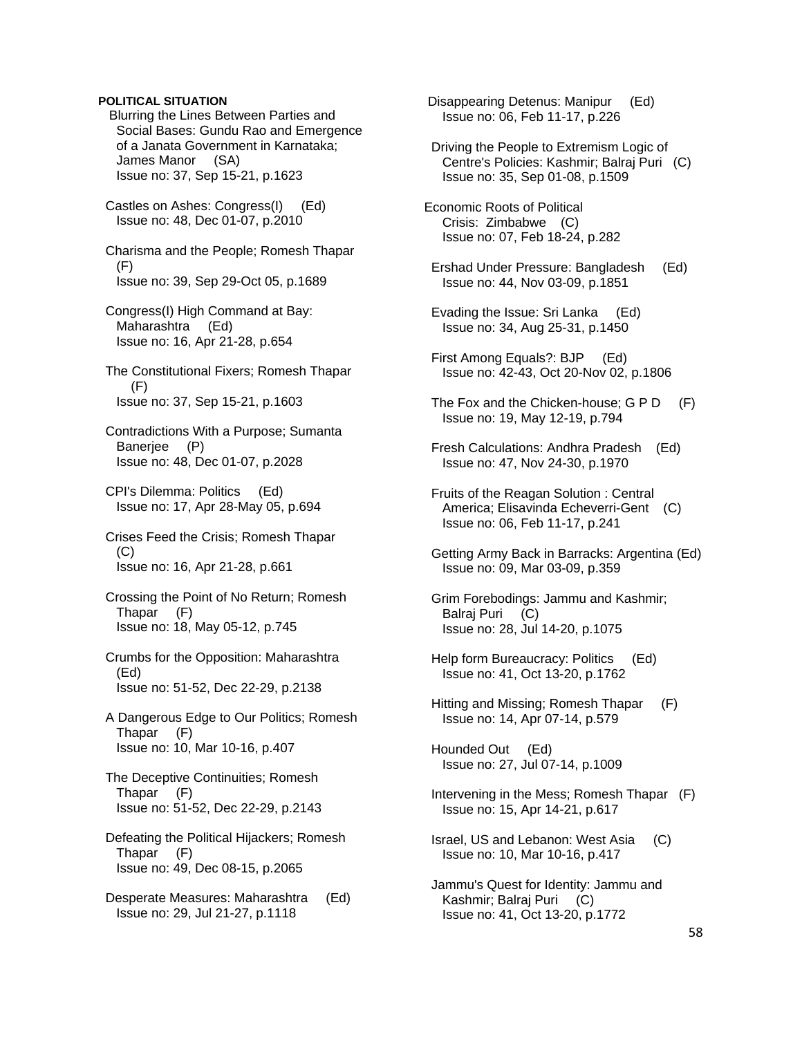# **POLITICAL SITUATION**

 Blurring the Lines Between Parties and Social Bases: Gundu Rao and Emergence of a Janata Government in Karnataka; James Manor (SA) Issue no: 37, Sep 15-21, p.1623

 Castles on Ashes: Congress(I) (Ed) Issue no: 48, Dec 01-07, p.2010

 Charisma and the People; Romesh Thapar (F) Issue no: 39, Sep 29-Oct 05, p.1689

- Congress(I) High Command at Bay: Maharashtra (Ed) Issue no: 16, Apr 21-28, p.654
- The Constitutional Fixers; Romesh Thapar (F) Issue no: 37, Sep 15-21, p.1603
- Contradictions With a Purpose; Sumanta Banerjee (P) Issue no: 48, Dec 01-07, p.2028
- CPI's Dilemma: Politics (Ed) Issue no: 17, Apr 28-May 05, p.694
- Crises Feed the Crisis; Romesh Thapar (C) Issue no: 16, Apr 21-28, p.661
- Crossing the Point of No Return; Romesh Thapar (F) Issue no: 18, May 05-12, p.745
- Crumbs for the Opposition: Maharashtra (Ed) Issue no: 51-52, Dec 22-29, p.2138
- A Dangerous Edge to Our Politics; Romesh Thapar (F) Issue no: 10, Mar 10-16, p.407
- The Deceptive Continuities; Romesh Thapar (F) Issue no: 51-52, Dec 22-29, p.2143
- Defeating the Political Hijackers; Romesh Thapar (F) Issue no: 49, Dec 08-15, p.2065
- Desperate Measures: Maharashtra (Ed) Issue no: 29, Jul 21-27, p.1118

 Disappearing Detenus: Manipur (Ed) Issue no: 06, Feb 11-17, p.226

- Driving the People to Extremism Logic of Centre's Policies: Kashmir; Balraj Puri (C) Issue no: 35, Sep 01-08, p.1509
- Economic Roots of Political Crisis: Zimbabwe (C) Issue no: 07, Feb 18-24, p.282
- Ershad Under Pressure: Bangladesh (Ed) Issue no: 44, Nov 03-09, p.1851
- Evading the Issue: Sri Lanka (Ed) Issue no: 34, Aug 25-31, p.1450
- First Among Equals?: BJP (Ed) Issue no: 42-43, Oct 20-Nov 02, p.1806
- The Fox and the Chicken-house; G P D (F) Issue no: 19, May 12-19, p.794
- Fresh Calculations: Andhra Pradesh (Ed) Issue no: 47, Nov 24-30, p.1970
- Fruits of the Reagan Solution : Central America; Elisavinda Echeverri-Gent (C) Issue no: 06, Feb 11-17, p.241
- Getting Army Back in Barracks: Argentina (Ed) Issue no: 09, Mar 03-09, p.359
- Grim Forebodings: Jammu and Kashmir; Balraj Puri (C) Issue no: 28, Jul 14-20, p.1075
- Help form Bureaucracy: Politics (Ed) Issue no: 41, Oct 13-20, p.1762
- Hitting and Missing; Romesh Thapar (F) Issue no: 14, Apr 07-14, p.579

 Hounded Out (Ed) Issue no: 27, Jul 07-14, p.1009

- Intervening in the Mess; Romesh Thapar (F) Issue no: 15, Apr 14-21, p.617
- Israel, US and Lebanon: West Asia (C) Issue no: 10, Mar 10-16, p.417
- Jammu's Quest for Identity: Jammu and Kashmir; Balraj Puri (C) Issue no: 41, Oct 13-20, p.1772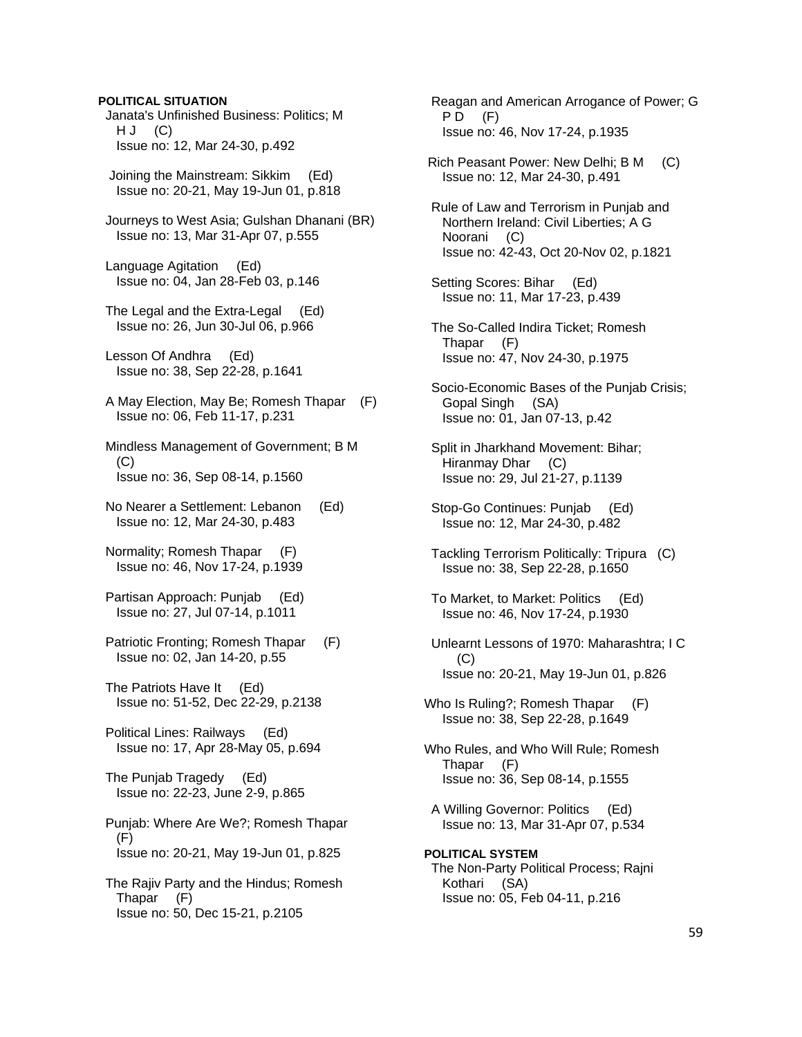### **POLITICAL SITUATION**

 Janata's Unfinished Business: Politics; M  $H J (C)$ Issue no: 12, Mar 24-30, p.492

 Joining the Mainstream: Sikkim (Ed) Issue no: 20-21, May 19-Jun 01, p.818

 Journeys to West Asia; Gulshan Dhanani (BR) Issue no: 13, Mar 31-Apr 07, p.555

 Language Agitation (Ed) Issue no: 04, Jan 28-Feb 03, p.146

 The Legal and the Extra-Legal (Ed) Issue no: 26, Jun 30-Jul 06, p.966

 Lesson Of Andhra (Ed) Issue no: 38, Sep 22-28, p.1641

 A May Election, May Be; Romesh Thapar (F) Issue no: 06, Feb 11-17, p.231

 Mindless Management of Government; B M (C) Issue no: 36, Sep 08-14, p.1560

 No Nearer a Settlement: Lebanon (Ed) Issue no: 12, Mar 24-30, p.483

 Normality; Romesh Thapar (F) Issue no: 46, Nov 17-24, p.1939

 Partisan Approach: Punjab (Ed) Issue no: 27, Jul 07-14, p.1011

 Patriotic Fronting; Romesh Thapar (F) Issue no: 02, Jan 14-20, p.55

 The Patriots Have It (Ed) Issue no: 51-52, Dec 22-29, p.2138

 Political Lines: Railways (Ed) Issue no: 17, Apr 28-May 05, p.694

 The Punjab Tragedy (Ed) Issue no: 22-23, June 2-9, p.865

 Punjab: Where Are We?; Romesh Thapar (F) Issue no: 20-21, May 19-Jun 01, p.825

 The Rajiv Party and the Hindus; Romesh Thapar (F) Issue no: 50, Dec 15-21, p.2105

 Reagan and American Arrogance of Power; G  $PD$   $(F)$ Issue no: 46, Nov 17-24, p.1935

 Rich Peasant Power: New Delhi; B M (C) Issue no: 12, Mar 24-30, p.491

 Rule of Law and Terrorism in Punjab and Northern Ireland: Civil Liberties; A G Noorani (C) Issue no: 42-43, Oct 20-Nov 02, p.1821

 Setting Scores: Bihar (Ed) Issue no: 11, Mar 17-23, p.439

 The So-Called Indira Ticket; Romesh Thapar (F) Issue no: 47, Nov 24-30, p.1975

 Socio-Economic Bases of the Punjab Crisis; Gopal Singh (SA) Issue no: 01, Jan 07-13, p.42

 Split in Jharkhand Movement: Bihar; Hiranmay Dhar (C) Issue no: 29, Jul 21-27, p.1139

 Stop-Go Continues: Punjab (Ed) Issue no: 12, Mar 24-30, p.482

 Tackling Terrorism Politically: Tripura (C) Issue no: 38, Sep 22-28, p.1650

 To Market, to Market: Politics (Ed) Issue no: 46, Nov 17-24, p.1930

 Unlearnt Lessons of 1970: Maharashtra; I C (C) Issue no: 20-21, May 19-Jun 01, p.826

Who Is Ruling?; Romesh Thapar (F) Issue no: 38, Sep 22-28, p.1649

Who Rules, and Who Will Rule; Romesh Thapar (F) Issue no: 36, Sep 08-14, p.1555

 A Willing Governor: Politics (Ed) Issue no: 13, Mar 31-Apr 07, p.534

**POLITICAL SYSTEM**  The Non-Party Political Process; Rajni Kothari (SA) Issue no: 05, Feb 04-11, p.216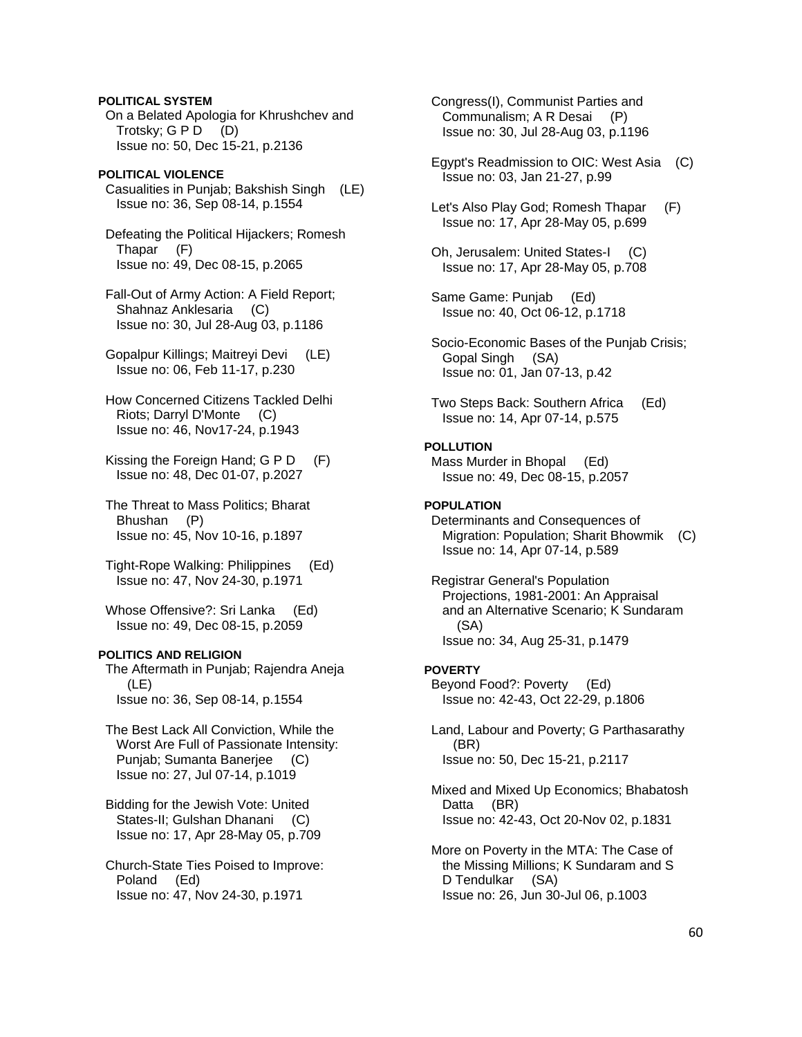### **POLITICAL SYSTEM**

 On a Belated Apologia for Khrushchev and Trotsky; G P D (D) Issue no: 50, Dec 15-21, p.2136

# **POLITICAL VIOLENCE**

 Casualities in Punjab; Bakshish Singh (LE) Issue no: 36, Sep 08-14, p.1554

 Defeating the Political Hijackers; Romesh Thapar (F) Issue no: 49, Dec 08-15, p.2065

 Fall-Out of Army Action: A Field Report; Shahnaz Anklesaria (C) Issue no: 30, Jul 28-Aug 03, p.1186

 Gopalpur Killings; Maitreyi Devi (LE) Issue no: 06, Feb 11-17, p.230

 How Concerned Citizens Tackled Delhi Riots; Darryl D'Monte (C) Issue no: 46, Nov17-24, p.1943

 Kissing the Foreign Hand; G P D (F) Issue no: 48, Dec 01-07, p.2027

 The Threat to Mass Politics; Bharat Bhushan (P) Issue no: 45, Nov 10-16, p.1897

 Tight-Rope Walking: Philippines (Ed) Issue no: 47, Nov 24-30, p.1971

Whose Offensive?: Sri Lanka (Ed) Issue no: 49, Dec 08-15, p.2059

# **POLITICS AND RELIGION**

 The Aftermath in Punjab; Rajendra Aneja (LE) Issue no: 36, Sep 08-14, p.1554

 The Best Lack All Conviction, While the Worst Are Full of Passionate Intensity: Punjab; Sumanta Banerjee (C) Issue no: 27, Jul 07-14, p.1019

 Bidding for the Jewish Vote: United States-II; Gulshan Dhanani (C) Issue no: 17, Apr 28-May 05, p.709

 Church-State Ties Poised to Improve: Poland (Ed) Issue no: 47, Nov 24-30, p.1971

 Congress(I), Communist Parties and Communalism; A R Desai (P) Issue no: 30, Jul 28-Aug 03, p.1196

- Egypt's Readmission to OIC: West Asia (C) Issue no: 03, Jan 21-27, p.99
- Let's Also Play God; Romesh Thapar (F) Issue no: 17, Apr 28-May 05, p.699
- Oh, Jerusalem: United States-I (C) Issue no: 17, Apr 28-May 05, p.708
- Same Game: Punjab (Ed) Issue no: 40, Oct 06-12, p.1718

 Socio-Economic Bases of the Punjab Crisis; Gopal Singh (SA) Issue no: 01, Jan 07-13, p.42

 Two Steps Back: Southern Africa (Ed) Issue no: 14, Apr 07-14, p.575

# **POLLUTION**

 Mass Murder in Bhopal (Ed) Issue no: 49, Dec 08-15, p.2057

# **POPULATION**

 Determinants and Consequences of Migration: Population; Sharit Bhowmik (C) Issue no: 14, Apr 07-14, p.589

 Registrar General's Population Projections, 1981-2001: An Appraisal and an Alternative Scenario; K Sundaram (SA) Issue no: 34, Aug 25-31, p.1479

#### **POVERTY**

 Beyond Food?: Poverty (Ed) Issue no: 42-43, Oct 22-29, p.1806

 Land, Labour and Poverty; G Parthasarathy (BR) Issue no: 50, Dec 15-21, p.2117

 Mixed and Mixed Up Economics; Bhabatosh Datta (BR) Issue no: 42-43, Oct 20-Nov 02, p.1831

 More on Poverty in the MTA: The Case of the Missing Millions; K Sundaram and S D Tendulkar (SA) Issue no: 26, Jun 30-Jul 06, p.1003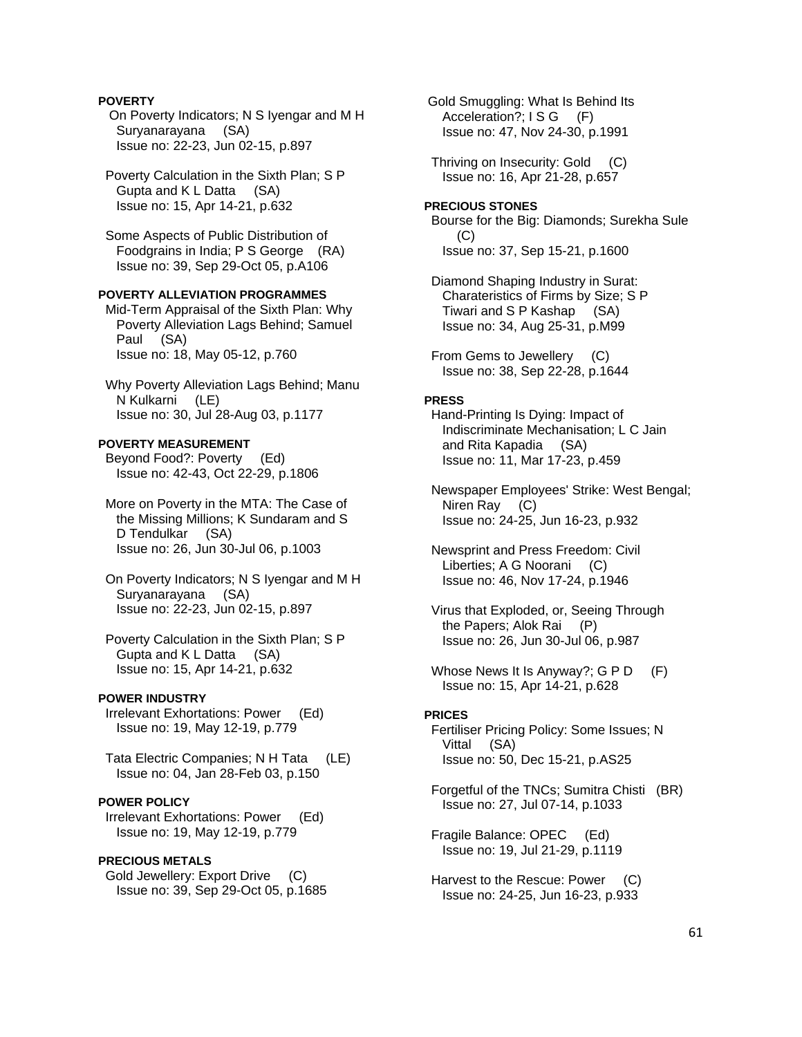# **POVERTY**

 On Poverty Indicators; N S Iyengar and M H Suryanarayana (SA) Issue no: 22-23, Jun 02-15, p.897

 Poverty Calculation in the Sixth Plan; S P Gupta and K L Datta (SA) Issue no: 15, Apr 14-21, p.632

 Some Aspects of Public Distribution of Foodgrains in India; P S George (RA) Issue no: 39, Sep 29-Oct 05, p.A106

# **POVERTY ALLEVIATION PROGRAMMES**

 Mid-Term Appraisal of the Sixth Plan: Why Poverty Alleviation Lags Behind; Samuel Paul (SA) Issue no: 18, May 05-12, p.760

 Why Poverty Alleviation Lags Behind; Manu N Kulkarni (LE) Issue no: 30, Jul 28-Aug 03, p.1177

### **POVERTY MEASUREMENT**

 Beyond Food?: Poverty (Ed) Issue no: 42-43, Oct 22-29, p.1806

 More on Poverty in the MTA: The Case of the Missing Millions; K Sundaram and S D Tendulkar (SA) Issue no: 26, Jun 30-Jul 06, p.1003

 On Poverty Indicators; N S Iyengar and M H Suryanarayana (SA) Issue no: 22-23, Jun 02-15, p.897

 Poverty Calculation in the Sixth Plan; S P Gupta and K L Datta (SA) Issue no: 15, Apr 14-21, p.632

# **POWER INDUSTRY**

 Irrelevant Exhortations: Power (Ed) Issue no: 19, May 12-19, p.779

 Tata Electric Companies; N H Tata (LE) Issue no: 04, Jan 28-Feb 03, p.150

# **POWER POLICY**

 Irrelevant Exhortations: Power (Ed) Issue no: 19, May 12-19, p.779

### **PRECIOUS METALS**

 Gold Jewellery: Export Drive (C) Issue no: 39, Sep 29-Oct 05, p.1685  Gold Smuggling: What Is Behind Its Acceleration?; I S G (F) Issue no: 47, Nov 24-30, p.1991

 Thriving on Insecurity: Gold (C) Issue no: 16, Apr 21-28, p.657

# **PRECIOUS STONES**

 Bourse for the Big: Diamonds; Surekha Sule (C) Issue no: 37, Sep 15-21, p.1600

 Diamond Shaping Industry in Surat: Charateristics of Firms by Size; S P Tiwari and S P Kashap (SA) Issue no: 34, Aug 25-31, p.M99

 From Gems to Jewellery (C) Issue no: 38, Sep 22-28, p.1644

#### **PRESS**

 Hand-Printing Is Dying: Impact of Indiscriminate Mechanisation; L C Jain and Rita Kapadia (SA) Issue no: 11, Mar 17-23, p.459

 Newspaper Employees' Strike: West Bengal; Niren Ray (C) Issue no: 24-25, Jun 16-23, p.932

 Newsprint and Press Freedom: Civil Liberties; A G Noorani (C) Issue no: 46, Nov 17-24, p.1946

 Virus that Exploded, or, Seeing Through the Papers; Alok Rai (P) Issue no: 26, Jun 30-Jul 06, p.987

Whose News It Is Anyway?; G P D (F) Issue no: 15, Apr 14-21, p.628

### **PRICES**

 Fertiliser Pricing Policy: Some Issues; N Vittal (SA) Issue no: 50, Dec 15-21, p.AS25

 Forgetful of the TNCs; Sumitra Chisti (BR) Issue no: 27, Jul 07-14, p.1033

 Fragile Balance: OPEC (Ed) Issue no: 19, Jul 21-29, p.1119

 Harvest to the Rescue: Power (C) Issue no: 24-25, Jun 16-23, p.933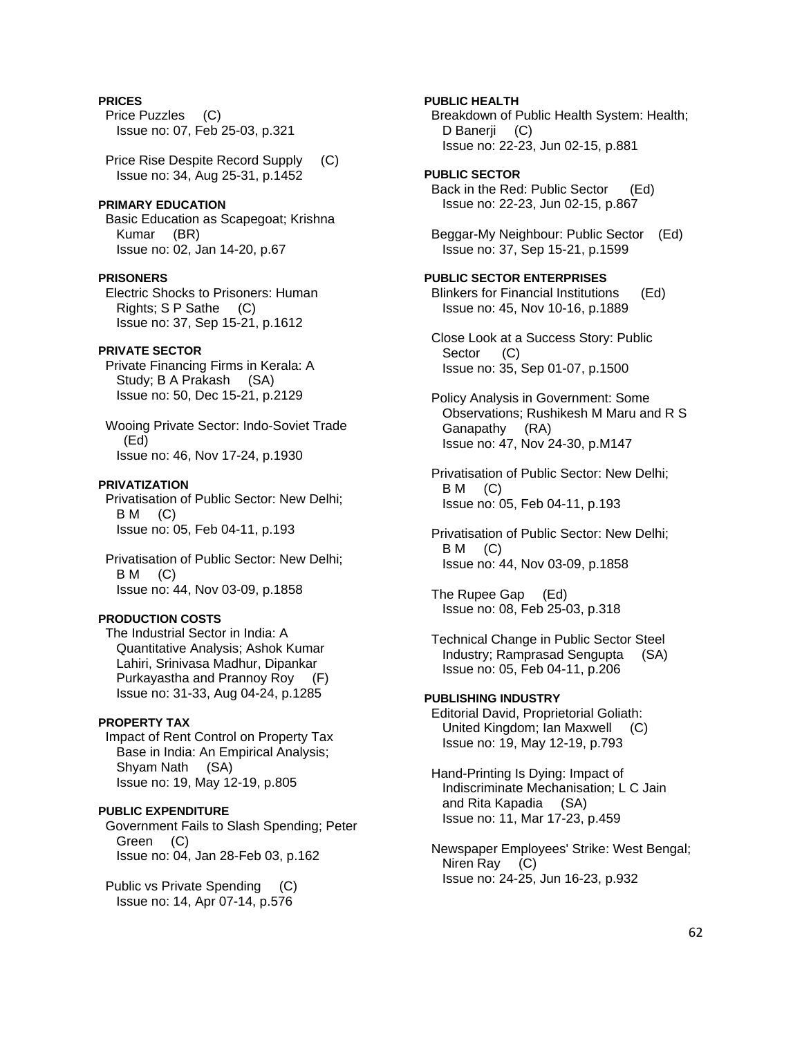# **PRICES**

 Price Puzzles (C) Issue no: 07, Feb 25-03, p.321

 Price Rise Despite Record Supply (C) Issue no: 34, Aug 25-31, p.1452

# **PRIMARY EDUCATION**

 Basic Education as Scapegoat; Krishna Kumar (BR) Issue no: 02, Jan 14-20, p.67

### **PRISONERS**

 Electric Shocks to Prisoners: Human Rights; S P Sathe (C) Issue no: 37, Sep 15-21, p.1612

### **PRIVATE SECTOR**

 Private Financing Firms in Kerala: A Study; B A Prakash (SA) Issue no: 50, Dec 15-21, p.2129

 Wooing Private Sector: Indo-Soviet Trade (Ed) Issue no: 46, Nov 17-24, p.1930

# **PRIVATIZATION**

 Privatisation of Public Sector: New Delhi;  $BM$  (C) Issue no: 05, Feb 04-11, p.193

 Privatisation of Public Sector: New Delhi; B M (C) Issue no: 44, Nov 03-09, p.1858

# **PRODUCTION COSTS**

 The Industrial Sector in India: A Quantitative Analysis; Ashok Kumar Lahiri, Srinivasa Madhur, Dipankar Purkayastha and Prannoy Roy (F) Issue no: 31-33, Aug 04-24, p.1285

### **PROPERTY TAX**

 Impact of Rent Control on Property Tax Base in India: An Empirical Analysis; Shyam Nath (SA) Issue no: 19, May 12-19, p.805

**PUBLIC EXPENDITURE**  Government Fails to Slash Spending; Peter Green (C) Issue no: 04, Jan 28-Feb 03, p.162

 Public vs Private Spending (C) Issue no: 14, Apr 07-14, p.576

 Breakdown of Public Health System: Health; D Banerji (C) Issue no: 22-23, Jun 02-15, p.881 **PUBLIC SECTOR**  Back in the Red: Public Sector (Ed) Issue no: 22-23, Jun 02-15, p.867 Beggar-My Neighbour: Public Sector (Ed) Issue no: 37, Sep 15-21, p.1599 **PUBLIC SECTOR ENTERPRISES**  Blinkers for Financial Institutions (Ed) Issue no: 45, Nov 10-16, p.1889 Close Look at a Success Story: Public Sector (C) Issue no: 35, Sep 01-07, p.1500 Policy Analysis in Government: Some Observations; Rushikesh M Maru and R S

**PUBLIC HEALTH** 

 Ganapathy (RA) Issue no: 47, Nov 24-30, p.M147

 Privatisation of Public Sector: New Delhi;  $BM$  (C) Issue no: 05, Feb 04-11, p.193

 Privatisation of Public Sector: New Delhi; B M (C) Issue no: 44, Nov 03-09, p.1858

 The Rupee Gap (Ed) Issue no: 08, Feb 25-03, p.318

 Technical Change in Public Sector Steel Industry; Ramprasad Sengupta (SA) Issue no: 05, Feb 04-11, p.206

# **PUBLISHING INDUSTRY**  Editorial David, Proprietorial Goliath: United Kingdom; Ian Maxwell (C) Issue no: 19, May 12-19, p.793

 Hand-Printing Is Dying: Impact of Indiscriminate Mechanisation; L C Jain and Rita Kapadia (SA) Issue no: 11, Mar 17-23, p.459

 Newspaper Employees' Strike: West Bengal; Niren Ray (C) Issue no: 24-25, Jun 16-23, p.932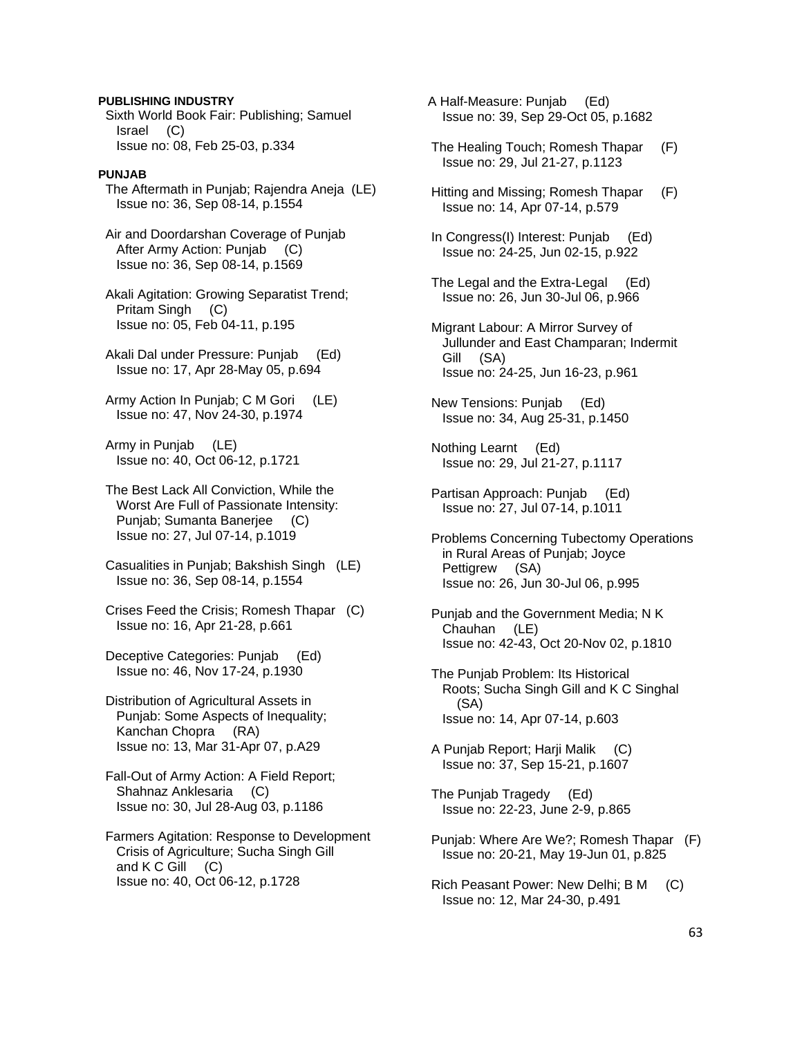### **PUBLISHING INDUSTRY**

 Sixth World Book Fair: Publishing; Samuel Israel (C) Issue no: 08, Feb 25-03, p.334

# **PUNJAB**

 The Aftermath in Punjab; Rajendra Aneja (LE) Issue no: 36, Sep 08-14, p.1554

 Air and Doordarshan Coverage of Punjab After Army Action: Punjab (C) Issue no: 36, Sep 08-14, p.1569

 Akali Agitation: Growing Separatist Trend; Pritam Singh (C) Issue no: 05, Feb 04-11, p.195

 Akali Dal under Pressure: Punjab (Ed) Issue no: 17, Apr 28-May 05, p.694

 Army Action In Punjab; C M Gori (LE) Issue no: 47, Nov 24-30, p.1974

 Army in Punjab (LE) Issue no: 40, Oct 06-12, p.1721

- The Best Lack All Conviction, While the Worst Are Full of Passionate Intensity: Punjab; Sumanta Banerjee (C) Issue no: 27, Jul 07-14, p.1019
- Casualities in Punjab; Bakshish Singh (LE) Issue no: 36, Sep 08-14, p.1554
- Crises Feed the Crisis; Romesh Thapar (C) Issue no: 16, Apr 21-28, p.661
- Deceptive Categories: Punjab (Ed) Issue no: 46, Nov 17-24, p.1930
- Distribution of Agricultural Assets in Punjab: Some Aspects of Inequality; Kanchan Chopra (RA) Issue no: 13, Mar 31-Apr 07, p.A29
- Fall-Out of Army Action: A Field Report; Shahnaz Anklesaria (C) Issue no: 30, Jul 28-Aug 03, p.1186
- Farmers Agitation: Response to Development Crisis of Agriculture; Sucha Singh Gill and  $K C$  Gill  $(C)$ Issue no: 40, Oct 06-12, p.1728

 A Half-Measure: Punjab (Ed) Issue no: 39, Sep 29-Oct 05, p.1682

- The Healing Touch; Romesh Thapar (F) Issue no: 29, Jul 21-27, p.1123
- Hitting and Missing; Romesh Thapar (F) Issue no: 14, Apr 07-14, p.579
- In Congress(I) Interest: Punjab (Ed) Issue no: 24-25, Jun 02-15, p.922
- The Legal and the Extra-Legal (Ed) Issue no: 26, Jun 30-Jul 06, p.966
- Migrant Labour: A Mirror Survey of Jullunder and East Champaran; Indermit Gill (SA) Issue no: 24-25, Jun 16-23, p.961
- New Tensions: Punjab (Ed) Issue no: 34, Aug 25-31, p.1450

 Nothing Learnt (Ed) Issue no: 29, Jul 21-27, p.1117

- Partisan Approach: Punjab (Ed) Issue no: 27, Jul 07-14, p.1011
- Problems Concerning Tubectomy Operations in Rural Areas of Punjab; Joyce Pettigrew (SA) Issue no: 26, Jun 30-Jul 06, p.995
- Punjab and the Government Media; N K Chauhan (LE) Issue no: 42-43, Oct 20-Nov 02, p.1810
- The Punjab Problem: Its Historical Roots; Sucha Singh Gill and K C Singhal (SA) Issue no: 14, Apr 07-14, p.603
- A Punjab Report; Harji Malik (C) Issue no: 37, Sep 15-21, p.1607
- The Punjab Tragedy (Ed) Issue no: 22-23, June 2-9, p.865
- Punjab: Where Are We?; Romesh Thapar (F) Issue no: 20-21, May 19-Jun 01, p.825
- Rich Peasant Power: New Delhi; B M (C) Issue no: 12, Mar 24-30, p.491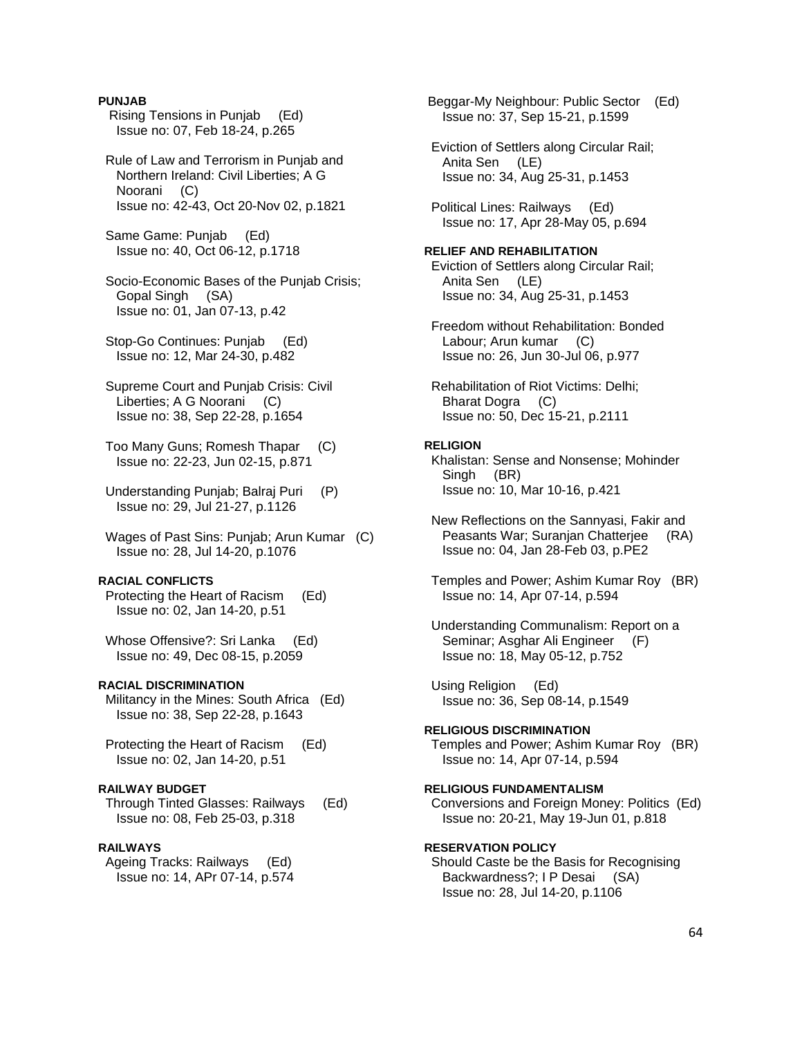### **PUNJAB**

- Rising Tensions in Punjab (Ed) Issue no: 07, Feb 18-24, p.265
- Rule of Law and Terrorism in Punjab and Northern Ireland: Civil Liberties; A G Noorani (C) Issue no: 42-43, Oct 20-Nov 02, p.1821

 Same Game: Punjab (Ed) Issue no: 40, Oct 06-12, p.1718

 Socio-Economic Bases of the Punjab Crisis; Gopal Singh (SA) Issue no: 01, Jan 07-13, p.42

- Stop-Go Continues: Punjab (Ed) Issue no: 12, Mar 24-30, p.482
- Supreme Court and Punjab Crisis: Civil Liberties; A G Noorani (C) Issue no: 38, Sep 22-28, p.1654
- Too Many Guns; Romesh Thapar (C) Issue no: 22-23, Jun 02-15, p.871
- Understanding Punjab; Balraj Puri (P) Issue no: 29, Jul 21-27, p.1126
- Wages of Past Sins: Punjab; Arun Kumar (C) Issue no: 28, Jul 14-20, p.1076

### **RACIAL CONFLICTS**

 Protecting the Heart of Racism (Ed) Issue no: 02, Jan 14-20, p.51

Whose Offensive?: Sri Lanka (Ed) Issue no: 49, Dec 08-15, p.2059

# **RACIAL DISCRIMINATION**

 Militancy in the Mines: South Africa (Ed) Issue no: 38, Sep 22-28, p.1643

 Protecting the Heart of Racism (Ed) Issue no: 02, Jan 14-20, p.51

### **RAILWAY BUDGET**

 Through Tinted Glasses: Railways (Ed) Issue no: 08, Feb 25-03, p.318

#### **RAILWAYS**

 Ageing Tracks: Railways (Ed) Issue no: 14, APr 07-14, p.574  Beggar-My Neighbour: Public Sector (Ed) Issue no: 37, Sep 15-21, p.1599

 Eviction of Settlers along Circular Rail; Anita Sen (LE) Issue no: 34, Aug 25-31, p.1453

 Political Lines: Railways (Ed) Issue no: 17, Apr 28-May 05, p.694

# **RELIEF AND REHABILITATION**

 Eviction of Settlers along Circular Rail; Anita Sen (LE) Issue no: 34, Aug 25-31, p.1453

 Freedom without Rehabilitation: Bonded Labour; Arun kumar (C) Issue no: 26, Jun 30-Jul 06, p.977

 Rehabilitation of Riot Victims: Delhi; Bharat Dogra (C) Issue no: 50, Dec 15-21, p.2111

#### **RELIGION**

 Khalistan: Sense and Nonsense; Mohinder Singh (BR) Issue no: 10, Mar 10-16, p.421

 New Reflections on the Sannyasi, Fakir and Peasants War: Suranian Chatteriee (RA) Issue no: 04, Jan 28-Feb 03, p.PE2

- Temples and Power; Ashim Kumar Roy (BR) Issue no: 14, Apr 07-14, p.594
- Understanding Communalism: Report on a Seminar; Asghar Ali Engineer (F) Issue no: 18, May 05-12, p.752

 Using Religion (Ed) Issue no: 36, Sep 08-14, p.1549

**RELIGIOUS DISCRIMINATION**  Temples and Power; Ashim Kumar Roy (BR) Issue no: 14, Apr 07-14, p.594

### **RELIGIOUS FUNDAMENTALISM**

 Conversions and Foreign Money: Politics (Ed) Issue no: 20-21, May 19-Jun 01, p.818

#### **RESERVATION POLICY**

 Should Caste be the Basis for Recognising Backwardness?; I P Desai (SA) Issue no: 28, Jul 14-20, p.1106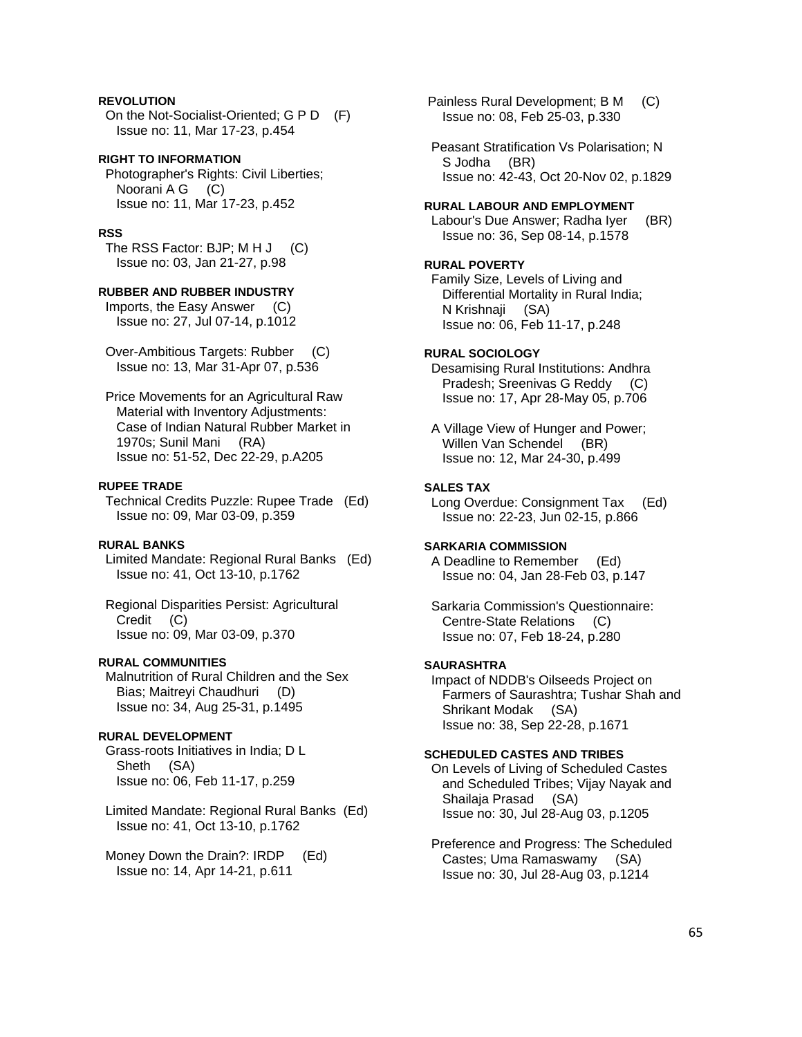# **REVOLUTION**

 On the Not-Socialist-Oriented; G P D (F) Issue no: 11, Mar 17-23, p.454

## **RIGHT TO INFORMATION**

 Photographer's Rights: Civil Liberties; Noorani A G (C) Issue no: 11, Mar 17-23, p.452

# **RSS**

The RSS Factor: BJP; M H J (C) Issue no: 03, Jan 21-27, p.98

# **RUBBER AND RUBBER INDUSTRY**

 Imports, the Easy Answer (C) Issue no: 27, Jul 07-14, p.1012

 Over-Ambitious Targets: Rubber (C) Issue no: 13, Mar 31-Apr 07, p.536

 Price Movements for an Agricultural Raw Material with Inventory Adjustments: Case of Indian Natural Rubber Market in 1970s; Sunil Mani (RA) Issue no: 51-52, Dec 22-29, p.A205

#### **RUPEE TRADE**

 Technical Credits Puzzle: Rupee Trade (Ed) Issue no: 09, Mar 03-09, p.359

### **RURAL BANKS**

 Limited Mandate: Regional Rural Banks (Ed) Issue no: 41, Oct 13-10, p.1762

 Regional Disparities Persist: Agricultural Credit (C) Issue no: 09, Mar 03-09, p.370

# **RURAL COMMUNITIES**

 Malnutrition of Rural Children and the Sex Bias; Maitreyi Chaudhuri (D) Issue no: 34, Aug 25-31, p.1495

#### **RURAL DEVELOPMENT**

 Grass-roots Initiatives in India; D L Sheth (SA) Issue no: 06, Feb 11-17, p.259

 Limited Mandate: Regional Rural Banks (Ed) Issue no: 41, Oct 13-10, p.1762

Money Down the Drain?: IRDP (Ed) Issue no: 14, Apr 14-21, p.611

 Painless Rural Development; B M (C) Issue no: 08, Feb 25-03, p.330

 Peasant Stratification Vs Polarisation; N S Jodha (BR) Issue no: 42-43, Oct 20-Nov 02, p.1829

### **RURAL LABOUR AND EMPLOYMENT**

Labour's Due Answer; Radha Iyer (BR) Issue no: 36, Sep 08-14, p.1578

# **RURAL POVERTY**

 Family Size, Levels of Living and Differential Mortality in Rural India; N Krishnaji (SA) Issue no: 06, Feb 11-17, p.248

### **RURAL SOCIOLOGY**

 Desamising Rural Institutions: Andhra Pradesh; Sreenivas G Reddy (C) Issue no: 17, Apr 28-May 05, p.706

 A Village View of Hunger and Power; Willen Van Schendel (BR) Issue no: 12, Mar 24-30, p.499

### **SALES TAX**

 Long Overdue: Consignment Tax (Ed) Issue no: 22-23, Jun 02-15, p.866

# **SARKARIA COMMISSION**

 A Deadline to Remember (Ed) Issue no: 04, Jan 28-Feb 03, p.147

 Sarkaria Commission's Questionnaire: Centre-State Relations (C) Issue no: 07, Feb 18-24, p.280

#### **SAURASHTRA**

 Impact of NDDB's Oilseeds Project on Farmers of Saurashtra; Tushar Shah and Shrikant Modak (SA) Issue no: 38, Sep 22-28, p.1671

#### **SCHEDULED CASTES AND TRIBES**

 On Levels of Living of Scheduled Castes and Scheduled Tribes; Vijay Nayak and Shailaja Prasad (SA) Issue no: 30, Jul 28-Aug 03, p.1205

 Preference and Progress: The Scheduled Castes; Uma Ramaswamy (SA) Issue no: 30, Jul 28-Aug 03, p.1214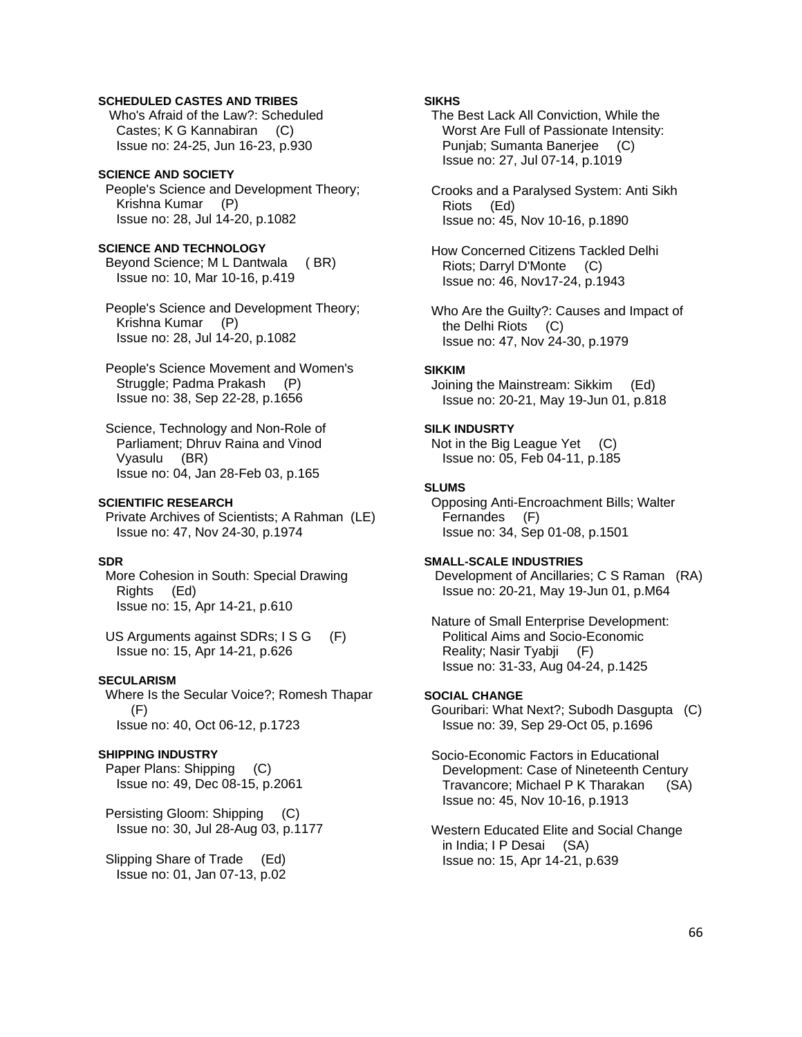# **SCHEDULED CASTES AND TRIBES**

 Who's Afraid of the Law?: Scheduled Castes; K G Kannabiran (C) Issue no: 24-25, Jun 16-23, p.930

### **SCIENCE AND SOCIETY**

 People's Science and Development Theory; Krishna Kumar (P) Issue no: 28, Jul 14-20, p.1082

# **SCIENCE AND TECHNOLOGY**

 Beyond Science; M L Dantwala ( BR) Issue no: 10, Mar 10-16, p.419

 People's Science and Development Theory; Krishna Kumar (P) Issue no: 28, Jul 14-20, p.1082

 People's Science Movement and Women's Struggle; Padma Prakash (P) Issue no: 38, Sep 22-28, p.1656

 Science, Technology and Non-Role of Parliament; Dhruv Raina and Vinod Vyasulu (BR) Issue no: 04, Jan 28-Feb 03, p.165

# **SCIENTIFIC RESEARCH**

 Private Archives of Scientists; A Rahman (LE) Issue no: 47, Nov 24-30, p.1974

# **SDR**

 More Cohesion in South: Special Drawing Rights (Ed) Issue no: 15, Apr 14-21, p.610

US Arguments against SDRs; I S G (F) Issue no: 15, Apr 14-21, p.626

### **SECULARISM**

 Where Is the Secular Voice?; Romesh Thapar  $(F)$ Issue no: 40, Oct 06-12, p.1723

### **SHIPPING INDUSTRY**

 Paper Plans: Shipping (C) Issue no: 49, Dec 08-15, p.2061

 Persisting Gloom: Shipping (C) Issue no: 30, Jul 28-Aug 03, p.1177

 Slipping Share of Trade (Ed) Issue no: 01, Jan 07-13, p.02

# **SIKHS**

 The Best Lack All Conviction, While the Worst Are Full of Passionate Intensity: Punjab; Sumanta Banerjee (C) Issue no: 27, Jul 07-14, p.1019

 Crooks and a Paralysed System: Anti Sikh Riots (Ed) Issue no: 45, Nov 10-16, p.1890

 How Concerned Citizens Tackled Delhi Riots; Darryl D'Monte (C) Issue no: 46, Nov17-24, p.1943

 Who Are the Guilty?: Causes and Impact of the Delhi Riots (C) Issue no: 47, Nov 24-30, p.1979

### **SIKKIM**

 Joining the Mainstream: Sikkim (Ed) Issue no: 20-21, May 19-Jun 01, p.818

### **SILK INDUSRTY**

 Not in the Big League Yet (C) Issue no: 05, Feb 04-11, p.185

### **SLUMS**

 Opposing Anti-Encroachment Bills; Walter Fernandes (F) Issue no: 34, Sep 01-08, p.1501

# **SMALL-SCALE INDUSTRIES**

 Development of Ancillaries; C S Raman (RA) Issue no: 20-21, May 19-Jun 01, p.M64

 Nature of Small Enterprise Development: Political Aims and Socio-Economic Reality; Nasir Tyabji (F) Issue no: 31-33, Aug 04-24, p.1425

#### **SOCIAL CHANGE**

 Gouribari: What Next?; Subodh Dasgupta (C) Issue no: 39, Sep 29-Oct 05, p.1696

 Socio-Economic Factors in Educational Development: Case of Nineteenth Century Travancore; Michael P K Tharakan (SA) Issue no: 45, Nov 10-16, p.1913

 Western Educated Elite and Social Change in India; I P Desai (SA) Issue no: 15, Apr 14-21, p.639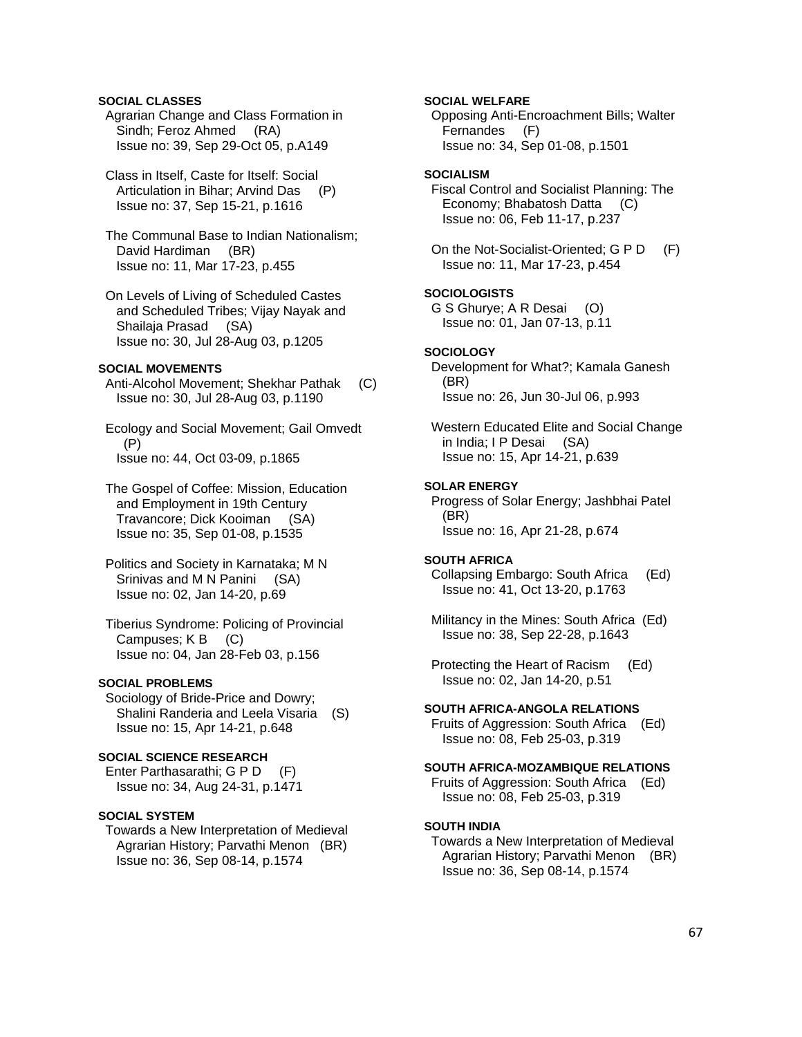# **SOCIAL CLASSES**

 Agrarian Change and Class Formation in Sindh; Feroz Ahmed (RA) Issue no: 39, Sep 29-Oct 05, p.A149

 Class in Itself, Caste for Itself: Social Articulation in Bihar; Arvind Das (P) Issue no: 37, Sep 15-21, p.1616

 The Communal Base to Indian Nationalism; David Hardiman (BR) Issue no: 11, Mar 17-23, p.455

 On Levels of Living of Scheduled Castes and Scheduled Tribes; Vijay Nayak and Shailaja Prasad (SA) Issue no: 30, Jul 28-Aug 03, p.1205

# **SOCIAL MOVEMENTS**

 Anti-Alcohol Movement; Shekhar Pathak (C) Issue no: 30, Jul 28-Aug 03, p.1190

 Ecology and Social Movement; Gail Omvedt (P) Issue no: 44, Oct 03-09, p.1865

 The Gospel of Coffee: Mission, Education and Employment in 19th Century Travancore; Dick Kooiman (SA) Issue no: 35, Sep 01-08, p.1535

 Politics and Society in Karnataka; M N Srinivas and M N Panini (SA) Issue no: 02, Jan 14-20, p.69

 Tiberius Syndrome: Policing of Provincial Campuses; K B (C) Issue no: 04, Jan 28-Feb 03, p.156

# **SOCIAL PROBLEMS**

 Sociology of Bride-Price and Dowry; Shalini Randeria and Leela Visaria (S) Issue no: 15, Apr 14-21, p.648

# **SOCIAL SCIENCE RESEARCH**

 Enter Parthasarathi; G P D (F) Issue no: 34, Aug 24-31, p.1471

#### **SOCIAL SYSTEM**

 Towards a New Interpretation of Medieval Agrarian History; Parvathi Menon (BR) Issue no: 36, Sep 08-14, p.1574

# **SOCIAL WELFARE**

 Opposing Anti-Encroachment Bills; Walter Fernandes (F) Issue no: 34, Sep 01-08, p.1501

# **SOCIALISM**

 Fiscal Control and Socialist Planning: The Economy; Bhabatosh Datta (C) Issue no: 06, Feb 11-17, p.237

 On the Not-Socialist-Oriented; G P D (F) Issue no: 11, Mar 17-23, p.454

### **SOCIOLOGISTS**

 G S Ghurye; A R Desai (O) Issue no: 01, Jan 07-13, p.11

#### **SOCIOLOGY**

 Development for What?; Kamala Ganesh (BR) Issue no: 26, Jun 30-Jul 06, p.993

 Western Educated Elite and Social Change in India; I P Desai (SA) Issue no: 15, Apr 14-21, p.639

### **SOLAR ENERGY**

 Progress of Solar Energy; Jashbhai Patel (BR) Issue no: 16, Apr 21-28, p.674

### **SOUTH AFRICA**

 Collapsing Embargo: South Africa (Ed) Issue no: 41, Oct 13-20, p.1763

 Militancy in the Mines: South Africa (Ed) Issue no: 38, Sep 22-28, p.1643

 Protecting the Heart of Racism (Ed) Issue no: 02, Jan 14-20, p.51

#### **SOUTH AFRICA-ANGOLA RELATIONS**

 Fruits of Aggression: South Africa (Ed) Issue no: 08, Feb 25-03, p.319

#### **SOUTH AFRICA-MOZAMBIQUE RELATIONS**

 Fruits of Aggression: South Africa (Ed) Issue no: 08, Feb 25-03, p.319

### **SOUTH INDIA**

 Towards a New Interpretation of Medieval Agrarian History; Parvathi Menon (BR) Issue no: 36, Sep 08-14, p.1574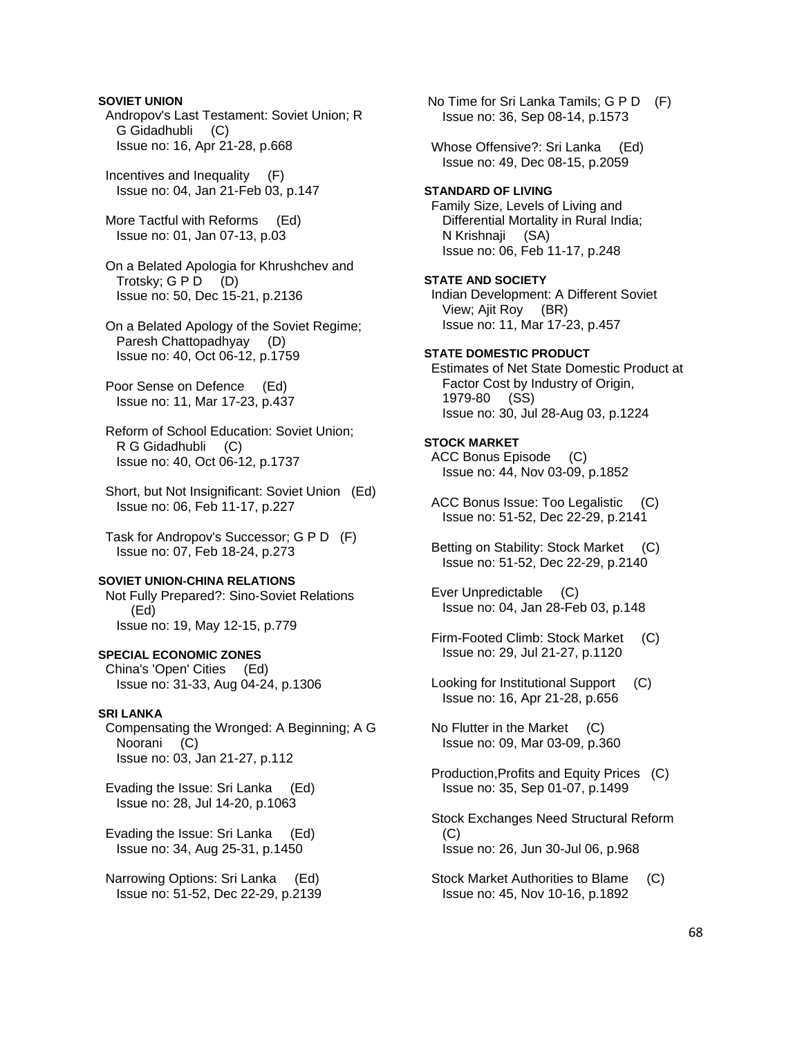# **SOVIET UNION**

 Andropov's Last Testament: Soviet Union; R G Gidadhubli (C) Issue no: 16, Apr 21-28, p.668

 Incentives and Inequality (F) Issue no: 04, Jan 21-Feb 03, p.147

 More Tactful with Reforms (Ed) Issue no: 01, Jan 07-13, p.03

 On a Belated Apologia for Khrushchev and Trotsky;  $G \, P \, D \quad (D)$ Issue no: 50, Dec 15-21, p.2136

 On a Belated Apology of the Soviet Regime; Paresh Chattopadhyay (D) Issue no: 40, Oct 06-12, p.1759

 Poor Sense on Defence (Ed) Issue no: 11, Mar 17-23, p.437

 Reform of School Education: Soviet Union; R G Gidadhubli (C) Issue no: 40, Oct 06-12, p.1737

 Short, but Not Insignificant: Soviet Union (Ed) Issue no: 06, Feb 11-17, p.227

 Task for Andropov's Successor; G P D (F) Issue no: 07, Feb 18-24, p.273

#### **SOVIET UNION-CHINA RELATIONS**

 Not Fully Prepared?: Sino-Soviet Relations (Ed) Issue no: 19, May 12-15, p.779

## **SPECIAL ECONOMIC ZONES**

 China's 'Open' Cities (Ed) Issue no: 31-33, Aug 04-24, p.1306

### **SRI LANKA**

 Compensating the Wronged: A Beginning; A G Noorani (C) Issue no: 03, Jan 21-27, p.112

 Evading the Issue: Sri Lanka (Ed) Issue no: 28, Jul 14-20, p.1063

 Evading the Issue: Sri Lanka (Ed) Issue no: 34, Aug 25-31, p.1450

 Narrowing Options: Sri Lanka (Ed) Issue no: 51-52, Dec 22-29, p.2139  No Time for Sri Lanka Tamils; G P D (F) Issue no: 36, Sep 08-14, p.1573

Whose Offensive?: Sri Lanka (Ed) Issue no: 49, Dec 08-15, p.2059

#### **STANDARD OF LIVING**

 Family Size, Levels of Living and Differential Mortality in Rural India; N Krishnaji (SA) Issue no: 06, Feb 11-17, p.248

### **STATE AND SOCIETY**

 Indian Development: A Different Soviet View; Ajit Roy (BR) Issue no: 11, Mar 17-23, p.457

## **STATE DOMESTIC PRODUCT**

 Estimates of Net State Domestic Product at Factor Cost by Industry of Origin, 1979-80 (SS) Issue no: 30, Jul 28-Aug 03, p.1224

### **STOCK MARKET**

 ACC Bonus Episode (C) Issue no: 44, Nov 03-09, p.1852

 ACC Bonus Issue: Too Legalistic (C) Issue no: 51-52, Dec 22-29, p.2141

 Betting on Stability: Stock Market (C) Issue no: 51-52, Dec 22-29, p.2140

 Ever Unpredictable (C) Issue no: 04, Jan 28-Feb 03, p.148

- Firm-Footed Climb: Stock Market (C) Issue no: 29, Jul 21-27, p.1120
- Looking for Institutional Support (C) Issue no: 16, Apr 21-28, p.656

 No Flutter in the Market (C) Issue no: 09, Mar 03-09, p.360

 Production,Profits and Equity Prices (C) Issue no: 35, Sep 01-07, p.1499

 Stock Exchanges Need Structural Reform  $(C)$ Issue no: 26, Jun 30-Jul 06, p.968

 Stock Market Authorities to Blame (C) Issue no: 45, Nov 10-16, p.1892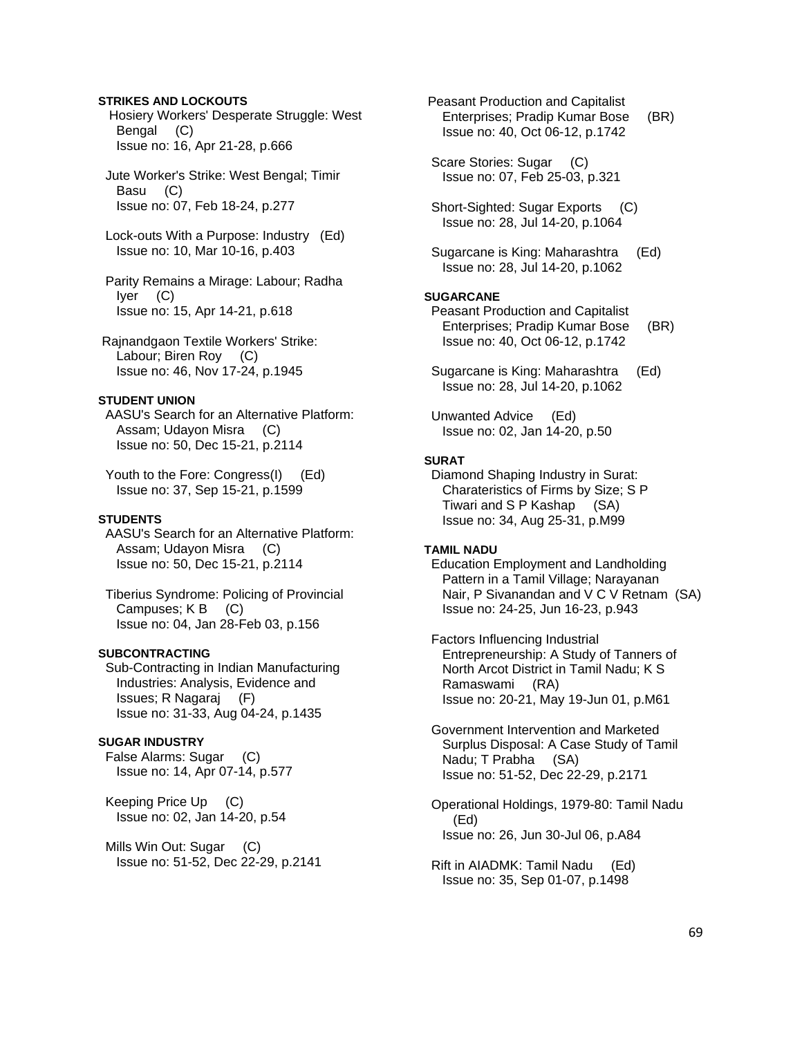# **STRIKES AND LOCKOUTS**

 Hosiery Workers' Desperate Struggle: West Bengal (C) Issue no: 16, Apr 21-28, p.666

 Jute Worker's Strike: West Bengal; Timir Basu (C) Issue no: 07, Feb 18-24, p.277

 Lock-outs With a Purpose: Industry (Ed) Issue no: 10, Mar 10-16, p.403

 Parity Remains a Mirage: Labour; Radha Iyer (C) Issue no: 15, Apr 14-21, p.618

 Rajnandgaon Textile Workers' Strike: Labour; Biren Roy (C) Issue no: 46, Nov 17-24, p.1945

# **STUDENT UNION**

 AASU's Search for an Alternative Platform: Assam; Udayon Misra (C) Issue no: 50, Dec 15-21, p.2114

 Youth to the Fore: Congress(I) (Ed) Issue no: 37, Sep 15-21, p.1599

# **STUDENTS**

 AASU's Search for an Alternative Platform: Assam; Udayon Misra (C) Issue no: 50, Dec 15-21, p.2114

 Tiberius Syndrome: Policing of Provincial Campuses; K B (C) Issue no: 04, Jan 28-Feb 03, p.156

### **SUBCONTRACTING**

 Sub-Contracting in Indian Manufacturing Industries: Analysis, Evidence and Issues; R Nagaraj (F) Issue no: 31-33, Aug 04-24, p.1435

### **SUGAR INDUSTRY**

 False Alarms: Sugar (C) Issue no: 14, Apr 07-14, p.577

 Keeping Price Up (C) Issue no: 02, Jan 14-20, p.54

Mills Win Out: Sugar (C) Issue no: 51-52, Dec 22-29, p.2141  Peasant Production and Capitalist Enterprises; Pradip Kumar Bose (BR) Issue no: 40, Oct 06-12, p.1742

 Scare Stories: Sugar (C) Issue no: 07, Feb 25-03, p.321

 Short-Sighted: Sugar Exports (C) Issue no: 28, Jul 14-20, p.1064

 Sugarcane is King: Maharashtra (Ed) Issue no: 28, Jul 14-20, p.1062

### **SUGARCANE**

 Peasant Production and Capitalist Enterprises; Pradip Kumar Bose (BR) Issue no: 40, Oct 06-12, p.1742

 Sugarcane is King: Maharashtra (Ed) Issue no: 28, Jul 14-20, p.1062

 Unwanted Advice (Ed) Issue no: 02, Jan 14-20, p.50

# **SURAT**

 Diamond Shaping Industry in Surat: Charateristics of Firms by Size; S P Tiwari and S P Kashap (SA) Issue no: 34, Aug 25-31, p.M99

### **TAMIL NADU**

 Education Employment and Landholding Pattern in a Tamil Village; Narayanan Nair, P Sivanandan and V C V Retnam (SA) Issue no: 24-25, Jun 16-23, p.943

 Factors Influencing Industrial Entrepreneurship: A Study of Tanners of North Arcot District in Tamil Nadu; K S Ramaswami (RA) Issue no: 20-21, May 19-Jun 01, p.M61

 Government Intervention and Marketed Surplus Disposal: A Case Study of Tamil Nadu; T Prabha (SA) Issue no: 51-52, Dec 22-29, p.2171

 Operational Holdings, 1979-80: Tamil Nadu (Ed) Issue no: 26, Jun 30-Jul 06, p.A84

 Rift in AIADMK: Tamil Nadu (Ed) Issue no: 35, Sep 01-07, p.1498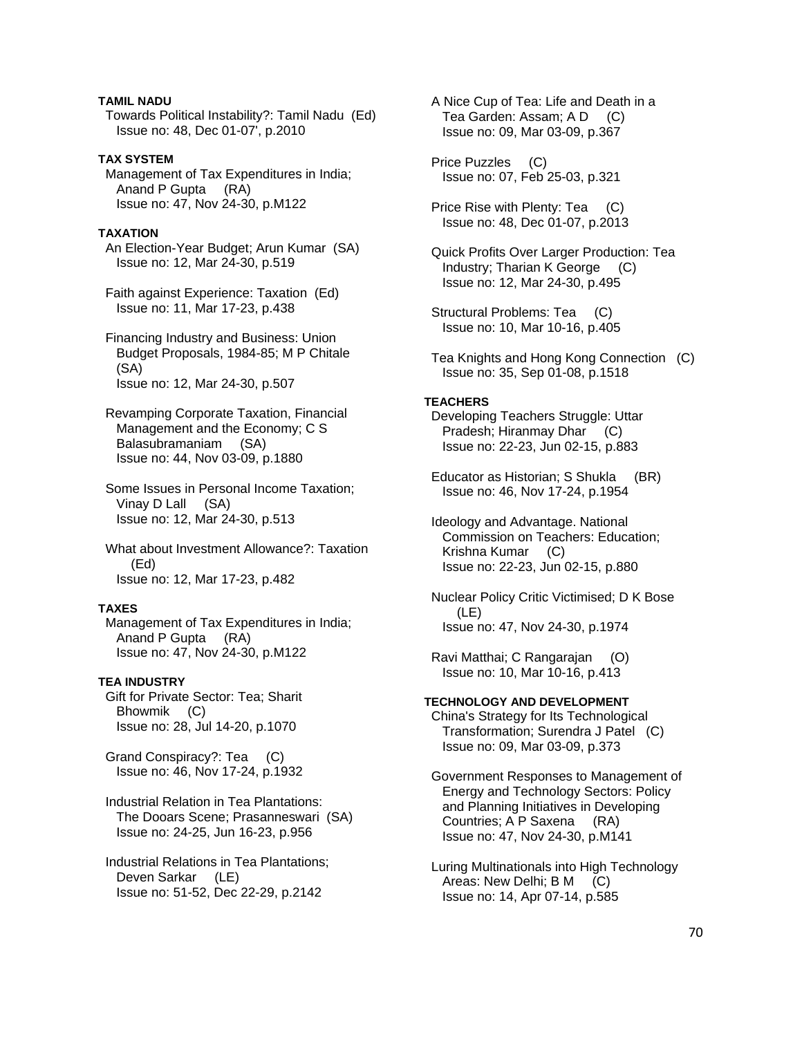# **TAMIL NADU**

 Towards Political Instability?: Tamil Nadu (Ed) Issue no: 48, Dec 01-07', p.2010

# **TAX SYSTEM**

 Management of Tax Expenditures in India; Anand P Gupta (RA) Issue no: 47, Nov 24-30, p.M122

# **TAXATION**

 An Election-Year Budget; Arun Kumar (SA) Issue no: 12, Mar 24-30, p.519

 Faith against Experience: Taxation (Ed) Issue no: 11, Mar 17-23, p.438

 Financing Industry and Business: Union Budget Proposals, 1984-85; M P Chitale (SA) Issue no: 12, Mar 24-30, p.507

 Revamping Corporate Taxation, Financial Management and the Economy; C S Balasubramaniam (SA) Issue no: 44, Nov 03-09, p.1880

 Some Issues in Personal Income Taxation; Vinay D Lall (SA) Issue no: 12, Mar 24-30, p.513

 What about Investment Allowance?: Taxation (Ed) Issue no: 12, Mar 17-23, p.482

# **TAXES**

 Management of Tax Expenditures in India; Anand P Gupta (RA) Issue no: 47, Nov 24-30, p.M122

### **TEA INDUSTRY**

 Gift for Private Sector: Tea; Sharit Bhowmik (C) Issue no: 28, Jul 14-20, p.1070

 Grand Conspiracy?: Tea (C) Issue no: 46, Nov 17-24, p.1932

 Industrial Relation in Tea Plantations: The Dooars Scene; Prasanneswari (SA) Issue no: 24-25, Jun 16-23, p.956

 Industrial Relations in Tea Plantations; Deven Sarkar (LE) Issue no: 51-52, Dec 22-29, p.2142

 A Nice Cup of Tea: Life and Death in a Tea Garden: Assam; A D (C) Issue no: 09, Mar 03-09, p.367

 Price Puzzles (C) Issue no: 07, Feb 25-03, p.321

 Price Rise with Plenty: Tea (C) Issue no: 48, Dec 01-07, p.2013

 Quick Profits Over Larger Production: Tea Industry; Tharian K George (C) Issue no: 12, Mar 24-30, p.495

 Structural Problems: Tea (C) Issue no: 10, Mar 10-16, p.405

 Tea Knights and Hong Kong Connection (C) Issue no: 35, Sep 01-08, p.1518

### **TEACHERS**

 Developing Teachers Struggle: Uttar Pradesh; Hiranmay Dhar (C) Issue no: 22-23, Jun 02-15, p.883

 Educator as Historian; S Shukla (BR) Issue no: 46, Nov 17-24, p.1954

 Ideology and Advantage. National Commission on Teachers: Education; Krishna Kumar (C) Issue no: 22-23, Jun 02-15, p.880

 Nuclear Policy Critic Victimised; D K Bose (LE) Issue no: 47, Nov 24-30, p.1974

 Ravi Matthai; C Rangarajan (O) Issue no: 10, Mar 10-16, p.413

## **TECHNOLOGY AND DEVELOPMENT**

 China's Strategy for Its Technological Transformation; Surendra J Patel (C) Issue no: 09, Mar 03-09, p.373

 Government Responses to Management of Energy and Technology Sectors: Policy and Planning Initiatives in Developing Countries; A P Saxena (RA) Issue no: 47, Nov 24-30, p.M141

 Luring Multinationals into High Technology Areas: New Delhi; B M (C) Issue no: 14, Apr 07-14, p.585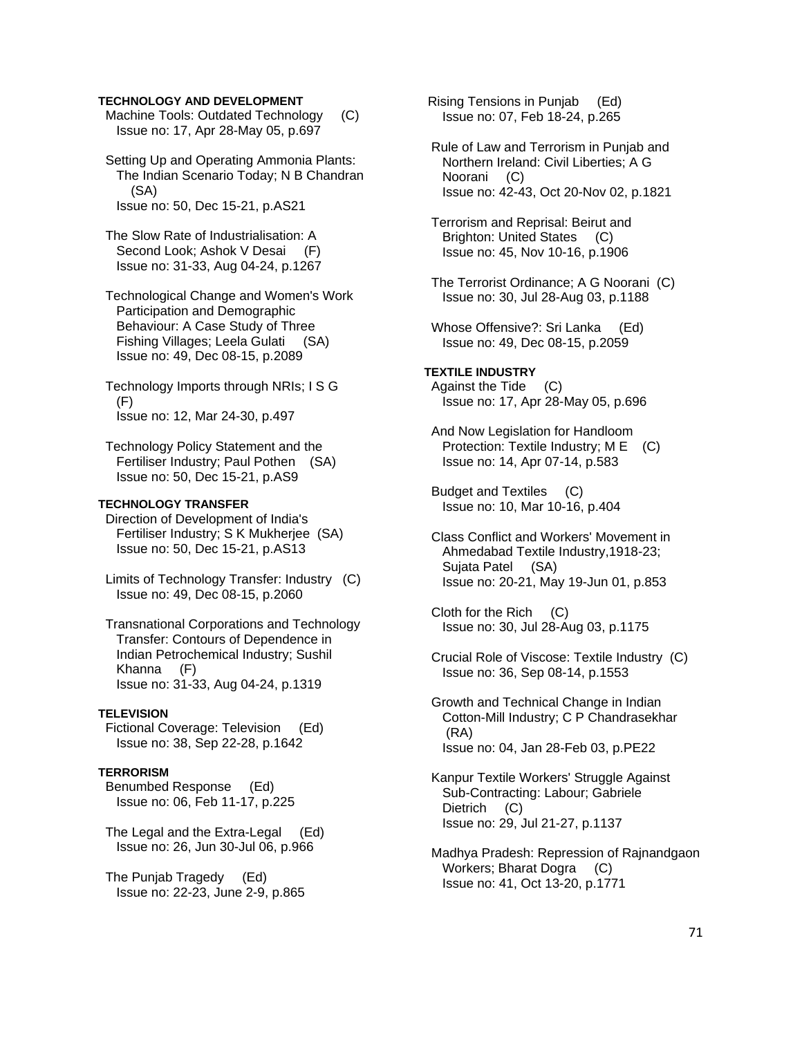## **TECHNOLOGY AND DEVELOPMENT**

 Machine Tools: Outdated Technology (C) Issue no: 17, Apr 28-May 05, p.697

 Setting Up and Operating Ammonia Plants: The Indian Scenario Today; N B Chandran (SA) Issue no: 50, Dec 15-21, p.AS21

 The Slow Rate of Industrialisation: A Second Look; Ashok V Desai (F) Issue no: 31-33, Aug 04-24, p.1267

 Technological Change and Women's Work Participation and Demographic Behaviour: A Case Study of Three Fishing Villages; Leela Gulati (SA) Issue no: 49, Dec 08-15, p.2089

 Technology Imports through NRIs; I S G  $(F)$ Issue no: 12, Mar 24-30, p.497

 Technology Policy Statement and the Fertiliser Industry; Paul Pothen (SA) Issue no: 50, Dec 15-21, p.AS9

### **TECHNOLOGY TRANSFER**

 Direction of Development of India's Fertiliser Industry; S K Mukherjee (SA) Issue no: 50, Dec 15-21, p.AS13

 Limits of Technology Transfer: Industry (C) Issue no: 49, Dec 08-15, p.2060

 Transnational Corporations and Technology Transfer: Contours of Dependence in Indian Petrochemical Industry; Sushil Khanna (F) Issue no: 31-33, Aug 04-24, p.1319

### **TELEVISION**

 Fictional Coverage: Television (Ed) Issue no: 38, Sep 22-28, p.1642

# **TERRORISM**

 Benumbed Response (Ed) Issue no: 06, Feb 11-17, p.225

 The Legal and the Extra-Legal (Ed) Issue no: 26, Jun 30-Jul 06, p.966

 The Punjab Tragedy (Ed) Issue no: 22-23, June 2-9, p.865  Rising Tensions in Punjab (Ed) Issue no: 07, Feb 18-24, p.265

 Rule of Law and Terrorism in Punjab and Northern Ireland: Civil Liberties; A G Noorani (C) Issue no: 42-43, Oct 20-Nov 02, p.1821

 Terrorism and Reprisal: Beirut and Brighton: United States (C) Issue no: 45, Nov 10-16, p.1906

- The Terrorist Ordinance; A G Noorani (C) Issue no: 30, Jul 28-Aug 03, p.1188
- Whose Offensive?: Sri Lanka (Ed) Issue no: 49, Dec 08-15, p.2059

**TEXTILE INDUSTRY**  Against the Tide (C) Issue no: 17, Apr 28-May 05, p.696

 And Now Legislation for Handloom Protection: Textile Industry; M E (C) Issue no: 14, Apr 07-14, p.583

 Budget and Textiles (C) Issue no: 10, Mar 10-16, p.404

 Class Conflict and Workers' Movement in Ahmedabad Textile Industry,1918-23; Sujata Patel (SA) Issue no: 20-21, May 19-Jun 01, p.853

 Cloth for the Rich (C) Issue no: 30, Jul 28-Aug 03, p.1175

 Crucial Role of Viscose: Textile Industry (C) Issue no: 36, Sep 08-14, p.1553

 Growth and Technical Change in Indian Cotton-Mill Industry; C P Chandrasekhar (RA) Issue no: 04, Jan 28-Feb 03, p.PE22

 Kanpur Textile Workers' Struggle Against Sub-Contracting: Labour; Gabriele Dietrich (C) Issue no: 29, Jul 21-27, p.1137

 Madhya Pradesh: Repression of Rajnandgaon Workers; Bharat Dogra (C) Issue no: 41, Oct 13-20, p.1771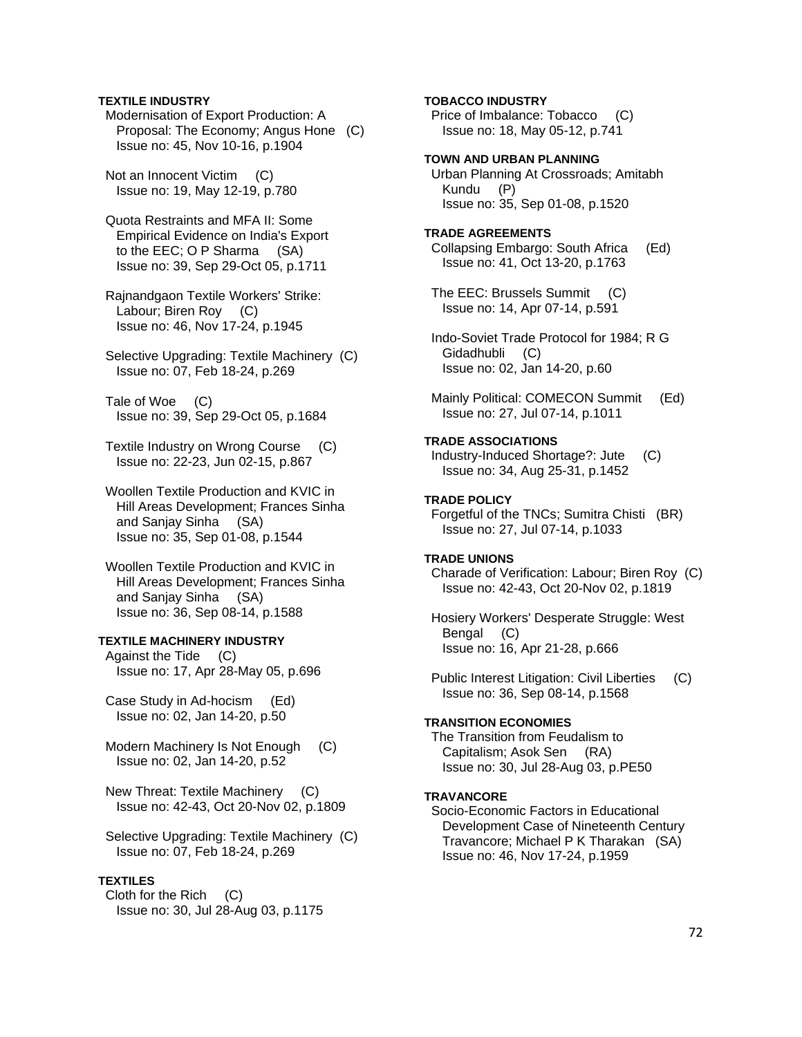### **TEXTILE INDUSTRY**

 Modernisation of Export Production: A Proposal: The Economy; Angus Hone (C) Issue no: 45, Nov 10-16, p.1904

 Not an Innocent Victim (C) Issue no: 19, May 12-19, p.780

 Quota Restraints and MFA II: Some Empirical Evidence on India's Export to the EEC; O P Sharma (SA) Issue no: 39, Sep 29-Oct 05, p.1711

 Rajnandgaon Textile Workers' Strike: Labour; Biren Roy (C) Issue no: 46, Nov 17-24, p.1945

 Selective Upgrading: Textile Machinery (C) Issue no: 07, Feb 18-24, p.269

 Tale of Woe (C) Issue no: 39, Sep 29-Oct 05, p.1684

 Textile Industry on Wrong Course (C) Issue no: 22-23, Jun 02-15, p.867

 Woollen Textile Production and KVIC in Hill Areas Development; Frances Sinha and Sanjay Sinha (SA) Issue no: 35, Sep 01-08, p.1544

 Woollen Textile Production and KVIC in Hill Areas Development; Frances Sinha and Sanjay Sinha (SA) Issue no: 36, Sep 08-14, p.1588

# **TEXTILE MACHINERY INDUSTRY**

 Against the Tide (C) Issue no: 17, Apr 28-May 05, p.696

 Case Study in Ad-hocism (Ed) Issue no: 02, Jan 14-20, p.50

 Modern Machinery Is Not Enough (C) Issue no: 02, Jan 14-20, p.52

 New Threat: Textile Machinery (C) Issue no: 42-43, Oct 20-Nov 02, p.1809

 Selective Upgrading: Textile Machinery (C) Issue no: 07, Feb 18-24, p.269

## **TEXTILES**

 Cloth for the Rich (C) Issue no: 30, Jul 28-Aug 03, p.1175

### **TOBACCO INDUSTRY**

 Price of Imbalance: Tobacco (C) Issue no: 18, May 05-12, p.741

### **TOWN AND URBAN PLANNING**

 Urban Planning At Crossroads; Amitabh Kundu (P) Issue no: 35, Sep 01-08, p.1520

### **TRADE AGREEMENTS**

 Collapsing Embargo: South Africa (Ed) Issue no: 41, Oct 13-20, p.1763

 The EEC: Brussels Summit (C) Issue no: 14, Apr 07-14, p.591

 Indo-Soviet Trade Protocol for 1984; R G Gidadhubli (C) Issue no: 02, Jan 14-20, p.60

Mainly Political: COMECON Summit (Ed) Issue no: 27, Jul 07-14, p.1011

### **TRADE ASSOCIATIONS**

 Industry-Induced Shortage?: Jute (C) Issue no: 34, Aug 25-31, p.1452

### **TRADE POLICY**

 Forgetful of the TNCs; Sumitra Chisti (BR) Issue no: 27, Jul 07-14, p.1033

### **TRADE UNIONS**

 Charade of Verification: Labour; Biren Roy (C) Issue no: 42-43, Oct 20-Nov 02, p.1819

 Hosiery Workers' Desperate Struggle: West Bengal (C) Issue no: 16, Apr 21-28, p.666

 Public Interest Litigation: Civil Liberties (C) Issue no: 36, Sep 08-14, p.1568

#### **TRANSITION ECONOMIES**

 The Transition from Feudalism to Capitalism; Asok Sen (RA) Issue no: 30, Jul 28-Aug 03, p.PE50

### **TRAVANCORE**

 Socio-Economic Factors in Educational Development Case of Nineteenth Century Travancore; Michael P K Tharakan (SA) Issue no: 46, Nov 17-24, p.1959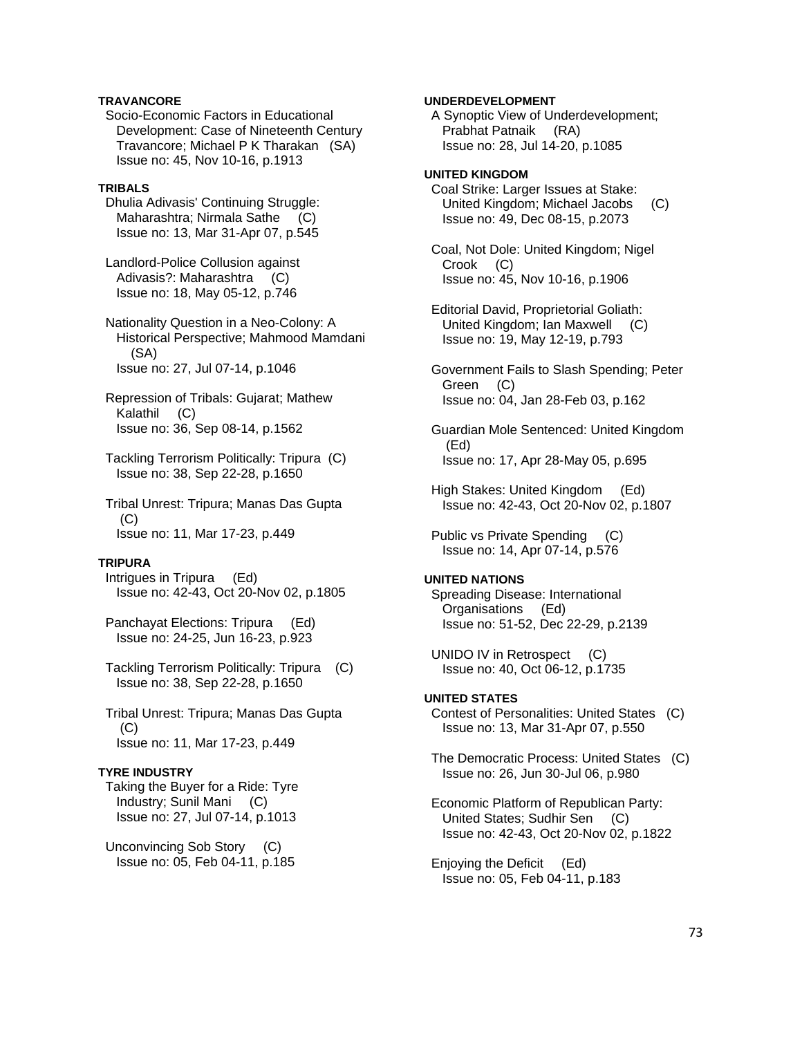### **TRAVANCORE**

 Socio-Economic Factors in Educational Development: Case of Nineteenth Century Travancore; Michael P K Tharakan (SA) Issue no: 45, Nov 10-16, p.1913

### **TRIBALS**

 Dhulia Adivasis' Continuing Struggle: Maharashtra; Nirmala Sathe (C) Issue no: 13, Mar 31-Apr 07, p.545

 Landlord-Police Collusion against Adivasis?: Maharashtra (C) Issue no: 18, May 05-12, p.746

 Nationality Question in a Neo-Colony: A Historical Perspective; Mahmood Mamdani (SA) Issue no: 27, Jul 07-14, p.1046

 Repression of Tribals: Gujarat; Mathew Kalathil (C) Issue no: 36, Sep 08-14, p.1562

 Tackling Terrorism Politically: Tripura (C) Issue no: 38, Sep 22-28, p.1650

 Tribal Unrest: Tripura; Manas Das Gupta (C) Issue no: 11, Mar 17-23, p.449

# **TRIPURA**

 Intrigues in Tripura (Ed) Issue no: 42-43, Oct 20-Nov 02, p.1805

 Panchayat Elections: Tripura (Ed) Issue no: 24-25, Jun 16-23, p.923

 Tackling Terrorism Politically: Tripura (C) Issue no: 38, Sep 22-28, p.1650

 Tribal Unrest: Tripura; Manas Das Gupta (C) Issue no: 11, Mar 17-23, p.449

# **TYRE INDUSTRY**

 Taking the Buyer for a Ride: Tyre Industry; Sunil Mani (C) Issue no: 27, Jul 07-14, p.1013

 Unconvincing Sob Story (C) Issue no: 05, Feb 04-11, p.185

### **UNDERDEVELOPMENT**

 A Synoptic View of Underdevelopment; Prabhat Patnaik (RA) Issue no: 28, Jul 14-20, p.1085

### **UNITED KINGDOM**  Coal Strike: Larger Issues at Stake: United Kingdom; Michael Jacobs (C) Issue no: 49, Dec 08-15, p.2073

 Coal, Not Dole: United Kingdom; Nigel Crook (C) Issue no: 45, Nov 10-16, p.1906

 Editorial David, Proprietorial Goliath: United Kingdom; Ian Maxwell (C) Issue no: 19, May 12-19, p.793

 Government Fails to Slash Spending; Peter Green (C) Issue no: 04, Jan 28-Feb 03, p.162

 Guardian Mole Sentenced: United Kingdom (Ed) Issue no: 17, Apr 28-May 05, p.695

 High Stakes: United Kingdom (Ed) Issue no: 42-43, Oct 20-Nov 02, p.1807

Public vs Private Spending (C) Issue no: 14, Apr 07-14, p.576

#### **UNITED NATIONS**

 Spreading Disease: International Organisations (Ed) Issue no: 51-52, Dec 22-29, p.2139

UNIDO IV in Retrospect (C) Issue no: 40, Oct 06-12, p.1735

# **UNITED STATES**

 Contest of Personalities: United States (C) Issue no: 13, Mar 31-Apr 07, p.550

 The Democratic Process: United States (C) Issue no: 26, Jun 30-Jul 06, p.980

 Economic Platform of Republican Party: United States; Sudhir Sen (C) Issue no: 42-43, Oct 20-Nov 02, p.1822

 Enjoying the Deficit (Ed) Issue no: 05, Feb 04-11, p.183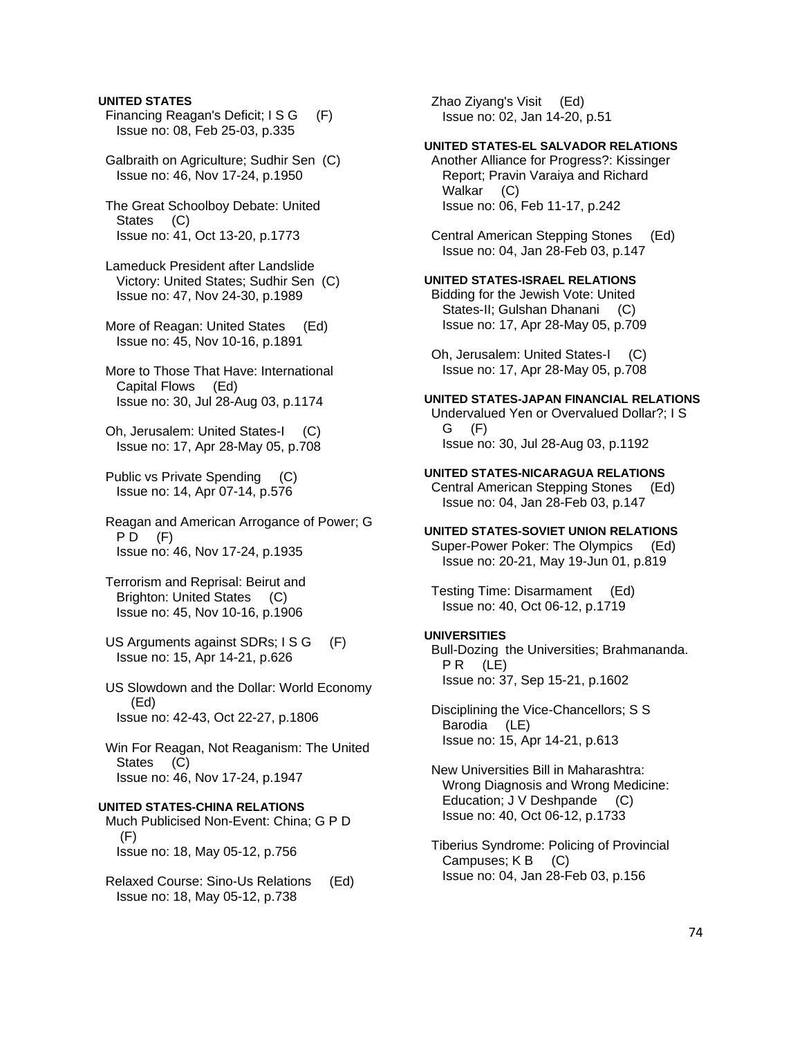### **UNITED STATES**

- Financing Reagan's Deficit; I S G (F) Issue no: 08, Feb 25-03, p.335
- Galbraith on Agriculture; Sudhir Sen (C) Issue no: 46, Nov 17-24, p.1950
- The Great Schoolboy Debate: United States (C) Issue no: 41, Oct 13-20, p.1773
- Lameduck President after Landslide Victory: United States; Sudhir Sen (C) Issue no: 47, Nov 24-30, p.1989
- More of Reagan: United States (Ed) Issue no: 45, Nov 10-16, p.1891
- More to Those That Have: International Capital Flows (Ed) Issue no: 30, Jul 28-Aug 03, p.1174
- Oh, Jerusalem: United States-I (C) Issue no: 17, Apr 28-May 05, p.708
- Public vs Private Spending (C) Issue no: 14, Apr 07-14, p.576
- Reagan and American Arrogance of Power; G  $PD$   $(F)$ Issue no: 46, Nov 17-24, p.1935
- Terrorism and Reprisal: Beirut and Brighton: United States (C) Issue no: 45, Nov 10-16, p.1906
- US Arguments against SDRs; I S G (F) Issue no: 15, Apr 14-21, p.626
- US Slowdown and the Dollar: World Economy (Ed) Issue no: 42-43, Oct 22-27, p.1806

 Win For Reagan, Not Reaganism: The United States (C) Issue no: 46, Nov 17-24, p.1947

### **UNITED STATES-CHINA RELATIONS**

- Much Publicised Non-Event: China; G P D (F) Issue no: 18, May 05-12, p.756
- Relaxed Course: Sino-Us Relations (Ed) Issue no: 18, May 05-12, p.738

 Zhao Ziyang's Visit (Ed) Issue no: 02, Jan 14-20, p.51

## **UNITED STATES-EL SALVADOR RELATIONS**

 Another Alliance for Progress?: Kissinger Report; Pravin Varaiya and Richard Walkar (C) Issue no: 06, Feb 11-17, p.242

 Central American Stepping Stones (Ed) Issue no: 04, Jan 28-Feb 03, p.147

### **UNITED STATES-ISRAEL RELATIONS**

 Bidding for the Jewish Vote: United States-II; Gulshan Dhanani (C) Issue no: 17, Apr 28-May 05, p.709

 Oh, Jerusalem: United States-I (C) Issue no: 17, Apr 28-May 05, p.708

# **UNITED STATES-JAPAN FINANCIAL RELATIONS**

 Undervalued Yen or Overvalued Dollar?; I S G (F) Issue no: 30, Jul 28-Aug 03, p.1192

#### **UNITED STATES-NICARAGUA RELATIONS**

 Central American Stepping Stones (Ed) Issue no: 04, Jan 28-Feb 03, p.147

### **UNITED STATES-SOVIET UNION RELATIONS**

 Super-Power Poker: The Olympics (Ed) Issue no: 20-21, May 19-Jun 01, p.819

 Testing Time: Disarmament (Ed) Issue no: 40, Oct 06-12, p.1719

#### **UNIVERSITIES**

 Bull-Dozing the Universities; Brahmananda. PR (LE) Issue no: 37, Sep 15-21, p.1602

 Disciplining the Vice-Chancellors; S S Barodia (LE) Issue no: 15, Apr 14-21, p.613

 New Universities Bill in Maharashtra: Wrong Diagnosis and Wrong Medicine: Education; J V Deshpande (C) Issue no: 40, Oct 06-12, p.1733

 Tiberius Syndrome: Policing of Provincial Campuses; K B (C) Issue no: 04, Jan 28-Feb 03, p.156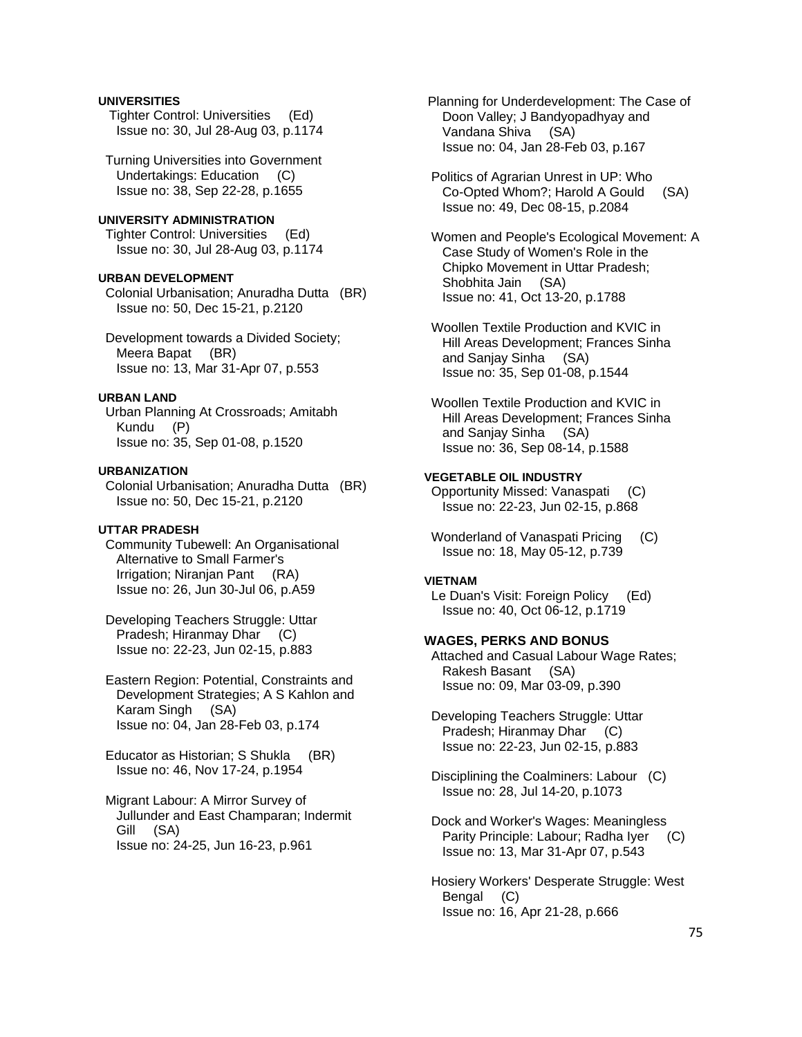### **UNIVERSITIES**

 Tighter Control: Universities (Ed) Issue no: 30, Jul 28-Aug 03, p.1174

 Turning Universities into Government Undertakings: Education (C) Issue no: 38, Sep 22-28, p.1655

## **UNIVERSITY ADMINISTRATION**

 Tighter Control: Universities (Ed) Issue no: 30, Jul 28-Aug 03, p.1174

#### **URBAN DEVELOPMENT**

 Colonial Urbanisation; Anuradha Dutta (BR) Issue no: 50, Dec 15-21, p.2120

 Development towards a Divided Society; Meera Bapat (BR) Issue no: 13, Mar 31-Apr 07, p.553

### **URBAN LAND**

 Urban Planning At Crossroads; Amitabh Kundu (P) Issue no: 35, Sep 01-08, p.1520

#### **URBANIZATION**

 Colonial Urbanisation; Anuradha Dutta (BR) Issue no: 50, Dec 15-21, p.2120

#### **UTTAR PRADESH**

 Community Tubewell: An Organisational Alternative to Small Farmer's Irrigation; Niranjan Pant (RA) Issue no: 26, Jun 30-Jul 06, p.A59

 Developing Teachers Struggle: Uttar Pradesh; Hiranmay Dhar (C) Issue no: 22-23, Jun 02-15, p.883

 Eastern Region: Potential, Constraints and Development Strategies; A S Kahlon and Karam Singh (SA) Issue no: 04, Jan 28-Feb 03, p.174

 Educator as Historian; S Shukla (BR) Issue no: 46, Nov 17-24, p.1954

 Migrant Labour: A Mirror Survey of Jullunder and East Champaran; Indermit Gill (SA) Issue no: 24-25, Jun 16-23, p.961

 Planning for Underdevelopment: The Case of Doon Valley; J Bandyopadhyay and Vandana Shiva (SA) Issue no: 04, Jan 28-Feb 03, p.167

 Politics of Agrarian Unrest in UP: Who Co-Opted Whom?; Harold A Gould (SA) Issue no: 49, Dec 08-15, p.2084

 Women and People's Ecological Movement: A Case Study of Women's Role in the Chipko Movement in Uttar Pradesh; Shobhita Jain (SA) Issue no: 41, Oct 13-20, p.1788

 Woollen Textile Production and KVIC in Hill Areas Development; Frances Sinha and Sanjay Sinha (SA) Issue no: 35, Sep 01-08, p.1544

 Woollen Textile Production and KVIC in Hill Areas Development; Frances Sinha and Sanjay Sinha (SA) Issue no: 36, Sep 08-14, p.1588

### **VEGETABLE OIL INDUSTRY**

 Opportunity Missed: Vanaspati (C) Issue no: 22-23, Jun 02-15, p.868

 Wonderland of Vanaspati Pricing (C) Issue no: 18, May 05-12, p.739

#### **VIETNAM**

 Le Duan's Visit: Foreign Policy (Ed) Issue no: 40, Oct 06-12, p.1719

## **WAGES, PERKS AND BONUS**

 Attached and Casual Labour Wage Rates; Rakesh Basant (SA) Issue no: 09, Mar 03-09, p.390

 Developing Teachers Struggle: Uttar Pradesh; Hiranmay Dhar (C) Issue no: 22-23, Jun 02-15, p.883

 Disciplining the Coalminers: Labour (C) Issue no: 28, Jul 14-20, p.1073

 Dock and Worker's Wages: Meaningless Parity Principle: Labour; Radha Iyer (C) Issue no: 13, Mar 31-Apr 07, p.543

 Hosiery Workers' Desperate Struggle: West Bengal (C) Issue no: 16, Apr 21-28, p.666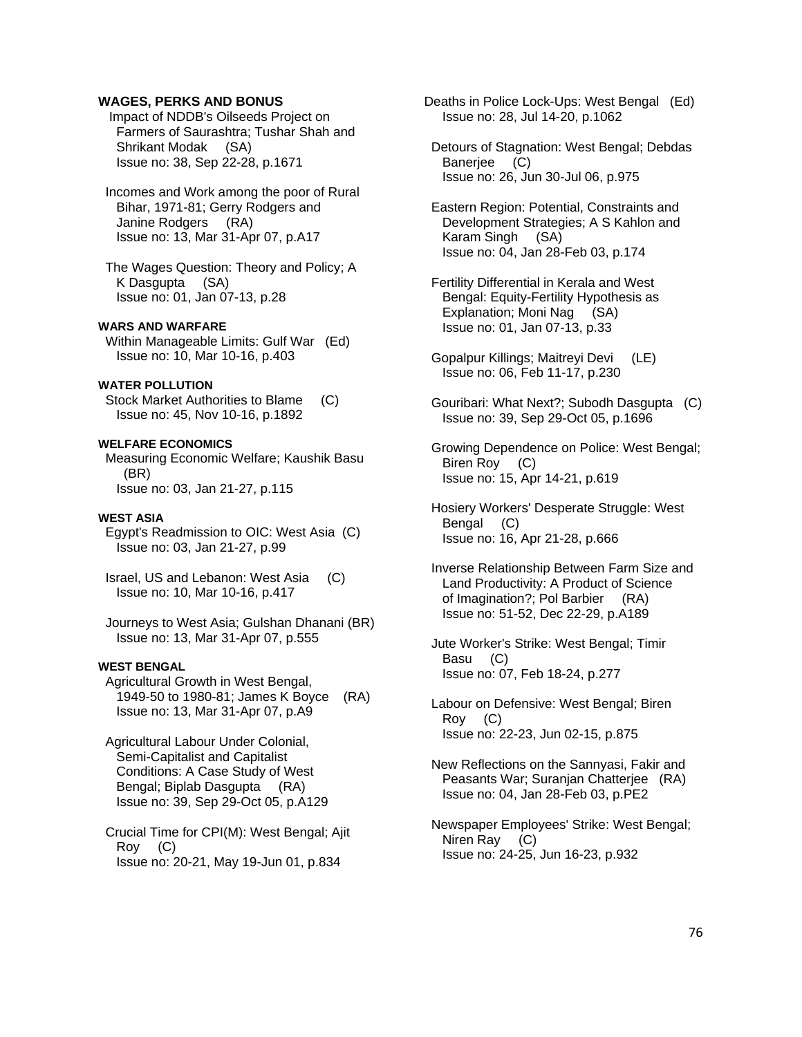### **WAGES, PERKS AND BONUS**

 Impact of NDDB's Oilseeds Project on Farmers of Saurashtra; Tushar Shah and Shrikant Modak (SA) Issue no: 38, Sep 22-28, p.1671

 Incomes and Work among the poor of Rural Bihar, 1971-81; Gerry Rodgers and Janine Rodgers (RA) Issue no: 13, Mar 31-Apr 07, p.A17

 The Wages Question: Theory and Policy; A K Dasgupta (SA) Issue no: 01, Jan 07-13, p.28

### **WARS AND WARFARE**

 Within Manageable Limits: Gulf War (Ed) Issue no: 10, Mar 10-16, p.403

### **WATER POLLUTION**

 Stock Market Authorities to Blame (C) Issue no: 45, Nov 10-16, p.1892

#### **WELFARE ECONOMICS**

 Measuring Economic Welfare; Kaushik Basu (BR) Issue no: 03, Jan 21-27, p.115

#### **WEST ASIA**

 Egypt's Readmission to OIC: West Asia (C) Issue no: 03, Jan 21-27, p.99

 Israel, US and Lebanon: West Asia (C) Issue no: 10, Mar 10-16, p.417

 Journeys to West Asia; Gulshan Dhanani (BR) Issue no: 13, Mar 31-Apr 07, p.555

### **WEST BENGAL**

 Agricultural Growth in West Bengal, 1949-50 to 1980-81; James K Boyce (RA) Issue no: 13, Mar 31-Apr 07, p.A9

 Agricultural Labour Under Colonial, Semi-Capitalist and Capitalist Conditions: A Case Study of West Bengal; Biplab Dasgupta (RA) Issue no: 39, Sep 29-Oct 05, p.A129

 Crucial Time for CPI(M): West Bengal; Ajit Roy (C) Issue no: 20-21, May 19-Jun 01, p.834

Deaths in Police Lock-Ups: West Bengal (Ed) Issue no: 28, Jul 14-20, p.1062

 Detours of Stagnation: West Bengal; Debdas Banerjee (C) Issue no: 26, Jun 30-Jul 06, p.975

 Eastern Region: Potential, Constraints and Development Strategies; A S Kahlon and Karam Singh (SA) Issue no: 04, Jan 28-Feb 03, p.174

 Fertility Differential in Kerala and West Bengal: Equity-Fertility Hypothesis as Explanation; Moni Nag (SA) Issue no: 01, Jan 07-13, p.33

- Gopalpur Killings; Maitreyi Devi (LE) Issue no: 06, Feb 11-17, p.230
- Gouribari: What Next?; Subodh Dasgupta (C) Issue no: 39, Sep 29-Oct 05, p.1696

 Growing Dependence on Police: West Bengal; Biren Roy (C) Issue no: 15, Apr 14-21, p.619

 Hosiery Workers' Desperate Struggle: West Bengal (C) Issue no: 16, Apr 21-28, p.666

 Inverse Relationship Between Farm Size and Land Productivity: A Product of Science of Imagination?; Pol Barbier (RA) Issue no: 51-52, Dec 22-29, p.A189

 Jute Worker's Strike: West Bengal; Timir Basu (C) Issue no: 07, Feb 18-24, p.277

 Labour on Defensive: West Bengal; Biren Roy (C) Issue no: 22-23, Jun 02-15, p.875

 New Reflections on the Sannyasi, Fakir and Peasants War; Suranjan Chatterjee (RA) Issue no: 04, Jan 28-Feb 03, p.PE2

 Newspaper Employees' Strike: West Bengal; Niren Ray (C) Issue no: 24-25, Jun 16-23, p.932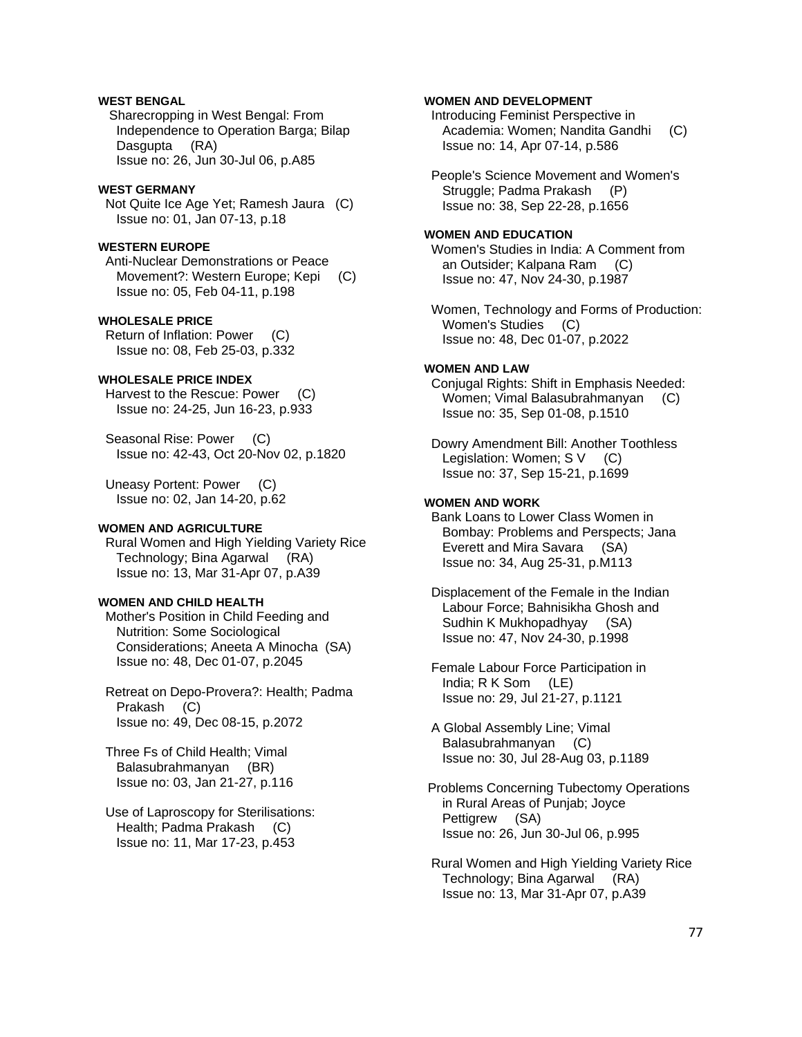## **WEST BENGAL**

 Sharecropping in West Bengal: From Independence to Operation Barga; Bilap Dasgupta (RA) Issue no: 26, Jun 30-Jul 06, p.A85

#### **WEST GERMANY**

 Not Quite Ice Age Yet; Ramesh Jaura (C) Issue no: 01, Jan 07-13, p.18

# **WESTERN EUROPE**

 Anti-Nuclear Demonstrations or Peace Movement?: Western Europe; Kepi (C) Issue no: 05, Feb 04-11, p.198

## **WHOLESALE PRICE**

 Return of Inflation: Power (C) Issue no: 08, Feb 25-03, p.332

#### **WHOLESALE PRICE INDEX**

 Harvest to the Rescue: Power (C) Issue no: 24-25, Jun 16-23, p.933

Seasonal Rise: Power (C) Issue no: 42-43, Oct 20-Nov 02, p.1820

 Uneasy Portent: Power (C) Issue no: 02, Jan 14-20, p.62

### **WOMEN AND AGRICULTURE**

 Rural Women and High Yielding Variety Rice Technology; Bina Agarwal (RA) Issue no: 13, Mar 31-Apr 07, p.A39

#### **WOMEN AND CHILD HEALTH**

 Mother's Position in Child Feeding and Nutrition: Some Sociological Considerations; Aneeta A Minocha (SA) Issue no: 48, Dec 01-07, p.2045

 Retreat on Depo-Provera?: Health; Padma Prakash (C) Issue no: 49, Dec 08-15, p.2072

 Three Fs of Child Health; Vimal Balasubrahmanyan (BR) Issue no: 03, Jan 21-27, p.116

 Use of Laproscopy for Sterilisations: Health; Padma Prakash (C) Issue no: 11, Mar 17-23, p.453

### **WOMEN AND DEVELOPMENT**

 Introducing Feminist Perspective in Academia: Women; Nandita Gandhi (C) Issue no: 14, Apr 07-14, p.586

 People's Science Movement and Women's Struggle: Padma Prakash (P) Issue no: 38, Sep 22-28, p.1656

#### **WOMEN AND EDUCATION**

 Women's Studies in India: A Comment from an Outsider; Kalpana Ram (C) Issue no: 47, Nov 24-30, p.1987

 Women, Technology and Forms of Production: Women's Studies (C) Issue no: 48, Dec 01-07, p.2022

### **WOMEN AND LAW**

 Conjugal Rights: Shift in Emphasis Needed: Women; Vimal Balasubrahmanyan (C) Issue no: 35, Sep 01-08, p.1510

 Dowry Amendment Bill: Another Toothless Legislation: Women; S V (C) Issue no: 37, Sep 15-21, p.1699

### **WOMEN AND WORK**

 Bank Loans to Lower Class Women in Bombay: Problems and Perspects; Jana Everett and Mira Savara (SA) Issue no: 34, Aug 25-31, p.M113

 Displacement of the Female in the Indian Labour Force; Bahnisikha Ghosh and Sudhin K Mukhopadhyay (SA) Issue no: 47, Nov 24-30, p.1998

 Female Labour Force Participation in India; R K Som (LE) Issue no: 29, Jul 21-27, p.1121

 A Global Assembly Line; Vimal Balasubrahmanyan (C) Issue no: 30, Jul 28-Aug 03, p.1189

 Problems Concerning Tubectomy Operations in Rural Areas of Punjab; Joyce Pettigrew (SA) Issue no: 26, Jun 30-Jul 06, p.995

 Rural Women and High Yielding Variety Rice Technology; Bina Agarwal (RA) Issue no: 13, Mar 31-Apr 07, p.A39